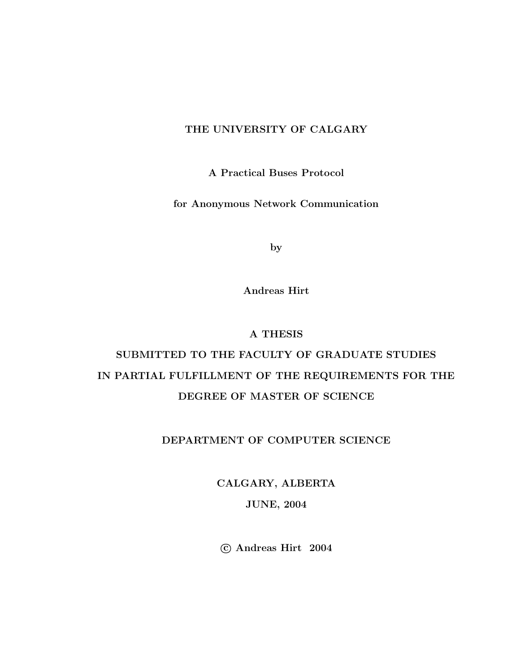#### THE UNIVERSITY OF CALGARY

A Practical Buses Protocol

for Anonymous Network Communication

by

Andreas Hirt

#### A THESIS

## SUBMITTED TO THE FACULTY OF GRADUATE STUDIES IN PARTIAL FULFILLMENT OF THE REQUIREMENTS FOR THE DEGREE OF MASTER OF SCIENCE

#### DEPARTMENT OF COMPUTER SCIENCE

CALGARY, ALBERTA JUNE, 2004

c Andreas Hirt 2004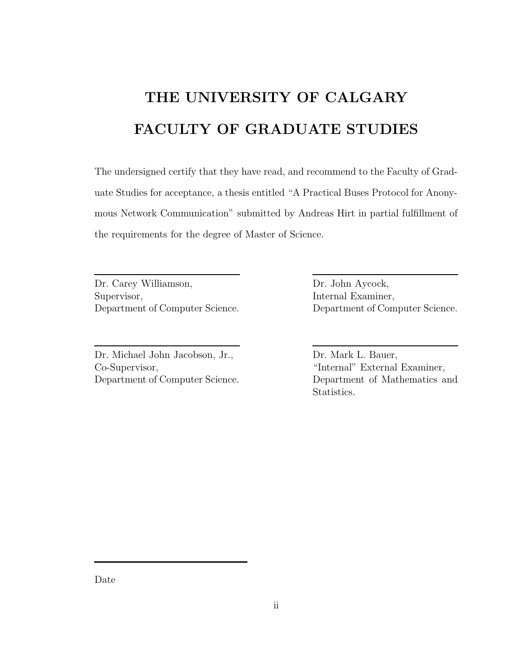# THE UNIVERSITY OF CALGARY FACULTY OF GRADUATE STUDIES

The undersigned certify that they have read, and recommend to the Faculty of Graduate Studies for acceptance, a thesis entitled "A Practical Buses Protocol for Anonymous Network Communication" submitted by Andreas Hirt in partial fulfillment of the requirements for the degree of Master of Science.

Dr. Carey Williamson, Supervisor, Department of Computer Science.

Dr. Michael John Jacobson, Jr., Co-Supervisor, Department of Computer Science. Dr. John Aycock, Internal Examiner, Department of Computer Science.

Dr. Mark L. Bauer, "Internal" External Examiner, Department of Mathematics and Statistics.

Date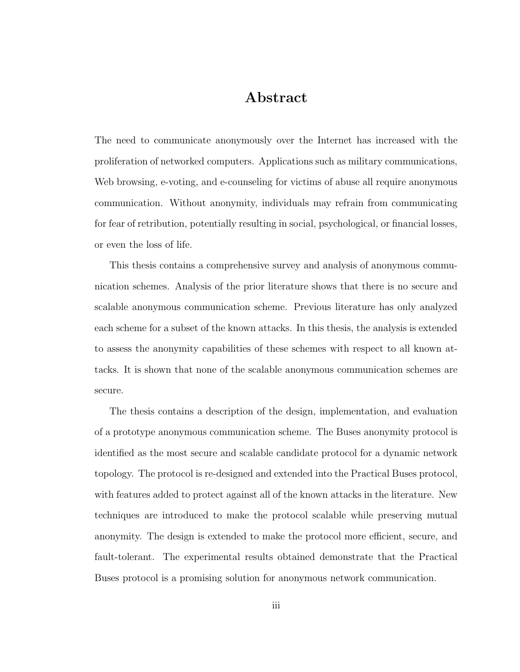### Abstract

The need to communicate anonymously over the Internet has increased with the proliferation of networked computers. Applications such as military communications, Web browsing, e-voting, and e-counseling for victims of abuse all require anonymous communication. Without anonymity, individuals may refrain from communicating for fear of retribution, potentially resulting in social, psychological, or financial losses, or even the loss of life.

This thesis contains a comprehensive survey and analysis of anonymous communication schemes. Analysis of the prior literature shows that there is no secure and scalable anonymous communication scheme. Previous literature has only analyzed each scheme for a subset of the known attacks. In this thesis, the analysis is extended to assess the anonymity capabilities of these schemes with respect to all known attacks. It is shown that none of the scalable anonymous communication schemes are secure.

The thesis contains a description of the design, implementation, and evaluation of a prototype anonymous communication scheme. The Buses anonymity protocol is identified as the most secure and scalable candidate protocol for a dynamic network topology. The protocol is re-designed and extended into the Practical Buses protocol, with features added to protect against all of the known attacks in the literature. New techniques are introduced to make the protocol scalable while preserving mutual anonymity. The design is extended to make the protocol more efficient, secure, and fault-tolerant. The experimental results obtained demonstrate that the Practical Buses protocol is a promising solution for anonymous network communication.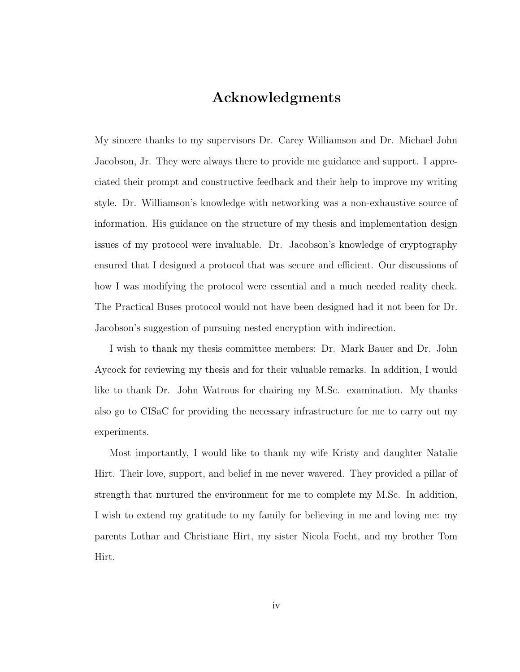### Acknowledgments

My sincere thanks to my supervisors Dr. Carey Williamson and Dr. Michael John Jacobson, Jr. They were always there to provide me guidance and support. I appreciated their prompt and constructive feedback and their help to improve my writing style. Dr. Williamson's knowledge with networking was a non-exhaustive source of information. His guidance on the structure of my thesis and implementation design issues of my protocol were invaluable. Dr. Jacobson's knowledge of cryptography ensured that I designed a protocol that was secure and efficient. Our discussions of how I was modifying the protocol were essential and a much needed reality check. The Practical Buses protocol would not have been designed had it not been for Dr. Jacobson's suggestion of pursuing nested encryption with indirection.

I wish to thank my thesis committee members: Dr. Mark Bauer and Dr. John Aycock for reviewing my thesis and for their valuable remarks. In addition, I would like to thank Dr. John Watrous for chairing my M.Sc. examination. My thanks also go to CISaC for providing the necessary infrastructure for me to carry out my experiments.

Most importantly, I would like to thank my wife Kristy and daughter Natalie Hirt. Their love, support, and belief in me never wavered. They provided a pillar of strength that nurtured the environment for me to complete my M.Sc. In addition, I wish to extend my gratitude to my family for believing in me and loving me: my parents Lothar and Christiane Hirt, my sister Nicola Focht, and my brother Tom Hirt.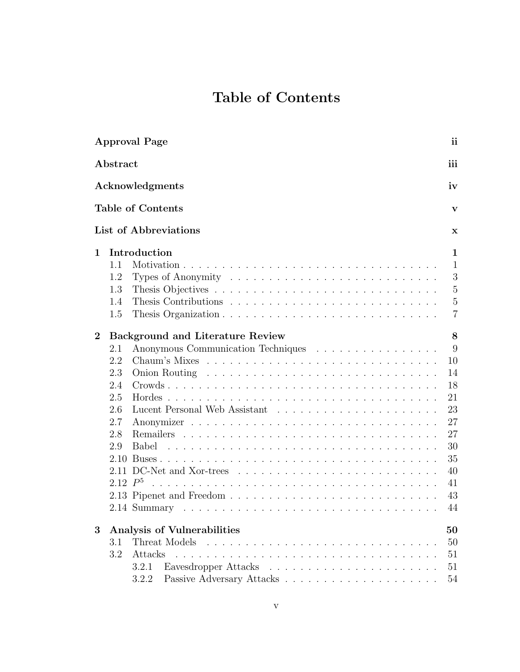## Table of Contents

|                  |                                         | ii<br><b>Approval Page</b>                                                            |  |  |  |  |  |  |  |
|------------------|-----------------------------------------|---------------------------------------------------------------------------------------|--|--|--|--|--|--|--|
| Abstract         |                                         |                                                                                       |  |  |  |  |  |  |  |
|                  | Acknowledgments                         |                                                                                       |  |  |  |  |  |  |  |
|                  |                                         | <b>Table of Contents</b><br>V                                                         |  |  |  |  |  |  |  |
|                  |                                         | List of Abbreviations<br>X                                                            |  |  |  |  |  |  |  |
| 1                | Introduction                            |                                                                                       |  |  |  |  |  |  |  |
|                  | 1.1                                     | $\mathbf{1}$                                                                          |  |  |  |  |  |  |  |
|                  | 1.2                                     | 3<br>Types of Anonymity $\dots \dots \dots \dots \dots \dots \dots \dots \dots \dots$ |  |  |  |  |  |  |  |
|                  | 1.3                                     | $\overline{5}$                                                                        |  |  |  |  |  |  |  |
|                  | 1.4                                     | $\overline{5}$                                                                        |  |  |  |  |  |  |  |
|                  | 1.5                                     | $\overline{7}$                                                                        |  |  |  |  |  |  |  |
| $\boldsymbol{2}$ | <b>Background and Literature Review</b> |                                                                                       |  |  |  |  |  |  |  |
|                  | 2.1                                     | 9<br>Anonymous Communication Techniques                                               |  |  |  |  |  |  |  |
|                  | 2.2                                     | 10                                                                                    |  |  |  |  |  |  |  |
|                  | 2.3                                     | 14                                                                                    |  |  |  |  |  |  |  |
|                  | 2.4                                     | 18                                                                                    |  |  |  |  |  |  |  |
|                  | 2.5                                     | 21                                                                                    |  |  |  |  |  |  |  |
|                  | 2.6                                     | 23<br>Lucent Personal Web Assistant                                                   |  |  |  |  |  |  |  |
|                  | 2.7                                     | 27                                                                                    |  |  |  |  |  |  |  |
|                  | 2.8                                     | 27                                                                                    |  |  |  |  |  |  |  |
|                  | 2.9                                     | 30<br><b>Babel</b>                                                                    |  |  |  |  |  |  |  |
|                  | 2.10                                    | 35                                                                                    |  |  |  |  |  |  |  |
|                  |                                         | 40                                                                                    |  |  |  |  |  |  |  |
|                  | 2.12 $P^5$                              | 41                                                                                    |  |  |  |  |  |  |  |
|                  |                                         | 43                                                                                    |  |  |  |  |  |  |  |
|                  |                                         | 44                                                                                    |  |  |  |  |  |  |  |
| 3                |                                         | Analysis of Vulnerabilities<br>50                                                     |  |  |  |  |  |  |  |
|                  | 3.1                                     | Threat Models<br>50                                                                   |  |  |  |  |  |  |  |
|                  | 3.2                                     | Attacks<br>51                                                                         |  |  |  |  |  |  |  |
|                  |                                         | 51<br>3.2.1                                                                           |  |  |  |  |  |  |  |
|                  |                                         | 54<br>3.2.2                                                                           |  |  |  |  |  |  |  |
|                  |                                         |                                                                                       |  |  |  |  |  |  |  |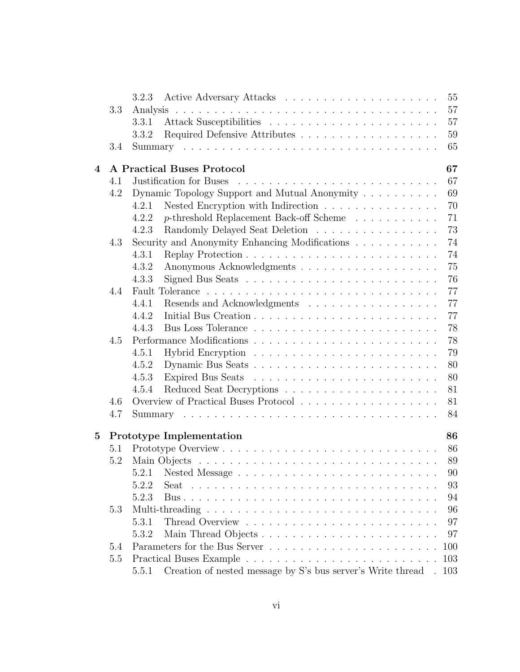|                |     | 55<br>3.2.3                                                                                     |
|----------------|-----|-------------------------------------------------------------------------------------------------|
|                | 3.3 | 57<br>Analysis                                                                                  |
|                |     | 57<br>3.3.1                                                                                     |
|                |     | 59<br>3.3.2                                                                                     |
|                | 3.4 | 65                                                                                              |
| $\overline{4}$ |     | 67<br><b>A Practical Buses Protocol</b>                                                         |
|                | 4.1 | 67<br>Justification for Buses                                                                   |
|                | 4.2 | Dynamic Topology Support and Mutual Anonymity<br>69                                             |
|                |     | 70<br>Nested Encryption with Indirection $\ldots \ldots \ldots \ldots \ldots$<br>4.2.1          |
|                |     | 71<br>p-threshold Replacement Back-off Scheme<br>4.2.2                                          |
|                |     | 73<br>Randomly Delayed Seat Deletion<br>4.2.3                                                   |
|                | 4.3 | 74<br>Security and Anonymity Enhancing Modifications                                            |
|                |     | 74<br>4.3.1                                                                                     |
|                |     | 75<br>4.3.2                                                                                     |
|                |     | 76<br>4.3.3                                                                                     |
|                | 4.4 | 77                                                                                              |
|                |     | 77<br>4.4.1<br>Resends and Acknowledgments                                                      |
|                |     | 77<br>4.4.2                                                                                     |
|                |     | 78<br>4.4.3                                                                                     |
|                | 4.5 | 78                                                                                              |
|                |     | 79<br>4.5.1                                                                                     |
|                |     | 80<br>4.5.2                                                                                     |
|                |     | 80<br>4.5.3                                                                                     |
|                |     | 81<br>4.5.4                                                                                     |
|                | 4.6 | 81                                                                                              |
|                | 4.7 | 84                                                                                              |
| $\bf{5}$       |     | Prototype Implementation<br>86                                                                  |
|                | 5.1 | 86                                                                                              |
|                | 5.2 | 89                                                                                              |
|                |     | $90\,$<br>5.2.1 Nested Message $\ldots \ldots \ldots \ldots \ldots \ldots \ldots \ldots \ldots$ |
|                |     | 5.2.2<br>93                                                                                     |
|                |     | 5.2.3<br>94                                                                                     |
|                | 5.3 | 96                                                                                              |
|                |     | 97<br>5.3.1                                                                                     |
|                |     | 5.3.2<br>97                                                                                     |
|                | 5.4 | 100                                                                                             |
|                | 5.5 | 103                                                                                             |
|                |     | Creation of nested message by S's bus server's Write thread .<br>5.5.1<br>103                   |
|                |     |                                                                                                 |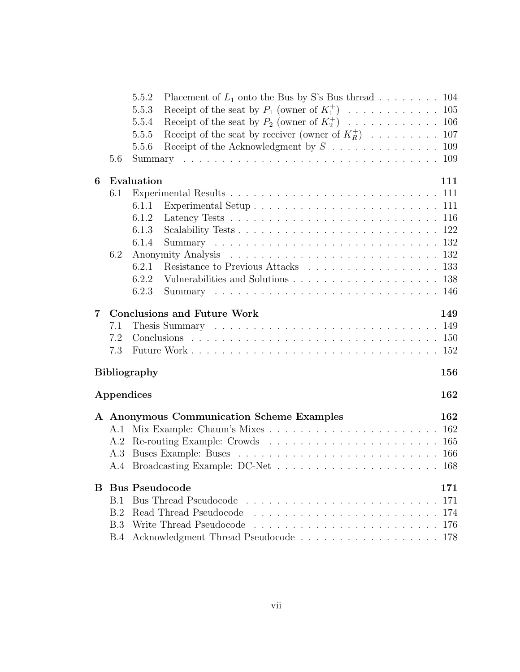|    |            | Placement of $L_1$ onto the Bus by S's Bus thread 104<br>5.5.2                                     |
|----|------------|----------------------------------------------------------------------------------------------------|
|    |            | 5.5.3                                                                                              |
|    |            | 5.5.4                                                                                              |
|    |            | Receipt of the seat by receiver (owner of $K_R^+$ )  107<br>5.5.5                                  |
|    |            | 5.5.6                                                                                              |
|    | 5.6        |                                                                                                    |
| 6  |            | Evaluation<br>111                                                                                  |
|    | 6.1        |                                                                                                    |
|    |            | 6.1.1                                                                                              |
|    |            | Latency Tests $\ldots \ldots \ldots \ldots \ldots \ldots \ldots \ldots \ldots \ldots 116$<br>6.1.2 |
|    |            | 6.1.3                                                                                              |
|    |            | 6.1.4                                                                                              |
|    | 6.2        |                                                                                                    |
|    |            | Resistance to Previous Attacks 133<br>6.2.1                                                        |
|    |            | 6.2.2                                                                                              |
|    |            | 6.2.3                                                                                              |
|    |            |                                                                                                    |
| 7  |            | <b>Conclusions and Future Work</b><br>149                                                          |
|    | 7.1        |                                                                                                    |
|    | 7.2        |                                                                                                    |
|    | 7.3        |                                                                                                    |
|    |            | <b>Bibliography</b><br>156                                                                         |
|    |            | Appendices<br>162                                                                                  |
|    |            |                                                                                                    |
|    |            | A Anonymous Communication Scheme Examples<br>162                                                   |
|    | A.1        | 162                                                                                                |
|    | A.2        |                                                                                                    |
|    | A.3        |                                                                                                    |
|    |            |                                                                                                    |
| B. |            | <b>Bus Pseudocode</b><br>171                                                                       |
|    | <b>B.1</b> | 171                                                                                                |
|    | B.2        | Read Thread Pseudocode<br>174                                                                      |
|    | B.3        | Write Thread Pseudocode<br>176                                                                     |
|    | <b>B.4</b> | 178                                                                                                |
|    |            |                                                                                                    |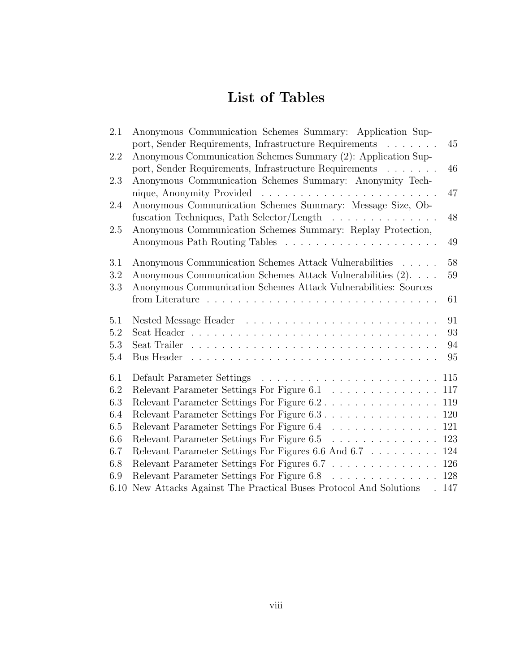## List of Tables

| 2.1  | Anonymous Communication Schemes Summary: Application Sup-            |
|------|----------------------------------------------------------------------|
|      | port, Sender Requirements, Infrastructure Requirements<br>45         |
| 2.2  | Anonymous Communication Schemes Summary (2): Application Sup-        |
|      | 46<br>port, Sender Requirements, Infrastructure Requirements         |
| 2.3  | Anonymous Communication Schemes Summary: Anonymity Tech-             |
|      | 47                                                                   |
| 2.4  | Anonymous Communication Schemes Summary: Message Size, Ob-           |
|      | 48<br>fuscation Techniques, Path Selector/Length<br>.                |
| 2.5  | Anonymous Communication Schemes Summary: Replay Protection,          |
|      | 49                                                                   |
|      |                                                                      |
| 3.1  | 58<br>Anonymous Communication Schemes Attack Vulnerabilities         |
| 3.2  | Anonymous Communication Schemes Attack Vulnerabilities (2)<br>59     |
| 3.3  | Anonymous Communication Schemes Attack Vulnerabilities: Sources      |
|      | 61                                                                   |
| 5.1  | 91                                                                   |
| 5.2  | 93                                                                   |
| 5.3  | 94                                                                   |
| 5.4  | 95                                                                   |
|      |                                                                      |
| 6.1  | 115                                                                  |
| 6.2  | Relevant Parameter Settings For Figure 6.1<br>117                    |
| 6.3  | Relevant Parameter Settings For Figure 6.2<br>119                    |
| 6.4  | Relevant Parameter Settings For Figure 6.3.<br>120                   |
| 6.5  | Relevant Parameter Settings For Figure 6.4<br>121                    |
| 6.6  | 123<br>Relevant Parameter Settings For Figure 6.5                    |
| 6.7  | Relevant Parameter Settings For Figures 6.6 And 6.7<br>124           |
| 6.8  | Relevant Parameter Settings For Figures 6.7 126                      |
| 6.9  | Relevant Parameter Settings For Figure 6.8<br>128                    |
| 6.10 | New Attacks Against The Practical Buses Protocol And Solutions . 147 |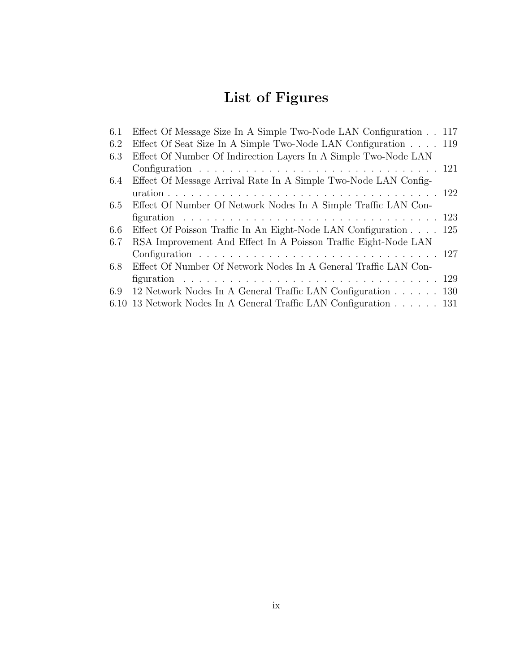## List of Figures

| 6.1  | Effect Of Message Size In A Simple Two-Node LAN Configuration 117 |  |
|------|-------------------------------------------------------------------|--|
| 6.2  | Effect Of Seat Size In A Simple Two-Node LAN Configuration 119    |  |
| 6.3  | Effect Of Number Of Indirection Layers In A Simple Two-Node LAN   |  |
|      |                                                                   |  |
| 6.4  | Effect Of Message Arrival Rate In A Simple Two-Node LAN Config-   |  |
|      |                                                                   |  |
| 6.5  | Effect Of Number Of Network Nodes In A Simple Traffic LAN Con-    |  |
|      |                                                                   |  |
| 6.6  | Effect Of Poisson Traffic In An Eight-Node LAN Configuration 125  |  |
| 6.7  | RSA Improvement And Effect In A Poisson Traffic Eight-Node LAN    |  |
|      |                                                                   |  |
| 6.8  | Effect Of Number Of Network Nodes In A General Traffic LAN Con-   |  |
|      |                                                                   |  |
| 6.9  | 12 Network Nodes In A General Traffic LAN Configuration 130       |  |
| 6.10 | 13 Network Nodes In A General Traffic LAN Configuration 131       |  |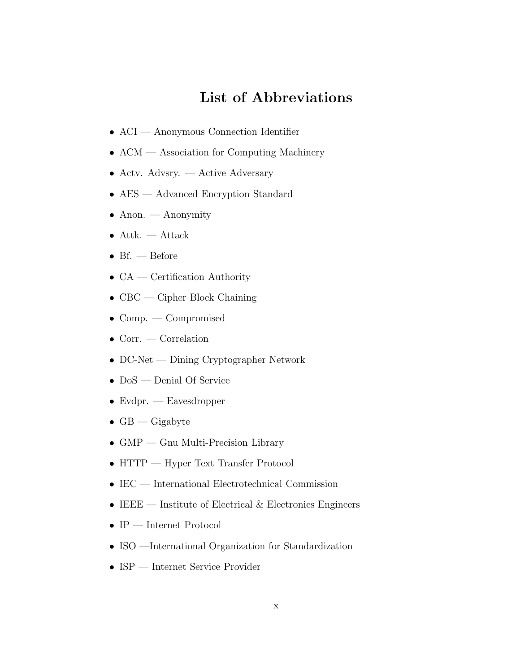## List of Abbreviations

- ACI Anonymous Connection Identifier
- ACM Association for Computing Machinery
- Acty.  $Advsry. Active Adversary$
- AES Advanced Encryption Standard
- Anon. Anonymity
- Attk. Attack
- Bf. Before
- $CA$  Certification Authority
- CBC Cipher Block Chaining
- Comp. Compromised
- Corr. Correlation
- DC-Net Dining Cryptographer Network
- DoS Denial Of Service
- Evdpr. Eavesdropper
- $GB$  Gigabyte
- GMP Gnu Multi-Precision Library
- HTTP Hyper Text Transfer Protocol
- IEC International Electrotechnical Commission
- IEEE Institute of Electrical  $\&$  Electronics Engineers
- $\bullet$  IP Internet Protocol
- ISO —International Organization for Standardization
- ISP Internet Service Provider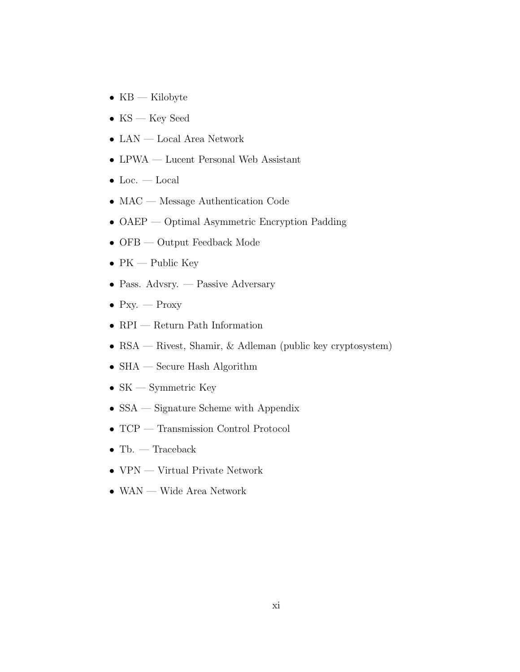- $KB$  Kilobyte
- $KS$  Key Seed
- LAN Local Area Network
- LPWA Lucent Personal Web Assistant
- Loc. Local
- MAC Message Authentication Code
- OAEP Optimal Asymmetric Encryption Padding
- OFB Output Feedback Mode
- $PK$  Public Key
- Pass. Advsry. Passive Adversary
- Pxy.  $-$  Proxy
- RPI Return Path Information
- RSA Rivest, Shamir, & Adleman (public key cryptosystem)
- $\bullet$  SHA Secure Hash Algorithm
- $SK Symmetric$  Key
- SSA Signature Scheme with Appendix
- TCP Transmission Control Protocol
- Tb. Traceback
- VPN Virtual Private Network
- WAN Wide Area Network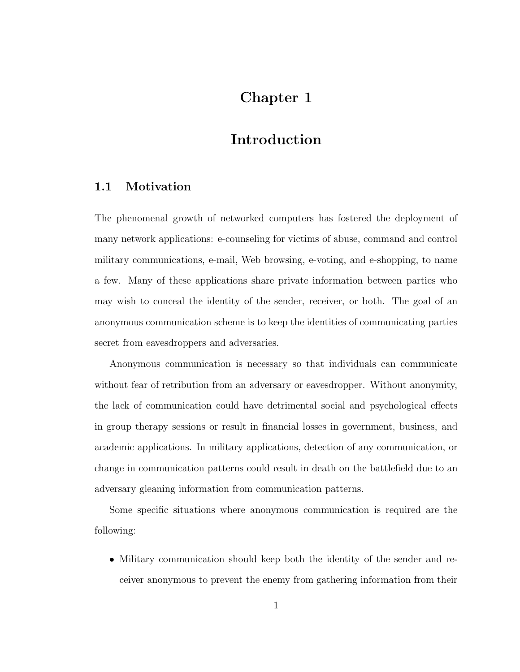## Chapter 1

## Introduction

#### 1.1 Motivation

The phenomenal growth of networked computers has fostered the deployment of many network applications: e-counseling for victims of abuse, command and control military communications, e-mail, Web browsing, e-voting, and e-shopping, to name a few. Many of these applications share private information between parties who may wish to conceal the identity of the sender, receiver, or both. The goal of an anonymous communication scheme is to keep the identities of communicating parties secret from eavesdroppers and adversaries.

Anonymous communication is necessary so that individuals can communicate without fear of retribution from an adversary or eavesdropper. Without anonymity, the lack of communication could have detrimental social and psychological effects in group therapy sessions or result in financial losses in government, business, and academic applications. In military applications, detection of any communication, or change in communication patterns could result in death on the battlefield due to an adversary gleaning information from communication patterns.

Some specific situations where anonymous communication is required are the following:

• Military communication should keep both the identity of the sender and receiver anonymous to prevent the enemy from gathering information from their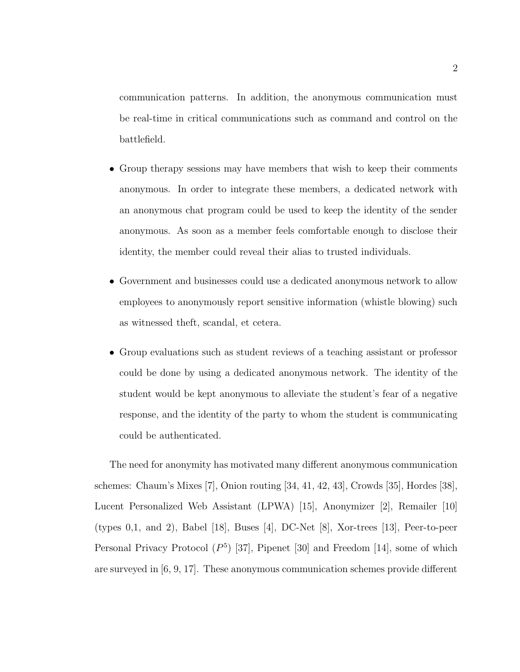communication patterns. In addition, the anonymous communication must be real-time in critical communications such as command and control on the battlefield.

- Group therapy sessions may have members that wish to keep their comments anonymous. In order to integrate these members, a dedicated network with an anonymous chat program could be used to keep the identity of the sender anonymous. As soon as a member feels comfortable enough to disclose their identity, the member could reveal their alias to trusted individuals.
- Government and businesses could use a dedicated anonymous network to allow employees to anonymously report sensitive information (whistle blowing) such as witnessed theft, scandal, et cetera.
- Group evaluations such as student reviews of a teaching assistant or professor could be done by using a dedicated anonymous network. The identity of the student would be kept anonymous to alleviate the student's fear of a negative response, and the identity of the party to whom the student is communicating could be authenticated.

The need for anonymity has motivated many different anonymous communication schemes: Chaum's Mixes [7], Onion routing [34, 41, 42, 43], Crowds [35], Hordes [38], Lucent Personalized Web Assistant (LPWA) [15], Anonymizer [2], Remailer [10] (types 0,1, and 2), Babel [18], Buses [4], DC-Net [8], Xor-trees [13], Peer-to-peer Personal Privacy Protocol  $(P^5)$  [37], Pipenet [30] and Freedom [14], some of which are surveyed in [6, 9, 17]. These anonymous communication schemes provide different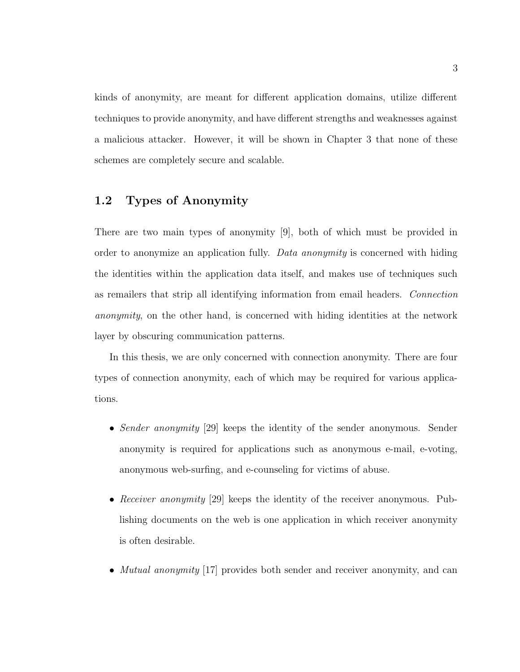kinds of anonymity, are meant for different application domains, utilize different techniques to provide anonymity, and have different strengths and weaknesses against a malicious attacker. However, it will be shown in Chapter 3 that none of these schemes are completely secure and scalable.

#### 1.2 Types of Anonymity

There are two main types of anonymity [9], both of which must be provided in order to anonymize an application fully. Data anonymity is concerned with hiding the identities within the application data itself, and makes use of techniques such as remailers that strip all identifying information from email headers. Connection anonymity, on the other hand, is concerned with hiding identities at the network layer by obscuring communication patterns.

In this thesis, we are only concerned with connection anonymity. There are four types of connection anonymity, each of which may be required for various applications.

- Sender anonymity [29] keeps the identity of the sender anonymous. Sender anonymity is required for applications such as anonymous e-mail, e-voting, anonymous web-surfing, and e-counseling for victims of abuse.
- Receiver anonymity [29] keeps the identity of the receiver anonymous. Publishing documents on the web is one application in which receiver anonymity is often desirable.
- *Mutual anonymity* [17] provides both sender and receiver anonymity, and can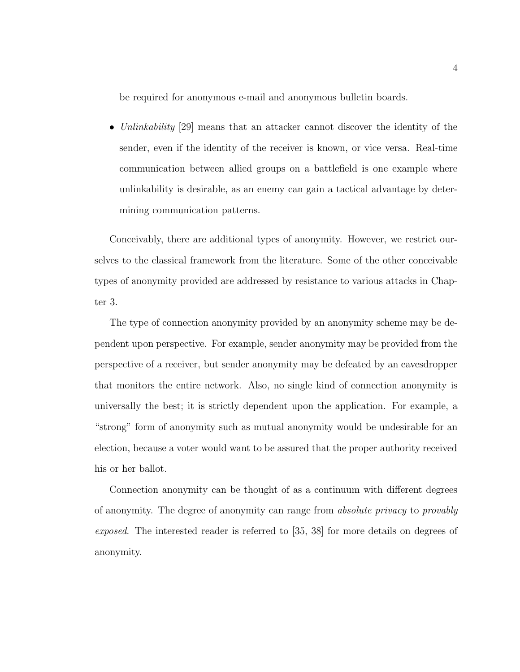be required for anonymous e-mail and anonymous bulletin boards.

• Unlinkability [29] means that an attacker cannot discover the identity of the sender, even if the identity of the receiver is known, or vice versa. Real-time communication between allied groups on a battlefield is one example where unlinkability is desirable, as an enemy can gain a tactical advantage by determining communication patterns.

Conceivably, there are additional types of anonymity. However, we restrict ourselves to the classical framework from the literature. Some of the other conceivable types of anonymity provided are addressed by resistance to various attacks in Chapter 3.

The type of connection anonymity provided by an anonymity scheme may be dependent upon perspective. For example, sender anonymity may be provided from the perspective of a receiver, but sender anonymity may be defeated by an eavesdropper that monitors the entire network. Also, no single kind of connection anonymity is universally the best; it is strictly dependent upon the application. For example, a "strong" form of anonymity such as mutual anonymity would be undesirable for an election, because a voter would want to be assured that the proper authority received his or her ballot.

Connection anonymity can be thought of as a continuum with different degrees of anonymity. The degree of anonymity can range from absolute privacy to provably exposed. The interested reader is referred to [35, 38] for more details on degrees of anonymity.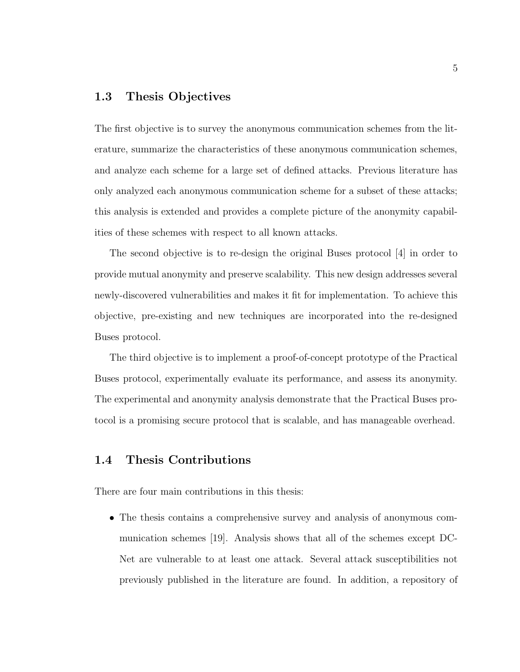#### 1.3 Thesis Objectives

The first objective is to survey the anonymous communication schemes from the literature, summarize the characteristics of these anonymous communication schemes, and analyze each scheme for a large set of defined attacks. Previous literature has only analyzed each anonymous communication scheme for a subset of these attacks; this analysis is extended and provides a complete picture of the anonymity capabilities of these schemes with respect to all known attacks.

The second objective is to re-design the original Buses protocol [4] in order to provide mutual anonymity and preserve scalability. This new design addresses several newly-discovered vulnerabilities and makes it fit for implementation. To achieve this objective, pre-existing and new techniques are incorporated into the re-designed Buses protocol.

The third objective is to implement a proof-of-concept prototype of the Practical Buses protocol, experimentally evaluate its performance, and assess its anonymity. The experimental and anonymity analysis demonstrate that the Practical Buses protocol is a promising secure protocol that is scalable, and has manageable overhead.

#### 1.4 Thesis Contributions

There are four main contributions in this thesis:

• The thesis contains a comprehensive survey and analysis of anonymous communication schemes [19]. Analysis shows that all of the schemes except DC-Net are vulnerable to at least one attack. Several attack susceptibilities not previously published in the literature are found. In addition, a repository of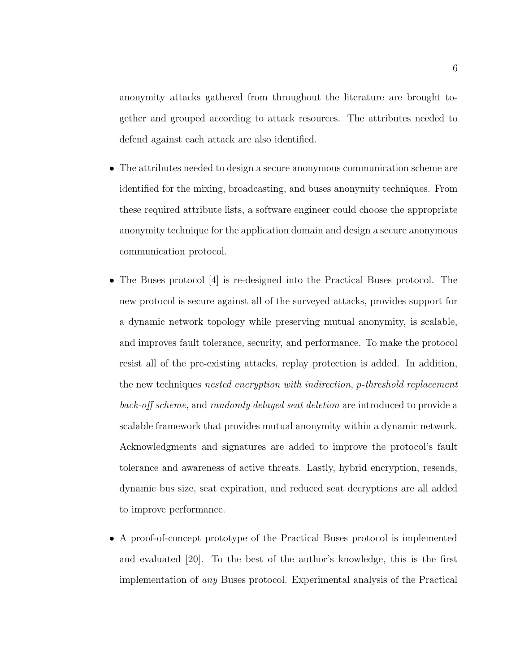anonymity attacks gathered from throughout the literature are brought together and grouped according to attack resources. The attributes needed to defend against each attack are also identified.

- The attributes needed to design a secure anonymous communication scheme are identified for the mixing, broadcasting, and buses anonymity techniques. From these required attribute lists, a software engineer could choose the appropriate anonymity technique for the application domain and design a secure anonymous communication protocol.
- The Buses protocol [4] is re-designed into the Practical Buses protocol. The new protocol is secure against all of the surveyed attacks, provides support for a dynamic network topology while preserving mutual anonymity, is scalable, and improves fault tolerance, security, and performance. To make the protocol resist all of the pre-existing attacks, replay protection is added. In addition, the new techniques nested encryption with indirection, p-threshold replacement back-off scheme, and randomly delayed seat deletion are introduced to provide a scalable framework that provides mutual anonymity within a dynamic network. Acknowledgments and signatures are added to improve the protocol's fault tolerance and awareness of active threats. Lastly, hybrid encryption, resends, dynamic bus size, seat expiration, and reduced seat decryptions are all added to improve performance.
- A proof-of-concept prototype of the Practical Buses protocol is implemented and evaluated [20]. To the best of the author's knowledge, this is the first implementation of any Buses protocol. Experimental analysis of the Practical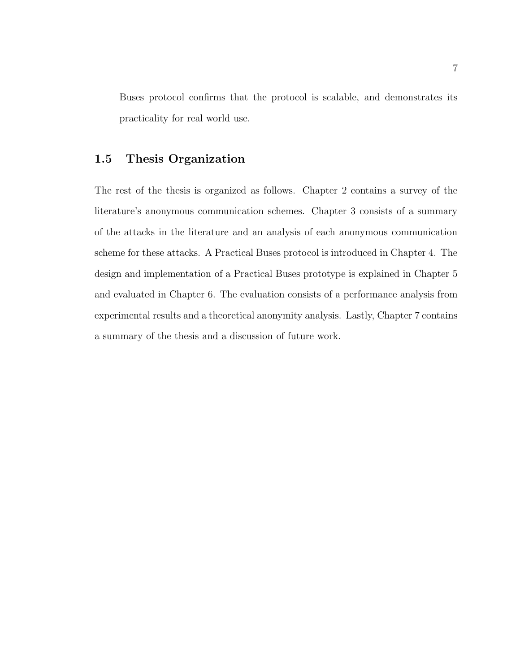Buses protocol confirms that the protocol is scalable, and demonstrates its practicality for real world use.

#### 1.5 Thesis Organization

The rest of the thesis is organized as follows. Chapter 2 contains a survey of the literature's anonymous communication schemes. Chapter 3 consists of a summary of the attacks in the literature and an analysis of each anonymous communication scheme for these attacks. A Practical Buses protocol is introduced in Chapter 4. The design and implementation of a Practical Buses prototype is explained in Chapter 5 and evaluated in Chapter 6. The evaluation consists of a performance analysis from experimental results and a theoretical anonymity analysis. Lastly, Chapter 7 contains a summary of the thesis and a discussion of future work.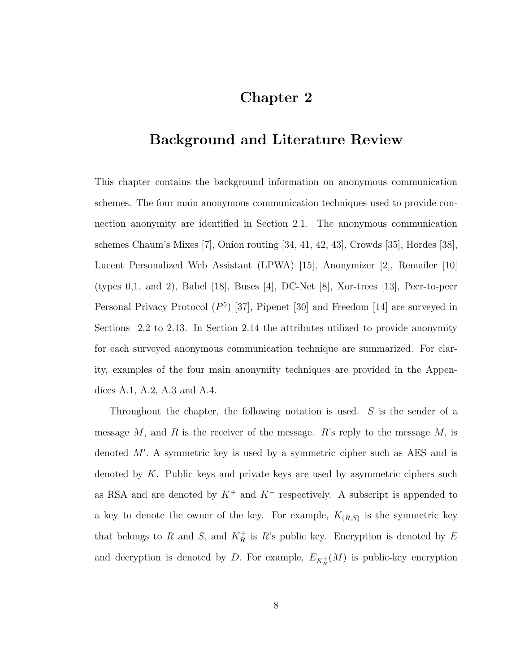### Chapter 2

### Background and Literature Review

This chapter contains the background information on anonymous communication schemes. The four main anonymous communication techniques used to provide connection anonymity are identified in Section 2.1. The anonymous communication schemes Chaum's Mixes [7], Onion routing [34, 41, 42, 43], Crowds [35], Hordes [38], Lucent Personalized Web Assistant (LPWA) [15], Anonymizer [2], Remailer [10] (types 0,1, and 2), Babel [18], Buses [4], DC-Net [8], Xor-trees [13], Peer-to-peer Personal Privacy Protocol  $(P^5)$  [37], Pipenet [30] and Freedom [14] are surveyed in Sections 2.2 to 2.13. In Section 2.14 the attributes utilized to provide anonymity for each surveyed anonymous communication technique are summarized. For clarity, examples of the four main anonymity techniques are provided in the Appendices A.1, A.2, A.3 and A.4.

Throughout the chapter, the following notation is used. S is the sender of a message  $M$ , and  $R$  is the receiver of the message.  $R$ 's reply to the message  $M$ , is denoted  $M'$ . A symmetric key is used by a symmetric cipher such as AES and is denoted by  $K$ . Public keys and private keys are used by asymmetric ciphers such as RSA and are denoted by  $K^+$  and  $K^-$  respectively. A subscript is appended to a key to denote the owner of the key. For example,  $K_{(R,S)}$  is the symmetric key that belongs to R and S, and  $K_R^+$  is R's public key. Encryption is denoted by E and decryption is denoted by D. For example,  $E_{K_R^+}(M)$  is public-key encryption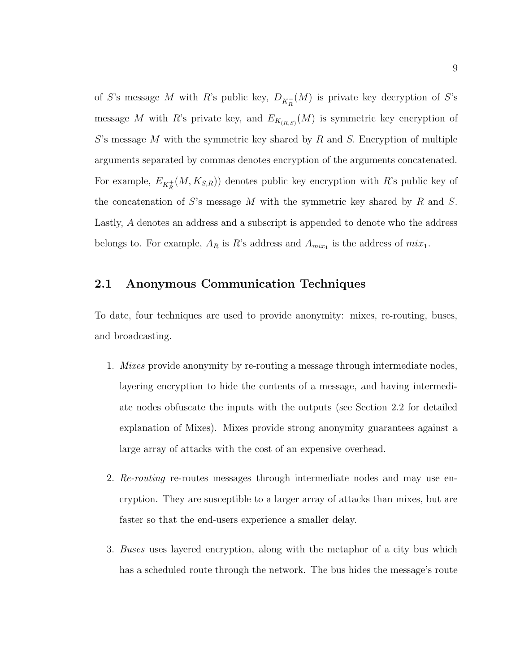of S's message M with R's public key,  $D_{K_R^-}(M)$  is private key decryption of S's message M with R's private key, and  $E_{K_{(R,S)}}(M)$  is symmetric key encryption of  $S$ 's message M with the symmetric key shared by R and S. Encryption of multiple arguments separated by commas denotes encryption of the arguments concatenated. For example,  $E_{K_R^+}(M, K_{S,R})$  denotes public key encryption with R's public key of the concatenation of S's message M with the symmetric key shared by R and S. Lastly, A denotes an address and a subscript is appended to denote who the address belongs to. For example,  $A_R$  is R's address and  $A_{mix_1}$  is the address of  $mix_1$ .

#### 2.1 Anonymous Communication Techniques

To date, four techniques are used to provide anonymity: mixes, re-routing, buses, and broadcasting.

- 1. Mixes provide anonymity by re-routing a message through intermediate nodes, layering encryption to hide the contents of a message, and having intermediate nodes obfuscate the inputs with the outputs (see Section 2.2 for detailed explanation of Mixes). Mixes provide strong anonymity guarantees against a large array of attacks with the cost of an expensive overhead.
- 2. Re-routing re-routes messages through intermediate nodes and may use encryption. They are susceptible to a larger array of attacks than mixes, but are faster so that the end-users experience a smaller delay.
- 3. Buses uses layered encryption, along with the metaphor of a city bus which has a scheduled route through the network. The bus hides the message's route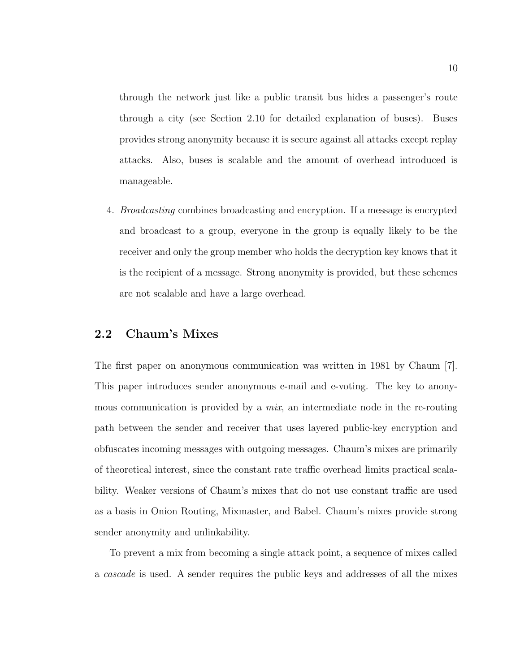through the network just like a public transit bus hides a passenger's route through a city (see Section 2.10 for detailed explanation of buses). Buses provides strong anonymity because it is secure against all attacks except replay attacks. Also, buses is scalable and the amount of overhead introduced is manageable.

4. Broadcasting combines broadcasting and encryption. If a message is encrypted and broadcast to a group, everyone in the group is equally likely to be the receiver and only the group member who holds the decryption key knows that it is the recipient of a message. Strong anonymity is provided, but these schemes are not scalable and have a large overhead.

#### 2.2 Chaum's Mixes

The first paper on anonymous communication was written in 1981 by Chaum [7]. This paper introduces sender anonymous e-mail and e-voting. The key to anonymous communication is provided by a mix, an intermediate node in the re-routing path between the sender and receiver that uses layered public-key encryption and obfuscates incoming messages with outgoing messages. Chaum's mixes are primarily of theoretical interest, since the constant rate traffic overhead limits practical scalability. Weaker versions of Chaum's mixes that do not use constant traffic are used as a basis in Onion Routing, Mixmaster, and Babel. Chaum's mixes provide strong sender anonymity and unlinkability.

To prevent a mix from becoming a single attack point, a sequence of mixes called a cascade is used. A sender requires the public keys and addresses of all the mixes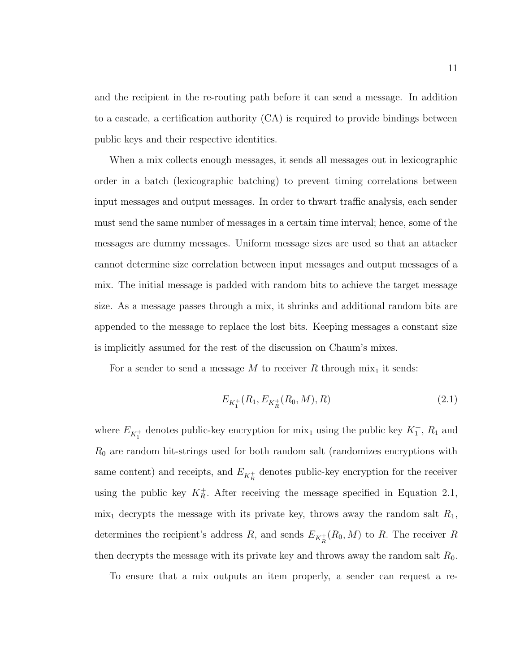and the recipient in the re-routing path before it can send a message. In addition to a cascade, a certification authority (CA) is required to provide bindings between public keys and their respective identities.

When a mix collects enough messages, it sends all messages out in lexicographic order in a batch (lexicographic batching) to prevent timing correlations between input messages and output messages. In order to thwart traffic analysis, each sender must send the same number of messages in a certain time interval; hence, some of the messages are dummy messages. Uniform message sizes are used so that an attacker cannot determine size correlation between input messages and output messages of a mix. The initial message is padded with random bits to achieve the target message size. As a message passes through a mix, it shrinks and additional random bits are appended to the message to replace the lost bits. Keeping messages a constant size is implicitly assumed for the rest of the discussion on Chaum's mixes.

For a sender to send a message  $M$  to receiver  $R$  through mix<sub>1</sub> it sends:

$$
E_{K_1^+}(R_1, E_{K_R^+}(R_0, M), R) \tag{2.1}
$$

where  $E_{K_1^+}$  denotes public-key encryption for  $\min_1$  using the public key  $K_1^+$ ,  $R_1$  and  $R_0$  are random bit-strings used for both random salt (randomizes encryptions with same content) and receipts, and  $E_{K_R^+}$  denotes public-key encryption for the receiver using the public key  $K_R^+$ . After receiving the message specified in Equation 2.1,  $mix_1$  decrypts the message with its private key, throws away the random salt  $R_1$ , determines the recipient's address  $R$ , and sends  $E_{K_R^+}(R_0, M)$  to  $R$ . The receiver  $R$ then decrypts the message with its private key and throws away the random salt  $R_0$ .

To ensure that a mix outputs an item properly, a sender can request a re-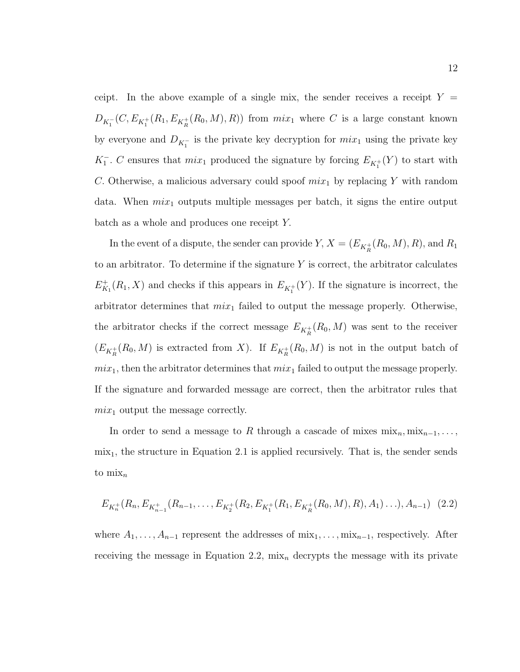ceipt. In the above example of a single mix, the sender receives a receipt  $Y =$  $D_{K_1^-}(C, E_{K_1^+}(R_1, E_{K_1^+}(R_0, M), R))$  from  $mix_1$  where C is a large constant known by everyone and  $D_{K_1^-}$  is the private key decryption for  $mix_1$  using the private key  $K_1^-$ . C ensures that  $mix_1$  produced the signature by forcing  $E_{K_1^+}(Y)$  to start with C. Otherwise, a malicious adversary could spoof  $mix_1$  by replacing Y with random data. When  $mix_1$  outputs multiple messages per batch, it signs the entire output batch as a whole and produces one receipt Y.

In the event of a dispute, the sender can provide  $Y$ ,  $X = (E_{K_R^+}(R_0, M), R)$ , and  $R_1$ to an arbitrator. To determine if the signature  $Y$  is correct, the arbitrator calculates  $E_{K_1}^+(R_1, X)$  and checks if this appears in  $E_{K_1^+}(Y)$ . If the signature is incorrect, the arbitrator determines that  $mix_1$  failed to output the message properly. Otherwise, the arbitrator checks if the correct message  $E_{K_R^+}(R_0, M)$  was sent to the receiver  $(E_{K_R^+}(R_0, M)$  is extracted from X). If  $E_{K_R^+}(R_0, M)$  is not in the output batch of  $mix_1$ , then the arbitrator determines that  $mix_1$  failed to output the message properly. If the signature and forwarded message are correct, then the arbitrator rules that  $mix_1$  output the message correctly.

In order to send a message to R through a cascade of mixes  $\min_n, \min_{n=1}, \ldots$  $mix<sub>1</sub>$ , the structure in Equation 2.1 is applied recursively. That is, the sender sends to  $\min_n$ 

$$
E_{K_n^+}(R_n, E_{K_{n-1}^+}(R_{n-1}, \ldots, E_{K_2^+}(R_2, E_{K_1^+}(R_1, E_{K_R^+}(R_0, M), R), A_1) \ldots), A_{n-1}) \tag{2.2}
$$

where  $A_1, \ldots, A_{n-1}$  represent the addresses of  $\min_1, \ldots, \min_{n-1}$ , respectively. After receiving the message in Equation 2.2,  $\min_n$  decrypts the message with its private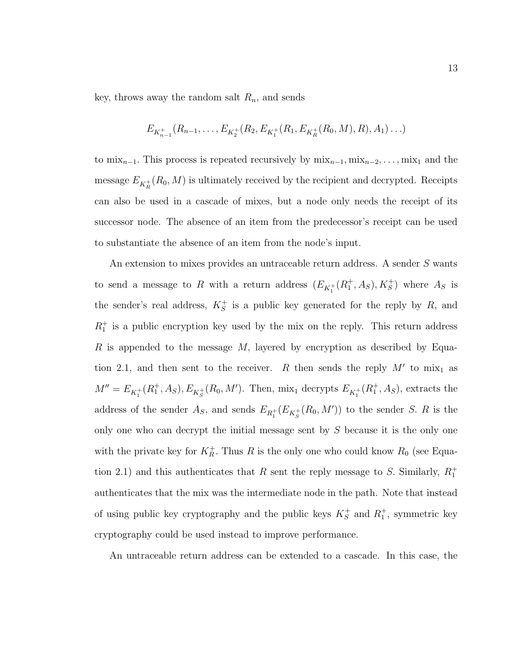key, throws away the random salt  $R_n$ , and sends

$$
E_{K_{n-1}^+}(R_{n-1},\ldots,E_{K_2^+}(R_2,E_{K_1^+}(R_1,E_{K_R^+}(R_0,M),R),A_1)\ldots)
$$

to mix<sub>n−1</sub>. This process is repeated recursively by mix<sub>n−1</sub>, mix<sub>n−2</sub>, ..., mix<sub>1</sub> and the message  $E_{K_R^+}(R_0, M)$  is ultimately received by the recipient and decrypted. Receipts can also be used in a cascade of mixes, but a node only needs the receipt of its successor node. The absence of an item from the predecessor's receipt can be used to substantiate the absence of an item from the node's input.

An extension to mixes provides an untraceable return address. A sender S wants to send a message to R with a return address  $(E_{K_1^+}(R_1^+, A_S), K_S^+)$  where  $A_S$  is the sender's real address,  $K_S^+$  is a public key generated for the reply by R, and  $R_1^+$  is a public encryption key used by the mix on the reply. This return address R is appended to the message M, layered by encryption as described by Equation 2.1, and then sent to the receiver. R then sends the reply  $M'$  to  $\max_1$  as  $M'' = E_{K_1^+}(R_1^+, A_S), E_{K_S^+}(R_0, M')$ . Then, mix<sub>1</sub> decrypts  $E_{K_1^+}(R_1^+, A_S)$ , extracts the address of the sender  $A_S$ , and sends  $E_{R_1^+}(E_{K_S^+}(R_0, M'))$  to the sender S. R is the only one who can decrypt the initial message sent by S because it is the only one with the private key for  $K_R^+$ . Thus R is the only one who could know  $R_0$  (see Equation 2.1) and this authenticates that R sent the reply message to S. Similarly,  $R_1^+$ authenticates that the mix was the intermediate node in the path. Note that instead of using public key cryptography and the public keys  $K_S^+$  and  $R_1^+$ , symmetric key cryptography could be used instead to improve performance.

An untraceable return address can be extended to a cascade. In this case, the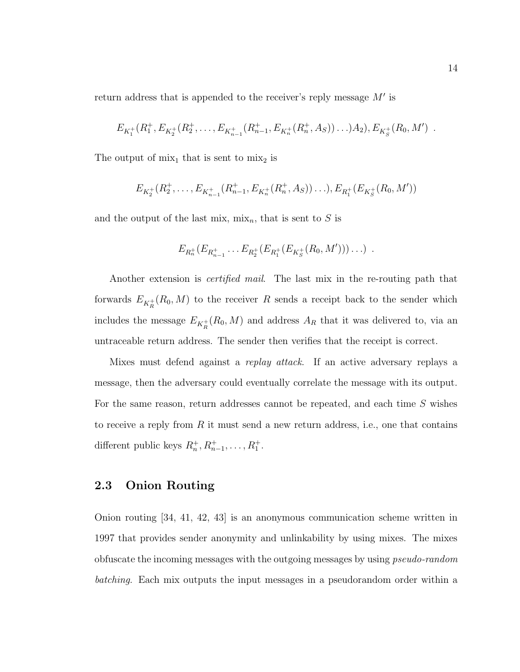return address that is appended to the receiver's reply message  $M'$  is

$$
E_{K_1^+}(R_1^+, E_{K_2^+}(R_2^+, \ldots, E_{K_{n-1}^+}(R_{n-1}^+, E_{K_n^+}(R_n^+, A_S))\ldots)A_2), E_{K_S^+}(R_0, M') .
$$

The output of  $mix_1$  that is sent to  $mix_2$  is

$$
E_{K_2^+}(R_2^+,\ldots,E_{K_{n-1}^+}(R_{n-1}^+,E_{K_n^+}(R_n^+,A_S))\ldots),E_{R_1^+}(E_{K_S^+}(R_0,M'))
$$

and the output of the last mix,  $\min_n$ , that is sent to S is

$$
E_{R_n^+}(E_{R_{n-1}^+}\ldots E_{R_2^+}(E_{R_1^+}(E_{K_S^+}(R_0,M')))\ldots) .
$$

Another extension is certified mail. The last mix in the re-routing path that forwards  $E_{K_R^+}(R_0, M)$  to the receiver R sends a receipt back to the sender which includes the message  $E_{K_R^+}(R_0, M)$  and address  $A_R$  that it was delivered to, via an untraceable return address. The sender then verifies that the receipt is correct.

Mixes must defend against a replay attack. If an active adversary replays a message, then the adversary could eventually correlate the message with its output. For the same reason, return addresses cannot be repeated, and each time S wishes to receive a reply from  $R$  it must send a new return address, i.e., one that contains different public keys  $R_n^+, R_{n-1}^+, \ldots, R_1^+$ .

#### 2.3 Onion Routing

Onion routing [34, 41, 42, 43] is an anonymous communication scheme written in 1997 that provides sender anonymity and unlinkability by using mixes. The mixes obfuscate the incoming messages with the outgoing messages by using pseudo-random batching. Each mix outputs the input messages in a pseudorandom order within a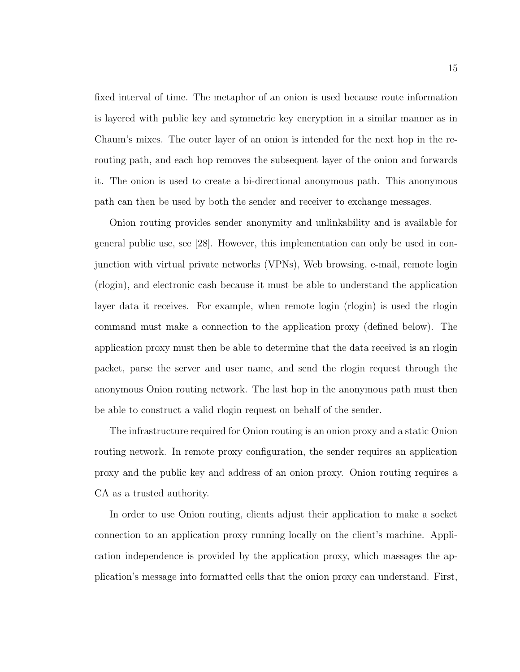fixed interval of time. The metaphor of an onion is used because route information is layered with public key and symmetric key encryption in a similar manner as in Chaum's mixes. The outer layer of an onion is intended for the next hop in the rerouting path, and each hop removes the subsequent layer of the onion and forwards it. The onion is used to create a bi-directional anonymous path. This anonymous path can then be used by both the sender and receiver to exchange messages.

Onion routing provides sender anonymity and unlinkability and is available for general public use, see [28]. However, this implementation can only be used in conjunction with virtual private networks (VPNs), Web browsing, e-mail, remote login (rlogin), and electronic cash because it must be able to understand the application layer data it receives. For example, when remote login (rlogin) is used the rlogin command must make a connection to the application proxy (defined below). The application proxy must then be able to determine that the data received is an rlogin packet, parse the server and user name, and send the rlogin request through the anonymous Onion routing network. The last hop in the anonymous path must then be able to construct a valid rlogin request on behalf of the sender.

The infrastructure required for Onion routing is an onion proxy and a static Onion routing network. In remote proxy configuration, the sender requires an application proxy and the public key and address of an onion proxy. Onion routing requires a CA as a trusted authority.

In order to use Onion routing, clients adjust their application to make a socket connection to an application proxy running locally on the client's machine. Application independence is provided by the application proxy, which massages the application's message into formatted cells that the onion proxy can understand. First,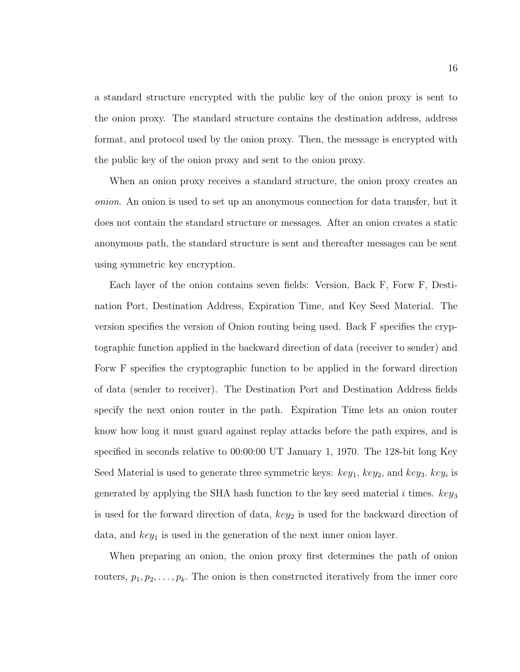a standard structure encrypted with the public key of the onion proxy is sent to the onion proxy. The standard structure contains the destination address, address format, and protocol used by the onion proxy. Then, the message is encrypted with the public key of the onion proxy and sent to the onion proxy.

When an onion proxy receives a standard structure, the onion proxy creates an onion. An onion is used to set up an anonymous connection for data transfer, but it does not contain the standard structure or messages. After an onion creates a static anonymous path, the standard structure is sent and thereafter messages can be sent using symmetric key encryption.

Each layer of the onion contains seven fields: Version, Back F, Forw F, Destination Port, Destination Address, Expiration Time, and Key Seed Material. The version specifies the version of Onion routing being used. Back F specifies the cryptographic function applied in the backward direction of data (receiver to sender) and Forw F specifies the cryptographic function to be applied in the forward direction of data (sender to receiver). The Destination Port and Destination Address fields specify the next onion router in the path. Expiration Time lets an onion router know how long it must guard against replay attacks before the path expires, and is specified in seconds relative to 00:00:00 UT January 1, 1970. The 128-bit long Key Seed Material is used to generate three symmetric keys:  $key_1$ ,  $key_2$ , and  $key_3$ .  $key_i$  is generated by applying the SHA hash function to the key seed material i times.  $key_3$ is used for the forward direction of data,  $key_2$  is used for the backward direction of data, and  $key_1$  is used in the generation of the next inner onion layer.

When preparing an onion, the onion proxy first determines the path of onion routers,  $p_1, p_2, \ldots, p_k$ . The onion is then constructed iteratively from the inner core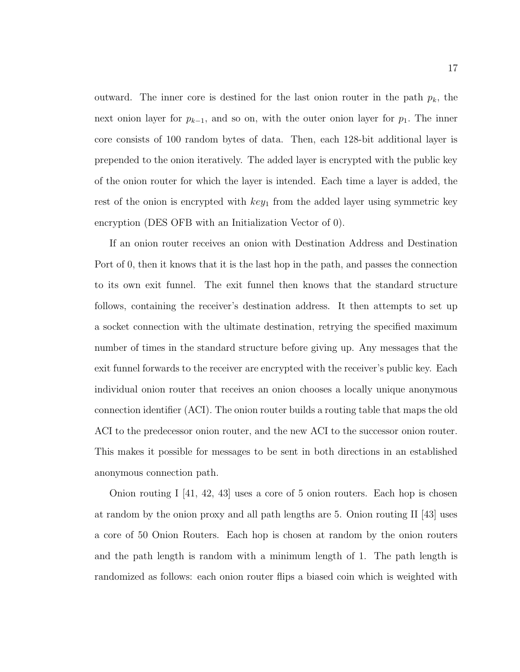outward. The inner core is destined for the last onion router in the path  $p_k$ , the next onion layer for  $p_{k-1}$ , and so on, with the outer onion layer for  $p_1$ . The inner core consists of 100 random bytes of data. Then, each 128-bit additional layer is prepended to the onion iteratively. The added layer is encrypted with the public key of the onion router for which the layer is intended. Each time a layer is added, the rest of the onion is encrypted with  $key_1$  from the added layer using symmetric key encryption (DES OFB with an Initialization Vector of 0).

If an onion router receives an onion with Destination Address and Destination Port of 0, then it knows that it is the last hop in the path, and passes the connection to its own exit funnel. The exit funnel then knows that the standard structure follows, containing the receiver's destination address. It then attempts to set up a socket connection with the ultimate destination, retrying the specified maximum number of times in the standard structure before giving up. Any messages that the exit funnel forwards to the receiver are encrypted with the receiver's public key. Each individual onion router that receives an onion chooses a locally unique anonymous connection identifier (ACI). The onion router builds a routing table that maps the old ACI to the predecessor onion router, and the new ACI to the successor onion router. This makes it possible for messages to be sent in both directions in an established anonymous connection path.

Onion routing I  $[41, 42, 43]$  uses a core of 5 onion routers. Each hop is chosen at random by the onion proxy and all path lengths are 5. Onion routing II [43] uses a core of 50 Onion Routers. Each hop is chosen at random by the onion routers and the path length is random with a minimum length of 1. The path length is randomized as follows: each onion router flips a biased coin which is weighted with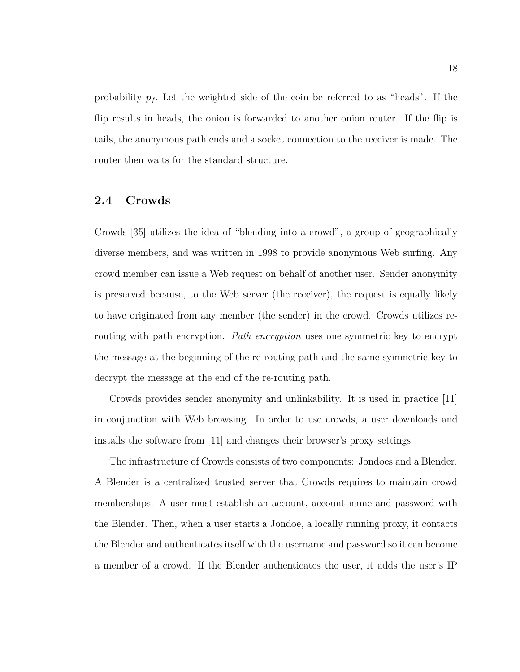probability  $p_f$ . Let the weighted side of the coin be referred to as "heads". If the flip results in heads, the onion is forwarded to another onion router. If the flip is tails, the anonymous path ends and a socket connection to the receiver is made. The router then waits for the standard structure.

#### 2.4 Crowds

Crowds [35] utilizes the idea of "blending into a crowd", a group of geographically diverse members, and was written in 1998 to provide anonymous Web surfing. Any crowd member can issue a Web request on behalf of another user. Sender anonymity is preserved because, to the Web server (the receiver), the request is equally likely to have originated from any member (the sender) in the crowd. Crowds utilizes rerouting with path encryption. Path encryption uses one symmetric key to encrypt the message at the beginning of the re-routing path and the same symmetric key to decrypt the message at the end of the re-routing path.

Crowds provides sender anonymity and unlinkability. It is used in practice [11] in conjunction with Web browsing. In order to use crowds, a user downloads and installs the software from [11] and changes their browser's proxy settings.

The infrastructure of Crowds consists of two components: Jondoes and a Blender. A Blender is a centralized trusted server that Crowds requires to maintain crowd memberships. A user must establish an account, account name and password with the Blender. Then, when a user starts a Jondoe, a locally running proxy, it contacts the Blender and authenticates itself with the username and password so it can become a member of a crowd. If the Blender authenticates the user, it adds the user's IP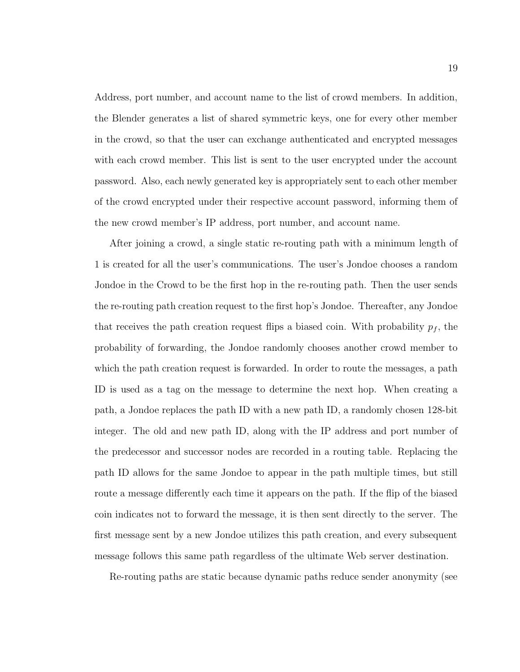Address, port number, and account name to the list of crowd members. In addition, the Blender generates a list of shared symmetric keys, one for every other member in the crowd, so that the user can exchange authenticated and encrypted messages with each crowd member. This list is sent to the user encrypted under the account password. Also, each newly generated key is appropriately sent to each other member of the crowd encrypted under their respective account password, informing them of the new crowd member's IP address, port number, and account name.

After joining a crowd, a single static re-routing path with a minimum length of 1 is created for all the user's communications. The user's Jondoe chooses a random Jondoe in the Crowd to be the first hop in the re-routing path. Then the user sends the re-routing path creation request to the first hop's Jondoe. Thereafter, any Jondoe that receives the path creation request flips a biased coin. With probability  $p_f$ , the probability of forwarding, the Jondoe randomly chooses another crowd member to which the path creation request is forwarded. In order to route the messages, a path ID is used as a tag on the message to determine the next hop. When creating a path, a Jondoe replaces the path ID with a new path ID, a randomly chosen 128-bit integer. The old and new path ID, along with the IP address and port number of the predecessor and successor nodes are recorded in a routing table. Replacing the path ID allows for the same Jondoe to appear in the path multiple times, but still route a message differently each time it appears on the path. If the flip of the biased coin indicates not to forward the message, it is then sent directly to the server. The first message sent by a new Jondoe utilizes this path creation, and every subsequent message follows this same path regardless of the ultimate Web server destination.

Re-routing paths are static because dynamic paths reduce sender anonymity (see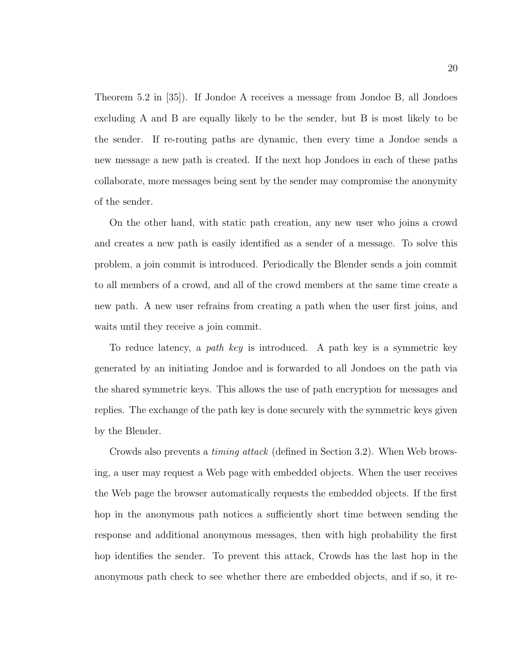Theorem 5.2 in [35]). If Jondoe A receives a message from Jondoe B, all Jondoes excluding A and B are equally likely to be the sender, but B is most likely to be the sender. If re-routing paths are dynamic, then every time a Jondoe sends a new message a new path is created. If the next hop Jondoes in each of these paths collaborate, more messages being sent by the sender may compromise the anonymity of the sender.

On the other hand, with static path creation, any new user who joins a crowd and creates a new path is easily identified as a sender of a message. To solve this problem, a join commit is introduced. Periodically the Blender sends a join commit to all members of a crowd, and all of the crowd members at the same time create a new path. A new user refrains from creating a path when the user first joins, and waits until they receive a join commit.

To reduce latency, a path key is introduced. A path key is a symmetric key generated by an initiating Jondoe and is forwarded to all Jondoes on the path via the shared symmetric keys. This allows the use of path encryption for messages and replies. The exchange of the path key is done securely with the symmetric keys given by the Blender.

Crowds also prevents a timing attack (defined in Section 3.2). When Web browsing, a user may request a Web page with embedded objects. When the user receives the Web page the browser automatically requests the embedded objects. If the first hop in the anonymous path notices a sufficiently short time between sending the response and additional anonymous messages, then with high probability the first hop identifies the sender. To prevent this attack, Crowds has the last hop in the anonymous path check to see whether there are embedded objects, and if so, it re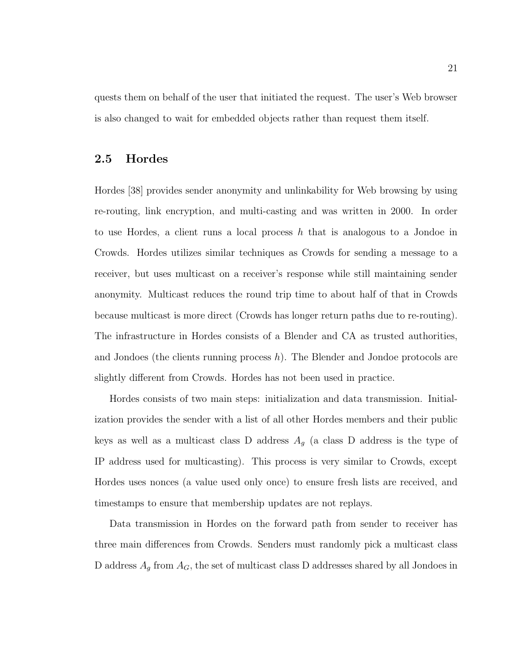quests them on behalf of the user that initiated the request. The user's Web browser is also changed to wait for embedded objects rather than request them itself.

#### 2.5 Hordes

Hordes [38] provides sender anonymity and unlinkability for Web browsing by using re-routing, link encryption, and multi-casting and was written in 2000. In order to use Hordes, a client runs a local process  $h$  that is analogous to a Jondoe in Crowds. Hordes utilizes similar techniques as Crowds for sending a message to a receiver, but uses multicast on a receiver's response while still maintaining sender anonymity. Multicast reduces the round trip time to about half of that in Crowds because multicast is more direct (Crowds has longer return paths due to re-routing). The infrastructure in Hordes consists of a Blender and CA as trusted authorities, and Jondoes (the clients running process  $h$ ). The Blender and Jondoe protocols are slightly different from Crowds. Hordes has not been used in practice.

Hordes consists of two main steps: initialization and data transmission. Initialization provides the sender with a list of all other Hordes members and their public keys as well as a multicast class D address  $A_g$  (a class D address is the type of IP address used for multicasting). This process is very similar to Crowds, except Hordes uses nonces (a value used only once) to ensure fresh lists are received, and timestamps to ensure that membership updates are not replays.

Data transmission in Hordes on the forward path from sender to receiver has three main differences from Crowds. Senders must randomly pick a multicast class D address  $A_g$  from  $A_G$ , the set of multicast class D addresses shared by all Jondoes in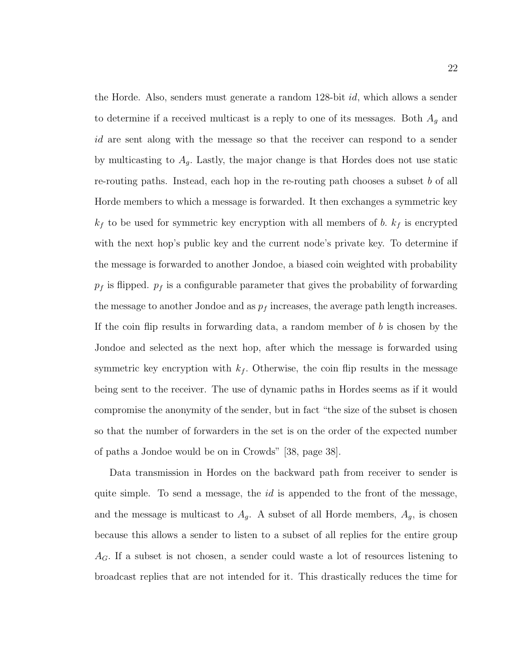the Horde. Also, senders must generate a random 128-bit id, which allows a sender to determine if a received multicast is a reply to one of its messages. Both  $A<sub>g</sub>$  and id are sent along with the message so that the receiver can respond to a sender by multicasting to  $A<sub>g</sub>$ . Lastly, the major change is that Hordes does not use static re-routing paths. Instead, each hop in the re-routing path chooses a subset b of all Horde members to which a message is forwarded. It then exchanges a symmetric key  $k_f$  to be used for symmetric key encryption with all members of b.  $k_f$  is encrypted with the next hop's public key and the current node's private key. To determine if the message is forwarded to another Jondoe, a biased coin weighted with probability  $p_f$  is flipped.  $p_f$  is a configurable parameter that gives the probability of forwarding the message to another Jondoe and as  $p_f$  increases, the average path length increases. If the coin flip results in forwarding data, a random member of  $b$  is chosen by the Jondoe and selected as the next hop, after which the message is forwarded using symmetric key encryption with  $k_f$ . Otherwise, the coin flip results in the message being sent to the receiver. The use of dynamic paths in Hordes seems as if it would compromise the anonymity of the sender, but in fact "the size of the subset is chosen so that the number of forwarders in the set is on the order of the expected number of paths a Jondoe would be on in Crowds" [38, page 38].

Data transmission in Hordes on the backward path from receiver to sender is quite simple. To send a message, the  $id$  is appended to the front of the message, and the message is multicast to  $A<sub>g</sub>$ . A subset of all Horde members,  $A<sub>g</sub>$ , is chosen because this allows a sender to listen to a subset of all replies for the entire group  $A_G$ . If a subset is not chosen, a sender could waste a lot of resources listening to broadcast replies that are not intended for it. This drastically reduces the time for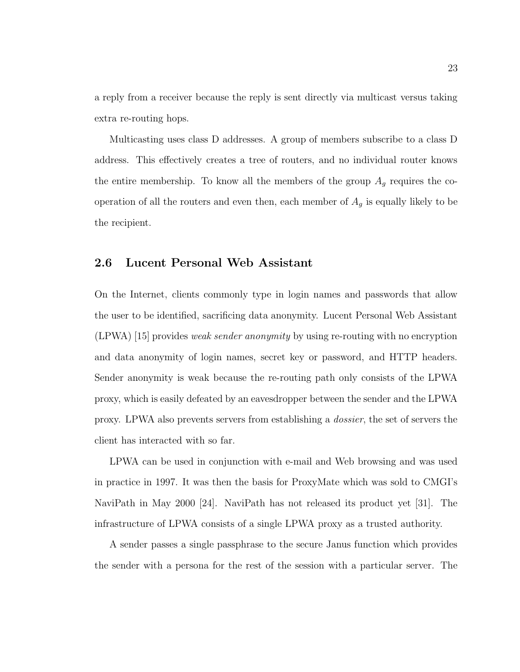a reply from a receiver because the reply is sent directly via multicast versus taking extra re-routing hops.

Multicasting uses class D addresses. A group of members subscribe to a class D address. This effectively creates a tree of routers, and no individual router knows the entire membership. To know all the members of the group  $A<sub>g</sub>$  requires the cooperation of all the routers and even then, each member of  $A<sub>g</sub>$  is equally likely to be the recipient.

#### 2.6 Lucent Personal Web Assistant

On the Internet, clients commonly type in login names and passwords that allow the user to be identified, sacrificing data anonymity. Lucent Personal Web Assistant (LPWA) [15] provides *weak sender anonymity* by using re-routing with no encryption and data anonymity of login names, secret key or password, and HTTP headers. Sender anonymity is weak because the re-routing path only consists of the LPWA proxy, which is easily defeated by an eavesdropper between the sender and the LPWA proxy. LPWA also prevents servers from establishing a dossier, the set of servers the client has interacted with so far.

LPWA can be used in conjunction with e-mail and Web browsing and was used in practice in 1997. It was then the basis for ProxyMate which was sold to CMGI's NaviPath in May 2000 [24]. NaviPath has not released its product yet [31]. The infrastructure of LPWA consists of a single LPWA proxy as a trusted authority.

A sender passes a single passphrase to the secure Janus function which provides the sender with a persona for the rest of the session with a particular server. The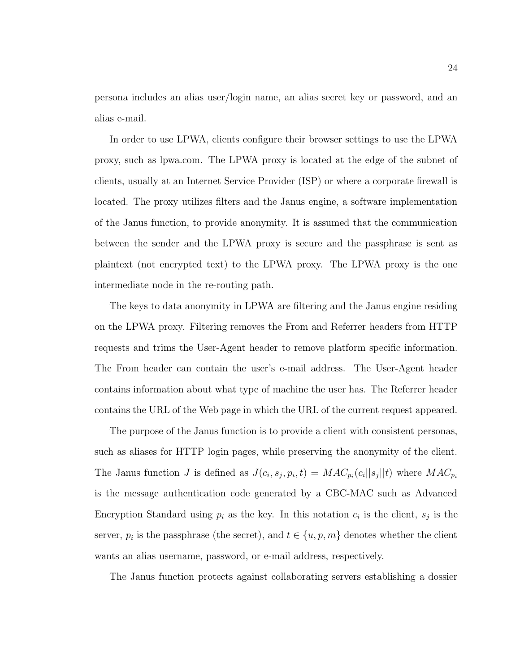persona includes an alias user/login name, an alias secret key or password, and an alias e-mail.

In order to use LPWA, clients configure their browser settings to use the LPWA proxy, such as lpwa.com. The LPWA proxy is located at the edge of the subnet of clients, usually at an Internet Service Provider (ISP) or where a corporate firewall is located. The proxy utilizes filters and the Janus engine, a software implementation of the Janus function, to provide anonymity. It is assumed that the communication between the sender and the LPWA proxy is secure and the passphrase is sent as plaintext (not encrypted text) to the LPWA proxy. The LPWA proxy is the one intermediate node in the re-routing path.

The keys to data anonymity in LPWA are filtering and the Janus engine residing on the LPWA proxy. Filtering removes the From and Referrer headers from HTTP requests and trims the User-Agent header to remove platform specific information. The From header can contain the user's e-mail address. The User-Agent header contains information about what type of machine the user has. The Referrer header contains the URL of the Web page in which the URL of the current request appeared.

The purpose of the Janus function is to provide a client with consistent personas, such as aliases for HTTP login pages, while preserving the anonymity of the client. The Janus function J is defined as  $J(c_i, s_j, p_i, t) = MAC_{p_i}(c_i || s_j || t)$  where  $MAC_{p_i}$ is the message authentication code generated by a CBC-MAC such as Advanced Encryption Standard using  $p_i$  as the key. In this notation  $c_i$  is the client,  $s_j$  is the server,  $p_i$  is the passphrase (the secret), and  $t \in \{u, p, m\}$  denotes whether the client wants an alias username, password, or e-mail address, respectively.

The Janus function protects against collaborating servers establishing a dossier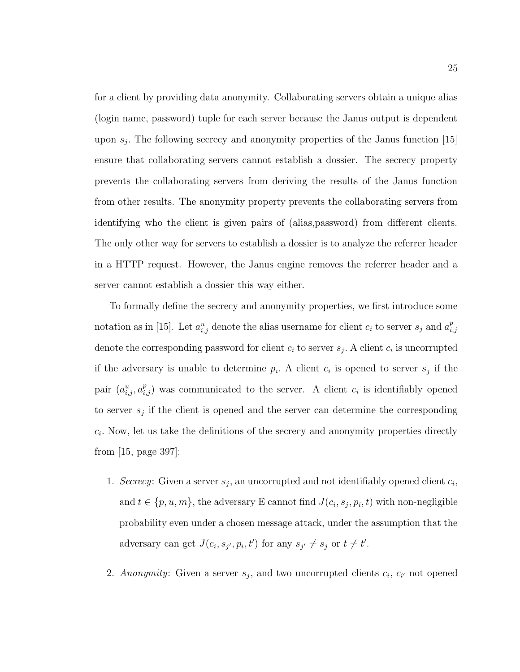for a client by providing data anonymity. Collaborating servers obtain a unique alias (login name, password) tuple for each server because the Janus output is dependent upon  $s_j$ . The following secrecy and anonymity properties of the Janus function [15] ensure that collaborating servers cannot establish a dossier. The secrecy property prevents the collaborating servers from deriving the results of the Janus function from other results. The anonymity property prevents the collaborating servers from identifying who the client is given pairs of (alias,password) from different clients. The only other way for servers to establish a dossier is to analyze the referrer header in a HTTP request. However, the Janus engine removes the referrer header and a server cannot establish a dossier this way either.

To formally define the secrecy and anonymity properties, we first introduce some notation as in [15]. Let  $a_{i,j}^u$  denote the alias username for client  $c_i$  to server  $s_j$  and  $a_{i,j}^p$  $_{i,j}$ denote the corresponding password for client  $c_i$  to server  $s_j$ . A client  $c_i$  is uncorrupted if the adversary is unable to determine  $p_i$ . A client  $c_i$  is opened to server  $s_j$  if the pair  $(a_{i,j}^u, a_{i,j}^p)$  was communicated to the server. A client  $c_i$  is identifiably opened to server  $s_j$  if the client is opened and the server can determine the corresponding  $c_i$ . Now, let us take the definitions of the secrecy and anonymity properties directly from [15, page 397]:

- 1. Secrecy: Given a server  $s_j$ , an uncorrupted and not identifiably opened client  $c_i$ , and  $t \in \{p, u, m\}$ , the adversary E cannot find  $J(c_i, s_j, p_i, t)$  with non-negligible probability even under a chosen message attack, under the assumption that the adversary can get  $J(c_i, s_{j'}, p_i, t')$  for any  $s_{j'} \neq s_j$  or  $t \neq t'$ .
- 2. Anonymity: Given a server  $s_j$ , and two uncorrupted clients  $c_i$ ,  $c_{i'}$  not opened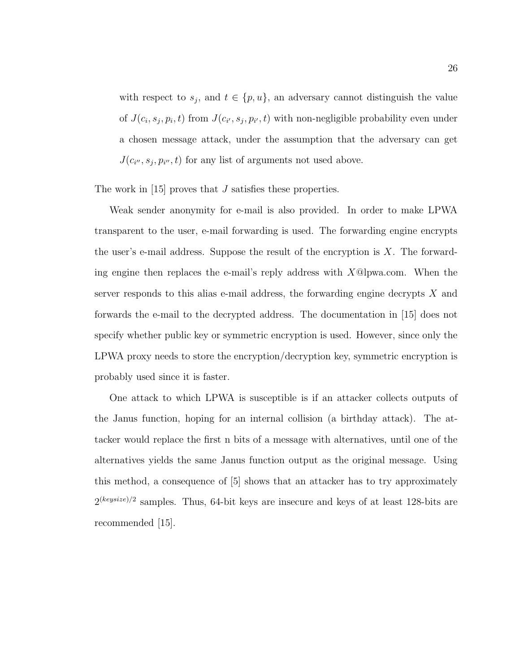with respect to  $s_j$ , and  $t \in \{p, u\}$ , an adversary cannot distinguish the value of  $J(c_i, s_j, p_i, t)$  from  $J(c_{i'}, s_j, p_{i'}, t)$  with non-negligible probability even under a chosen message attack, under the assumption that the adversary can get  $J(c_{i''}, s_j, p_{i''}, t)$  for any list of arguments not used above.

The work in [15] proves that J satisfies these properties.

Weak sender anonymity for e-mail is also provided. In order to make LPWA transparent to the user, e-mail forwarding is used. The forwarding engine encrypts the user's e-mail address. Suppose the result of the encryption is  $X$ . The forwarding engine then replaces the e-mail's reply address with  $X@lpwa.com$ . When the server responds to this alias e-mail address, the forwarding engine decrypts  $X$  and forwards the e-mail to the decrypted address. The documentation in [15] does not specify whether public key or symmetric encryption is used. However, since only the LPWA proxy needs to store the encryption/decryption key, symmetric encryption is probably used since it is faster.

One attack to which LPWA is susceptible is if an attacker collects outputs of the Janus function, hoping for an internal collision (a birthday attack). The attacker would replace the first n bits of a message with alternatives, until one of the alternatives yields the same Janus function output as the original message. Using this method, a consequence of [5] shows that an attacker has to try approximately  $2^{(keysize)/2}$  samples. Thus, 64-bit keys are insecure and keys of at least 128-bits are recommended [15].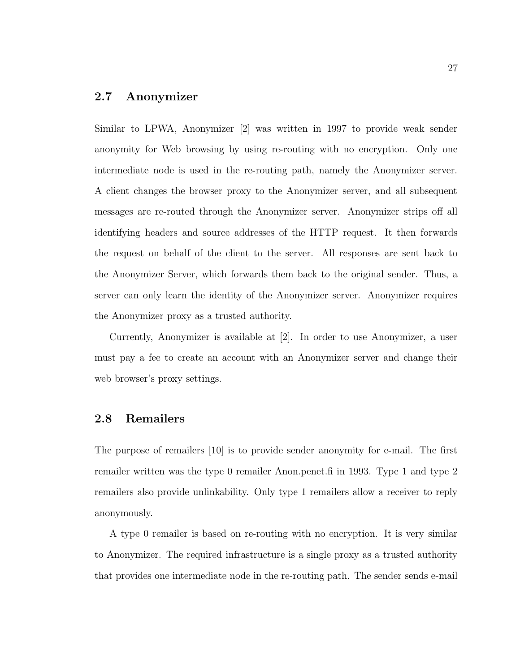### 2.7 Anonymizer

Similar to LPWA, Anonymizer [2] was written in 1997 to provide weak sender anonymity for Web browsing by using re-routing with no encryption. Only one intermediate node is used in the re-routing path, namely the Anonymizer server. A client changes the browser proxy to the Anonymizer server, and all subsequent messages are re-routed through the Anonymizer server. Anonymizer strips off all identifying headers and source addresses of the HTTP request. It then forwards the request on behalf of the client to the server. All responses are sent back to the Anonymizer Server, which forwards them back to the original sender. Thus, a server can only learn the identity of the Anonymizer server. Anonymizer requires the Anonymizer proxy as a trusted authority.

Currently, Anonymizer is available at [2]. In order to use Anonymizer, a user must pay a fee to create an account with an Anonymizer server and change their web browser's proxy settings.

### 2.8 Remailers

The purpose of remailers [10] is to provide sender anonymity for e-mail. The first remailer written was the type 0 remailer Anon.penet.fi in 1993. Type 1 and type 2 remailers also provide unlinkability. Only type 1 remailers allow a receiver to reply anonymously.

A type 0 remailer is based on re-routing with no encryption. It is very similar to Anonymizer. The required infrastructure is a single proxy as a trusted authority that provides one intermediate node in the re-routing path. The sender sends e-mail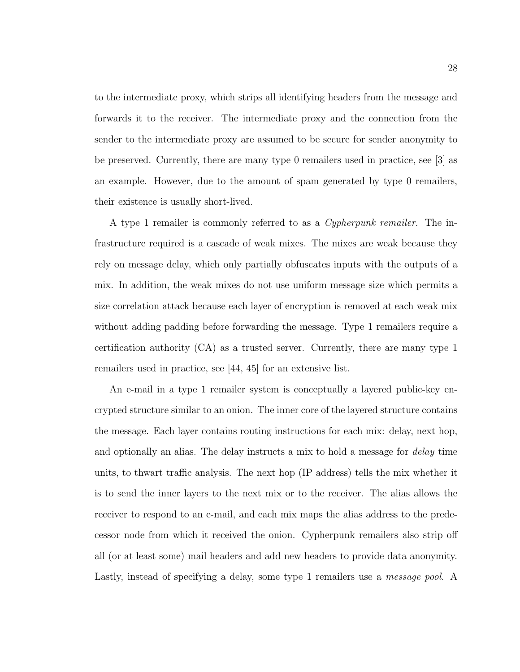to the intermediate proxy, which strips all identifying headers from the message and forwards it to the receiver. The intermediate proxy and the connection from the sender to the intermediate proxy are assumed to be secure for sender anonymity to be preserved. Currently, there are many type 0 remailers used in practice, see [3] as an example. However, due to the amount of spam generated by type 0 remailers, their existence is usually short-lived.

A type 1 remailer is commonly referred to as a Cypherpunk remailer. The infrastructure required is a cascade of weak mixes. The mixes are weak because they rely on message delay, which only partially obfuscates inputs with the outputs of a mix. In addition, the weak mixes do not use uniform message size which permits a size correlation attack because each layer of encryption is removed at each weak mix without adding padding before forwarding the message. Type 1 remailers require a certification authority (CA) as a trusted server. Currently, there are many type 1 remailers used in practice, see [44, 45] for an extensive list.

An e-mail in a type 1 remailer system is conceptually a layered public-key encrypted structure similar to an onion. The inner core of the layered structure contains the message. Each layer contains routing instructions for each mix: delay, next hop, and optionally an alias. The delay instructs a mix to hold a message for *delay* time units, to thwart traffic analysis. The next hop (IP address) tells the mix whether it is to send the inner layers to the next mix or to the receiver. The alias allows the receiver to respond to an e-mail, and each mix maps the alias address to the predecessor node from which it received the onion. Cypherpunk remailers also strip off all (or at least some) mail headers and add new headers to provide data anonymity. Lastly, instead of specifying a delay, some type 1 remailers use a *message pool*. A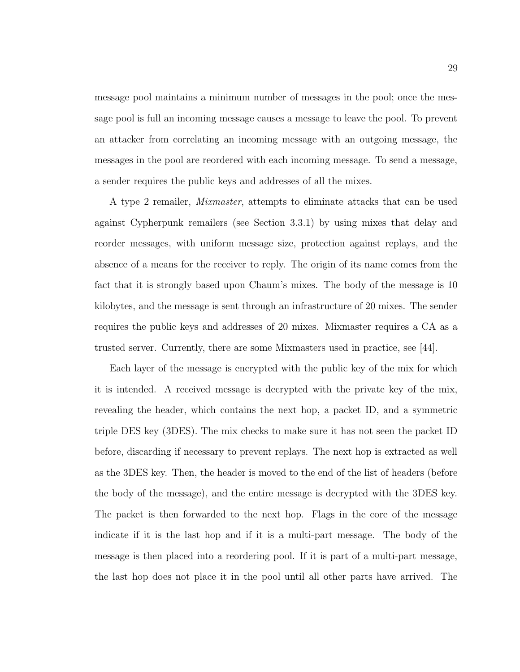message pool maintains a minimum number of messages in the pool; once the message pool is full an incoming message causes a message to leave the pool. To prevent an attacker from correlating an incoming message with an outgoing message, the messages in the pool are reordered with each incoming message. To send a message, a sender requires the public keys and addresses of all the mixes.

A type 2 remailer, Mixmaster, attempts to eliminate attacks that can be used against Cypherpunk remailers (see Section 3.3.1) by using mixes that delay and reorder messages, with uniform message size, protection against replays, and the absence of a means for the receiver to reply. The origin of its name comes from the fact that it is strongly based upon Chaum's mixes. The body of the message is 10 kilobytes, and the message is sent through an infrastructure of 20 mixes. The sender requires the public keys and addresses of 20 mixes. Mixmaster requires a CA as a trusted server. Currently, there are some Mixmasters used in practice, see [44].

Each layer of the message is encrypted with the public key of the mix for which it is intended. A received message is decrypted with the private key of the mix, revealing the header, which contains the next hop, a packet ID, and a symmetric triple DES key (3DES). The mix checks to make sure it has not seen the packet ID before, discarding if necessary to prevent replays. The next hop is extracted as well as the 3DES key. Then, the header is moved to the end of the list of headers (before the body of the message), and the entire message is decrypted with the 3DES key. The packet is then forwarded to the next hop. Flags in the core of the message indicate if it is the last hop and if it is a multi-part message. The body of the message is then placed into a reordering pool. If it is part of a multi-part message, the last hop does not place it in the pool until all other parts have arrived. The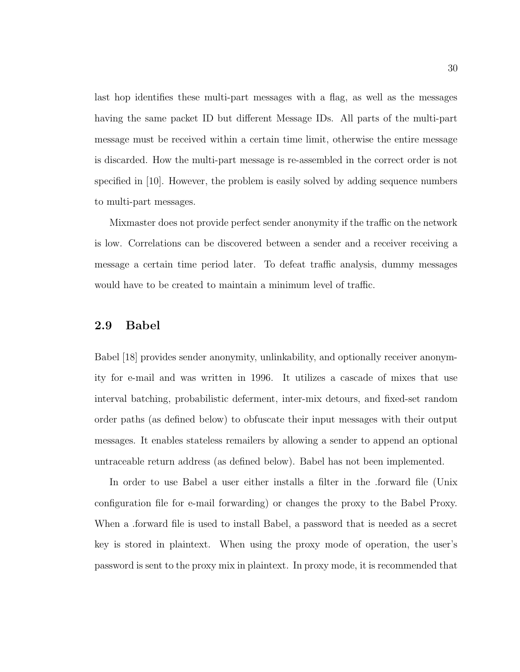last hop identifies these multi-part messages with a flag, as well as the messages having the same packet ID but different Message IDs. All parts of the multi-part message must be received within a certain time limit, otherwise the entire message is discarded. How the multi-part message is re-assembled in the correct order is not specified in [10]. However, the problem is easily solved by adding sequence numbers to multi-part messages.

Mixmaster does not provide perfect sender anonymity if the traffic on the network is low. Correlations can be discovered between a sender and a receiver receiving a message a certain time period later. To defeat traffic analysis, dummy messages would have to be created to maintain a minimum level of traffic.

### 2.9 Babel

Babel [18] provides sender anonymity, unlinkability, and optionally receiver anonymity for e-mail and was written in 1996. It utilizes a cascade of mixes that use interval batching, probabilistic deferment, inter-mix detours, and fixed-set random order paths (as defined below) to obfuscate their input messages with their output messages. It enables stateless remailers by allowing a sender to append an optional untraceable return address (as defined below). Babel has not been implemented.

In order to use Babel a user either installs a filter in the .forward file (Unix configuration file for e-mail forwarding) or changes the proxy to the Babel Proxy. When a .forward file is used to install Babel, a password that is needed as a secret key is stored in plaintext. When using the proxy mode of operation, the user's password is sent to the proxy mix in plaintext. In proxy mode, it is recommended that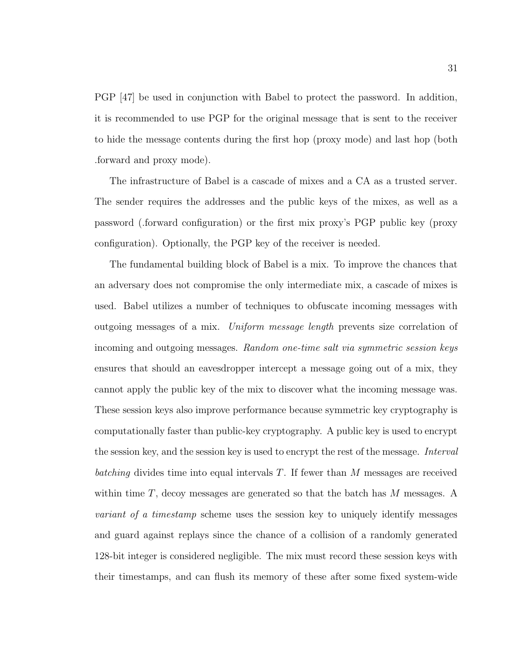PGP [47] be used in conjunction with Babel to protect the password. In addition, it is recommended to use PGP for the original message that is sent to the receiver to hide the message contents during the first hop (proxy mode) and last hop (both .forward and proxy mode).

The infrastructure of Babel is a cascade of mixes and a CA as a trusted server. The sender requires the addresses and the public keys of the mixes, as well as a password (.forward configuration) or the first mix proxy's PGP public key (proxy configuration). Optionally, the PGP key of the receiver is needed.

The fundamental building block of Babel is a mix. To improve the chances that an adversary does not compromise the only intermediate mix, a cascade of mixes is used. Babel utilizes a number of techniques to obfuscate incoming messages with outgoing messages of a mix. Uniform message length prevents size correlation of incoming and outgoing messages. Random one-time salt via symmetric session keys ensures that should an eavesdropper intercept a message going out of a mix, they cannot apply the public key of the mix to discover what the incoming message was. These session keys also improve performance because symmetric key cryptography is computationally faster than public-key cryptography. A public key is used to encrypt the session key, and the session key is used to encrypt the rest of the message. *Interval* batching divides time into equal intervals  $T$ . If fewer than M messages are received within time  $T$ , decoy messages are generated so that the batch has  $M$  messages. A variant of a timestamp scheme uses the session key to uniquely identify messages and guard against replays since the chance of a collision of a randomly generated 128-bit integer is considered negligible. The mix must record these session keys with their timestamps, and can flush its memory of these after some fixed system-wide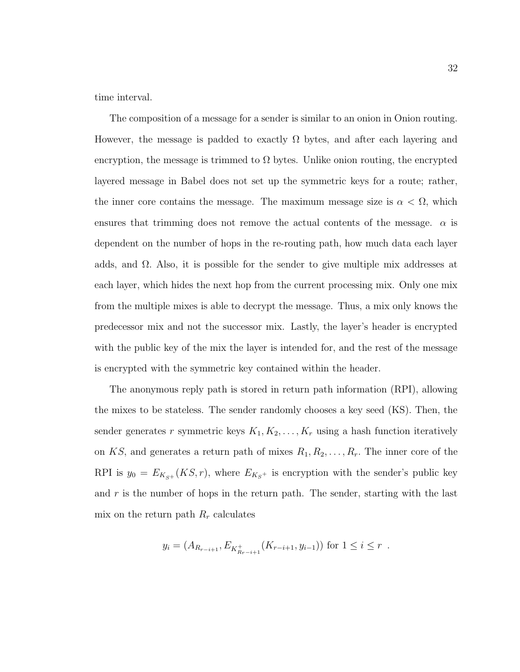time interval.

The composition of a message for a sender is similar to an onion in Onion routing. However, the message is padded to exactly  $\Omega$  bytes, and after each layering and encryption, the message is trimmed to  $\Omega$  bytes. Unlike onion routing, the encrypted layered message in Babel does not set up the symmetric keys for a route; rather, the inner core contains the message. The maximum message size is  $\alpha < \Omega$ , which ensures that trimming does not remove the actual contents of the message.  $\alpha$  is dependent on the number of hops in the re-routing path, how much data each layer adds, and  $\Omega$ . Also, it is possible for the sender to give multiple mix addresses at each layer, which hides the next hop from the current processing mix. Only one mix from the multiple mixes is able to decrypt the message. Thus, a mix only knows the predecessor mix and not the successor mix. Lastly, the layer's header is encrypted with the public key of the mix the layer is intended for, and the rest of the message is encrypted with the symmetric key contained within the header.

The anonymous reply path is stored in return path information (RPI), allowing the mixes to be stateless. The sender randomly chooses a key seed (KS). Then, the sender generates r symmetric keys  $K_1, K_2, \ldots, K_r$  using a hash function iteratively on KS, and generates a return path of mixes  $R_1, R_2, \ldots, R_r$ . The inner core of the RPI is  $y_0 = E_{K_{S^+}}(KS, r)$ , where  $E_{K_{S^+}}$  is encryption with the sender's public key and  $r$  is the number of hops in the return path. The sender, starting with the last mix on the return path  $R_r$  calculates

$$
y_i = (A_{R_{r-i+1}}, E_{K_{R_{r-i+1}}^+}(K_{r-i+1}, y_{i-1}))
$$
 for  $1 \le i \le r$ .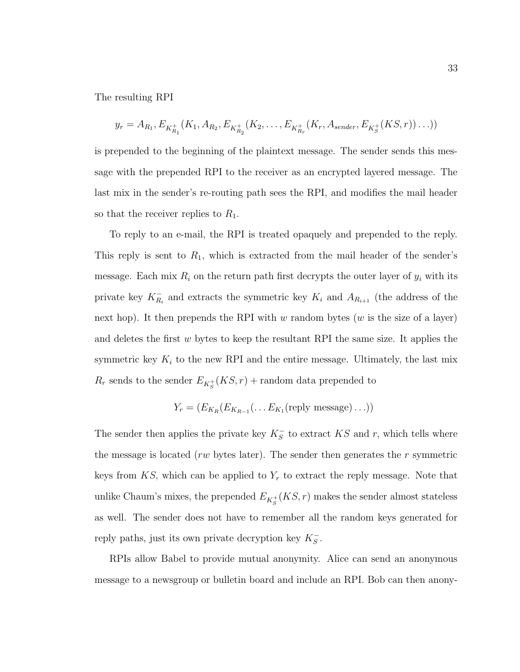The resulting RPI

$$
y_r = A_{R_1}, E_{K_{R_1}^+}(K_1, A_{R_2}, E_{K_{R_2}^+}(K_2, \ldots, E_{K_{R_r}^+}(K_r, A_{sender}, E_{K_s^+}(KS, r)) \ldots))
$$

is prepended to the beginning of the plaintext message. The sender sends this message with the prepended RPI to the receiver as an encrypted layered message. The last mix in the sender's re-routing path sees the RPI, and modifies the mail header so that the receiver replies to  $R_1$ .

To reply to an e-mail, the RPI is treated opaquely and prepended to the reply. This reply is sent to  $R_1$ , which is extracted from the mail header of the sender's message. Each mix  $R_i$  on the return path first decrypts the outer layer of  $y_i$  with its private key  $K_{R_i}^-$  and extracts the symmetric key  $K_i$  and  $A_{R_{i+1}}$  (the address of the next hop). It then prepends the RPI with w random bytes (w is the size of a layer) and deletes the first  $w$  bytes to keep the resultant RPI the same size. It applies the symmetric key  $K_i$  to the new RPI and the entire message. Ultimately, the last mix  $R_r$  sends to the sender  $E_{K_S^+}(KS,r)$  + random data prepended to

$$
Y_r = (E_{K_R}(E_{K_{R-1}}(\ldots E_{K_1}(\text{reply message})\ldots)))
$$

The sender then applies the private key  $K_S^-$  to extract  $KS$  and r, which tells where the message is located (*rw* bytes later). The sender then generates the r symmetric keys from  $KS$ , which can be applied to  $Y_r$  to extract the reply message. Note that unlike Chaum's mixes, the prepended  $E_{K_S^+}(KS,r)$  makes the sender almost stateless as well. The sender does not have to remember all the random keys generated for reply paths, just its own private decryption key  $K_S^-$ .

RPIs allow Babel to provide mutual anonymity. Alice can send an anonymous message to a newsgroup or bulletin board and include an RPI. Bob can then anony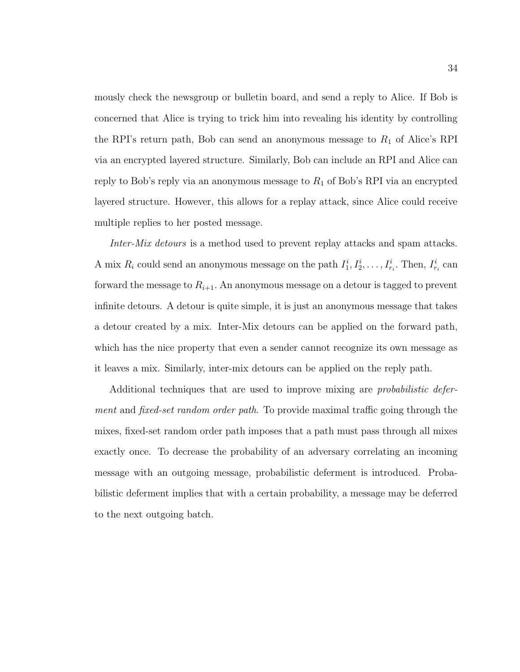mously check the newsgroup or bulletin board, and send a reply to Alice. If Bob is concerned that Alice is trying to trick him into revealing his identity by controlling the RPI's return path, Bob can send an anonymous message to  $R_1$  of Alice's RPI via an encrypted layered structure. Similarly, Bob can include an RPI and Alice can reply to Bob's reply via an anonymous message to  $R_1$  of Bob's RPI via an encrypted layered structure. However, this allows for a replay attack, since Alice could receive multiple replies to her posted message.

Inter-Mix detours is a method used to prevent replay attacks and spam attacks. A mix  $R_i$  could send an anonymous message on the path  $I_1^i, I_2^i, \ldots, I_{r_i}^i$ . Then,  $I_{r_i}^i$  can forward the message to  $R_{i+1}$ . An anonymous message on a detour is tagged to prevent infinite detours. A detour is quite simple, it is just an anonymous message that takes a detour created by a mix. Inter-Mix detours can be applied on the forward path, which has the nice property that even a sender cannot recognize its own message as it leaves a mix. Similarly, inter-mix detours can be applied on the reply path.

Additional techniques that are used to improve mixing are probabilistic deferment and fixed-set random order path. To provide maximal traffic going through the mixes, fixed-set random order path imposes that a path must pass through all mixes exactly once. To decrease the probability of an adversary correlating an incoming message with an outgoing message, probabilistic deferment is introduced. Probabilistic deferment implies that with a certain probability, a message may be deferred to the next outgoing batch.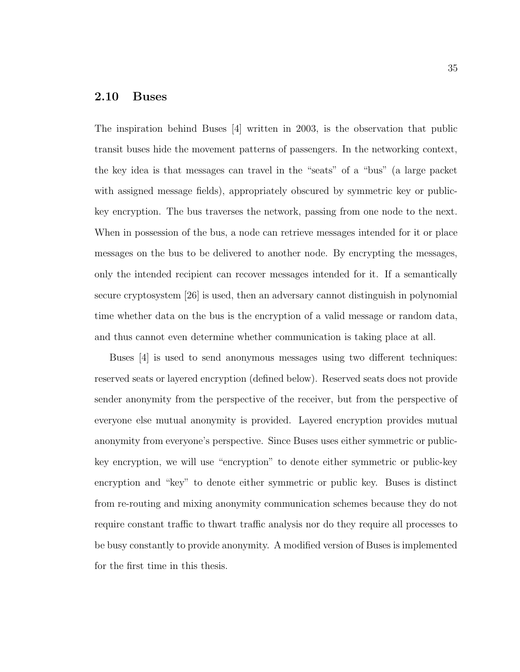### 2.10 Buses

The inspiration behind Buses [4] written in 2003, is the observation that public transit buses hide the movement patterns of passengers. In the networking context, the key idea is that messages can travel in the "seats" of a "bus" (a large packet with assigned message fields), appropriately obscured by symmetric key or publickey encryption. The bus traverses the network, passing from one node to the next. When in possession of the bus, a node can retrieve messages intended for it or place messages on the bus to be delivered to another node. By encrypting the messages, only the intended recipient can recover messages intended for it. If a semantically secure cryptosystem [26] is used, then an adversary cannot distinguish in polynomial time whether data on the bus is the encryption of a valid message or random data, and thus cannot even determine whether communication is taking place at all.

Buses [4] is used to send anonymous messages using two different techniques: reserved seats or layered encryption (defined below). Reserved seats does not provide sender anonymity from the perspective of the receiver, but from the perspective of everyone else mutual anonymity is provided. Layered encryption provides mutual anonymity from everyone's perspective. Since Buses uses either symmetric or publickey encryption, we will use "encryption" to denote either symmetric or public-key encryption and "key" to denote either symmetric or public key. Buses is distinct from re-routing and mixing anonymity communication schemes because they do not require constant traffic to thwart traffic analysis nor do they require all processes to be busy constantly to provide anonymity. A modified version of Buses is implemented for the first time in this thesis.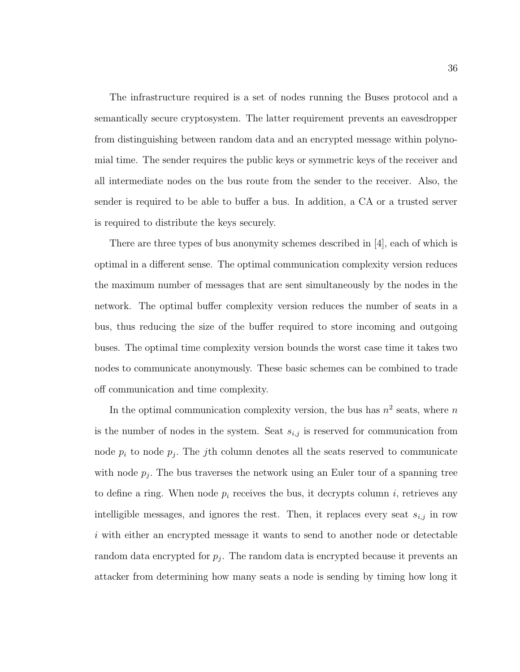The infrastructure required is a set of nodes running the Buses protocol and a semantically secure cryptosystem. The latter requirement prevents an eavesdropper from distinguishing between random data and an encrypted message within polynomial time. The sender requires the public keys or symmetric keys of the receiver and all intermediate nodes on the bus route from the sender to the receiver. Also, the sender is required to be able to buffer a bus. In addition, a CA or a trusted server is required to distribute the keys securely.

There are three types of bus anonymity schemes described in [4], each of which is optimal in a different sense. The optimal communication complexity version reduces the maximum number of messages that are sent simultaneously by the nodes in the network. The optimal buffer complexity version reduces the number of seats in a bus, thus reducing the size of the buffer required to store incoming and outgoing buses. The optimal time complexity version bounds the worst case time it takes two nodes to communicate anonymously. These basic schemes can be combined to trade off communication and time complexity.

In the optimal communication complexity version, the bus has  $n^2$  seats, where n is the number of nodes in the system. Seat  $s_{i,j}$  is reserved for communication from node  $p_i$  to node  $p_j$ . The *j*th column denotes all the seats reserved to communicate with node  $p_j$ . The bus traverses the network using an Euler tour of a spanning tree to define a ring. When node  $p_i$  receives the bus, it decrypts column i, retrieves any intelligible messages, and ignores the rest. Then, it replaces every seat  $s_{i,j}$  in row i with either an encrypted message it wants to send to another node or detectable random data encrypted for  $p_j$ . The random data is encrypted because it prevents an attacker from determining how many seats a node is sending by timing how long it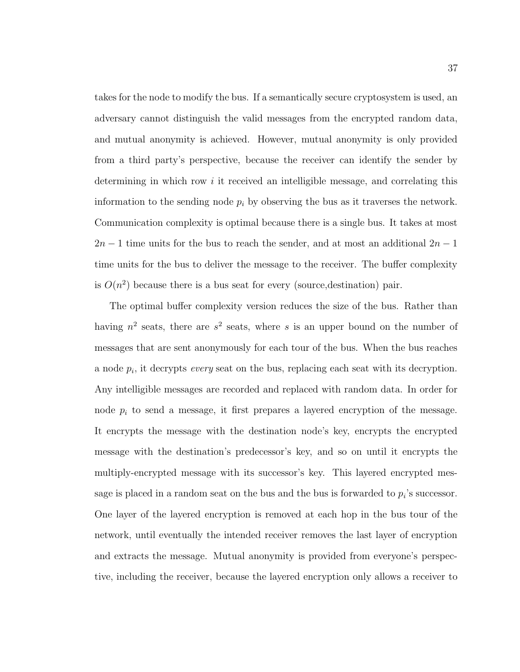takes for the node to modify the bus. If a semantically secure cryptosystem is used, an adversary cannot distinguish the valid messages from the encrypted random data, and mutual anonymity is achieved. However, mutual anonymity is only provided from a third party's perspective, because the receiver can identify the sender by determining in which row *i* it received an intelligible message, and correlating this information to the sending node  $p_i$  by observing the bus as it traverses the network. Communication complexity is optimal because there is a single bus. It takes at most  $2n-1$  time units for the bus to reach the sender, and at most an additional  $2n-1$ time units for the bus to deliver the message to the receiver. The buffer complexity is  $O(n^2)$  because there is a bus seat for every (source, destination) pair.

The optimal buffer complexity version reduces the size of the bus. Rather than having  $n^2$  seats, there are  $s^2$  seats, where s is an upper bound on the number of messages that are sent anonymously for each tour of the bus. When the bus reaches a node  $p_i$ , it decrypts *every* seat on the bus, replacing each seat with its decryption. Any intelligible messages are recorded and replaced with random data. In order for node  $p_i$  to send a message, it first prepares a layered encryption of the message. It encrypts the message with the destination node's key, encrypts the encrypted message with the destination's predecessor's key, and so on until it encrypts the multiply-encrypted message with its successor's key. This layered encrypted message is placed in a random seat on the bus and the bus is forwarded to  $p_i$ 's successor. One layer of the layered encryption is removed at each hop in the bus tour of the network, until eventually the intended receiver removes the last layer of encryption and extracts the message. Mutual anonymity is provided from everyone's perspective, including the receiver, because the layered encryption only allows a receiver to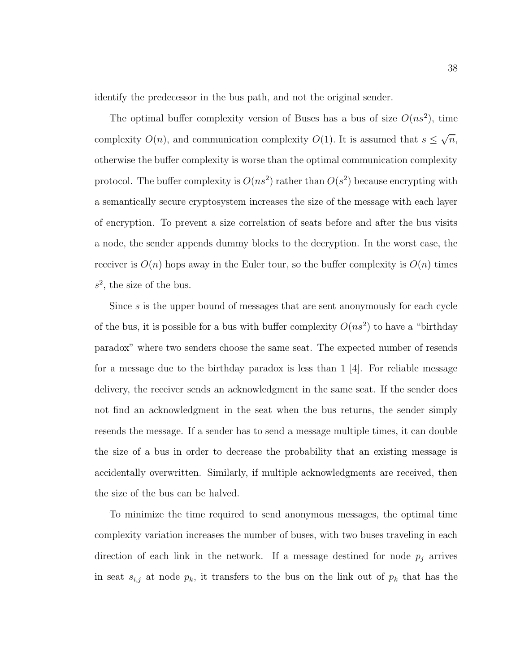identify the predecessor in the bus path, and not the original sender.

The optimal buffer complexity version of Buses has a bus of size  $O(ns^2)$ , time complexity  $O(n)$ , and communication complexity  $O(1)$ . It is assumed that  $s \leq \sqrt{n}$ , otherwise the buffer complexity is worse than the optimal communication complexity protocol. The buffer complexity is  $O(n s^2)$  rather than  $O(s^2)$  because encrypting with a semantically secure cryptosystem increases the size of the message with each layer of encryption. To prevent a size correlation of seats before and after the bus visits a node, the sender appends dummy blocks to the decryption. In the worst case, the receiver is  $O(n)$  hops away in the Euler tour, so the buffer complexity is  $O(n)$  times  $s^2$ , the size of the bus.

Since s is the upper bound of messages that are sent anonymously for each cycle of the bus, it is possible for a bus with buffer complexity  $O(n s^2)$  to have a "birthday" paradox" where two senders choose the same seat. The expected number of resends for a message due to the birthday paradox is less than  $1 \vert 4$ . For reliable message delivery, the receiver sends an acknowledgment in the same seat. If the sender does not find an acknowledgment in the seat when the bus returns, the sender simply resends the message. If a sender has to send a message multiple times, it can double the size of a bus in order to decrease the probability that an existing message is accidentally overwritten. Similarly, if multiple acknowledgments are received, then the size of the bus can be halved.

To minimize the time required to send anonymous messages, the optimal time complexity variation increases the number of buses, with two buses traveling in each direction of each link in the network. If a message destined for node  $p_j$  arrives in seat  $s_{i,j}$  at node  $p_k$ , it transfers to the bus on the link out of  $p_k$  that has the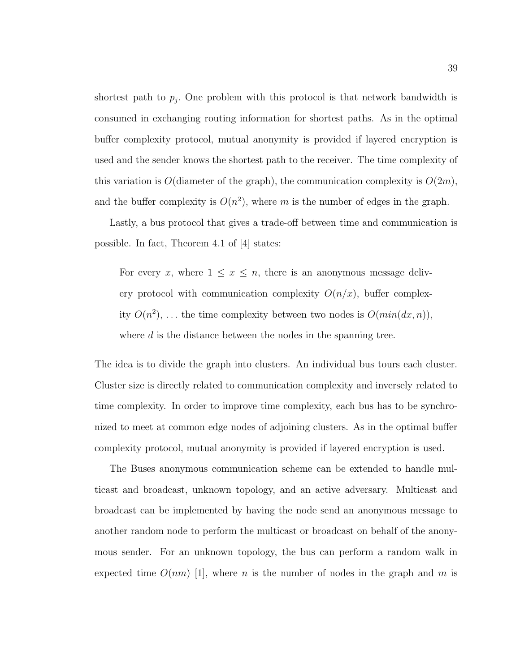shortest path to  $p_j$ . One problem with this protocol is that network bandwidth is consumed in exchanging routing information for shortest paths. As in the optimal buffer complexity protocol, mutual anonymity is provided if layered encryption is used and the sender knows the shortest path to the receiver. The time complexity of this variation is  $O(\text{diameter of the graph})$ , the communication complexity is  $O(2m)$ , and the buffer complexity is  $O(n^2)$ , where m is the number of edges in the graph.

Lastly, a bus protocol that gives a trade-off between time and communication is possible. In fact, Theorem 4.1 of [4] states:

For every x, where  $1 \leq x \leq n$ , there is an anonymous message delivery protocol with communication complexity  $O(n/x)$ , buffer complexity  $O(n^2)$ , ... the time complexity between two nodes is  $O(min(dx, n))$ , where  $d$  is the distance between the nodes in the spanning tree.

The idea is to divide the graph into clusters. An individual bus tours each cluster. Cluster size is directly related to communication complexity and inversely related to time complexity. In order to improve time complexity, each bus has to be synchronized to meet at common edge nodes of adjoining clusters. As in the optimal buffer complexity protocol, mutual anonymity is provided if layered encryption is used.

The Buses anonymous communication scheme can be extended to handle multicast and broadcast, unknown topology, and an active adversary. Multicast and broadcast can be implemented by having the node send an anonymous message to another random node to perform the multicast or broadcast on behalf of the anonymous sender. For an unknown topology, the bus can perform a random walk in expected time  $O(nm)$  [1], where n is the number of nodes in the graph and m is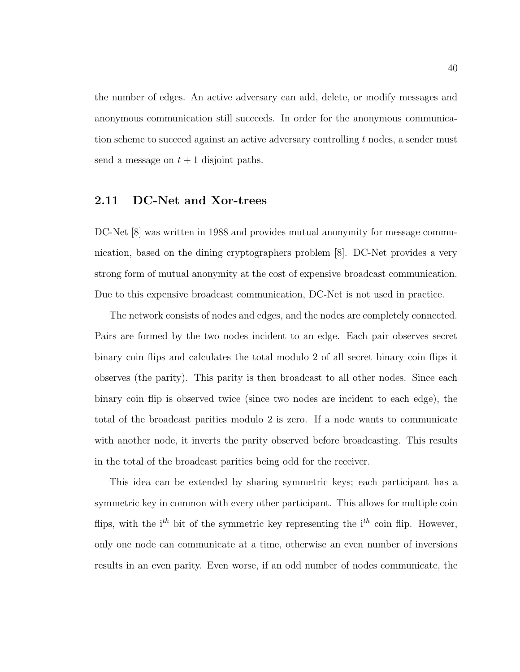the number of edges. An active adversary can add, delete, or modify messages and anonymous communication still succeeds. In order for the anonymous communication scheme to succeed against an active adversary controlling  $t$  nodes, a sender must send a message on  $t + 1$  disjoint paths.

### 2.11 DC-Net and Xor-trees

DC-Net [8] was written in 1988 and provides mutual anonymity for message communication, based on the dining cryptographers problem [8]. DC-Net provides a very strong form of mutual anonymity at the cost of expensive broadcast communication. Due to this expensive broadcast communication, DC-Net is not used in practice.

The network consists of nodes and edges, and the nodes are completely connected. Pairs are formed by the two nodes incident to an edge. Each pair observes secret binary coin flips and calculates the total modulo 2 of all secret binary coin flips it observes (the parity). This parity is then broadcast to all other nodes. Since each binary coin flip is observed twice (since two nodes are incident to each edge), the total of the broadcast parities modulo 2 is zero. If a node wants to communicate with another node, it inverts the parity observed before broadcasting. This results in the total of the broadcast parities being odd for the receiver.

This idea can be extended by sharing symmetric keys; each participant has a symmetric key in common with every other participant. This allows for multiple coin flips, with the i<sup>th</sup> bit of the symmetric key representing the i<sup>th</sup> coin flip. However, only one node can communicate at a time, otherwise an even number of inversions results in an even parity. Even worse, if an odd number of nodes communicate, the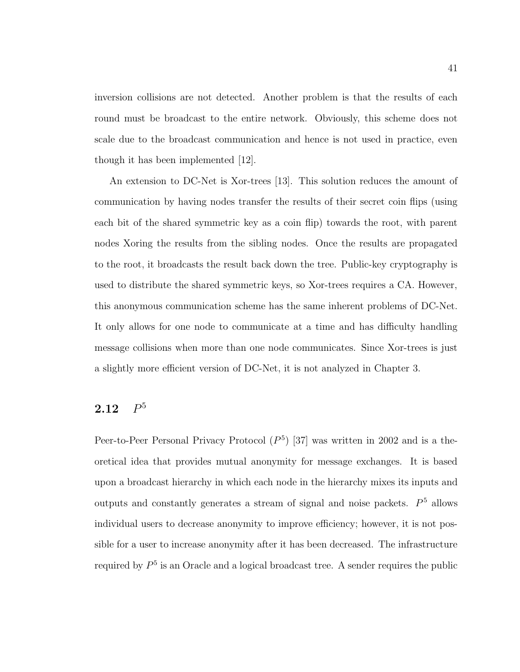inversion collisions are not detected. Another problem is that the results of each round must be broadcast to the entire network. Obviously, this scheme does not scale due to the broadcast communication and hence is not used in practice, even though it has been implemented [12].

An extension to DC-Net is Xor-trees [13]. This solution reduces the amount of communication by having nodes transfer the results of their secret coin flips (using each bit of the shared symmetric key as a coin flip) towards the root, with parent nodes Xoring the results from the sibling nodes. Once the results are propagated to the root, it broadcasts the result back down the tree. Public-key cryptography is used to distribute the shared symmetric keys, so Xor-trees requires a CA. However, this anonymous communication scheme has the same inherent problems of DC-Net. It only allows for one node to communicate at a time and has difficulty handling message collisions when more than one node communicates. Since Xor-trees is just a slightly more efficient version of DC-Net, it is not analyzed in Chapter 3.

#### **2.12**  $P<sup>5</sup>$

Peer-to-Peer Personal Privacy Protocol  $(P<sup>5</sup>)$  [37] was written in 2002 and is a theoretical idea that provides mutual anonymity for message exchanges. It is based upon a broadcast hierarchy in which each node in the hierarchy mixes its inputs and outputs and constantly generates a stream of signal and noise packets.  $P<sup>5</sup>$  allows individual users to decrease anonymity to improve efficiency; however, it is not possible for a user to increase anonymity after it has been decreased. The infrastructure required by  $P<sup>5</sup>$  is an Oracle and a logical broadcast tree. A sender requires the public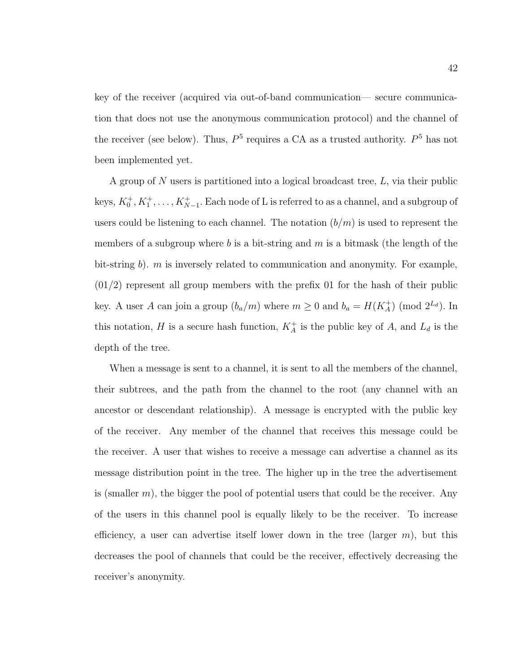key of the receiver (acquired via out-of-band communication— secure communication that does not use the anonymous communication protocol) and the channel of the receiver (see below). Thus,  $P<sup>5</sup>$  requires a CA as a trusted authority.  $P<sup>5</sup>$  has not been implemented yet.

A group of N users is partitioned into a logical broadcast tree, L, via their public keys,  $K_0^+, K_1^+, \ldots, K_{N-1}^+$ . Each node of L is referred to as a channel, and a subgroup of users could be listening to each channel. The notation  $(b/m)$  is used to represent the members of a subgroup where b is a bit-string and m is a bitmask (the length of the bit-string b). m is inversely related to communication and anonymity. For example,  $(01/2)$  represent all group members with the prefix 01 for the hash of their public key. A user A can join a group  $(b_a/m)$  where  $m \ge 0$  and  $b_a = H(K_A^+)$  (mod  $2^{L_d}$ ). In this notation, H is a secure hash function,  $K_A^+$  is the public key of A, and  $L_d$  is the depth of the tree.

When a message is sent to a channel, it is sent to all the members of the channel, their subtrees, and the path from the channel to the root (any channel with an ancestor or descendant relationship). A message is encrypted with the public key of the receiver. Any member of the channel that receives this message could be the receiver. A user that wishes to receive a message can advertise a channel as its message distribution point in the tree. The higher up in the tree the advertisement is (smaller  $m$ ), the bigger the pool of potential users that could be the receiver. Any of the users in this channel pool is equally likely to be the receiver. To increase efficiency, a user can advertise itself lower down in the tree (larger  $m$ ), but this decreases the pool of channels that could be the receiver, effectively decreasing the receiver's anonymity.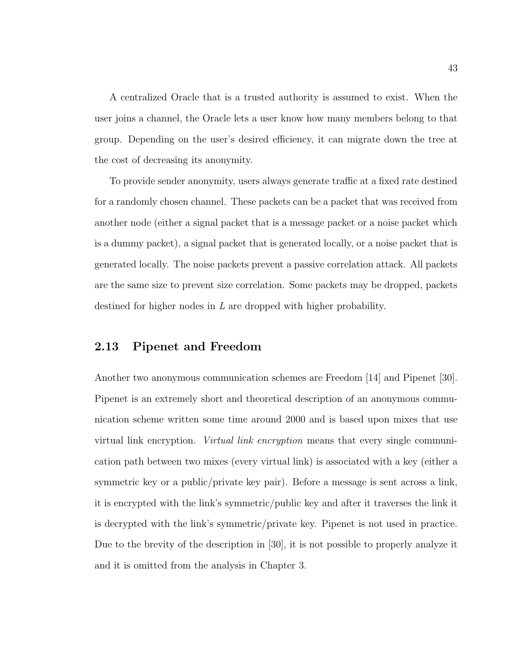A centralized Oracle that is a trusted authority is assumed to exist. When the user joins a channel, the Oracle lets a user know how many members belong to that group. Depending on the user's desired efficiency, it can migrate down the tree at the cost of decreasing its anonymity.

To provide sender anonymity, users always generate traffic at a fixed rate destined for a randomly chosen channel. These packets can be a packet that was received from another node (either a signal packet that is a message packet or a noise packet which is a dummy packet), a signal packet that is generated locally, or a noise packet that is generated locally. The noise packets prevent a passive correlation attack. All packets are the same size to prevent size correlation. Some packets may be dropped, packets destined for higher nodes in L are dropped with higher probability.

## 2.13 Pipenet and Freedom

Another two anonymous communication schemes are Freedom [14] and Pipenet [30]. Pipenet is an extremely short and theoretical description of an anonymous communication scheme written some time around 2000 and is based upon mixes that use virtual link encryption. Virtual link encryption means that every single communication path between two mixes (every virtual link) is associated with a key (either a symmetric key or a public/private key pair). Before a message is sent across a link, it is encrypted with the link's symmetric/public key and after it traverses the link it is decrypted with the link's symmetric/private key. Pipenet is not used in practice. Due to the brevity of the description in [30], it is not possible to properly analyze it and it is omitted from the analysis in Chapter 3.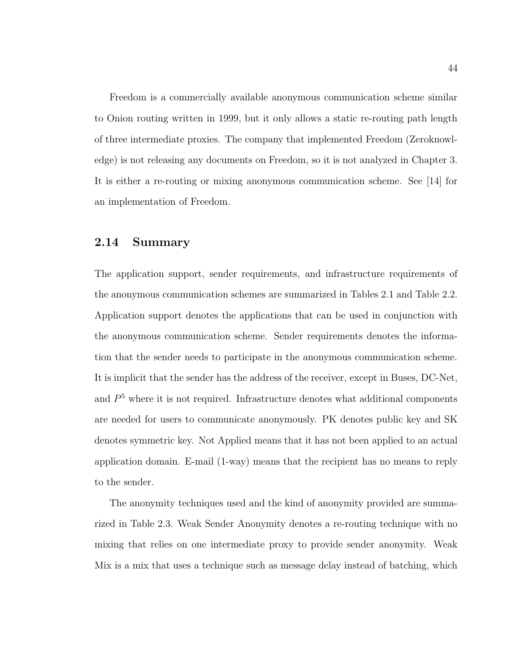Freedom is a commercially available anonymous communication scheme similar to Onion routing written in 1999, but it only allows a static re-routing path length of three intermediate proxies. The company that implemented Freedom (Zeroknowledge) is not releasing any documents on Freedom, so it is not analyzed in Chapter 3. It is either a re-routing or mixing anonymous communication scheme. See [14] for an implementation of Freedom.

### 2.14 Summary

The application support, sender requirements, and infrastructure requirements of the anonymous communication schemes are summarized in Tables 2.1 and Table 2.2. Application support denotes the applications that can be used in conjunction with the anonymous communication scheme. Sender requirements denotes the information that the sender needs to participate in the anonymous communication scheme. It is implicit that the sender has the address of the receiver, except in Buses, DC-Net, and  $P<sup>5</sup>$  where it is not required. Infrastructure denotes what additional components are needed for users to communicate anonymously. PK denotes public key and SK denotes symmetric key. Not Applied means that it has not been applied to an actual application domain. E-mail (1-way) means that the recipient has no means to reply to the sender.

The anonymity techniques used and the kind of anonymity provided are summarized in Table 2.3. Weak Sender Anonymity denotes a re-routing technique with no mixing that relies on one intermediate proxy to provide sender anonymity. Weak Mix is a mix that uses a technique such as message delay instead of batching, which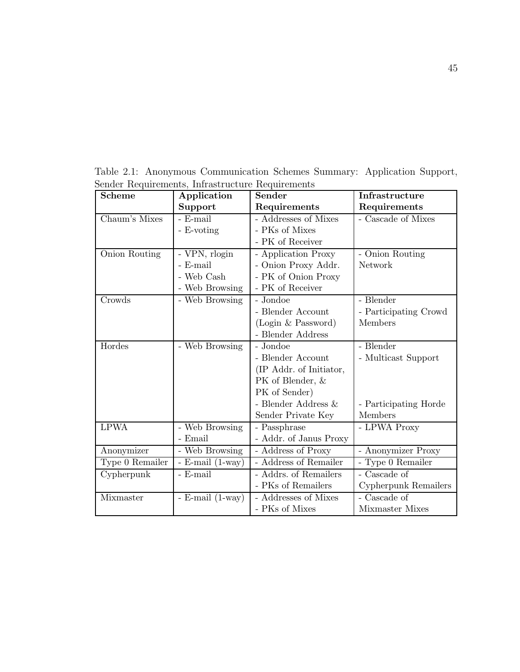| <b>Scheme</b>   | Application            | Sender                  | Infrastructure                        |
|-----------------|------------------------|-------------------------|---------------------------------------|
|                 | Support                | Requirements            | Requirements                          |
| Chaum's Mixes   | - E-mail               | - Addresses of Mixes    | - Cascade of Mixes                    |
|                 | - E-voting             | - PKs of Mixes          |                                       |
|                 |                        | - PK of Receiver        |                                       |
| Onion Routing   | - VPN, rlogin          | - Application Proxy     | - Onion Routing                       |
|                 | - E-mail               | - Onion Proxy Addr.     | Network                               |
|                 | - Web Cash             | - PK of Onion Proxy     |                                       |
|                 | - Web Browsing         | - PK of Receiver        |                                       |
| Crowds          | - Web Browsing         | - Jondoe                | - Blender                             |
|                 |                        | - Blender Account       | - Participating Crowd                 |
|                 |                        | (Login & Password)      | Members                               |
|                 |                        | - Blender Address       |                                       |
| Hordes          | - Web Browsing         | - Jondoe                | - Blender                             |
|                 |                        | - Blender Account       | - Multicast Support                   |
|                 |                        | (IP Addr. of Initiator, |                                       |
|                 |                        | PK of Blender, &        |                                       |
|                 |                        | PK of Sender)           |                                       |
|                 |                        | - Blender Address $\&$  | - Participating Horde                 |
|                 |                        | Sender Private Key      | Members                               |
| <b>LPWA</b>     | - Web Browsing         | - Passphrase            | - LPWA Proxy                          |
|                 | - Email                | - Addr. of Janus Proxy  |                                       |
| Anonymizer      | - Web Browsing         | - Address of Proxy      | - Anonymizer Proxy                    |
| Type 0 Remailer | $-$ E-mail $(1$ -way)  | - Address of Remailer   | - Type 0 Remailer                     |
| Cypherpunk      | - E-mail               | - Addrs. of Remailers   | - Cascade of                          |
|                 |                        | - PKs of Remailers      | Cypherpunk Remailers                  |
| Mixmaster       | - E-mail $(1$ -way $)$ | - Addresses of Mixes    | $\overline{\phantom{a}}$ - Cascade of |
|                 |                        | - PKs of Mixes          | Mixmaster Mixes                       |

Table 2.1: Anonymous Communication Schemes Summary: Application Support, Sender Requirements, Infrastructure Requirements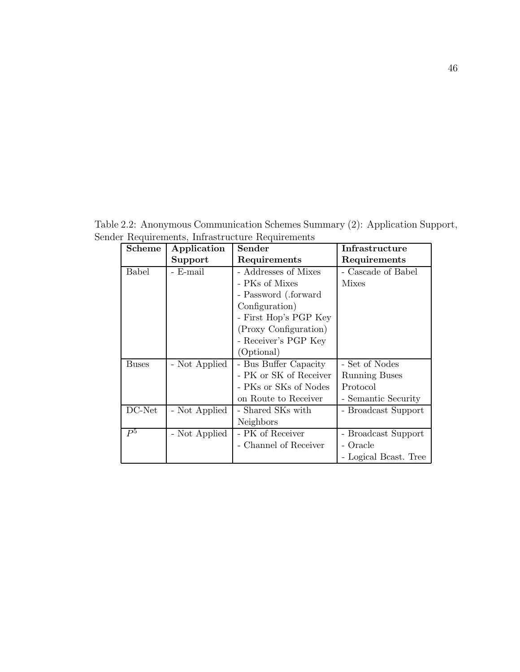Table 2.2: Anonymous Communication Schemes Summary (2): Application Support, Sender Requirements, Infrastructure Requirements

| Scheme       | Application   | Sender                 | Infrastructure           |
|--------------|---------------|------------------------|--------------------------|
|              | Support       | Requirements           | Requirements             |
| <b>Babel</b> | - E-mail      | - Addresses of Mixes   | - Cascade of Babel       |
|              |               | - PKs of Mixes         | <b>Mixes</b>             |
|              |               | - Password (.forward   |                          |
|              |               | Configuration)         |                          |
|              |               | - First Hop's PGP Key  |                          |
|              |               | (Proxy Configuration)  |                          |
|              |               | - Receiver's PGP Key   |                          |
|              |               | (Optional)             |                          |
| <b>Buses</b> | - Not Applied | - Bus Buffer Capacity  | - Set of Nodes           |
|              |               | - PK or SK of Receiver | <b>Running Buses</b>     |
|              |               | - PKs or SKs of Nodes  | Protocol                 |
|              |               | on Route to Receiver   | - Semantic Security      |
| DC-Net       | - Not Applied | - Shared SKs with      | <b>Broadcast Support</b> |
|              |               | Neighbors              |                          |
| $P^5$        | - Not Applied | - PK of Receiver       | Broadcast Support        |
|              |               | - Channel of Receiver  | - Oracle                 |
|              |               |                        | - Logical Beast. Tree    |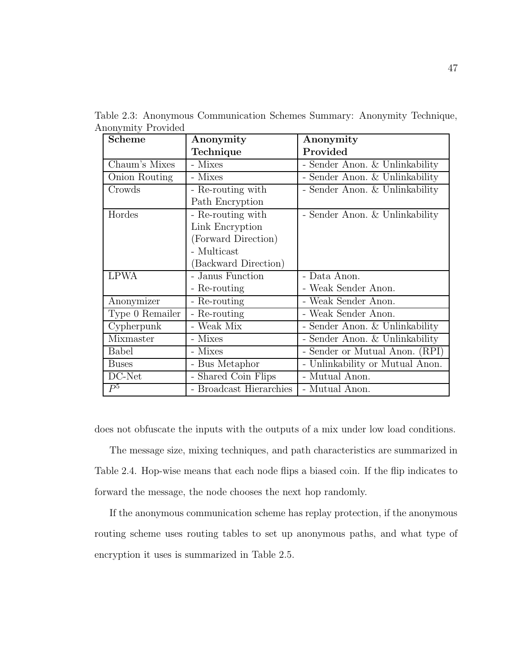| <b>Scheme</b>   | Anonymity               | Anonymity                         |
|-----------------|-------------------------|-----------------------------------|
|                 | Technique               | Provided                          |
| Chaum's Mixes   | - Mixes                 | - Sender Anon. & Unlinkability    |
| Onion Routing   | - Mixes                 | - Sender Anon. & Unlinkability    |
| Crowds          | - Re-routing with       | - Sender Anon. & Unlinkability    |
|                 | Path Encryption         |                                   |
| Hordes          | - Re-routing with       | - Sender Anon. $\&$ Unlinkability |
|                 | Link Encryption         |                                   |
|                 | (Forward Direction)     |                                   |
|                 | - Multicast             |                                   |
|                 | (Backward Direction)    |                                   |
| <b>LPWA</b>     | - Janus Function        | - Data Anon.                      |
|                 | - Re-routing            | - Weak Sender Anon.               |
| Anonymizer      | - Re-routing            | - Weak Sender Anon.               |
| Type 0 Remailer | - Re-routing            | - Weak Sender Anon.               |
| Cypherpunk      | - Weak Mix              | - Sender Anon. & Unlinkability    |
| Mixmaster       | - Mixes                 | - Sender Anon. & Unlinkability    |
| <b>Babel</b>    | - Mixes                 | - Sender or Mutual Anon. (RPI)    |
| <b>Buses</b>    | - Bus Metaphor          | - Unlinkability or Mutual Anon.   |
| DC-Net          | - Shared Coin Flips     | - Mutual Anon.                    |
| $P^5$           | - Broadcast Hierarchies | - Mutual Anon.                    |

Table 2.3: Anonymous Communication Schemes Summary: Anonymity Technique, Anonymity Provided

does not obfuscate the inputs with the outputs of a mix under low load conditions.

The message size, mixing techniques, and path characteristics are summarized in Table 2.4. Hop-wise means that each node flips a biased coin. If the flip indicates to forward the message, the node chooses the next hop randomly.

If the anonymous communication scheme has replay protection, if the anonymous routing scheme uses routing tables to set up anonymous paths, and what type of encryption it uses is summarized in Table 2.5.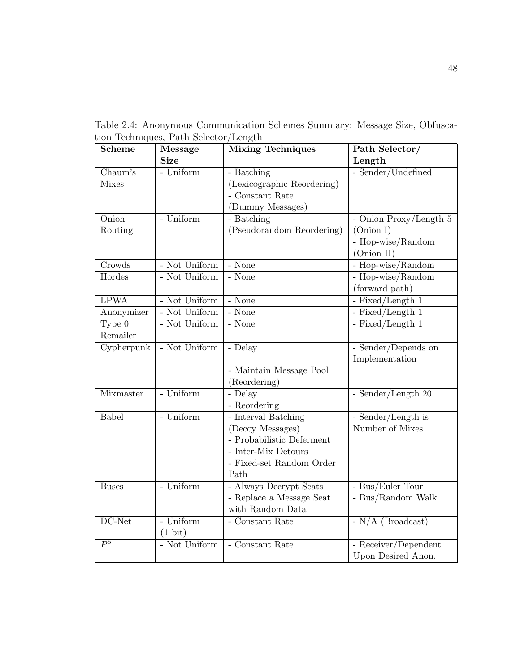Table 2.4: Anonymous Communication Schemes Summary: Message Size, Obfuscation Techniques, Path Selector/Length

| Scheme                         | <b>Message</b>    | <b>Mixing Techniques</b>   | Path Selector/         |
|--------------------------------|-------------------|----------------------------|------------------------|
|                                | <b>Size</b>       |                            | Length                 |
| Chaum's                        | - Uniform         | - Batching                 | - Sender/Undefined     |
| <b>Mixes</b>                   |                   | (Lexicographic Reordering) |                        |
|                                |                   | - Constant Rate            |                        |
|                                |                   | (Dummy Messages)           |                        |
| $\overline{\text{On}}$ ion     | - Uniform         | - Batching                 | - Onion Proxy/Length 5 |
| Routing                        |                   | (Pseudorandom Reordering)  | (Onion I)              |
|                                |                   |                            | - Hop-wise/Random      |
|                                |                   |                            | (Onion II)             |
| Crowds                         | - Not Uniform     | - None                     | - Hop-wise/Random      |
| Hordes                         | - Not Uniform     | - None                     | - Hop-wise/Random      |
|                                |                   |                            | (forward path)         |
| <b>LPWA</b>                    | - Not Uniform     | - None                     | - Fixed/Length $1$     |
| Anonymizer                     | - Not Uniform     | - None                     | - Fixed/Length $1$     |
| Type $0$                       | - Not Uniform     | - None                     | - Fixed/Length $1$     |
| Remailer                       |                   |                            |                        |
| $\overline{\text{Cypherpunk}}$ | - Not Uniform     | - Delay                    | - Sender/Depends on    |
|                                |                   |                            | Implementation         |
|                                |                   | - Maintain Message Pool    |                        |
|                                |                   | (Reordering)               |                        |
| Mixmaster                      | - Uniform         | - Delay                    | - Sender/Length 20     |
|                                |                   | - Reordering               |                        |
| Babel                          | - Uniform         | - Interval Batching        | - Sender/Length is     |
|                                |                   | (Decoy Messages)           | Number of Mixes        |
|                                |                   | - Probabilistic Deferment  |                        |
|                                |                   | - Inter-Mix Detours        |                        |
|                                |                   | - Fixed-set Random Order   |                        |
|                                |                   | Path                       |                        |
| <b>Buses</b>                   | - Uniform         | - Always Decrypt Seats     | - Bus/Euler Tour       |
|                                |                   | - Replace a Message Seat   | - Bus/Random Walk      |
|                                |                   | with Random Data           |                        |
| DC-Net                         | - Uniform         | - Constant Rate            | - $N/A$ (Broadcast)    |
|                                | $(1 \text{ bit})$ |                            |                        |
| P <sup>5</sup>                 | - Not Uniform     | - Constant Rate            | - Receiver/Dependent   |
|                                |                   |                            | Upon Desired Anon.     |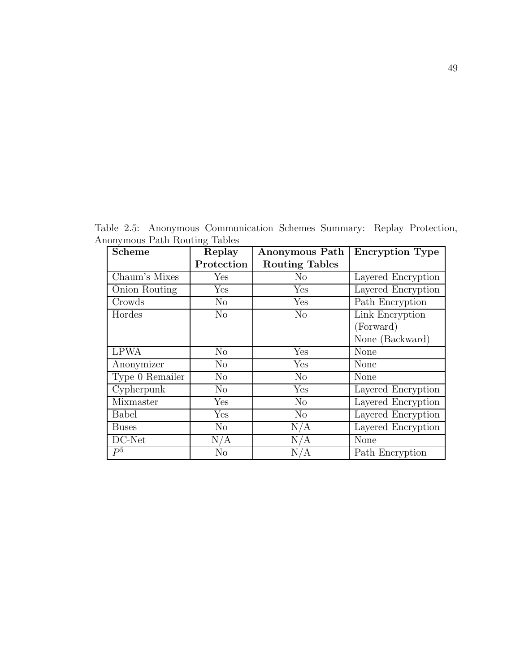Table 2.5: Anonymous Communication Schemes Summary: Replay Protection, Anonymous Path Routing Tables

| <b>Scheme</b>   | Replay         | Anonymous Path        | <b>Encryption Type</b> |
|-----------------|----------------|-----------------------|------------------------|
|                 | Protection     | <b>Routing Tables</b> |                        |
| Chaum's Mixes   | Yes            | N <sub>o</sub>        | Layered Encryption     |
| Onion Routing   | Yes            | Yes                   | Layered Encryption     |
| Crowds          | $\rm No$       | Yes                   | Path Encryption        |
| Hordes          | No             | N <sub>o</sub>        | Link Encryption        |
|                 |                |                       | (Forward)              |
|                 |                |                       | None (Backward)        |
| <b>LPWA</b>     | $\rm No$       | Yes                   | None                   |
| Anonymizer      | $\rm No$       | Yes                   | None                   |
| Type 0 Remailer | No             | No                    | None                   |
| Cypherpunk      | No             | Yes                   | Layered Encryption     |
| Mixmaster       | Yes            | N <sub>o</sub>        | Layered Encryption     |
| <b>Babel</b>    | Yes            | $\rm No$              | Layered Encryption     |
| <b>Buses</b>    | No             | N/A                   | Layered Encryption     |
| DC-Net          | N/A            | N/A                   | None                   |
| P <sup>5</sup>  | N <sub>o</sub> | N/A                   | Path Encryption        |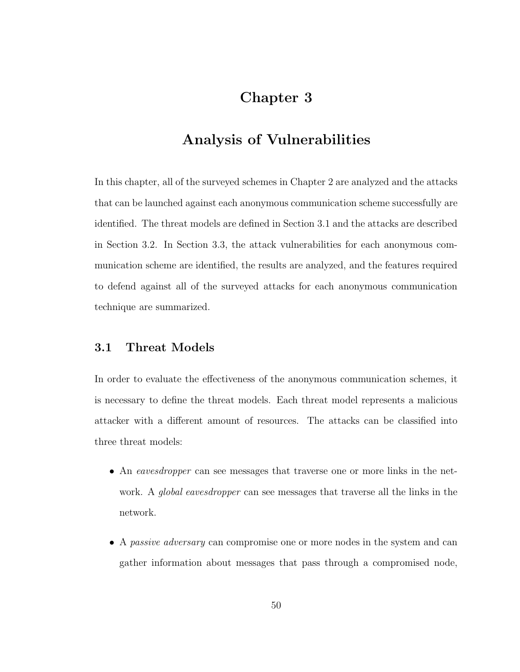# Chapter 3

# Analysis of Vulnerabilities

In this chapter, all of the surveyed schemes in Chapter 2 are analyzed and the attacks that can be launched against each anonymous communication scheme successfully are identified. The threat models are defined in Section 3.1 and the attacks are described in Section 3.2. In Section 3.3, the attack vulnerabilities for each anonymous communication scheme are identified, the results are analyzed, and the features required to defend against all of the surveyed attacks for each anonymous communication technique are summarized.

### 3.1 Threat Models

In order to evaluate the effectiveness of the anonymous communication schemes, it is necessary to define the threat models. Each threat model represents a malicious attacker with a different amount of resources. The attacks can be classified into three threat models:

- An eavesdropper can see messages that traverse one or more links in the network. A *global eavesdropper* can see messages that traverse all the links in the network.
- A passive adversary can compromise one or more nodes in the system and can gather information about messages that pass through a compromised node,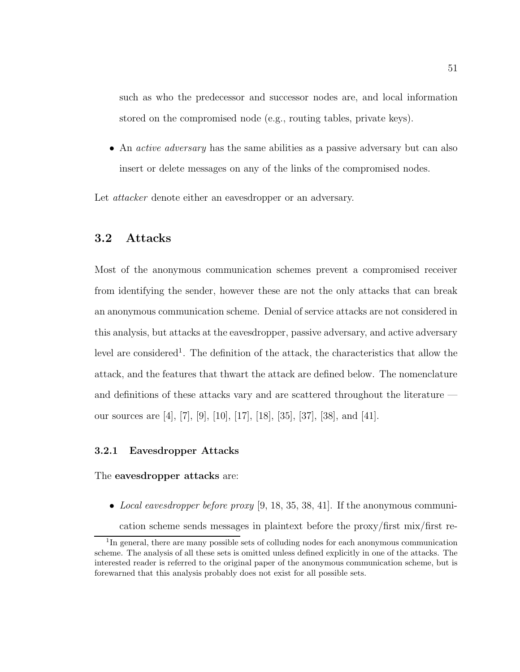such as who the predecessor and successor nodes are, and local information stored on the compromised node (e.g., routing tables, private keys).

• An *active adversary* has the same abilities as a passive adversary but can also insert or delete messages on any of the links of the compromised nodes.

Let *attacker* denote either an eavesdropper or an adversary.

### 3.2 Attacks

Most of the anonymous communication schemes prevent a compromised receiver from identifying the sender, however these are not the only attacks that can break an anonymous communication scheme. Denial of service attacks are not considered in this analysis, but attacks at the eavesdropper, passive adversary, and active adversary level are considered<sup>1</sup>. The definition of the attack, the characteristics that allow the attack, and the features that thwart the attack are defined below. The nomenclature and definitions of these attacks vary and are scattered throughout the literature our sources are [4], [7], [9], [10], [17], [18], [35], [37], [38], and [41].

#### 3.2.1 Eavesdropper Attacks

#### The eavesdropper attacks are:

• Local eavesdropper before proxy  $[9, 18, 35, 38, 41]$ . If the anonymous communication scheme sends messages in plaintext before the proxy/first mix/first re-

<sup>&</sup>lt;sup>1</sup>In general, there are many possible sets of colluding nodes for each anonymous communication scheme. The analysis of all these sets is omitted unless defined explicitly in one of the attacks. The interested reader is referred to the original paper of the anonymous communication scheme, but is forewarned that this analysis probably does not exist for all possible sets.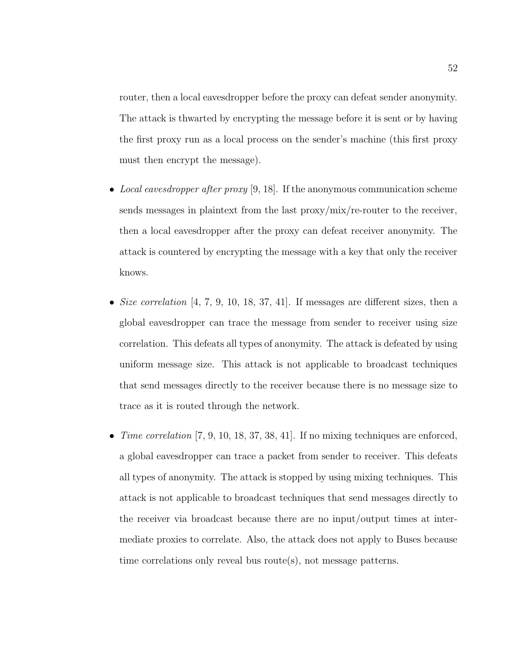router, then a local eavesdropper before the proxy can defeat sender anonymity. The attack is thwarted by encrypting the message before it is sent or by having the first proxy run as a local process on the sender's machine (this first proxy must then encrypt the message).

- Local eavesdropper after proxy [9, 18]. If the anonymous communication scheme sends messages in plaintext from the last proxy/mix/re-router to the receiver, then a local eavesdropper after the proxy can defeat receiver anonymity. The attack is countered by encrypting the message with a key that only the receiver knows.
- Size correlation  $[4, 7, 9, 10, 18, 37, 41]$ . If messages are different sizes, then a global eavesdropper can trace the message from sender to receiver using size correlation. This defeats all types of anonymity. The attack is defeated by using uniform message size. This attack is not applicable to broadcast techniques that send messages directly to the receiver because there is no message size to trace as it is routed through the network.
- Time correlation  $[7, 9, 10, 18, 37, 38, 41]$ . If no mixing techniques are enforced, a global eavesdropper can trace a packet from sender to receiver. This defeats all types of anonymity. The attack is stopped by using mixing techniques. This attack is not applicable to broadcast techniques that send messages directly to the receiver via broadcast because there are no input/output times at intermediate proxies to correlate. Also, the attack does not apply to Buses because time correlations only reveal bus route(s), not message patterns.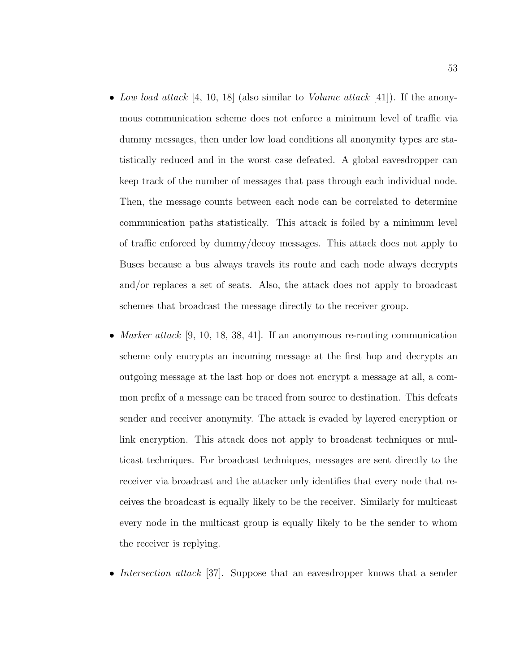- Low load attack [4, 10, 18] (also similar to *Volume attack* [41]). If the anonymous communication scheme does not enforce a minimum level of traffic via dummy messages, then under low load conditions all anonymity types are statistically reduced and in the worst case defeated. A global eavesdropper can keep track of the number of messages that pass through each individual node. Then, the message counts between each node can be correlated to determine communication paths statistically. This attack is foiled by a minimum level of traffic enforced by dummy/decoy messages. This attack does not apply to Buses because a bus always travels its route and each node always decrypts and/or replaces a set of seats. Also, the attack does not apply to broadcast schemes that broadcast the message directly to the receiver group.
- Marker attack [9, 10, 18, 38, 41]. If an anonymous re-routing communication scheme only encrypts an incoming message at the first hop and decrypts an outgoing message at the last hop or does not encrypt a message at all, a common prefix of a message can be traced from source to destination. This defeats sender and receiver anonymity. The attack is evaded by layered encryption or link encryption. This attack does not apply to broadcast techniques or multicast techniques. For broadcast techniques, messages are sent directly to the receiver via broadcast and the attacker only identifies that every node that receives the broadcast is equally likely to be the receiver. Similarly for multicast every node in the multicast group is equally likely to be the sender to whom the receiver is replying.
- Intersection attack [37]. Suppose that an eavesdropper knows that a sender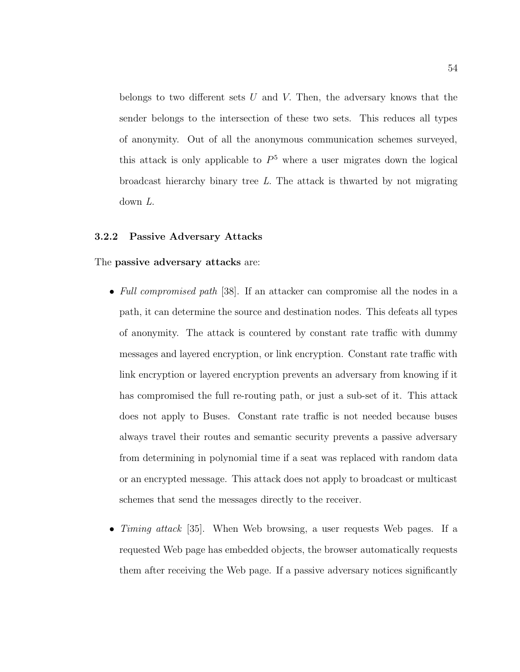belongs to two different sets  $U$  and  $V$ . Then, the adversary knows that the sender belongs to the intersection of these two sets. This reduces all types of anonymity. Out of all the anonymous communication schemes surveyed, this attack is only applicable to  $P<sup>5</sup>$  where a user migrates down the logical broadcast hierarchy binary tree  $L$ . The attack is thwarted by not migrating down L.

#### 3.2.2 Passive Adversary Attacks

#### The passive adversary attacks are:

- Full compromised path [38]. If an attacker can compromise all the nodes in a path, it can determine the source and destination nodes. This defeats all types of anonymity. The attack is countered by constant rate traffic with dummy messages and layered encryption, or link encryption. Constant rate traffic with link encryption or layered encryption prevents an adversary from knowing if it has compromised the full re-routing path, or just a sub-set of it. This attack does not apply to Buses. Constant rate traffic is not needed because buses always travel their routes and semantic security prevents a passive adversary from determining in polynomial time if a seat was replaced with random data or an encrypted message. This attack does not apply to broadcast or multicast schemes that send the messages directly to the receiver.
- Timing attack [35]. When Web browsing, a user requests Web pages. If a requested Web page has embedded objects, the browser automatically requests them after receiving the Web page. If a passive adversary notices significantly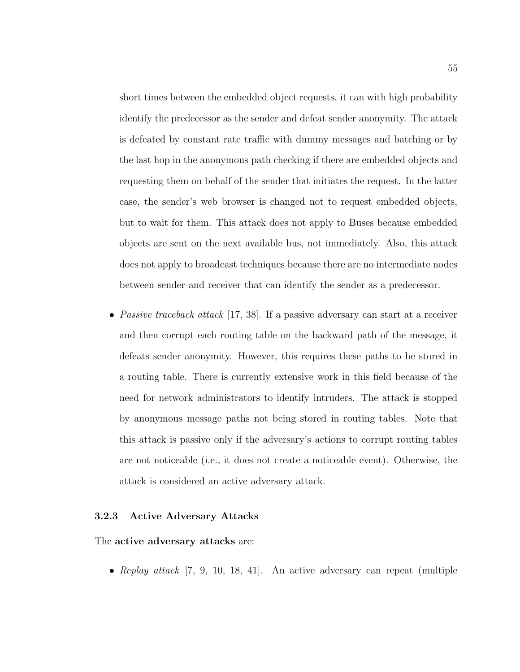short times between the embedded object requests, it can with high probability identify the predecessor as the sender and defeat sender anonymity. The attack is defeated by constant rate traffic with dummy messages and batching or by the last hop in the anonymous path checking if there are embedded objects and requesting them on behalf of the sender that initiates the request. In the latter case, the sender's web browser is changed not to request embedded objects, but to wait for them. This attack does not apply to Buses because embedded objects are sent on the next available bus, not immediately. Also, this attack does not apply to broadcast techniques because there are no intermediate nodes between sender and receiver that can identify the sender as a predecessor.

• Passive traceback attack [17, 38]. If a passive adversary can start at a receiver and then corrupt each routing table on the backward path of the message, it defeats sender anonymity. However, this requires these paths to be stored in a routing table. There is currently extensive work in this field because of the need for network administrators to identify intruders. The attack is stopped by anonymous message paths not being stored in routing tables. Note that this attack is passive only if the adversary's actions to corrupt routing tables are not noticeable (i.e., it does not create a noticeable event). Otherwise, the attack is considered an active adversary attack.

#### 3.2.3 Active Adversary Attacks

#### The active adversary attacks are:

• Replay attack [7, 9, 10, 18, 41]. An active adversary can repeat (multiple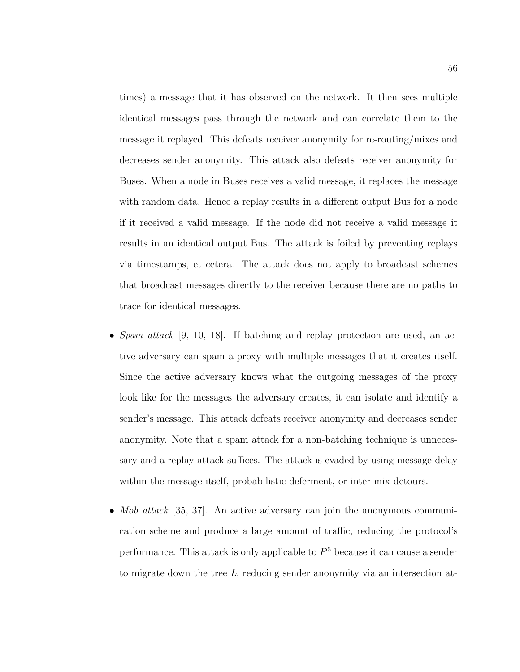times) a message that it has observed on the network. It then sees multiple identical messages pass through the network and can correlate them to the message it replayed. This defeats receiver anonymity for re-routing/mixes and decreases sender anonymity. This attack also defeats receiver anonymity for Buses. When a node in Buses receives a valid message, it replaces the message with random data. Hence a replay results in a different output Bus for a node if it received a valid message. If the node did not receive a valid message it results in an identical output Bus. The attack is foiled by preventing replays via timestamps, et cetera. The attack does not apply to broadcast schemes that broadcast messages directly to the receiver because there are no paths to trace for identical messages.

- Spam attack [9, 10, 18]. If batching and replay protection are used, an active adversary can spam a proxy with multiple messages that it creates itself. Since the active adversary knows what the outgoing messages of the proxy look like for the messages the adversary creates, it can isolate and identify a sender's message. This attack defeats receiver anonymity and decreases sender anonymity. Note that a spam attack for a non-batching technique is unnecessary and a replay attack suffices. The attack is evaded by using message delay within the message itself, probabilistic deferment, or inter-mix detours.
- Mob attack [35, 37]. An active adversary can join the anonymous communication scheme and produce a large amount of traffic, reducing the protocol's performance. This attack is only applicable to  $P<sup>5</sup>$  because it can cause a sender to migrate down the tree L, reducing sender anonymity via an intersection at-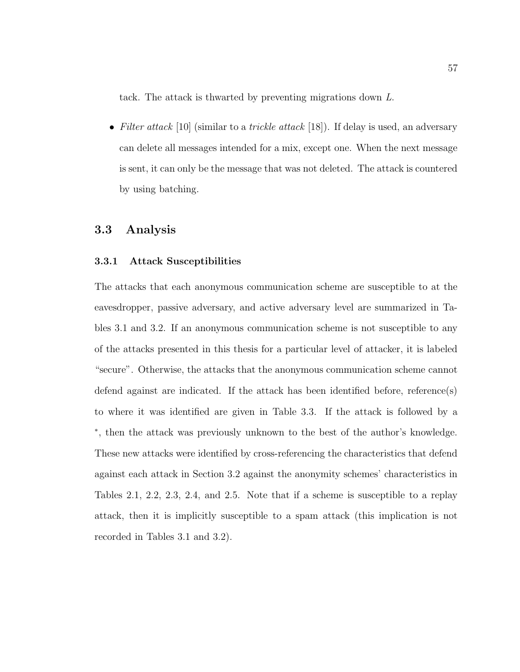tack. The attack is thwarted by preventing migrations down L.

• Filter attack [10] (similar to a *trickle attack* [18]). If delay is used, an adversary can delete all messages intended for a mix, except one. When the next message is sent, it can only be the message that was not deleted. The attack is countered by using batching.

### 3.3 Analysis

#### 3.3.1 Attack Susceptibilities

The attacks that each anonymous communication scheme are susceptible to at the eavesdropper, passive adversary, and active adversary level are summarized in Tables 3.1 and 3.2. If an anonymous communication scheme is not susceptible to any of the attacks presented in this thesis for a particular level of attacker, it is labeled "secure". Otherwise, the attacks that the anonymous communication scheme cannot defend against are indicated. If the attack has been identified before, reference(s) to where it was identified are given in Table 3.3. If the attack is followed by a ∗ , then the attack was previously unknown to the best of the author's knowledge. These new attacks were identified by cross-referencing the characteristics that defend against each attack in Section 3.2 against the anonymity schemes' characteristics in Tables 2.1, 2.2, 2.3, 2.4, and 2.5. Note that if a scheme is susceptible to a replay attack, then it is implicitly susceptible to a spam attack (this implication is not recorded in Tables 3.1 and 3.2).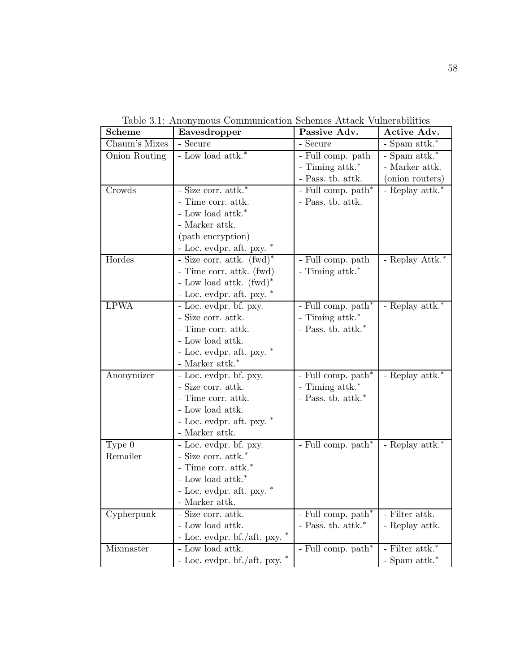| <b>Scheme</b> | Eavesdropper                    | Passive Adv.                            | Active Adv.        |
|---------------|---------------------------------|-----------------------------------------|--------------------|
| Chaum's Mixes | - Secure                        | - Secure                                | - Spam attk.*      |
| Onion Routing | - Low load $\mathrm{attk.}^*$   | - Full comp. path                       | - Spam attk.*      |
|               |                                 | - Timing attk.*                         | - Marker attk.     |
|               |                                 | - Pass. tb. attk.                       | (onion routers)    |
| Crowds        | - Size corr. attk.*             | - Full comp. path*                      | - Replay attk.*    |
|               | - Time corr. attk.              | $\mbox{-}$ Pass. tb. at<br>tk.          |                    |
|               | - Low load attk.*               |                                         |                    |
|               | - Marker attk.                  |                                         |                    |
|               | (path encryption)               |                                         |                    |
|               | - Loc. evdpr. aft. pxy. $*$     |                                         |                    |
| Hordes        | - Size corr. attk. $(fwd)^*$    | - Full comp. path                       | - Replay Attk.*    |
|               | - Time corr. attk. (fwd)        | - Timing attk.*                         |                    |
|               | - Low load attk. $(fwd)^*$      |                                         |                    |
|               | - Loc. evdpr. aft. pxy. $*$     |                                         |                    |
| <b>LPWA</b>   | - Loc. evdpr. bf. pxy.          | - Full comp. $\overline{\text{path}}^*$ | - Replay attk.*    |
|               | - Size corr. attk.              | - Timing attk.*                         |                    |
|               | - Time corr. attk.              | - Pass. tb. $\mathrm{attk.}^*$          |                    |
|               | - Low load attk.                |                                         |                    |
|               | - Loc. evdpr. aft. pxy. $*$     |                                         |                    |
|               | - Marker $\mathrm{attk.}^*$     |                                         |                    |
| Anonymizer    | - Loc. evdpr. bf. pxy.          | - Full comp. path*                      | - Replay attk.*    |
|               | - Size corr. attk.              | - Timing attk.*                         |                    |
|               | - Time corr. attk.              | - Pass. tb. $attk.*$                    |                    |
|               | - Low load attk.                |                                         |                    |
|               | - Loc. evdpr. aft. pxy. $*$     |                                         |                    |
|               | - Marker attk.                  |                                         |                    |
| Type $0$      | - Loc. evdpr. bf. pxy.          | - Full comp. $\operatorname{path}^*$    | - Replay attk.*    |
| Remailer      | - Size corr. $\mathrm{attk.}^*$ |                                         |                    |
|               | - Time corr. $\mathrm{attk.}^*$ |                                         |                    |
|               | - Low load attk.*               |                                         |                    |
|               | - Loc. evdpr. aft. pxy. $*$     |                                         |                    |
|               | - Marker attk.                  |                                         |                    |
| Cypherpunk    | - Size corr. attk.              | - Full comp. path*                      | - Filter attk.     |
|               | - Low load attk.                | - Pass. tb. $\mathrm{attk.}^*$          | - Replay attk.     |
|               | - Loc. evdpr. bf./aft. pxy.     |                                         |                    |
| Mixmaster     | - Low load attk.                | - Full comp. path*                      | - Filter attk. $*$ |
|               | - Loc. evdpr. bf./aft. pxy.     |                                         | - Spam attk.*      |

Table 3.1: Anonymous Communication Schemes Attack Vulnerabilities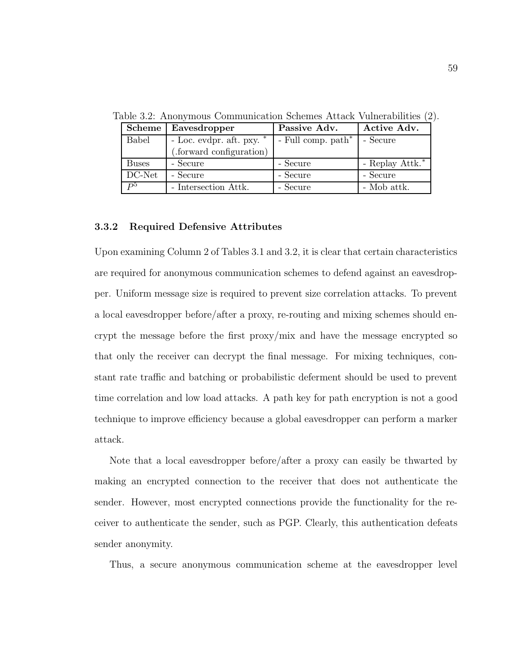| Scheme               | Eavesdropper                | Passive Adv.          | Active Adv.     |
|----------------------|-----------------------------|-----------------------|-----------------|
| Babel                | - Loc. evdpr. aft. pxy. $*$ | - Full comp. $path^*$ | - Secure        |
|                      | (.forward configuration)    |                       |                 |
| <b>Buses</b>         | - Secure                    | - Secure              | - Replay Attk.* |
| $\overline{D}C$ -Net | - Secure                    | - Secure              | - Secure        |
| $P^5$                | - Intersection Attk.        | - Secure              | - Mob attk.     |

Table 3.2: Anonymous Communication Schemes Attack Vulnerabilities (2).

#### 3.3.2 Required Defensive Attributes

Upon examining Column 2 of Tables 3.1 and 3.2, it is clear that certain characteristics are required for anonymous communication schemes to defend against an eavesdropper. Uniform message size is required to prevent size correlation attacks. To prevent a local eavesdropper before/after a proxy, re-routing and mixing schemes should encrypt the message before the first proxy/mix and have the message encrypted so that only the receiver can decrypt the final message. For mixing techniques, constant rate traffic and batching or probabilistic deferment should be used to prevent time correlation and low load attacks. A path key for path encryption is not a good technique to improve efficiency because a global eavesdropper can perform a marker attack.

Note that a local eavesdropper before/after a proxy can easily be thwarted by making an encrypted connection to the receiver that does not authenticate the sender. However, most encrypted connections provide the functionality for the receiver to authenticate the sender, such as PGP. Clearly, this authentication defeats sender anonymity.

Thus, a secure anonymous communication scheme at the eavesdropper level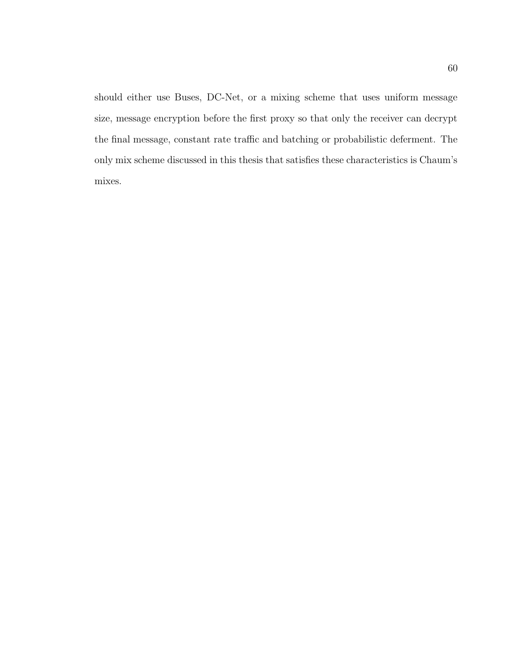should either use Buses, DC-Net, or a mixing scheme that uses uniform message size, message encryption before the first proxy so that only the receiver can decrypt the final message, constant rate traffic and batching or probabilistic deferment. The only mix scheme discussed in this thesis that satisfies these characteristics is Chaum's mixes.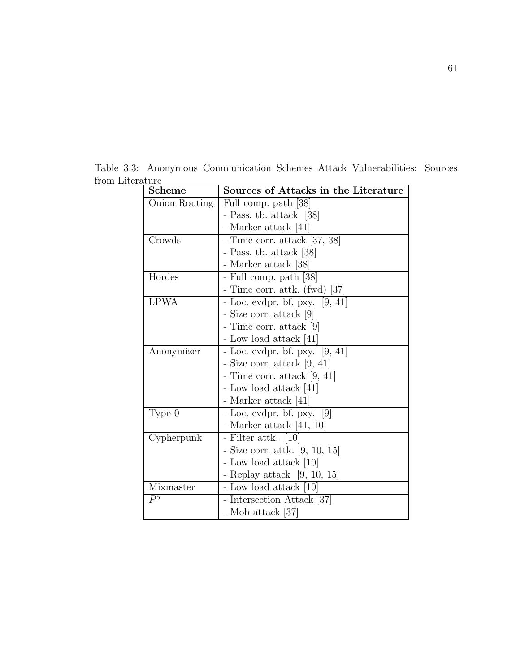| <b>Scheme</b>  | Sources of Attacks in the Literature        |
|----------------|---------------------------------------------|
| Onion Routing  | Full comp. path [38]                        |
|                | - Pass. tb. attack [38]                     |
|                | - Marker attack [41]                        |
| Crowds         | - Time corr. attack [37, 38]                |
|                | - Pass. tb. attack [38]                     |
|                | - Marker attack [38]                        |
| Hordes         | - Full comp. path [38]                      |
|                | - Time corr. attk. (fwd) [37]               |
| <b>LPWA</b>    | - Loc. evdpr. bf. pxy. $[9, 41]$            |
|                | - Size corr. attack [9]                     |
|                | - Time corr. attack  9                      |
|                | - Low load attack [41]                      |
| Anonymizer     | - Loc. evdpr. bf. pxy. $[9, 41]$            |
|                | - Size corr. attack $[9, 41]$               |
|                | - Time corr. attack $ 9, 41 $               |
|                | - Low load attack [41]                      |
|                | - Marker attack [41]                        |
| Type 0         | $\lceil 9 \rceil$<br>- Loc. evdpr. bf. pxy. |
|                | - Marker attack $[41, 10]$                  |
| Cypherpunk     | - Filter attk. [10]                         |
|                | - Size corr. attk. [9, 10, 15]              |
|                | - Low load attack [10]                      |
|                | - Replay attack $[9, 10, 15]$               |
| Mixmaster      | - Low load attack [10]                      |
| P <sup>5</sup> | - Intersection Attack [37]                  |
|                | - Mob attack [37]                           |

Table 3.3: Anonymous Communication Schemes Attack Vulnerabilities: Sources from Literature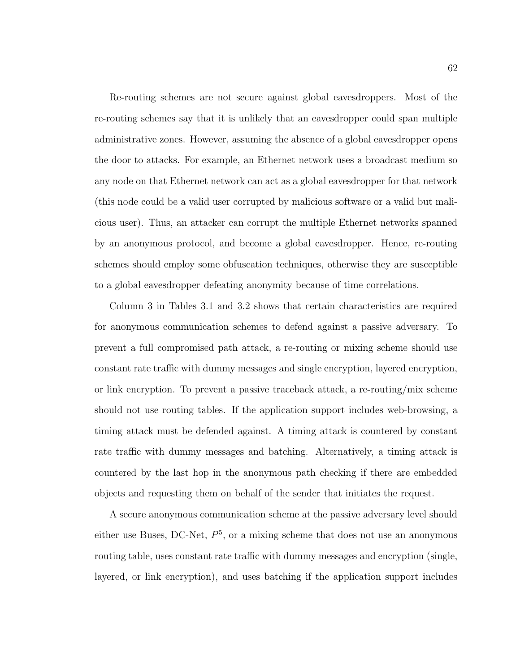Re-routing schemes are not secure against global eavesdroppers. Most of the re-routing schemes say that it is unlikely that an eavesdropper could span multiple administrative zones. However, assuming the absence of a global eavesdropper opens the door to attacks. For example, an Ethernet network uses a broadcast medium so any node on that Ethernet network can act as a global eavesdropper for that network (this node could be a valid user corrupted by malicious software or a valid but malicious user). Thus, an attacker can corrupt the multiple Ethernet networks spanned by an anonymous protocol, and become a global eavesdropper. Hence, re-routing schemes should employ some obfuscation techniques, otherwise they are susceptible to a global eavesdropper defeating anonymity because of time correlations.

Column 3 in Tables 3.1 and 3.2 shows that certain characteristics are required for anonymous communication schemes to defend against a passive adversary. To prevent a full compromised path attack, a re-routing or mixing scheme should use constant rate traffic with dummy messages and single encryption, layered encryption, or link encryption. To prevent a passive traceback attack, a re-routing/mix scheme should not use routing tables. If the application support includes web-browsing, a timing attack must be defended against. A timing attack is countered by constant rate traffic with dummy messages and batching. Alternatively, a timing attack is countered by the last hop in the anonymous path checking if there are embedded objects and requesting them on behalf of the sender that initiates the request.

A secure anonymous communication scheme at the passive adversary level should either use Buses, DC-Net,  $P<sup>5</sup>$ , or a mixing scheme that does not use an anonymous routing table, uses constant rate traffic with dummy messages and encryption (single, layered, or link encryption), and uses batching if the application support includes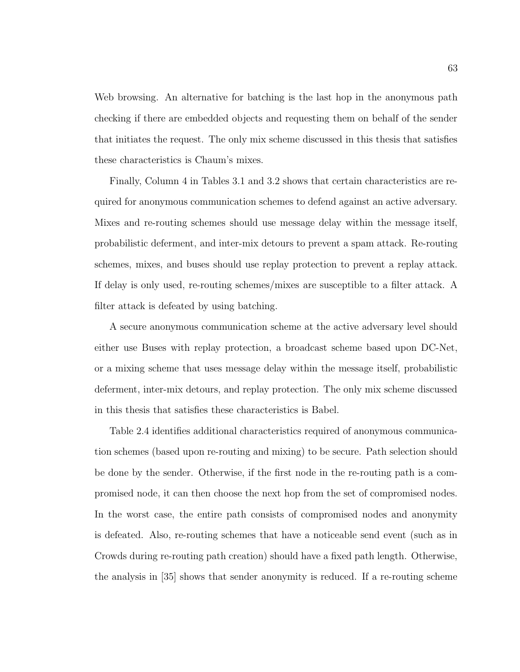Web browsing. An alternative for batching is the last hop in the anonymous path checking if there are embedded objects and requesting them on behalf of the sender that initiates the request. The only mix scheme discussed in this thesis that satisfies these characteristics is Chaum's mixes.

Finally, Column 4 in Tables 3.1 and 3.2 shows that certain characteristics are required for anonymous communication schemes to defend against an active adversary. Mixes and re-routing schemes should use message delay within the message itself, probabilistic deferment, and inter-mix detours to prevent a spam attack. Re-routing schemes, mixes, and buses should use replay protection to prevent a replay attack. If delay is only used, re-routing schemes/mixes are susceptible to a filter attack. A filter attack is defeated by using batching.

A secure anonymous communication scheme at the active adversary level should either use Buses with replay protection, a broadcast scheme based upon DC-Net, or a mixing scheme that uses message delay within the message itself, probabilistic deferment, inter-mix detours, and replay protection. The only mix scheme discussed in this thesis that satisfies these characteristics is Babel.

Table 2.4 identifies additional characteristics required of anonymous communication schemes (based upon re-routing and mixing) to be secure. Path selection should be done by the sender. Otherwise, if the first node in the re-routing path is a compromised node, it can then choose the next hop from the set of compromised nodes. In the worst case, the entire path consists of compromised nodes and anonymity is defeated. Also, re-routing schemes that have a noticeable send event (such as in Crowds during re-routing path creation) should have a fixed path length. Otherwise, the analysis in [35] shows that sender anonymity is reduced. If a re-routing scheme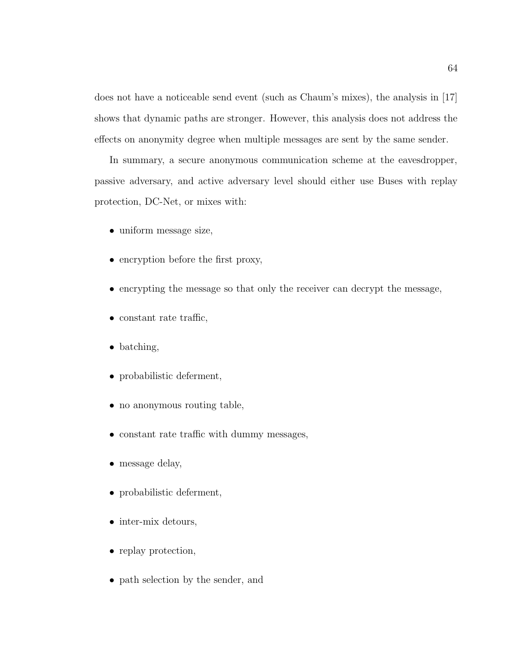does not have a noticeable send event (such as Chaum's mixes), the analysis in [17] shows that dynamic paths are stronger. However, this analysis does not address the effects on anonymity degree when multiple messages are sent by the same sender.

In summary, a secure anonymous communication scheme at the eavesdropper, passive adversary, and active adversary level should either use Buses with replay protection, DC-Net, or mixes with:

- uniform message size,
- encryption before the first proxy,
- encrypting the message so that only the receiver can decrypt the message,
- constant rate traffic,
- batching,
- probabilistic deferment,
- no anonymous routing table,
- constant rate traffic with dummy messages,
- message delay,
- probabilistic deferment,
- inter-mix detours,
- replay protection,
- path selection by the sender, and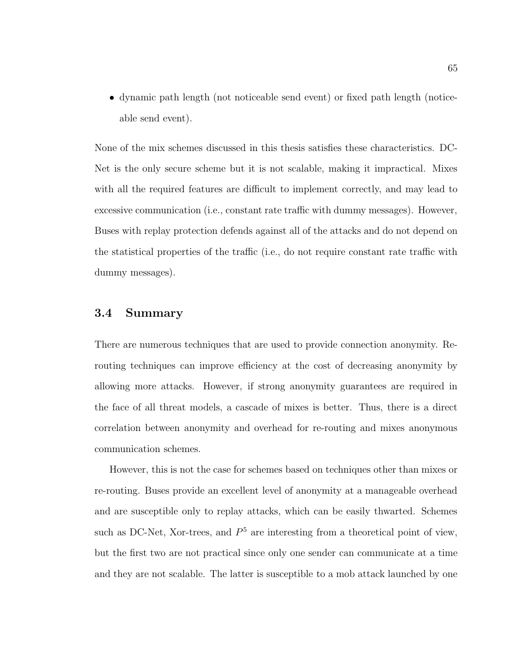• dynamic path length (not noticeable send event) or fixed path length (noticeable send event).

None of the mix schemes discussed in this thesis satisfies these characteristics. DC-Net is the only secure scheme but it is not scalable, making it impractical. Mixes with all the required features are difficult to implement correctly, and may lead to excessive communication (i.e., constant rate traffic with dummy messages). However, Buses with replay protection defends against all of the attacks and do not depend on the statistical properties of the traffic (i.e., do not require constant rate traffic with dummy messages).

## 3.4 Summary

There are numerous techniques that are used to provide connection anonymity. Rerouting techniques can improve efficiency at the cost of decreasing anonymity by allowing more attacks. However, if strong anonymity guarantees are required in the face of all threat models, a cascade of mixes is better. Thus, there is a direct correlation between anonymity and overhead for re-routing and mixes anonymous communication schemes.

However, this is not the case for schemes based on techniques other than mixes or re-routing. Buses provide an excellent level of anonymity at a manageable overhead and are susceptible only to replay attacks, which can be easily thwarted. Schemes such as DC-Net, Xor-trees, and  $P<sup>5</sup>$  are interesting from a theoretical point of view, but the first two are not practical since only one sender can communicate at a time and they are not scalable. The latter is susceptible to a mob attack launched by one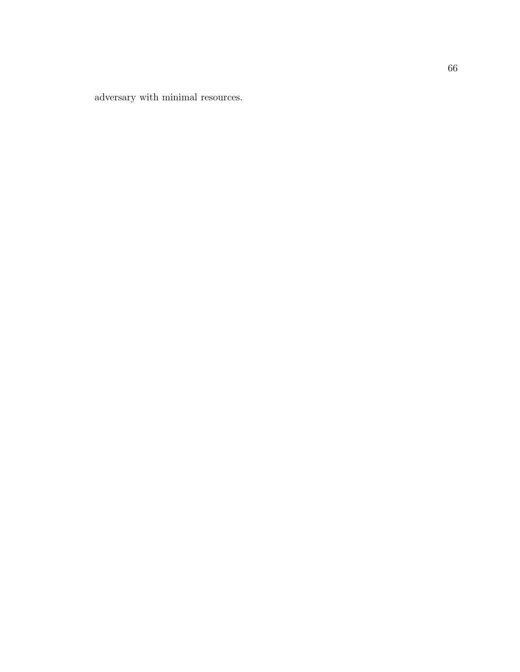adversary with minimal resources.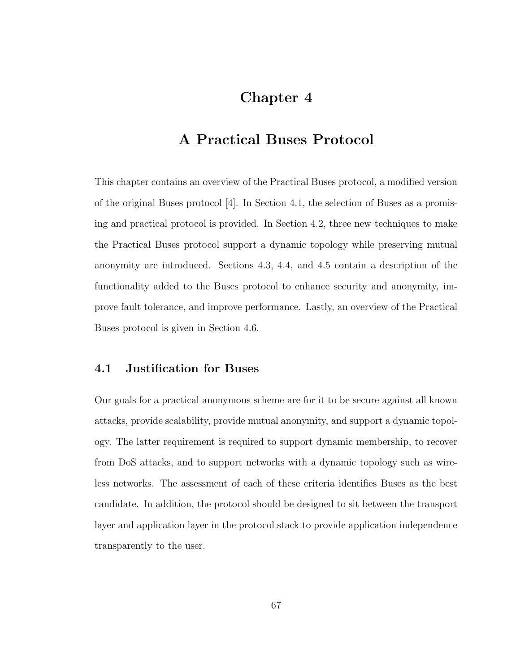# Chapter 4

# A Practical Buses Protocol

This chapter contains an overview of the Practical Buses protocol, a modified version of the original Buses protocol [4]. In Section 4.1, the selection of Buses as a promising and practical protocol is provided. In Section 4.2, three new techniques to make the Practical Buses protocol support a dynamic topology while preserving mutual anonymity are introduced. Sections 4.3, 4.4, and 4.5 contain a description of the functionality added to the Buses protocol to enhance security and anonymity, improve fault tolerance, and improve performance. Lastly, an overview of the Practical Buses protocol is given in Section 4.6.

# 4.1 Justification for Buses

Our goals for a practical anonymous scheme are for it to be secure against all known attacks, provide scalability, provide mutual anonymity, and support a dynamic topology. The latter requirement is required to support dynamic membership, to recover from DoS attacks, and to support networks with a dynamic topology such as wireless networks. The assessment of each of these criteria identifies Buses as the best candidate. In addition, the protocol should be designed to sit between the transport layer and application layer in the protocol stack to provide application independence transparently to the user.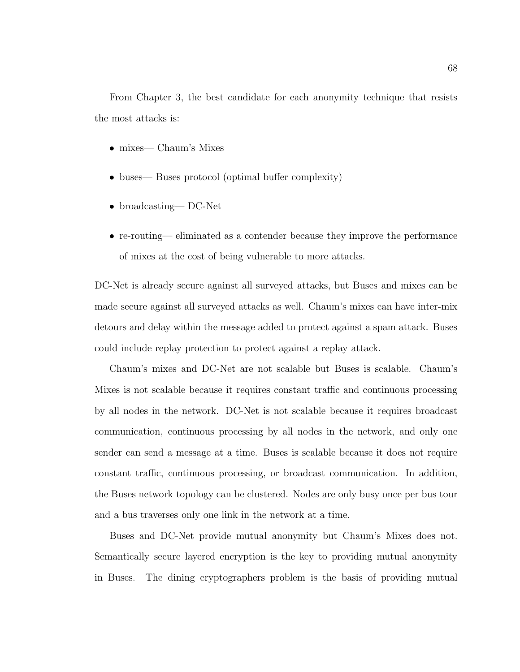From Chapter 3, the best candidate for each anonymity technique that resists the most attacks is:

- mixes— Chaum's Mixes
- buses— Buses protocol (optimal buffer complexity)
- broadcasting— DC-Net
- re-routing— eliminated as a contender because they improve the performance of mixes at the cost of being vulnerable to more attacks.

DC-Net is already secure against all surveyed attacks, but Buses and mixes can be made secure against all surveyed attacks as well. Chaum's mixes can have inter-mix detours and delay within the message added to protect against a spam attack. Buses could include replay protection to protect against a replay attack.

Chaum's mixes and DC-Net are not scalable but Buses is scalable. Chaum's Mixes is not scalable because it requires constant traffic and continuous processing by all nodes in the network. DC-Net is not scalable because it requires broadcast communication, continuous processing by all nodes in the network, and only one sender can send a message at a time. Buses is scalable because it does not require constant traffic, continuous processing, or broadcast communication. In addition, the Buses network topology can be clustered. Nodes are only busy once per bus tour and a bus traverses only one link in the network at a time.

Buses and DC-Net provide mutual anonymity but Chaum's Mixes does not. Semantically secure layered encryption is the key to providing mutual anonymity in Buses. The dining cryptographers problem is the basis of providing mutual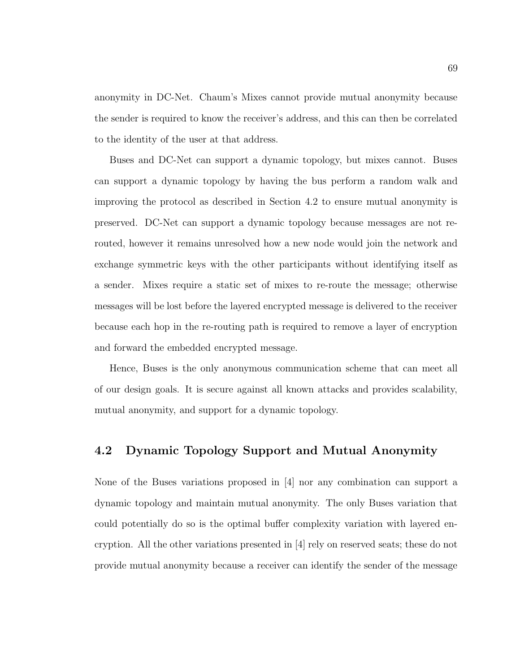anonymity in DC-Net. Chaum's Mixes cannot provide mutual anonymity because the sender is required to know the receiver's address, and this can then be correlated to the identity of the user at that address.

Buses and DC-Net can support a dynamic topology, but mixes cannot. Buses can support a dynamic topology by having the bus perform a random walk and improving the protocol as described in Section 4.2 to ensure mutual anonymity is preserved. DC-Net can support a dynamic topology because messages are not rerouted, however it remains unresolved how a new node would join the network and exchange symmetric keys with the other participants without identifying itself as a sender. Mixes require a static set of mixes to re-route the message; otherwise messages will be lost before the layered encrypted message is delivered to the receiver because each hop in the re-routing path is required to remove a layer of encryption and forward the embedded encrypted message.

Hence, Buses is the only anonymous communication scheme that can meet all of our design goals. It is secure against all known attacks and provides scalability, mutual anonymity, and support for a dynamic topology.

# 4.2 Dynamic Topology Support and Mutual Anonymity

None of the Buses variations proposed in [4] nor any combination can support a dynamic topology and maintain mutual anonymity. The only Buses variation that could potentially do so is the optimal buffer complexity variation with layered encryption. All the other variations presented in [4] rely on reserved seats; these do not provide mutual anonymity because a receiver can identify the sender of the message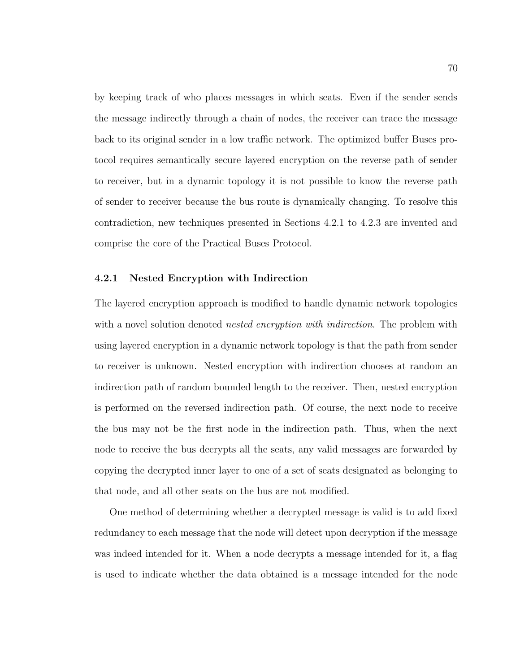by keeping track of who places messages in which seats. Even if the sender sends the message indirectly through a chain of nodes, the receiver can trace the message back to its original sender in a low traffic network. The optimized buffer Buses protocol requires semantically secure layered encryption on the reverse path of sender to receiver, but in a dynamic topology it is not possible to know the reverse path of sender to receiver because the bus route is dynamically changing. To resolve this contradiction, new techniques presented in Sections 4.2.1 to 4.2.3 are invented and comprise the core of the Practical Buses Protocol.

#### 4.2.1 Nested Encryption with Indirection

The layered encryption approach is modified to handle dynamic network topologies with a novel solution denoted *nested encryption with indirection*. The problem with using layered encryption in a dynamic network topology is that the path from sender to receiver is unknown. Nested encryption with indirection chooses at random an indirection path of random bounded length to the receiver. Then, nested encryption is performed on the reversed indirection path. Of course, the next node to receive the bus may not be the first node in the indirection path. Thus, when the next node to receive the bus decrypts all the seats, any valid messages are forwarded by copying the decrypted inner layer to one of a set of seats designated as belonging to that node, and all other seats on the bus are not modified.

One method of determining whether a decrypted message is valid is to add fixed redundancy to each message that the node will detect upon decryption if the message was indeed intended for it. When a node decrypts a message intended for it, a flag is used to indicate whether the data obtained is a message intended for the node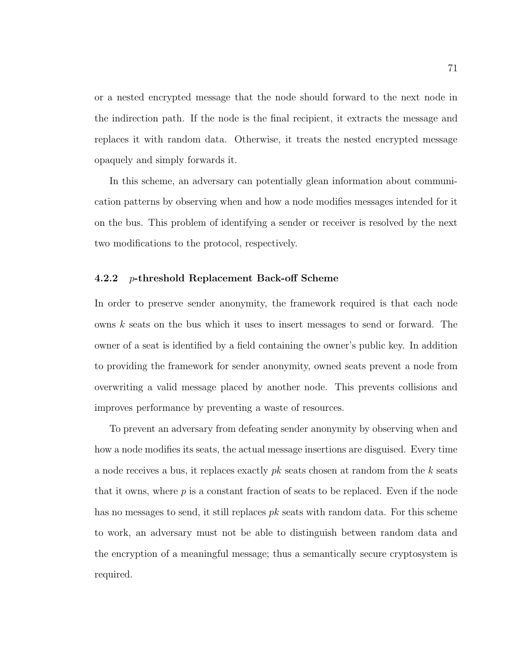or a nested encrypted message that the node should forward to the next node in the indirection path. If the node is the final recipient, it extracts the message and replaces it with random data. Otherwise, it treats the nested encrypted message opaquely and simply forwards it.

In this scheme, an adversary can potentially glean information about communication patterns by observing when and how a node modifies messages intended for it on the bus. This problem of identifying a sender or receiver is resolved by the next two modifications to the protocol, respectively.

#### 4.2.2 p-threshold Replacement Back-off Scheme

In order to preserve sender anonymity, the framework required is that each node owns k seats on the bus which it uses to insert messages to send or forward. The owner of a seat is identified by a field containing the owner's public key. In addition to providing the framework for sender anonymity, owned seats prevent a node from overwriting a valid message placed by another node. This prevents collisions and improves performance by preventing a waste of resources.

To prevent an adversary from defeating sender anonymity by observing when and how a node modifies its seats, the actual message insertions are disguised. Every time a node receives a bus, it replaces exactly  $pk$  seats chosen at random from the  $k$  seats that it owns, where  $p$  is a constant fraction of seats to be replaced. Even if the node has no messages to send, it still replaces  $pk$  seats with random data. For this scheme to work, an adversary must not be able to distinguish between random data and the encryption of a meaningful message; thus a semantically secure cryptosystem is required.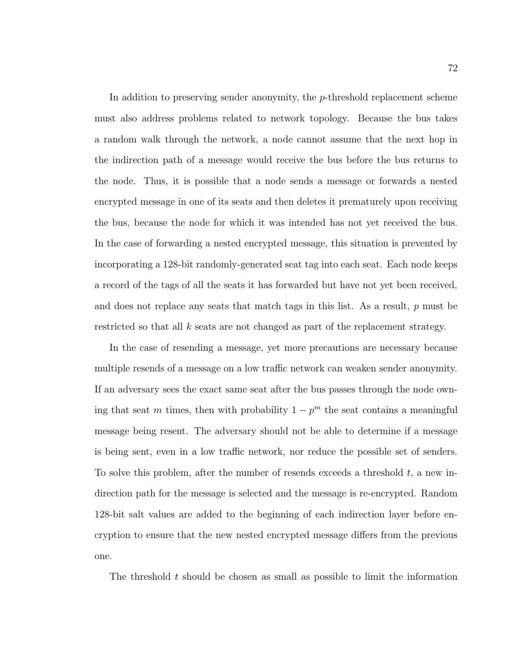In addition to preserving sender anonymity, the  $p$ -threshold replacement scheme must also address problems related to network topology. Because the bus takes a random walk through the network, a node cannot assume that the next hop in the indirection path of a message would receive the bus before the bus returns to the node. Thus, it is possible that a node sends a message or forwards a nested encrypted message in one of its seats and then deletes it prematurely upon receiving the bus, because the node for which it was intended has not yet received the bus. In the case of forwarding a nested encrypted message, this situation is prevented by incorporating a 128-bit randomly-generated seat tag into each seat. Each node keeps a record of the tags of all the seats it has forwarded but have not yet been received, and does not replace any seats that match tags in this list. As a result, p must be restricted so that all k seats are not changed as part of the replacement strategy.

In the case of resending a message, yet more precautions are necessary because multiple resends of a message on a low traffic network can weaken sender anonymity. If an adversary sees the exact same seat after the bus passes through the node owning that seat m times, then with probability  $1 - p<sup>m</sup>$  the seat contains a meaningful message being resent. The adversary should not be able to determine if a message is being sent, even in a low traffic network, nor reduce the possible set of senders. To solve this problem, after the number of resends exceeds a threshold  $t$ , a new indirection path for the message is selected and the message is re-encrypted. Random 128-bit salt values are added to the beginning of each indirection layer before encryption to ensure that the new nested encrypted message differs from the previous one.

The threshold  $t$  should be chosen as small as possible to limit the information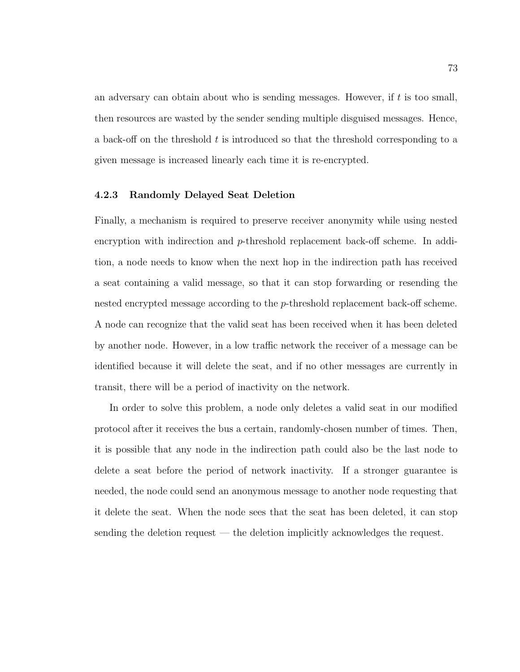an adversary can obtain about who is sending messages. However, if  $t$  is too small, then resources are wasted by the sender sending multiple disguised messages. Hence, a back-off on the threshold  $t$  is introduced so that the threshold corresponding to a given message is increased linearly each time it is re-encrypted.

### 4.2.3 Randomly Delayed Seat Deletion

Finally, a mechanism is required to preserve receiver anonymity while using nested encryption with indirection and p-threshold replacement back-off scheme. In addition, a node needs to know when the next hop in the indirection path has received a seat containing a valid message, so that it can stop forwarding or resending the nested encrypted message according to the p-threshold replacement back-off scheme. A node can recognize that the valid seat has been received when it has been deleted by another node. However, in a low traffic network the receiver of a message can be identified because it will delete the seat, and if no other messages are currently in transit, there will be a period of inactivity on the network.

In order to solve this problem, a node only deletes a valid seat in our modified protocol after it receives the bus a certain, randomly-chosen number of times. Then, it is possible that any node in the indirection path could also be the last node to delete a seat before the period of network inactivity. If a stronger guarantee is needed, the node could send an anonymous message to another node requesting that it delete the seat. When the node sees that the seat has been deleted, it can stop sending the deletion request — the deletion implicitly acknowledges the request.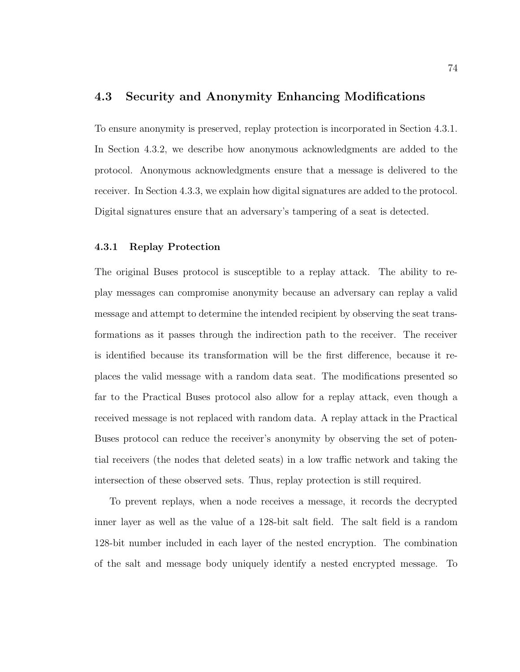### 4.3 Security and Anonymity Enhancing Modifications

To ensure anonymity is preserved, replay protection is incorporated in Section 4.3.1. In Section 4.3.2, we describe how anonymous acknowledgments are added to the protocol. Anonymous acknowledgments ensure that a message is delivered to the receiver. In Section 4.3.3, we explain how digital signatures are added to the protocol. Digital signatures ensure that an adversary's tampering of a seat is detected.

### 4.3.1 Replay Protection

The original Buses protocol is susceptible to a replay attack. The ability to replay messages can compromise anonymity because an adversary can replay a valid message and attempt to determine the intended recipient by observing the seat transformations as it passes through the indirection path to the receiver. The receiver is identified because its transformation will be the first difference, because it replaces the valid message with a random data seat. The modifications presented so far to the Practical Buses protocol also allow for a replay attack, even though a received message is not replaced with random data. A replay attack in the Practical Buses protocol can reduce the receiver's anonymity by observing the set of potential receivers (the nodes that deleted seats) in a low traffic network and taking the intersection of these observed sets. Thus, replay protection is still required.

To prevent replays, when a node receives a message, it records the decrypted inner layer as well as the value of a 128-bit salt field. The salt field is a random 128-bit number included in each layer of the nested encryption. The combination of the salt and message body uniquely identify a nested encrypted message. To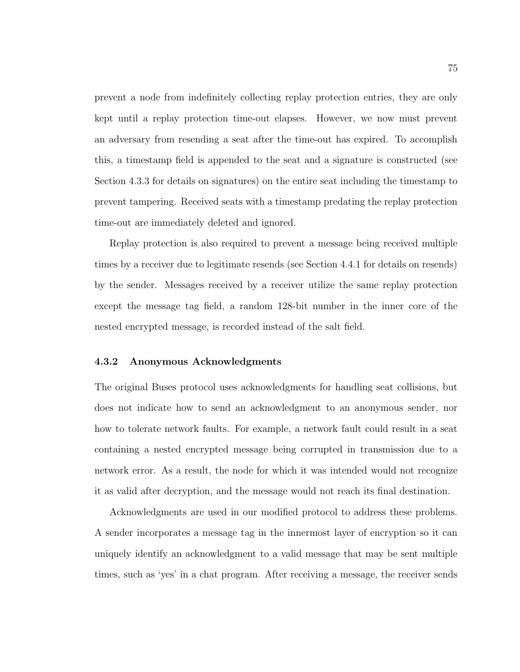prevent a node from indefinitely collecting replay protection entries, they are only kept until a replay protection time-out elapses. However, we now must prevent an adversary from resending a seat after the time-out has expired. To accomplish this, a timestamp field is appended to the seat and a signature is constructed (see Section 4.3.3 for details on signatures) on the entire seat including the timestamp to prevent tampering. Received seats with a timestamp predating the replay protection time-out are immediately deleted and ignored.

Replay protection is also required to prevent a message being received multiple times by a receiver due to legitimate resends (see Section 4.4.1 for details on resends) by the sender. Messages received by a receiver utilize the same replay protection except the message tag field, a random 128-bit number in the inner core of the nested encrypted message, is recorded instead of the salt field.

#### 4.3.2 Anonymous Acknowledgments

The original Buses protocol uses acknowledgments for handling seat collisions, but does not indicate how to send an acknowledgment to an anonymous sender, nor how to tolerate network faults. For example, a network fault could result in a seat containing a nested encrypted message being corrupted in transmission due to a network error. As a result, the node for which it was intended would not recognize it as valid after decryption, and the message would not reach its final destination.

Acknowledgments are used in our modified protocol to address these problems. A sender incorporates a message tag in the innermost layer of encryption so it can uniquely identify an acknowledgment to a valid message that may be sent multiple times, such as 'yes' in a chat program. After receiving a message, the receiver sends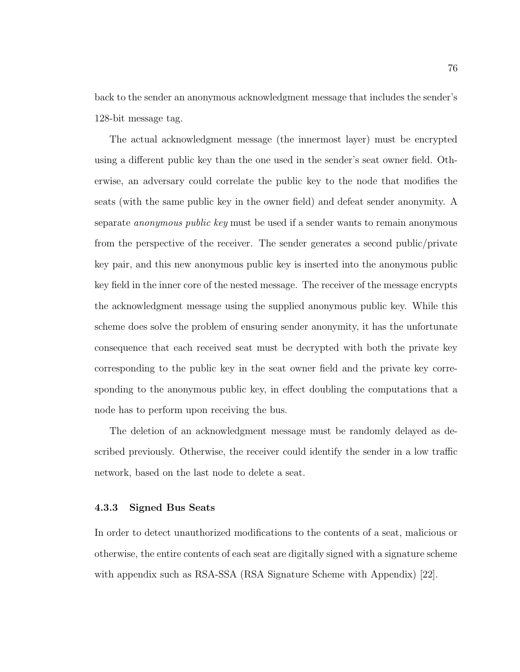back to the sender an anonymous acknowledgment message that includes the sender's 128-bit message tag.

The actual acknowledgment message (the innermost layer) must be encrypted using a different public key than the one used in the sender's seat owner field. Otherwise, an adversary could correlate the public key to the node that modifies the seats (with the same public key in the owner field) and defeat sender anonymity. A separate anonymous public key must be used if a sender wants to remain anonymous from the perspective of the receiver. The sender generates a second public/private key pair, and this new anonymous public key is inserted into the anonymous public key field in the inner core of the nested message. The receiver of the message encrypts the acknowledgment message using the supplied anonymous public key. While this scheme does solve the problem of ensuring sender anonymity, it has the unfortunate consequence that each received seat must be decrypted with both the private key corresponding to the public key in the seat owner field and the private key corresponding to the anonymous public key, in effect doubling the computations that a node has to perform upon receiving the bus.

The deletion of an acknowledgment message must be randomly delayed as described previously. Otherwise, the receiver could identify the sender in a low traffic network, based on the last node to delete a seat.

#### 4.3.3 Signed Bus Seats

In order to detect unauthorized modifications to the contents of a seat, malicious or otherwise, the entire contents of each seat are digitally signed with a signature scheme with appendix such as RSA-SSA (RSA Signature Scheme with Appendix) [22].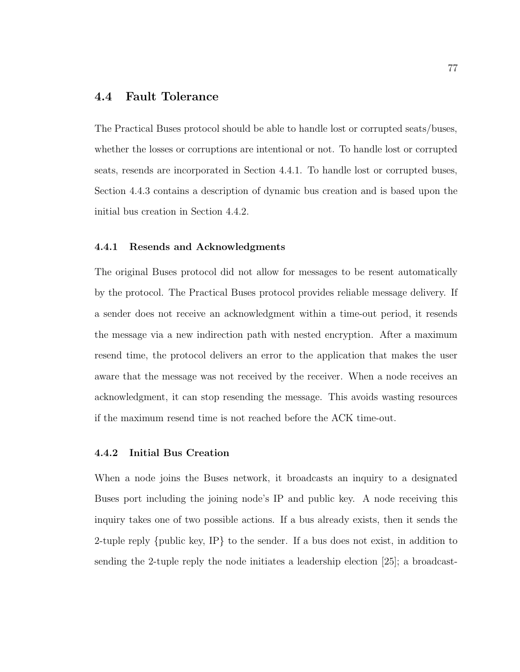## 4.4 Fault Tolerance

The Practical Buses protocol should be able to handle lost or corrupted seats/buses, whether the losses or corruptions are intentional or not. To handle lost or corrupted seats, resends are incorporated in Section 4.4.1. To handle lost or corrupted buses, Section 4.4.3 contains a description of dynamic bus creation and is based upon the initial bus creation in Section 4.4.2.

#### 4.4.1 Resends and Acknowledgments

The original Buses protocol did not allow for messages to be resent automatically by the protocol. The Practical Buses protocol provides reliable message delivery. If a sender does not receive an acknowledgment within a time-out period, it resends the message via a new indirection path with nested encryption. After a maximum resend time, the protocol delivers an error to the application that makes the user aware that the message was not received by the receiver. When a node receives an acknowledgment, it can stop resending the message. This avoids wasting resources if the maximum resend time is not reached before the ACK time-out.

### 4.4.2 Initial Bus Creation

When a node joins the Buses network, it broadcasts an inquiry to a designated Buses port including the joining node's IP and public key. A node receiving this inquiry takes one of two possible actions. If a bus already exists, then it sends the 2-tuple reply {public key, IP} to the sender. If a bus does not exist, in addition to sending the 2-tuple reply the node initiates a leadership election [25]; a broadcast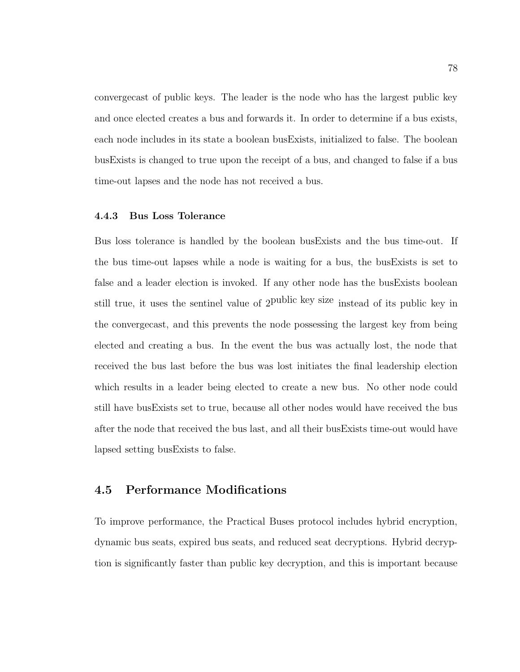convergecast of public keys. The leader is the node who has the largest public key and once elected creates a bus and forwards it. In order to determine if a bus exists, each node includes in its state a boolean busExists, initialized to false. The boolean busExists is changed to true upon the receipt of a bus, and changed to false if a bus time-out lapses and the node has not received a bus.

#### 4.4.3 Bus Loss Tolerance

Bus loss tolerance is handled by the boolean busExists and the bus time-out. If the bus time-out lapses while a node is waiting for a bus, the busExists is set to false and a leader election is invoked. If any other node has the busExists boolean still true, it uses the sentinel value of 2 public key size instead of its public key in the convergecast, and this prevents the node possessing the largest key from being elected and creating a bus. In the event the bus was actually lost, the node that received the bus last before the bus was lost initiates the final leadership election which results in a leader being elected to create a new bus. No other node could still have busExists set to true, because all other nodes would have received the bus after the node that received the bus last, and all their busExists time-out would have lapsed setting busExists to false.

# 4.5 Performance Modifications

To improve performance, the Practical Buses protocol includes hybrid encryption, dynamic bus seats, expired bus seats, and reduced seat decryptions. Hybrid decryption is significantly faster than public key decryption, and this is important because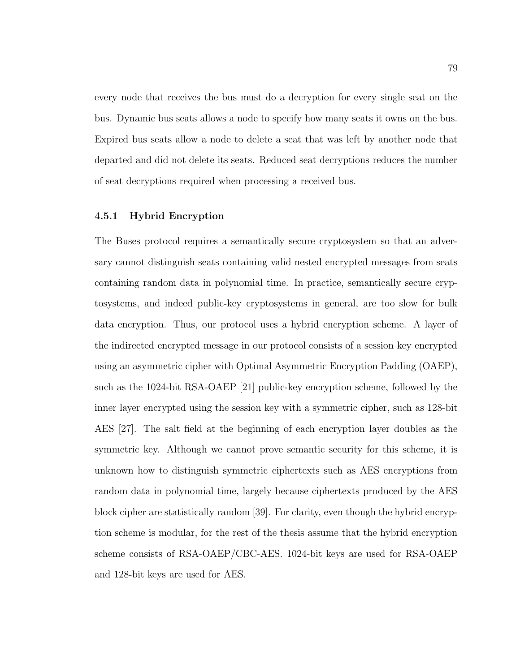every node that receives the bus must do a decryption for every single seat on the bus. Dynamic bus seats allows a node to specify how many seats it owns on the bus. Expired bus seats allow a node to delete a seat that was left by another node that departed and did not delete its seats. Reduced seat decryptions reduces the number of seat decryptions required when processing a received bus.

#### 4.5.1 Hybrid Encryption

The Buses protocol requires a semantically secure cryptosystem so that an adversary cannot distinguish seats containing valid nested encrypted messages from seats containing random data in polynomial time. In practice, semantically secure cryptosystems, and indeed public-key cryptosystems in general, are too slow for bulk data encryption. Thus, our protocol uses a hybrid encryption scheme. A layer of the indirected encrypted message in our protocol consists of a session key encrypted using an asymmetric cipher with Optimal Asymmetric Encryption Padding (OAEP), such as the 1024-bit RSA-OAEP [21] public-key encryption scheme, followed by the inner layer encrypted using the session key with a symmetric cipher, such as 128-bit AES [27]. The salt field at the beginning of each encryption layer doubles as the symmetric key. Although we cannot prove semantic security for this scheme, it is unknown how to distinguish symmetric ciphertexts such as AES encryptions from random data in polynomial time, largely because ciphertexts produced by the AES block cipher are statistically random [39]. For clarity, even though the hybrid encryption scheme is modular, for the rest of the thesis assume that the hybrid encryption scheme consists of RSA-OAEP/CBC-AES. 1024-bit keys are used for RSA-OAEP and 128-bit keys are used for AES.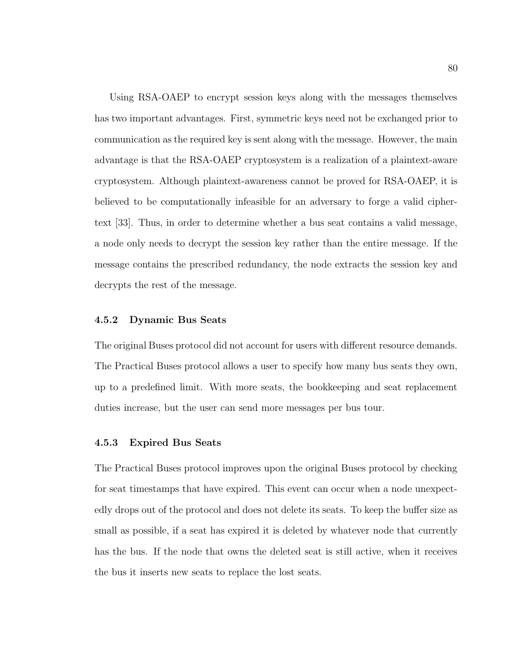Using RSA-OAEP to encrypt session keys along with the messages themselves has two important advantages. First, symmetric keys need not be exchanged prior to communication as the required key is sent along with the message. However, the main advantage is that the RSA-OAEP cryptosystem is a realization of a plaintext-aware cryptosystem. Although plaintext-awareness cannot be proved for RSA-OAEP, it is believed to be computationally infeasible for an adversary to forge a valid ciphertext [33]. Thus, in order to determine whether a bus seat contains a valid message, a node only needs to decrypt the session key rather than the entire message. If the message contains the prescribed redundancy, the node extracts the session key and decrypts the rest of the message.

### 4.5.2 Dynamic Bus Seats

The original Buses protocol did not account for users with different resource demands. The Practical Buses protocol allows a user to specify how many bus seats they own, up to a predefined limit. With more seats, the bookkeeping and seat replacement duties increase, but the user can send more messages per bus tour.

#### 4.5.3 Expired Bus Seats

The Practical Buses protocol improves upon the original Buses protocol by checking for seat timestamps that have expired. This event can occur when a node unexpectedly drops out of the protocol and does not delete its seats. To keep the buffer size as small as possible, if a seat has expired it is deleted by whatever node that currently has the bus. If the node that owns the deleted seat is still active, when it receives the bus it inserts new seats to replace the lost seats.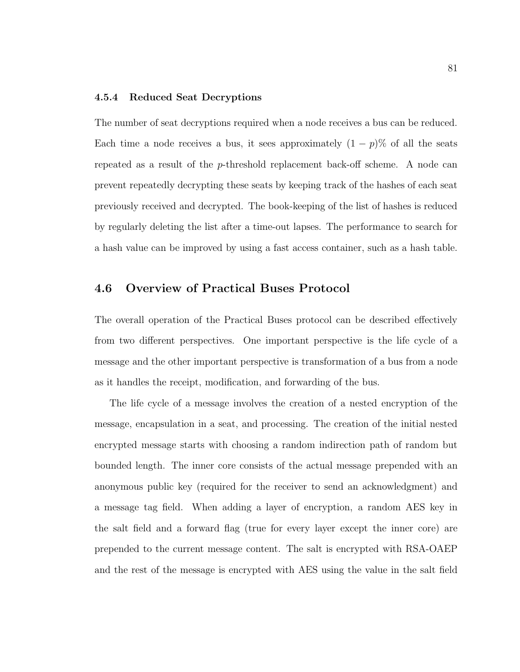#### 4.5.4 Reduced Seat Decryptions

The number of seat decryptions required when a node receives a bus can be reduced. Each time a node receives a bus, it sees approximately  $(1 - p)$ % of all the seats repeated as a result of the p-threshold replacement back-off scheme. A node can prevent repeatedly decrypting these seats by keeping track of the hashes of each seat previously received and decrypted. The book-keeping of the list of hashes is reduced by regularly deleting the list after a time-out lapses. The performance to search for a hash value can be improved by using a fast access container, such as a hash table.

## 4.6 Overview of Practical Buses Protocol

The overall operation of the Practical Buses protocol can be described effectively from two different perspectives. One important perspective is the life cycle of a message and the other important perspective is transformation of a bus from a node as it handles the receipt, modification, and forwarding of the bus.

The life cycle of a message involves the creation of a nested encryption of the message, encapsulation in a seat, and processing. The creation of the initial nested encrypted message starts with choosing a random indirection path of random but bounded length. The inner core consists of the actual message prepended with an anonymous public key (required for the receiver to send an acknowledgment) and a message tag field. When adding a layer of encryption, a random AES key in the salt field and a forward flag (true for every layer except the inner core) are prepended to the current message content. The salt is encrypted with RSA-OAEP and the rest of the message is encrypted with AES using the value in the salt field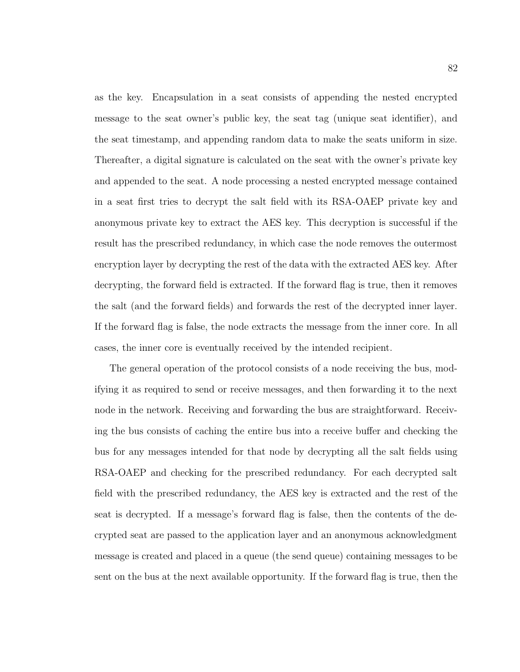as the key. Encapsulation in a seat consists of appending the nested encrypted message to the seat owner's public key, the seat tag (unique seat identifier), and the seat timestamp, and appending random data to make the seats uniform in size. Thereafter, a digital signature is calculated on the seat with the owner's private key and appended to the seat. A node processing a nested encrypted message contained in a seat first tries to decrypt the salt field with its RSA-OAEP private key and anonymous private key to extract the AES key. This decryption is successful if the result has the prescribed redundancy, in which case the node removes the outermost encryption layer by decrypting the rest of the data with the extracted AES key. After decrypting, the forward field is extracted. If the forward flag is true, then it removes the salt (and the forward fields) and forwards the rest of the decrypted inner layer. If the forward flag is false, the node extracts the message from the inner core. In all cases, the inner core is eventually received by the intended recipient.

The general operation of the protocol consists of a node receiving the bus, modifying it as required to send or receive messages, and then forwarding it to the next node in the network. Receiving and forwarding the bus are straightforward. Receiving the bus consists of caching the entire bus into a receive buffer and checking the bus for any messages intended for that node by decrypting all the salt fields using RSA-OAEP and checking for the prescribed redundancy. For each decrypted salt field with the prescribed redundancy, the AES key is extracted and the rest of the seat is decrypted. If a message's forward flag is false, then the contents of the decrypted seat are passed to the application layer and an anonymous acknowledgment message is created and placed in a queue (the send queue) containing messages to be sent on the bus at the next available opportunity. If the forward flag is true, then the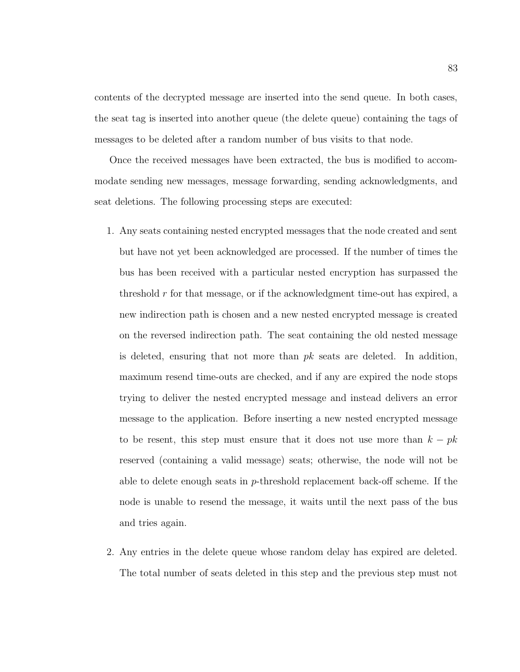contents of the decrypted message are inserted into the send queue. In both cases, the seat tag is inserted into another queue (the delete queue) containing the tags of messages to be deleted after a random number of bus visits to that node.

Once the received messages have been extracted, the bus is modified to accommodate sending new messages, message forwarding, sending acknowledgments, and seat deletions. The following processing steps are executed:

- 1. Any seats containing nested encrypted messages that the node created and sent but have not yet been acknowledged are processed. If the number of times the bus has been received with a particular nested encryption has surpassed the threshold  $r$  for that message, or if the acknowledgment time-out has expired, a new indirection path is chosen and a new nested encrypted message is created on the reversed indirection path. The seat containing the old nested message is deleted, ensuring that not more than  $pk$  seats are deleted. In addition, maximum resend time-outs are checked, and if any are expired the node stops trying to deliver the nested encrypted message and instead delivers an error message to the application. Before inserting a new nested encrypted message to be resent, this step must ensure that it does not use more than  $k - pk$ reserved (containing a valid message) seats; otherwise, the node will not be able to delete enough seats in  $p$ -threshold replacement back-off scheme. If the node is unable to resend the message, it waits until the next pass of the bus and tries again.
- 2. Any entries in the delete queue whose random delay has expired are deleted. The total number of seats deleted in this step and the previous step must not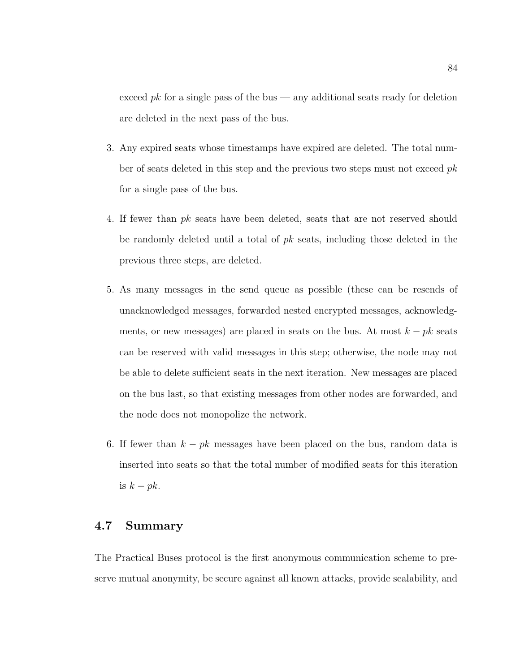exceed  $pk$  for a single pass of the bus — any additional seats ready for deletion are deleted in the next pass of the bus.

- 3. Any expired seats whose timestamps have expired are deleted. The total number of seats deleted in this step and the previous two steps must not exceed  $pk$ for a single pass of the bus.
- 4. If fewer than pk seats have been deleted, seats that are not reserved should be randomly deleted until a total of  $pk$  seats, including those deleted in the previous three steps, are deleted.
- 5. As many messages in the send queue as possible (these can be resends of unacknowledged messages, forwarded nested encrypted messages, acknowledgments, or new messages) are placed in seats on the bus. At most  $k - pk$  seats can be reserved with valid messages in this step; otherwise, the node may not be able to delete sufficient seats in the next iteration. New messages are placed on the bus last, so that existing messages from other nodes are forwarded, and the node does not monopolize the network.
- 6. If fewer than  $k pk$  messages have been placed on the bus, random data is inserted into seats so that the total number of modified seats for this iteration is  $k - pk$ .

# 4.7 Summary

The Practical Buses protocol is the first anonymous communication scheme to preserve mutual anonymity, be secure against all known attacks, provide scalability, and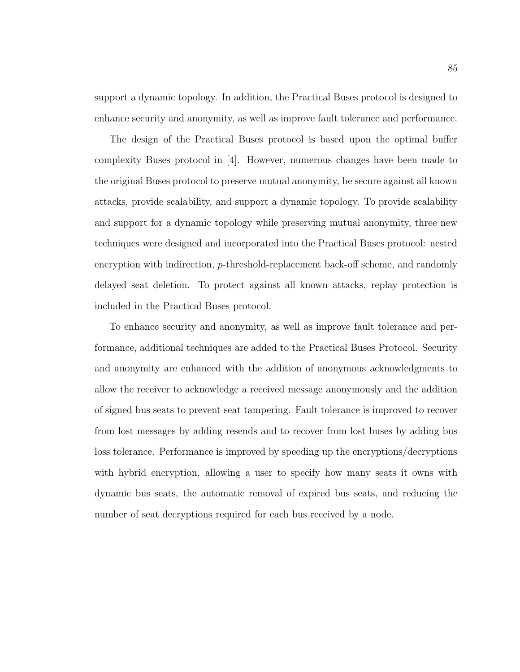support a dynamic topology. In addition, the Practical Buses protocol is designed to enhance security and anonymity, as well as improve fault tolerance and performance.

The design of the Practical Buses protocol is based upon the optimal buffer complexity Buses protocol in [4]. However, numerous changes have been made to the original Buses protocol to preserve mutual anonymity, be secure against all known attacks, provide scalability, and support a dynamic topology. To provide scalability and support for a dynamic topology while preserving mutual anonymity, three new techniques were designed and incorporated into the Practical Buses protocol: nested encryption with indirection, p-threshold-replacement back-off scheme, and randomly delayed seat deletion. To protect against all known attacks, replay protection is included in the Practical Buses protocol.

To enhance security and anonymity, as well as improve fault tolerance and performance, additional techniques are added to the Practical Buses Protocol. Security and anonymity are enhanced with the addition of anonymous acknowledgments to allow the receiver to acknowledge a received message anonymously and the addition of signed bus seats to prevent seat tampering. Fault tolerance is improved to recover from lost messages by adding resends and to recover from lost buses by adding bus loss tolerance. Performance is improved by speeding up the encryptions/decryptions with hybrid encryption, allowing a user to specify how many seats it owns with dynamic bus seats, the automatic removal of expired bus seats, and reducing the number of seat decryptions required for each bus received by a node.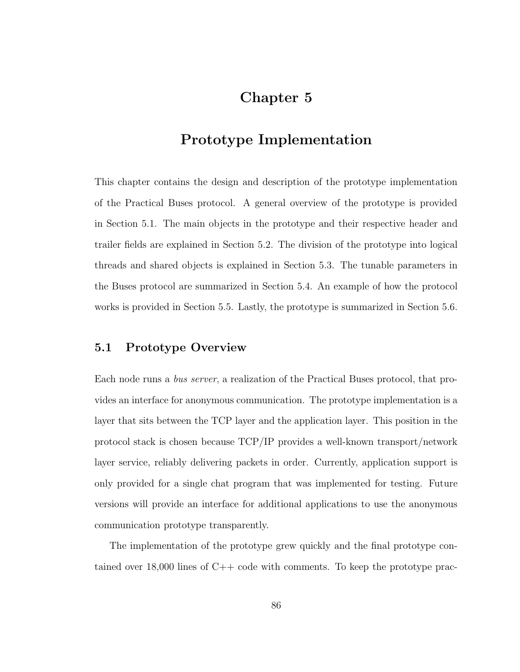# Chapter 5

# Prototype Implementation

This chapter contains the design and description of the prototype implementation of the Practical Buses protocol. A general overview of the prototype is provided in Section 5.1. The main objects in the prototype and their respective header and trailer fields are explained in Section 5.2. The division of the prototype into logical threads and shared objects is explained in Section 5.3. The tunable parameters in the Buses protocol are summarized in Section 5.4. An example of how the protocol works is provided in Section 5.5. Lastly, the prototype is summarized in Section 5.6.

## 5.1 Prototype Overview

Each node runs a bus server, a realization of the Practical Buses protocol, that provides an interface for anonymous communication. The prototype implementation is a layer that sits between the TCP layer and the application layer. This position in the protocol stack is chosen because TCP/IP provides a well-known transport/network layer service, reliably delivering packets in order. Currently, application support is only provided for a single chat program that was implemented for testing. Future versions will provide an interface for additional applications to use the anonymous communication prototype transparently.

The implementation of the prototype grew quickly and the final prototype contained over 18,000 lines of C++ code with comments. To keep the prototype prac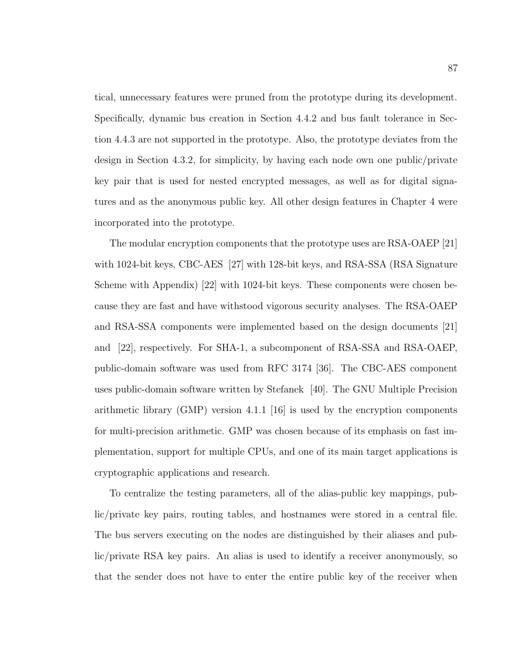tical, unnecessary features were pruned from the prototype during its development. Specifically, dynamic bus creation in Section 4.4.2 and bus fault tolerance in Section 4.4.3 are not supported in the prototype. Also, the prototype deviates from the design in Section 4.3.2, for simplicity, by having each node own one public/private key pair that is used for nested encrypted messages, as well as for digital signatures and as the anonymous public key. All other design features in Chapter 4 were incorporated into the prototype.

The modular encryption components that the prototype uses are RSA-OAEP [21] with 1024-bit keys, CBC-AES [27] with 128-bit keys, and RSA-SSA (RSA Signature Scheme with Appendix) [22] with 1024-bit keys. These components were chosen because they are fast and have withstood vigorous security analyses. The RSA-OAEP and RSA-SSA components were implemented based on the design documents [21] and [22], respectively. For SHA-1, a subcomponent of RSA-SSA and RSA-OAEP, public-domain software was used from RFC 3174 [36]. The CBC-AES component uses public-domain software written by Stefanek [40]. The GNU Multiple Precision arithmetic library (GMP) version 4.1.1 [16] is used by the encryption components for multi-precision arithmetic. GMP was chosen because of its emphasis on fast implementation, support for multiple CPUs, and one of its main target applications is cryptographic applications and research.

To centralize the testing parameters, all of the alias-public key mappings, public/private key pairs, routing tables, and hostnames were stored in a central file. The bus servers executing on the nodes are distinguished by their aliases and public/private RSA key pairs. An alias is used to identify a receiver anonymously, so that the sender does not have to enter the entire public key of the receiver when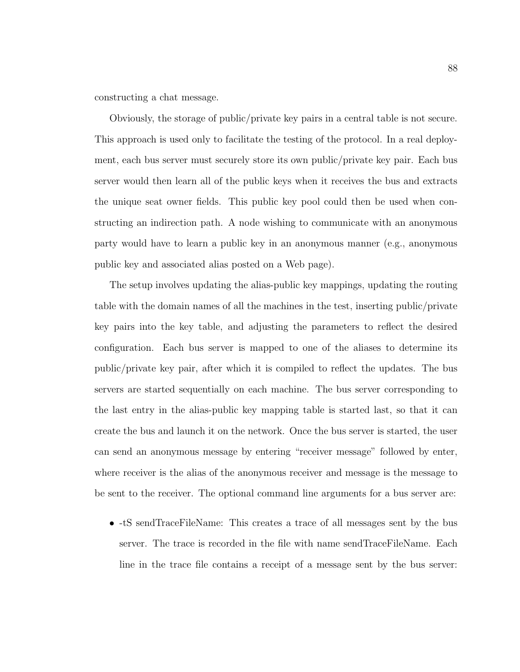constructing a chat message.

Obviously, the storage of public/private key pairs in a central table is not secure. This approach is used only to facilitate the testing of the protocol. In a real deployment, each bus server must securely store its own public/private key pair. Each bus server would then learn all of the public keys when it receives the bus and extracts the unique seat owner fields. This public key pool could then be used when constructing an indirection path. A node wishing to communicate with an anonymous party would have to learn a public key in an anonymous manner (e.g., anonymous public key and associated alias posted on a Web page).

The setup involves updating the alias-public key mappings, updating the routing table with the domain names of all the machines in the test, inserting public/private key pairs into the key table, and adjusting the parameters to reflect the desired configuration. Each bus server is mapped to one of the aliases to determine its public/private key pair, after which it is compiled to reflect the updates. The bus servers are started sequentially on each machine. The bus server corresponding to the last entry in the alias-public key mapping table is started last, so that it can create the bus and launch it on the network. Once the bus server is started, the user can send an anonymous message by entering "receiver message" followed by enter, where receiver is the alias of the anonymous receiver and message is the message to be sent to the receiver. The optional command line arguments for a bus server are:

• -tS sendTraceFileName: This creates a trace of all messages sent by the bus server. The trace is recorded in the file with name sendTraceFileName. Each line in the trace file contains a receipt of a message sent by the bus server: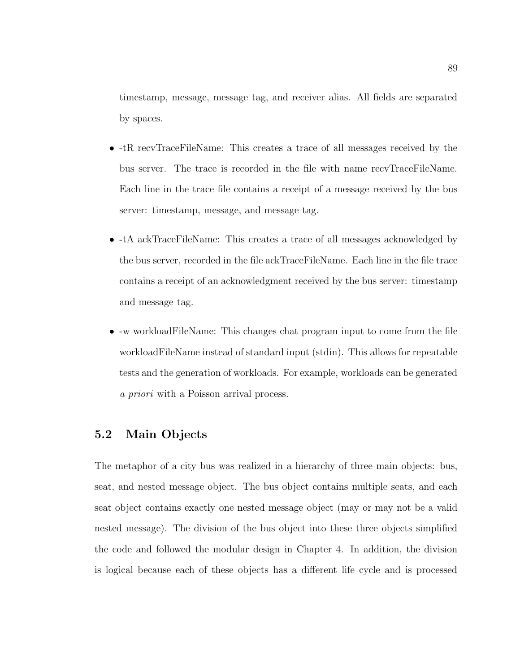timestamp, message, message tag, and receiver alias. All fields are separated by spaces.

- -tR recvTraceFileName: This creates a trace of all messages received by the bus server. The trace is recorded in the file with name recvTraceFileName. Each line in the trace file contains a receipt of a message received by the bus server: timestamp, message, and message tag.
- -tA ackTraceFileName: This creates a trace of all messages acknowledged by the bus server, recorded in the file ackTraceFileName. Each line in the file trace contains a receipt of an acknowledgment received by the bus server: timestamp and message tag.
- -w workloadFileName: This changes chat program input to come from the file workloadFileName instead of standard input (stdin). This allows for repeatable tests and the generation of workloads. For example, workloads can be generated a priori with a Poisson arrival process.

# 5.2 Main Objects

The metaphor of a city bus was realized in a hierarchy of three main objects: bus, seat, and nested message object. The bus object contains multiple seats, and each seat object contains exactly one nested message object (may or may not be a valid nested message). The division of the bus object into these three objects simplified the code and followed the modular design in Chapter 4. In addition, the division is logical because each of these objects has a different life cycle and is processed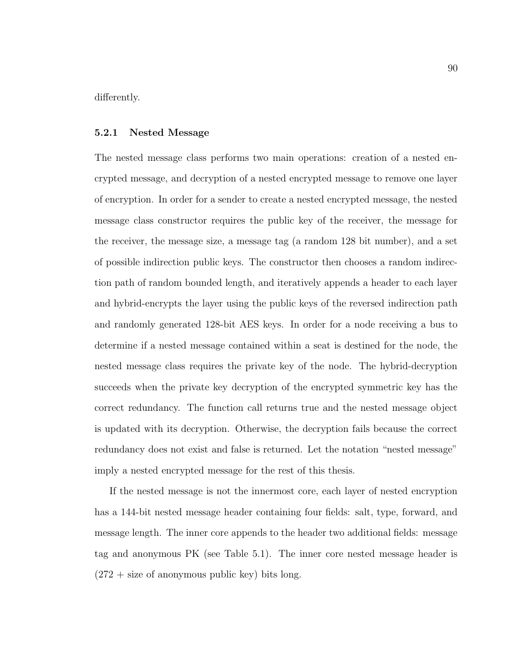differently.

#### 5.2.1 Nested Message

The nested message class performs two main operations: creation of a nested encrypted message, and decryption of a nested encrypted message to remove one layer of encryption. In order for a sender to create a nested encrypted message, the nested message class constructor requires the public key of the receiver, the message for the receiver, the message size, a message tag (a random 128 bit number), and a set of possible indirection public keys. The constructor then chooses a random indirection path of random bounded length, and iteratively appends a header to each layer and hybrid-encrypts the layer using the public keys of the reversed indirection path and randomly generated 128-bit AES keys. In order for a node receiving a bus to determine if a nested message contained within a seat is destined for the node, the nested message class requires the private key of the node. The hybrid-decryption succeeds when the private key decryption of the encrypted symmetric key has the correct redundancy. The function call returns true and the nested message object is updated with its decryption. Otherwise, the decryption fails because the correct redundancy does not exist and false is returned. Let the notation "nested message" imply a nested encrypted message for the rest of this thesis.

If the nested message is not the innermost core, each layer of nested encryption has a 144-bit nested message header containing four fields: salt, type, forward, and message length. The inner core appends to the header two additional fields: message tag and anonymous PK (see Table 5.1). The inner core nested message header is  $(272 + \text{size of anonymous public key})$  bits long.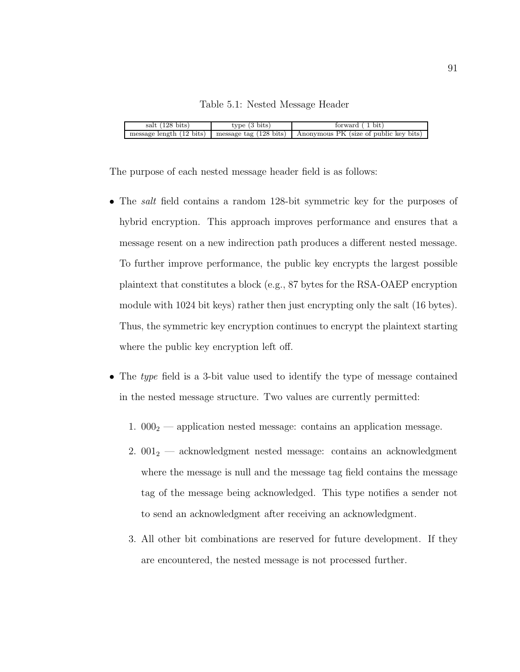#### Table 5.1: Nested Message Header

| salt $(128 \text{ bits})$ | $(3 \text{ bits})$<br>type       | bit<br>torward                         |
|---------------------------|----------------------------------|----------------------------------------|
| message length (12 bits)  | message tag $(128 \text{ bits})$ | Anonymous PK (size of public key bits) |

The purpose of each nested message header field is as follows:

- The *salt* field contains a random 128-bit symmetric key for the purposes of hybrid encryption. This approach improves performance and ensures that a message resent on a new indirection path produces a different nested message. To further improve performance, the public key encrypts the largest possible plaintext that constitutes a block (e.g., 87 bytes for the RSA-OAEP encryption module with 1024 bit keys) rather then just encrypting only the salt (16 bytes). Thus, the symmetric key encryption continues to encrypt the plaintext starting where the public key encryption left off.
- The type field is a 3-bit value used to identify the type of message contained in the nested message structure. Two values are currently permitted:
	- 1.  $000<sub>2</sub>$  application nested message: contains an application message.
	- 2.  $001_2$  acknowledgment nested message: contains an acknowledgment where the message is null and the message tag field contains the message tag of the message being acknowledged. This type notifies a sender not to send an acknowledgment after receiving an acknowledgment.
	- 3. All other bit combinations are reserved for future development. If they are encountered, the nested message is not processed further.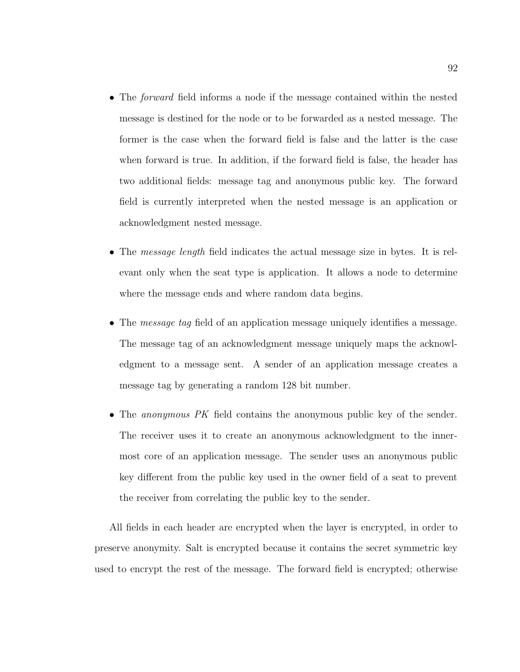- The *forward* field informs a node if the message contained within the nested message is destined for the node or to be forwarded as a nested message. The former is the case when the forward field is false and the latter is the case when forward is true. In addition, if the forward field is false, the header has two additional fields: message tag and anonymous public key. The forward field is currently interpreted when the nested message is an application or acknowledgment nested message.
- The *message length* field indicates the actual message size in bytes. It is relevant only when the seat type is application. It allows a node to determine where the message ends and where random data begins.
- The *message tag* field of an application message uniquely identifies a message. The message tag of an acknowledgment message uniquely maps the acknowledgment to a message sent. A sender of an application message creates a message tag by generating a random 128 bit number.
- The *anonymous PK* field contains the anonymous public key of the sender. The receiver uses it to create an anonymous acknowledgment to the innermost core of an application message. The sender uses an anonymous public key different from the public key used in the owner field of a seat to prevent the receiver from correlating the public key to the sender.

All fields in each header are encrypted when the layer is encrypted, in order to preserve anonymity. Salt is encrypted because it contains the secret symmetric key used to encrypt the rest of the message. The forward field is encrypted; otherwise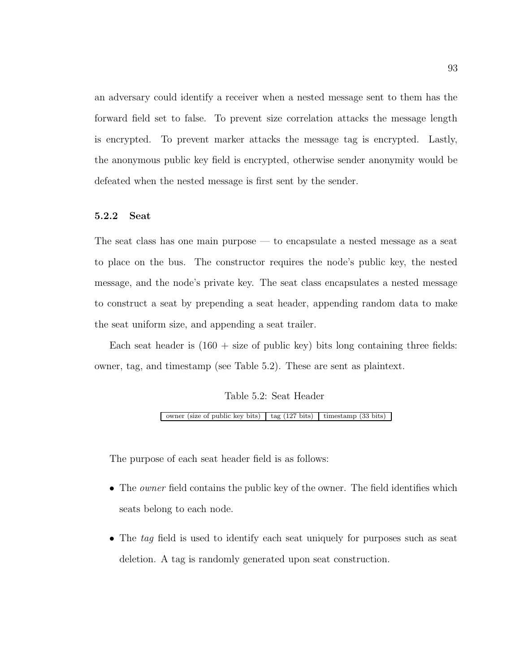an adversary could identify a receiver when a nested message sent to them has the forward field set to false. To prevent size correlation attacks the message length is encrypted. To prevent marker attacks the message tag is encrypted. Lastly, the anonymous public key field is encrypted, otherwise sender anonymity would be defeated when the nested message is first sent by the sender.

### 5.2.2 Seat

The seat class has one main purpose — to encapsulate a nested message as a seat to place on the bus. The constructor requires the node's public key, the nested message, and the node's private key. The seat class encapsulates a nested message to construct a seat by prepending a seat header, appending random data to make the seat uniform size, and appending a seat trailer.

Each seat header is  $(160 + size \text{ of public key})$  bits long containing three fields: owner, tag, and timestamp (see Table 5.2). These are sent as plaintext.

#### Table 5.2: Seat Header

owner (size of public key bits) tag (127 bits) timestamp (33 bits)

The purpose of each seat header field is as follows:

- The *owner* field contains the public key of the owner. The field identifies which seats belong to each node.
- The tag field is used to identify each seat uniquely for purposes such as seat deletion. A tag is randomly generated upon seat construction.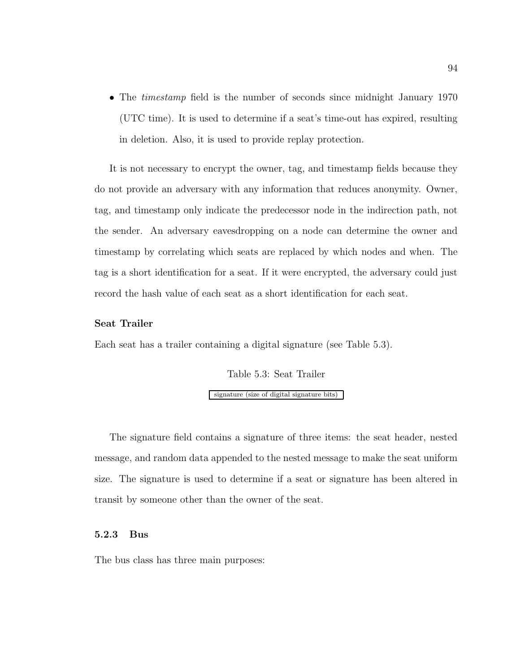• The *timestamp* field is the number of seconds since midnight January 1970 (UTC time). It is used to determine if a seat's time-out has expired, resulting in deletion. Also, it is used to provide replay protection.

It is not necessary to encrypt the owner, tag, and timestamp fields because they do not provide an adversary with any information that reduces anonymity. Owner, tag, and timestamp only indicate the predecessor node in the indirection path, not the sender. An adversary eavesdropping on a node can determine the owner and timestamp by correlating which seats are replaced by which nodes and when. The tag is a short identification for a seat. If it were encrypted, the adversary could just record the hash value of each seat as a short identification for each seat.

### Seat Trailer

Each seat has a trailer containing a digital signature (see Table 5.3).

Table 5.3: Seat Trailer

signature (size of digital signature bits)

The signature field contains a signature of three items: the seat header, nested message, and random data appended to the nested message to make the seat uniform size. The signature is used to determine if a seat or signature has been altered in transit by someone other than the owner of the seat.

### 5.2.3 Bus

The bus class has three main purposes: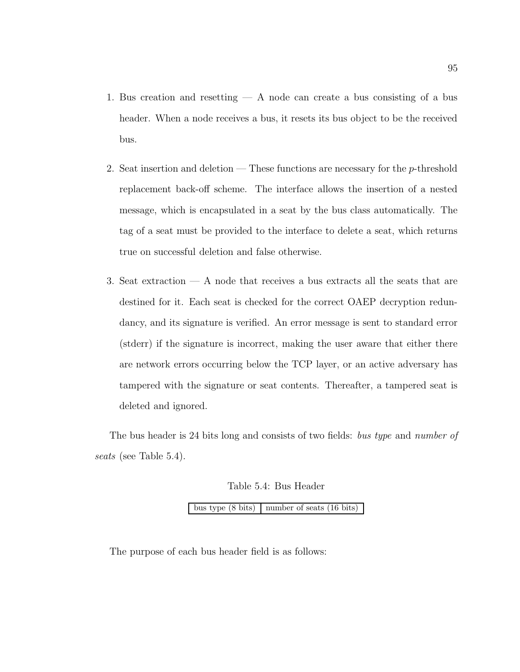- 1. Bus creation and resetting  $A$  node can create a bus consisting of a bus header. When a node receives a bus, it resets its bus object to be the received bus.
- 2. Seat insertion and deletion These functions are necessary for the p-threshold replacement back-off scheme. The interface allows the insertion of a nested message, which is encapsulated in a seat by the bus class automatically. The tag of a seat must be provided to the interface to delete a seat, which returns true on successful deletion and false otherwise.
- 3. Seat extraction A node that receives a bus extracts all the seats that are destined for it. Each seat is checked for the correct OAEP decryption redundancy, and its signature is verified. An error message is sent to standard error (stderr) if the signature is incorrect, making the user aware that either there are network errors occurring below the TCP layer, or an active adversary has tampered with the signature or seat contents. Thereafter, a tampered seat is deleted and ignored.

The bus header is 24 bits long and consists of two fields: bus type and number of seats (see Table 5.4).

Table 5.4: Bus Header

bus type  $(8 \text{ bits})$  number of seats  $(16 \text{ bits})$ 

The purpose of each bus header field is as follows: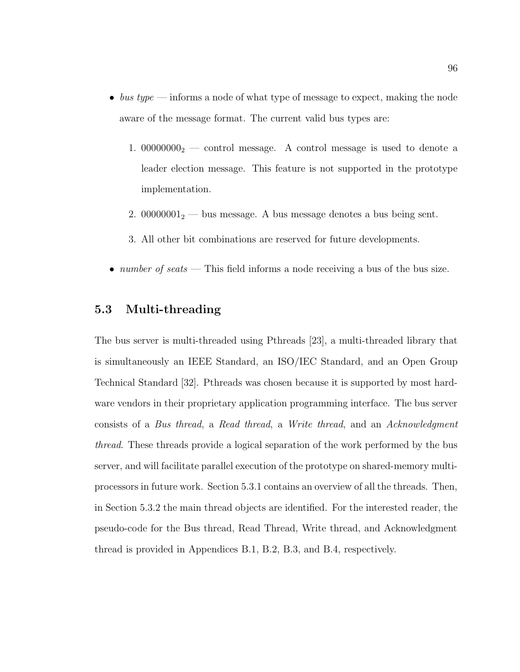- $\bullet$  bus type informs a node of what type of message to expect, making the node aware of the message format. The current valid bus types are:
	- 1.  $00000000<sub>2</sub>$  control message. A control message is used to denote a leader election message. This feature is not supported in the prototype implementation.
	- 2. 00000001 $_2$  bus message. A bus message denotes a bus being sent.
	- 3. All other bit combinations are reserved for future developments.
- *number of seats* This field informs a node receiving a bus of the bus size.

# 5.3 Multi-threading

The bus server is multi-threaded using Pthreads [23], a multi-threaded library that is simultaneously an IEEE Standard, an ISO/IEC Standard, and an Open Group Technical Standard [32]. Pthreads was chosen because it is supported by most hardware vendors in their proprietary application programming interface. The bus server consists of a Bus thread, a Read thread, a Write thread, and an Acknowledgment thread. These threads provide a logical separation of the work performed by the bus server, and will facilitate parallel execution of the prototype on shared-memory multiprocessors in future work. Section 5.3.1 contains an overview of all the threads. Then, in Section 5.3.2 the main thread objects are identified. For the interested reader, the pseudo-code for the Bus thread, Read Thread, Write thread, and Acknowledgment thread is provided in Appendices B.1, B.2, B.3, and B.4, respectively.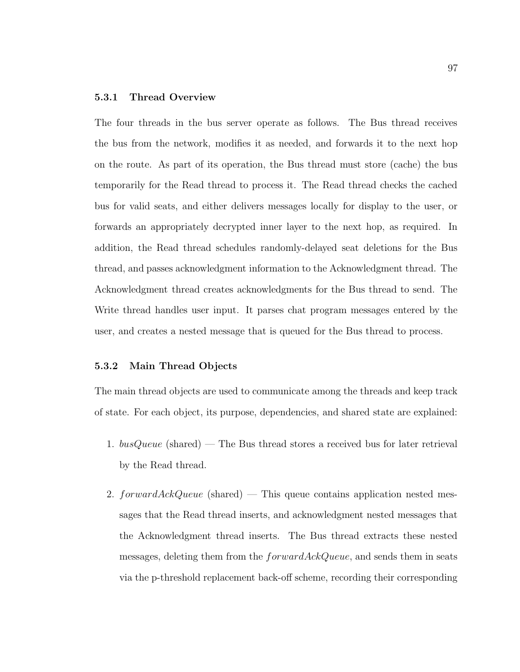### 5.3.1 Thread Overview

The four threads in the bus server operate as follows. The Bus thread receives the bus from the network, modifies it as needed, and forwards it to the next hop on the route. As part of its operation, the Bus thread must store (cache) the bus temporarily for the Read thread to process it. The Read thread checks the cached bus for valid seats, and either delivers messages locally for display to the user, or forwards an appropriately decrypted inner layer to the next hop, as required. In addition, the Read thread schedules randomly-delayed seat deletions for the Bus thread, and passes acknowledgment information to the Acknowledgment thread. The Acknowledgment thread creates acknowledgments for the Bus thread to send. The Write thread handles user input. It parses chat program messages entered by the user, and creates a nested message that is queued for the Bus thread to process.

#### 5.3.2 Main Thread Objects

The main thread objects are used to communicate among the threads and keep track of state. For each object, its purpose, dependencies, and shared state are explained:

- 1.  $busQueue$  (shared) The Bus thread stores a received bus for later retrieval by the Read thread.
- 2. forward $AckQueue$  (shared) This queue contains application nested messages that the Read thread inserts, and acknowledgment nested messages that the Acknowledgment thread inserts. The Bus thread extracts these nested messages, deleting them from the  $forwardAcknowledence$ , and sends them in seats via the p-threshold replacement back-off scheme, recording their corresponding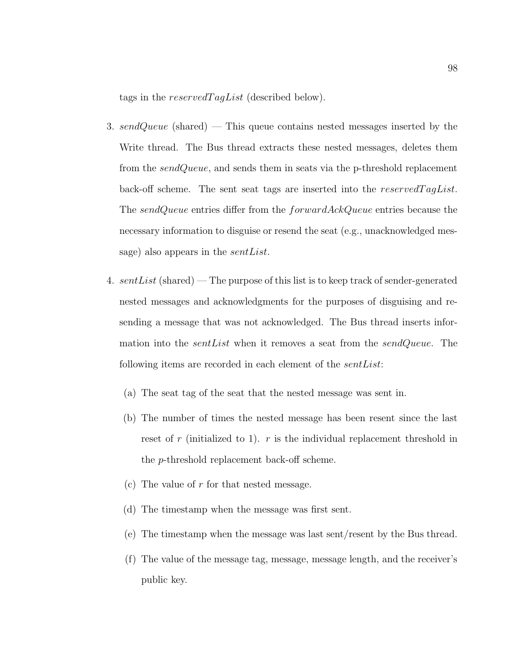tags in the reserved  $TagList$  (described below).

- 3. sendQueue (shared) This queue contains nested messages inserted by the Write thread. The Bus thread extracts these nested messages, deletes them from the *sendQueue*, and sends them in seats via the p-threshold replacement back-off scheme. The sent seat tags are inserted into the  $reservedTagList$ . The sendQueue entries differ from the forwardAckQueue entries because the necessary information to disguise or resend the seat (e.g., unacknowledged message) also appears in the *sentList*.
- 4.  $sentList$  (shared) The purpose of this list is to keep track of sender-generated nested messages and acknowledgments for the purposes of disguising and resending a message that was not acknowledged. The Bus thread inserts information into the *sentList* when it removes a seat from the *sendQueue*. The following items are recorded in each element of the *sentList*:
	- (a) The seat tag of the seat that the nested message was sent in.
	- (b) The number of times the nested message has been resent since the last reset of r (initialized to 1). r is the individual replacement threshold in the p-threshold replacement back-off scheme.
	- (c) The value of  $r$  for that nested message.
	- (d) The timestamp when the message was first sent.
	- (e) The timestamp when the message was last sent/resent by the Bus thread.
	- (f) The value of the message tag, message, message length, and the receiver's public key.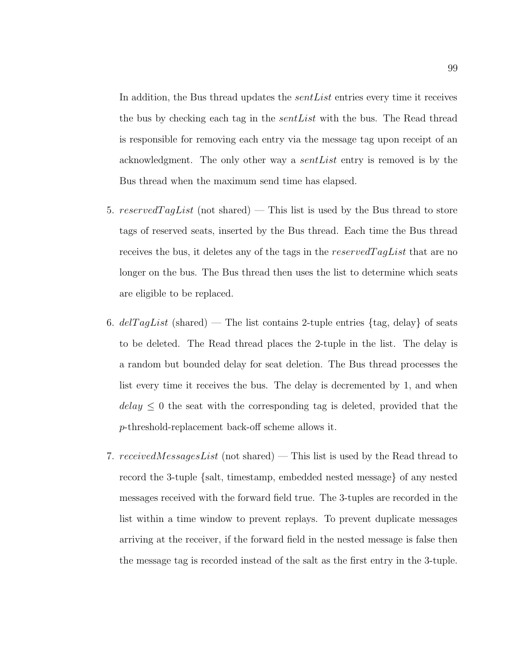In addition, the Bus thread updates the *sent List* entries every time it receives the bus by checking each tag in the *sent List* with the bus. The Read thread is responsible for removing each entry via the message tag upon receipt of an acknowledgment. The only other way a *sent List* entry is removed is by the Bus thread when the maximum send time has elapsed.

- 5. reserved TagList (not shared) This list is used by the Bus thread to store tags of reserved seats, inserted by the Bus thread. Each time the Bus thread receives the bus, it deletes any of the tags in the  $reservedTagList$  that are no longer on the bus. The Bus thread then uses the list to determine which seats are eligible to be replaced.
- 6. delTagList (shared) The list contains 2-tuple entries  $\{tag, delay\}$  of seats to be deleted. The Read thread places the 2-tuple in the list. The delay is a random but bounded delay for seat deletion. The Bus thread processes the list every time it receives the bus. The delay is decremented by 1, and when  $delay \leq 0$  the seat with the corresponding tag is deleted, provided that the p-threshold-replacement back-off scheme allows it.
- 7. received Messages List (not shared) This list is used by the Read thread to record the 3-tuple {salt, timestamp, embedded nested message} of any nested messages received with the forward field true. The 3-tuples are recorded in the list within a time window to prevent replays. To prevent duplicate messages arriving at the receiver, if the forward field in the nested message is false then the message tag is recorded instead of the salt as the first entry in the 3-tuple.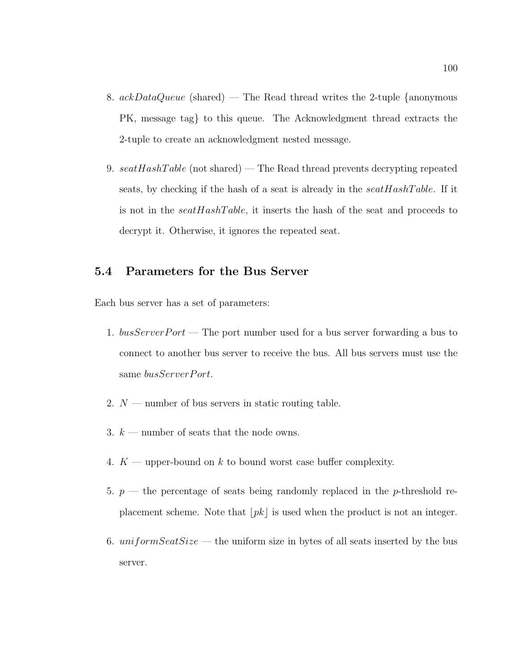- 8.  $ackDataQueue$  (shared) The Read thread writes the 2-tuple {anonymous PK, message tag} to this queue. The Acknowledgment thread extracts the 2-tuple to create an acknowledgment nested message.
- 9.  $seatHashTable$  (not shared) The Read thread prevents decrypting repeated seats, by checking if the hash of a seat is already in the  $seatHashTable$ . If it is not in the  $seatHashTable$ , it inserts the hash of the seat and proceeds to decrypt it. Otherwise, it ignores the repeated seat.

## 5.4 Parameters for the Bus Server

Each bus server has a set of parameters:

- 1.  $busServerPort$  The port number used for a bus server forwarding a bus to connect to another bus server to receive the bus. All bus servers must use the same busServerPort.
- 2.  $N$  number of bus servers in static routing table.
- 3.  $k$  number of seats that the node owns.
- 4.  $K$  upper-bound on k to bound worst case buffer complexity.
- 5.  $p$  the percentage of seats being randomly replaced in the p-threshold replacement scheme. Note that  $|pk|$  is used when the product is not an integer.
- 6. uniform Seat Size the uniform size in bytes of all seats inserted by the bus server.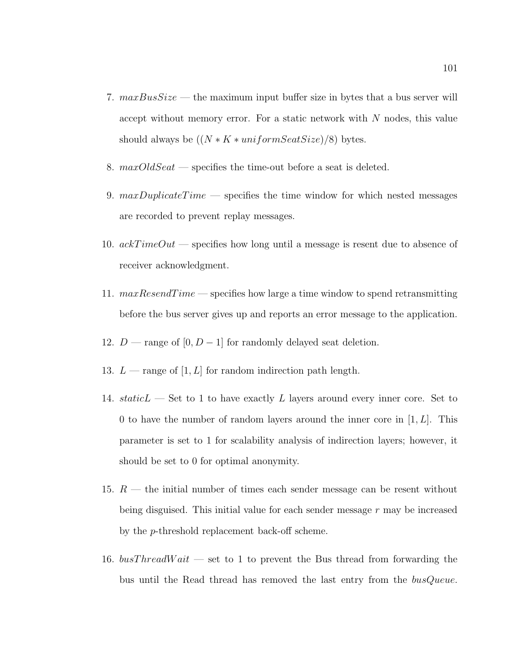- 7.  $maxBusSize$  the maximum input buffer size in bytes that a bus server will accept without memory error. For a static network with  $N$  nodes, this value should always be  $((N * K * uniformSeatSize)/8)$  bytes.
- 8.  $maxOldSeat$  specifies the time-out before a seat is deleted.
- 9.  $maxDupiter \cdot Time$  specifies the time window for which nested messages are recorded to prevent replay messages.
- 10.  $ackTimeOut$  specifies how long until a message is resent due to absence of receiver acknowledgment.
- 11.  $maxResearchTime$  specifies how large a time window to spend retransmitting before the bus server gives up and reports an error message to the application.
- 12.  $D$  range of  $[0, D 1]$  for randomly delayed seat deletion.
- 13.  $L$  range of [1, L] for random indirection path length.
- 14. staticL Set to 1 to have exactly L layers around every inner core. Set to 0 to have the number of random layers around the inner core in  $[1, L]$ . This parameter is set to 1 for scalability analysis of indirection layers; however, it should be set to 0 for optimal anonymity.
- 15.  $R$  the initial number of times each sender message can be resent without being disguised. This initial value for each sender message  $r$  may be increased by the p-threshold replacement back-off scheme.
- 16.  $busThreadWait$  set to 1 to prevent the Bus thread from forwarding the bus until the Read thread has removed the last entry from the busQueue.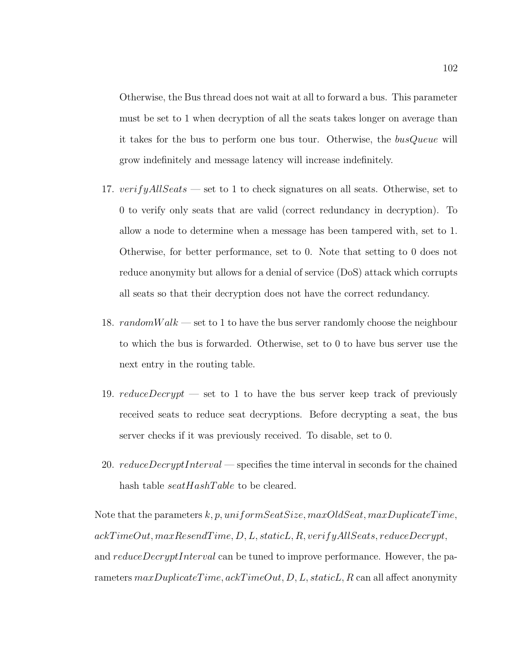Otherwise, the Bus thread does not wait at all to forward a bus. This parameter must be set to 1 when decryption of all the seats takes longer on average than it takes for the bus to perform one bus tour. Otherwise, the busQueue will grow indefinitely and message latency will increase indefinitely.

- 17.  $verifyAllSeats$  set to 1 to check signatures on all seats. Otherwise, set to 0 to verify only seats that are valid (correct redundancy in decryption). To allow a node to determine when a message has been tampered with, set to 1. Otherwise, for better performance, set to 0. Note that setting to 0 does not reduce anonymity but allows for a denial of service (DoS) attack which corrupts all seats so that their decryption does not have the correct redundancy.
- 18.  $randomWalk$  set to 1 to have the bus server randomly choose the neighbour to which the bus is forwarded. Otherwise, set to 0 to have bus server use the next entry in the routing table.
- 19.  $reduceDecrypt$  set to 1 to have the bus server keep track of previously received seats to reduce seat decryptions. Before decrypting a seat, the bus server checks if it was previously received. To disable, set to 0.
- 20. *reduceDecryptInterval* specifies the time interval in seconds for the chained hash table *seatHashTable* to be cleared.

Note that the parameters  $k, p, uniformSeatSize, maxOldSeat, maxDuplicateTime,$ ackTimeOut, maxResendTime, D, L, staticL, R, verifyAllSeats, reduceDecrypt, and reduceDecryptInterval can be tuned to improve performance. However, the parameters  $maxDupiterTime,ackTimeOut, D, L, staticL, R$  can all affect anonymity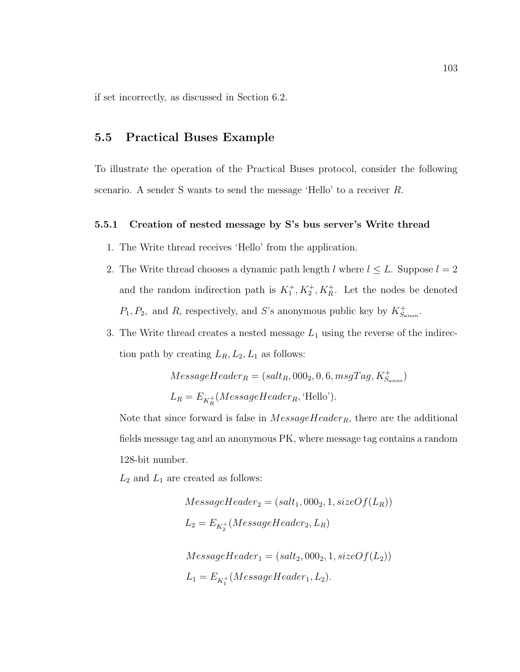if set incorrectly, as discussed in Section 6.2.

## 5.5 Practical Buses Example

To illustrate the operation of the Practical Buses protocol, consider the following scenario. A sender S wants to send the message 'Hello' to a receiver R.

### 5.5.1 Creation of nested message by S's bus server's Write thread

- 1. The Write thread receives 'Hello' from the application.
- 2. The Write thread chooses a dynamic path length l where  $l \leq L$ . Suppose  $l = 2$ and the random indirection path is  $K_1^+, K_2^+, K_R^+$ . Let the nodes be denoted  $P_1, P_2$ , and R, respectively, and S's anonymous public key by  $K_{S_{anon}}^+$ .
- 3. The Write thread creates a nested message  $L_1$  using the reverse of the indirection path by creating  $L_R, L_2, L_1$  as follows:

$$
MessageHeader_R = (salt_R, 000_2, 0, 6, msgTag, K^+_{Sanon})
$$
  

$$
L_R = E_{K^+_R}(MessageHeader_R, 'Hello').
$$

Note that since forward is false in  $MessageHeader_R$ , there are the additional fields message tag and an anonymous PK, where message tag contains a random 128-bit number.

 $L_2$  and  $L_1$  are created as follows:

$$
MessageHeader_2 = (salt_1, 000_2, 1, sizeOf(L_R))
$$
  
\n
$$
L_2 = E_{K_2^+}(MessageHeader_2, L_R)
$$
  
\n
$$
MessageHeader_1 = (salt_2, 000_2, 1, sizeOf(L_2))
$$
  
\n
$$
L_1 = E_{K_1^+}(MessageHeader_1, L_2).
$$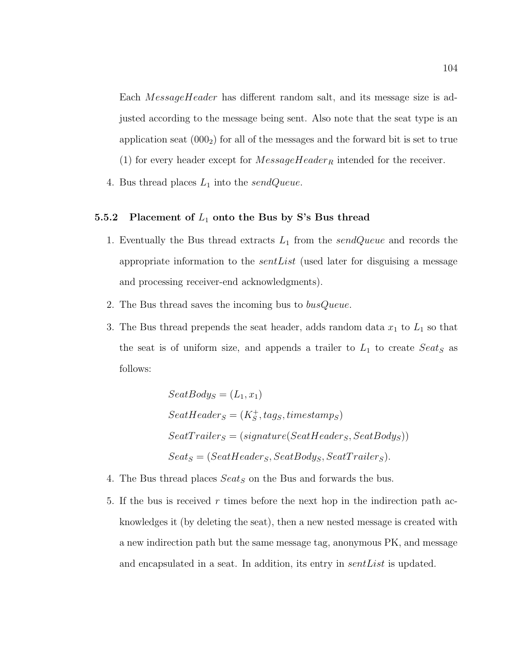Each MessageHeader has different random salt, and its message size is adjusted according to the message being sent. Also note that the seat type is an application seat  $(000<sub>2</sub>)$  for all of the messages and the forward bit is set to true (1) for every header except for  $MessageHeader_R$  intended for the receiver.

4. Bus thread places  $L_1$  into the sendQueue.

## 5.5.2 Placement of  $L_1$  onto the Bus by S's Bus thread

- 1. Eventually the Bus thread extracts  $L_1$  from the sendQueue and records the appropriate information to the *sent List* (used later for disguising a message and processing receiver-end acknowledgments).
- 2. The Bus thread saves the incoming bus to busQueue.
- 3. The Bus thread prepends the seat header, adds random data  $x_1$  to  $L_1$  so that the seat is of uniform size, and appends a trailer to  $L_1$  to create  $Seat_S$  as follows:

$$
SeatBody_S = (L_1, x_1)
$$
  
\n
$$
SeatHeader_S = (K_S^+, tag_S, timestamp_S)
$$
  
\n
$$
SeatTrailer_S = (signature(SeatHeader_S, SeatBody_S))
$$
  
\n
$$
Seat_S = (SeatHeader_S, SeatBody_S, SeatTrailer_S).
$$

- 4. The Bus thread places  $Seat_S$  on the Bus and forwards the bus.
- 5. If the bus is received r times before the next hop in the indirection path acknowledges it (by deleting the seat), then a new nested message is created with a new indirection path but the same message tag, anonymous PK, and message and encapsulated in a seat. In addition, its entry in *sentList* is updated.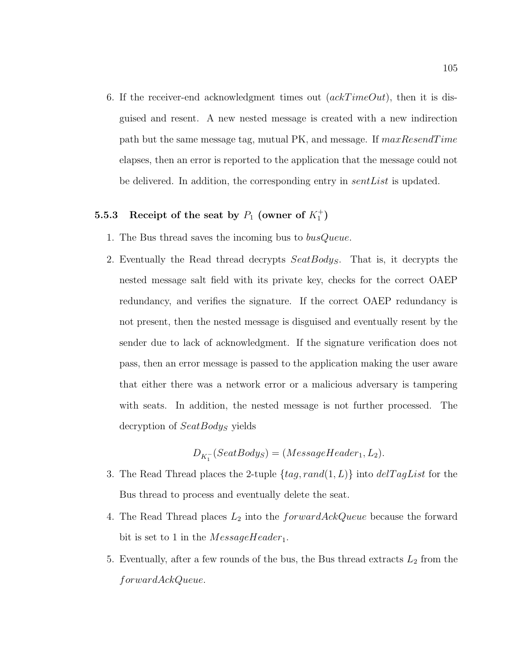6. If the receiver-end acknowledgment times out  $(ackTimeOut)$ , then it is disguised and resent. A new nested message is created with a new indirection path but the same message tag, mutual PK, and message. If  $maxResearchTime$ elapses, then an error is reported to the application that the message could not be delivered. In addition, the corresponding entry in sentList is updated.

## 5.5.3 Receipt of the seat by  $P_1$  (owner of  $K_1^+$ )

- 1. The Bus thread saves the incoming bus to *busQueue*.
- 2. Eventually the Read thread decrypts SeatBodys. That is, it decrypts the nested message salt field with its private key, checks for the correct OAEP redundancy, and verifies the signature. If the correct OAEP redundancy is not present, then the nested message is disguised and eventually resent by the sender due to lack of acknowledgment. If the signature verification does not pass, then an error message is passed to the application making the user aware that either there was a network error or a malicious adversary is tampering with seats. In addition, the nested message is not further processed. The decryption of  $SeatBody_S$  yields

$$
D_{K_1^-}(SeatBody_S) = (MessageHeader_1, L_2).
$$

- 3. The Read Thread places the 2-tuple  $\{tag, rand(1, L)\}$  into  $delTagList$  for the Bus thread to process and eventually delete the seat.
- 4. The Read Thread places  $L_2$  into the  $forwardAcknowled\xi$  *oule because* the forward bit is set to 1 in the  $MessageHeader_1$ .
- 5. Eventually, after a few rounds of the bus, the Bus thread extracts  $L_2$  from the forwardAckQueue.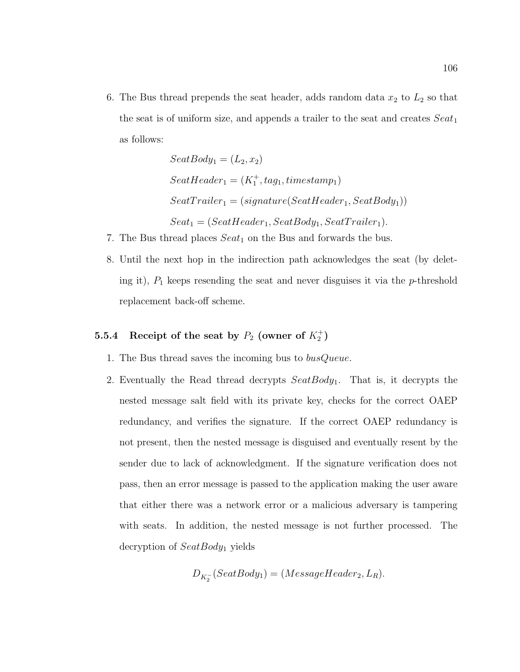6. The Bus thread prepends the seat header, adds random data  $x_2$  to  $L_2$  so that the seat is of uniform size, and appends a trailer to the seat and creates  $Seat_1$ as follows:

$$
SeatBody_1 = (L_2, x_2)
$$
  
\n
$$
SeatHeader_1 = (K_1^+, tag_1, timestamp_1)
$$
  
\n
$$
SeatTrailer_1 = (signature(SeatHeader_1, SeatBody_1))
$$
  
\n
$$
Seat_1 = (SeatHeader_1, SeatBody_1, SeatTrailer_1).
$$

- 7. The Bus thread places  $Seat_1$  on the Bus and forwards the bus.
- 8. Until the next hop in the indirection path acknowledges the seat (by deleting it),  $P_1$  keeps resending the seat and never disguises it via the  $p$ -threshold replacement back-off scheme.

## 5.5.4 Receipt of the seat by  $P_2$  (owner of  $K_2^+$ )

- 1. The Bus thread saves the incoming bus to busQueue.
- 2. Eventually the Read thread decrypts  $SeatBody_1$ . That is, it decrypts the nested message salt field with its private key, checks for the correct OAEP redundancy, and verifies the signature. If the correct OAEP redundancy is not present, then the nested message is disguised and eventually resent by the sender due to lack of acknowledgment. If the signature verification does not pass, then an error message is passed to the application making the user aware that either there was a network error or a malicious adversary is tampering with seats. In addition, the nested message is not further processed. The decryption of  $SeatBody_1$  yields

$$
D_{K_2^-}(SeatBody_1) = (MessageHeader_2, L_R).
$$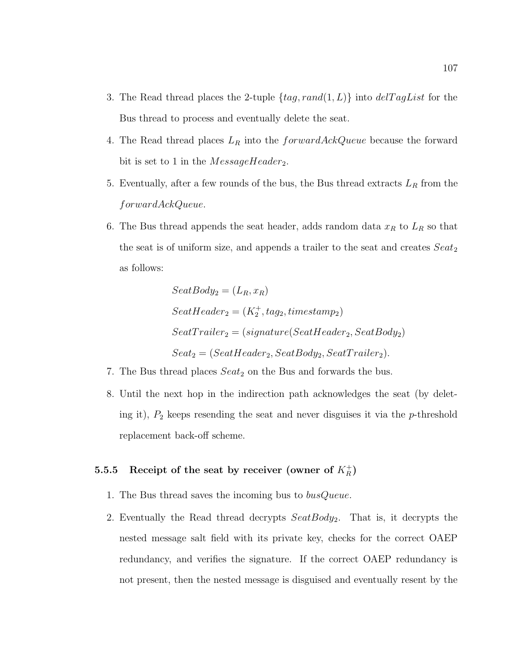- 3. The Read thread places the 2-tuple  $\{tag, rand(1, L)\}$  into  $delTagList$  for the Bus thread to process and eventually delete the seat.
- 4. The Read thread places  $L_R$  into the forward AckQueue because the forward bit is set to 1 in the  $MessageHeader_2$ .
- 5. Eventually, after a few rounds of the bus, the Bus thread extracts  $L_R$  from the forwardAckQueue.
- 6. The Bus thread appends the seat header, adds random data  $x_R$  to  $L_R$  so that the seat is of uniform size, and appends a trailer to the seat and creates  $Sea t<sub>2</sub>$ as follows:

$$
SeatBody_2 = (L_R, x_R)
$$
  
\n
$$
SeatHeader_2 = (K_2^+, tag_2, timestamp_2)
$$
  
\n
$$
SeatTrailer_2 = (signature(SeatHeader_2, SeatBody_2)
$$
  
\n
$$
Seat_2 = (SeatHeader_2, SeatBody_2, SeatTrailer_2).
$$

- 7. The Bus thread places  $Seat_2$  on the Bus and forwards the bus.
- 8. Until the next hop in the indirection path acknowledges the seat (by deleting it),  $P_2$  keeps resending the seat and never disguises it via the p-threshold replacement back-off scheme.

# 5.5.5 Receipt of the seat by receiver (owner of  $K_R^+$ )

- 1. The Bus thread saves the incoming bus to busQueue.
- 2. Eventually the Read thread decrypts  $SeatBody_2$ . That is, it decrypts the nested message salt field with its private key, checks for the correct OAEP redundancy, and verifies the signature. If the correct OAEP redundancy is not present, then the nested message is disguised and eventually resent by the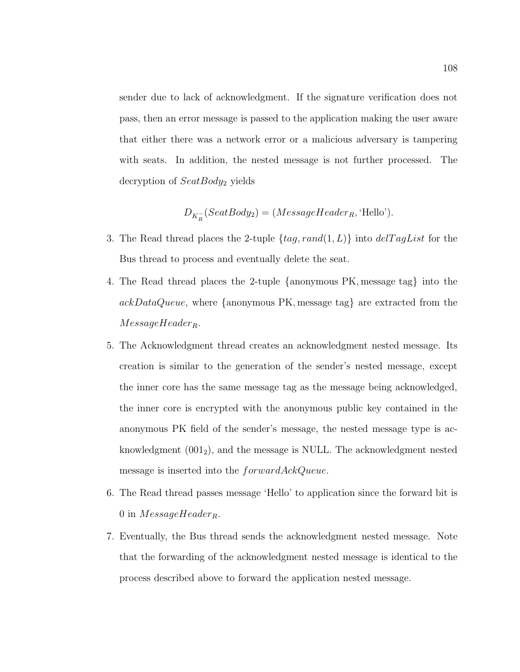sender due to lack of acknowledgment. If the signature verification does not pass, then an error message is passed to the application making the user aware that either there was a network error or a malicious adversary is tampering with seats. In addition, the nested message is not further processed. The decryption of  $SeatBody_2$  yields

$$
D_{K_R^-}(SeatBody_2) = (MessageHeader_R, 'Hello').
$$

- 3. The Read thread places the 2-tuple  $\{tag, rand(1, L)\}\$  into  $delTagList$  for the Bus thread to process and eventually delete the seat.
- 4. The Read thread places the 2-tuple {anonymous PK, message tag} into the ackDataQueue, where {anonymous PK, message tag} are extracted from the  $MessageHeader_R$ .
- 5. The Acknowledgment thread creates an acknowledgment nested message. Its creation is similar to the generation of the sender's nested message, except the inner core has the same message tag as the message being acknowledged, the inner core is encrypted with the anonymous public key contained in the anonymous PK field of the sender's message, the nested message type is acknowledgment  $(001<sub>2</sub>)$ , and the message is NULL. The acknowledgment nested message is inserted into the  $forwardAcknowled$ .
- 6. The Read thread passes message 'Hello' to application since the forward bit is 0 in  $MessageHeader_R$ .
- 7. Eventually, the Bus thread sends the acknowledgment nested message. Note that the forwarding of the acknowledgment nested message is identical to the process described above to forward the application nested message.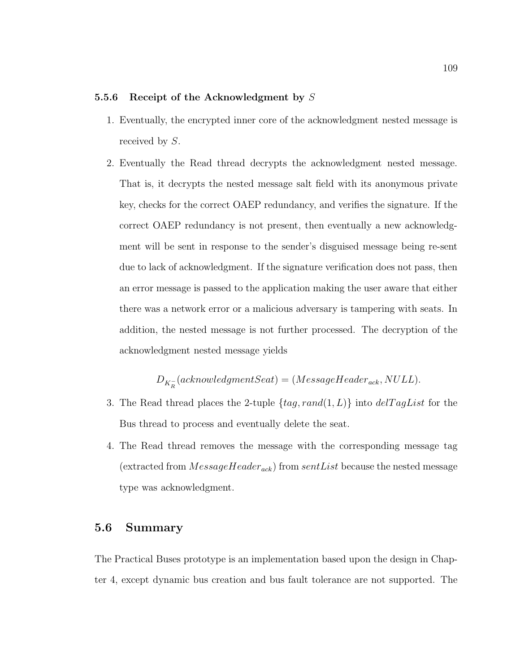### 5.5.6 Receipt of the Acknowledgment by  $S$

- 1. Eventually, the encrypted inner core of the acknowledgment nested message is received by S.
- 2. Eventually the Read thread decrypts the acknowledgment nested message. That is, it decrypts the nested message salt field with its anonymous private key, checks for the correct OAEP redundancy, and verifies the signature. If the correct OAEP redundancy is not present, then eventually a new acknowledgment will be sent in response to the sender's disguised message being re-sent due to lack of acknowledgment. If the signature verification does not pass, then an error message is passed to the application making the user aware that either there was a network error or a malicious adversary is tampering with seats. In addition, the nested message is not further processed. The decryption of the acknowledgment nested message yields

 $D_{K_R^-}(acknowledgmentSeat) = (MessageHeader_{ack}, NULL).$ 

- 3. The Read thread places the 2-tuple  $\{tag, rand(1, L)\}$  into  $delTagList$  for the Bus thread to process and eventually delete the seat.
- 4. The Read thread removes the message with the corresponding message tag (extracted from  $MessageHeader_{ack}$ ) from sentList because the nested message type was acknowledgment.

### 5.6 Summary

The Practical Buses prototype is an implementation based upon the design in Chapter 4, except dynamic bus creation and bus fault tolerance are not supported. The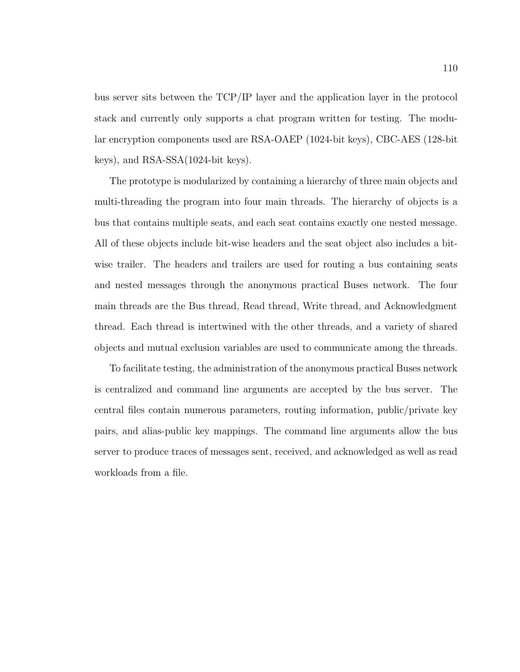bus server sits between the TCP/IP layer and the application layer in the protocol stack and currently only supports a chat program written for testing. The modular encryption components used are RSA-OAEP (1024-bit keys), CBC-AES (128-bit keys), and RSA-SSA(1024-bit keys).

The prototype is modularized by containing a hierarchy of three main objects and multi-threading the program into four main threads. The hierarchy of objects is a bus that contains multiple seats, and each seat contains exactly one nested message. All of these objects include bit-wise headers and the seat object also includes a bitwise trailer. The headers and trailers are used for routing a bus containing seats and nested messages through the anonymous practical Buses network. The four main threads are the Bus thread, Read thread, Write thread, and Acknowledgment thread. Each thread is intertwined with the other threads, and a variety of shared objects and mutual exclusion variables are used to communicate among the threads.

To facilitate testing, the administration of the anonymous practical Buses network is centralized and command line arguments are accepted by the bus server. The central files contain numerous parameters, routing information, public/private key pairs, and alias-public key mappings. The command line arguments allow the bus server to produce traces of messages sent, received, and acknowledged as well as read workloads from a file.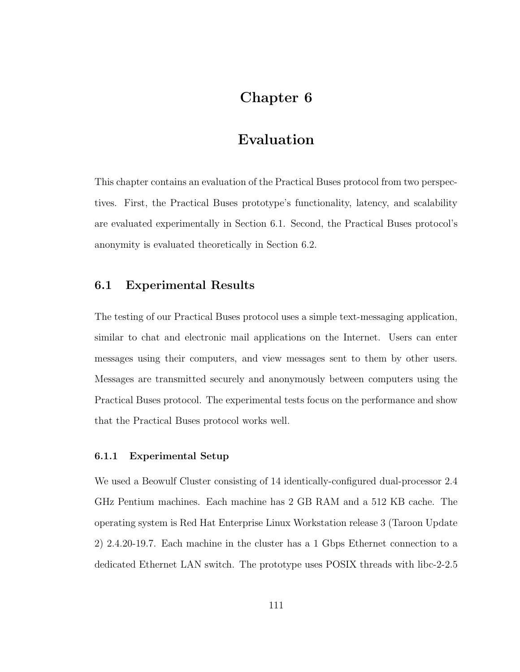# Chapter 6

# Evaluation

This chapter contains an evaluation of the Practical Buses protocol from two perspectives. First, the Practical Buses prototype's functionality, latency, and scalability are evaluated experimentally in Section 6.1. Second, the Practical Buses protocol's anonymity is evaluated theoretically in Section 6.2.

## 6.1 Experimental Results

The testing of our Practical Buses protocol uses a simple text-messaging application, similar to chat and electronic mail applications on the Internet. Users can enter messages using their computers, and view messages sent to them by other users. Messages are transmitted securely and anonymously between computers using the Practical Buses protocol. The experimental tests focus on the performance and show that the Practical Buses protocol works well.

#### 6.1.1 Experimental Setup

We used a Beowulf Cluster consisting of 14 identically-configured dual-processor 2.4 GHz Pentium machines. Each machine has 2 GB RAM and a 512 KB cache. The operating system is Red Hat Enterprise Linux Workstation release 3 (Taroon Update 2) 2.4.20-19.7. Each machine in the cluster has a 1 Gbps Ethernet connection to a dedicated Ethernet LAN switch. The prototype uses POSIX threads with libc-2-2.5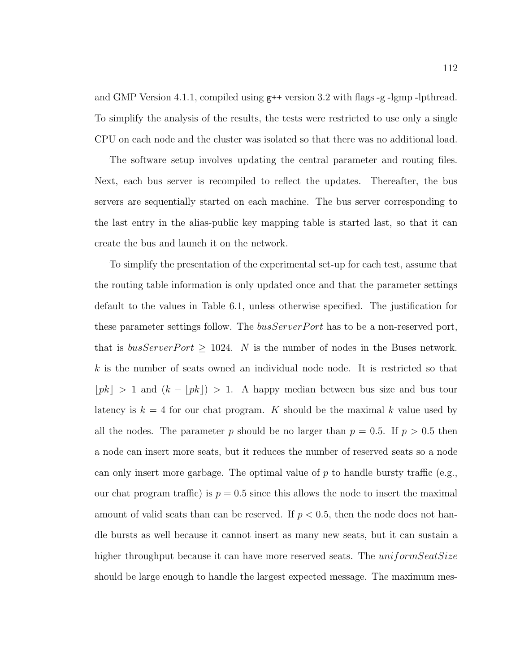and GMP Version 4.1.1, compiled using g++ version 3.2 with flags -g -lgmp -lpthread. To simplify the analysis of the results, the tests were restricted to use only a single CPU on each node and the cluster was isolated so that there was no additional load.

The software setup involves updating the central parameter and routing files. Next, each bus server is recompiled to reflect the updates. Thereafter, the bus servers are sequentially started on each machine. The bus server corresponding to the last entry in the alias-public key mapping table is started last, so that it can create the bus and launch it on the network.

To simplify the presentation of the experimental set-up for each test, assume that the routing table information is only updated once and that the parameter settings default to the values in Table 6.1, unless otherwise specified. The justification for these parameter settings follow. The *busServerPort* has to be a non-reserved port, that is  $busServerPort \geq 1024$ . N is the number of nodes in the Buses network. k is the number of seats owned an individual node node. It is restricted so that  $\lfloor pk \rfloor > 1$  and  $(k - \lfloor pk \rfloor) > 1$ . A happy median between bus size and bus tour latency is  $k = 4$  for our chat program. K should be the maximal k value used by all the nodes. The parameter p should be no larger than  $p = 0.5$ . If  $p > 0.5$  then a node can insert more seats, but it reduces the number of reserved seats so a node can only insert more garbage. The optimal value of p to handle bursty traffic (e.g., our chat program traffic) is  $p = 0.5$  since this allows the node to insert the maximal amount of valid seats than can be reserved. If  $p < 0.5$ , then the node does not handle bursts as well because it cannot insert as many new seats, but it can sustain a higher throughput because it can have more reserved seats. The *uniformSeatSize* should be large enough to handle the largest expected message. The maximum mes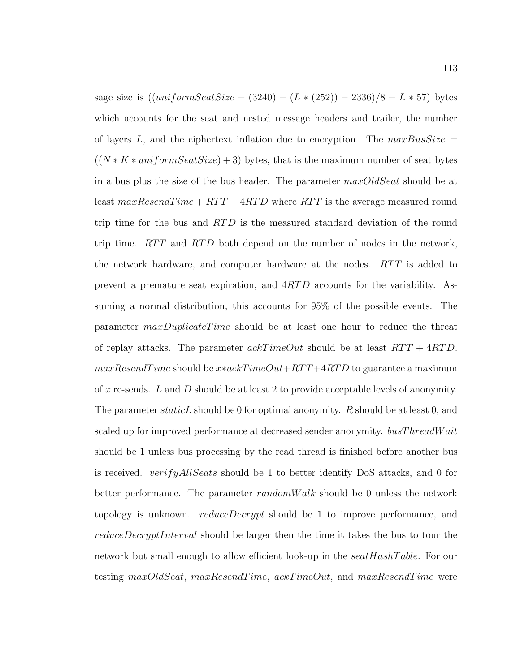sage size is  $((uniformSeatSize - (3240) - (L * (252)) - 2336)/8 - L * 57)$  bytes which accounts for the seat and nested message headers and trailer, the number of layers L, and the ciphertext inflation due to encryption. The  $maxBusSize =$  $((N*K * uniformSearchSize) + 3)$  bytes, that is the maximum number of seat bytes in a bus plus the size of the bus header. The parameter  $maxOldSearch$  should be at least  $maxResendTime + RTT + 4RTD$  where  $RTT$  is the average measured round trip time for the bus and RTD is the measured standard deviation of the round trip time.  $RTT$  and  $RTD$  both depend on the number of nodes in the network, the network hardware, and computer hardware at the nodes. RTT is added to prevent a premature seat expiration, and 4RT D accounts for the variability. Assuming a normal distribution, this accounts for 95% of the possible events. The parameter maxDuplicateTime should be at least one hour to reduce the threat of replay attacks. The parameter  $ackTimeOut$  should be at least  $RTT + 4RTD$ .  $maxResearchTime$  should be  $x*ackTimeOut+RTT+4RTD$  to guarantee a maximum of x re-sends. L and D should be at least 2 to provide acceptable levels of anonymity. The parameter *staticL* should be 0 for optimal anonymity. R should be at least 0, and scaled up for improved performance at decreased sender anonymity. busThreadWait should be 1 unless bus processing by the read thread is finished before another bus is received. *verifyAllSeats* should be 1 to better identify DoS attacks, and 0 for better performance. The parameter  $randomWalk$  should be 0 unless the network topology is unknown. *reduceDecrypt* should be 1 to improve performance, and reduceDecryptInterval should be larger then the time it takes the bus to tour the network but small enough to allow efficient look-up in the  $seatHashTable$ . For our testing max $OldSeat$ , max $ResendTime$ , ackTimeOut, and maxResendTime were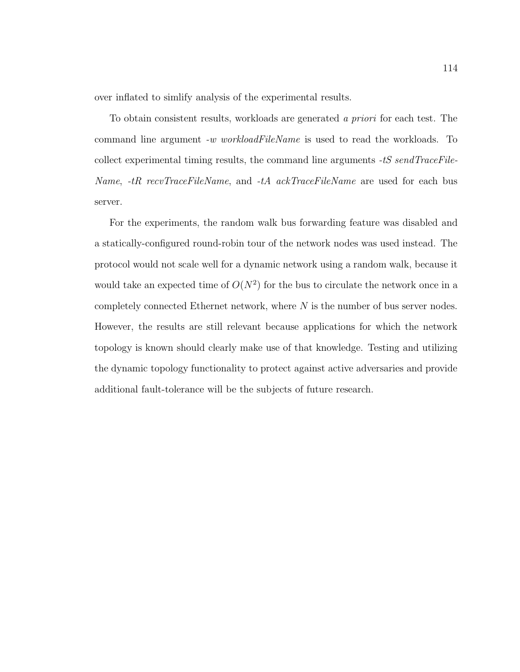over inflated to simlify analysis of the experimental results.

To obtain consistent results, workloads are generated a priori for each test. The command line argument -w workloadFileName is used to read the workloads. To collect experimental timing results, the command line arguments -tS sendTraceFile-Name, -tR recvTraceFileName, and -tA ackTraceFileName are used for each bus server.

For the experiments, the random walk bus forwarding feature was disabled and a statically-configured round-robin tour of the network nodes was used instead. The protocol would not scale well for a dynamic network using a random walk, because it would take an expected time of  $O(N^2)$  for the bus to circulate the network once in a completely connected Ethernet network, where  $N$  is the number of bus server nodes. However, the results are still relevant because applications for which the network topology is known should clearly make use of that knowledge. Testing and utilizing the dynamic topology functionality to protect against active adversaries and provide additional fault-tolerance will be the subjects of future research.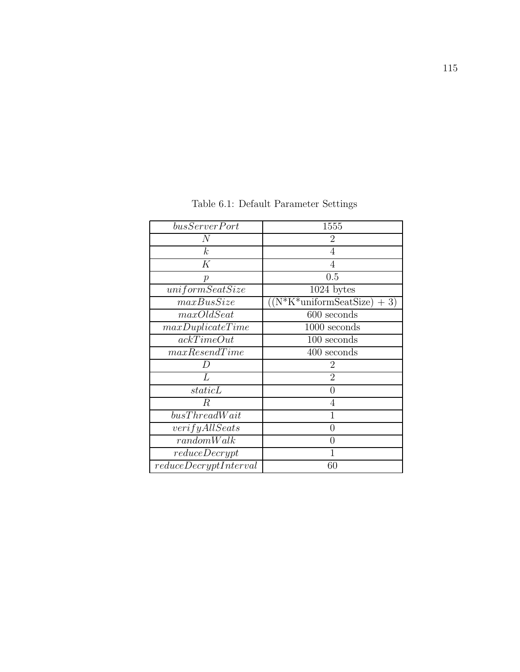| busServerPort         | 1555                                  |
|-----------------------|---------------------------------------|
| $\,N$                 | 2                                     |
| $\boldsymbol{k}$      | 4                                     |
| K                     | 4                                     |
| $\mathcal{p}$         | 0.5                                   |
| uniformSeatSize       | 1024 bytes                            |
| maxBusSize            | $\sqrt{(N*K^*uniformSearchSize)} + 3$ |
| maxOldSeat            | 600 seconds                           |
| $maxDupiter \text{}$  | $1000$ seconds                        |
| ackTimeOut            | 100 seconds                           |
| maxResearchTime       | 400 seconds                           |
|                       | 2                                     |
| L                     | $\overline{2}$                        |
| staticL               | 0                                     |
| $\boldsymbol{R}$      | 4                                     |
| busThreadWait         | 1                                     |
| verifyAllSeats        | 0                                     |
| randomWalk            | 0                                     |
| reduceDerypt          |                                       |
| reduceDecryptInterval | $60\,$                                |

Table 6.1: Default Parameter Settings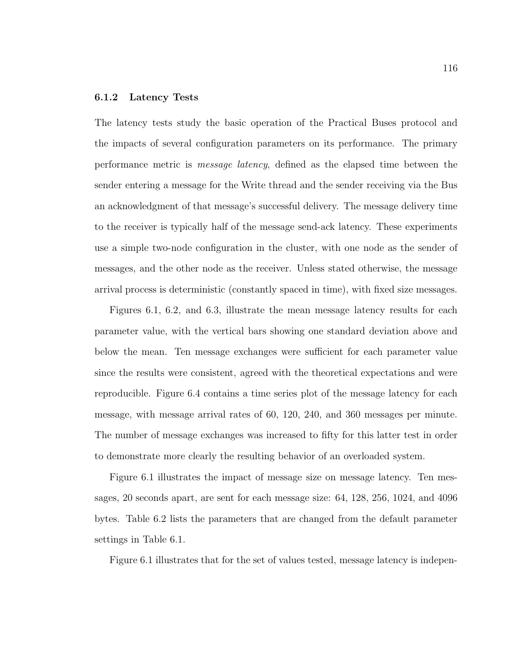### 6.1.2 Latency Tests

The latency tests study the basic operation of the Practical Buses protocol and the impacts of several configuration parameters on its performance. The primary performance metric is message latency, defined as the elapsed time between the sender entering a message for the Write thread and the sender receiving via the Bus an acknowledgment of that message's successful delivery. The message delivery time to the receiver is typically half of the message send-ack latency. These experiments use a simple two-node configuration in the cluster, with one node as the sender of messages, and the other node as the receiver. Unless stated otherwise, the message arrival process is deterministic (constantly spaced in time), with fixed size messages.

Figures 6.1, 6.2, and 6.3, illustrate the mean message latency results for each parameter value, with the vertical bars showing one standard deviation above and below the mean. Ten message exchanges were sufficient for each parameter value since the results were consistent, agreed with the theoretical expectations and were reproducible. Figure 6.4 contains a time series plot of the message latency for each message, with message arrival rates of 60, 120, 240, and 360 messages per minute. The number of message exchanges was increased to fifty for this latter test in order to demonstrate more clearly the resulting behavior of an overloaded system.

Figure 6.1 illustrates the impact of message size on message latency. Ten messages, 20 seconds apart, are sent for each message size: 64, 128, 256, 1024, and 4096 bytes. Table 6.2 lists the parameters that are changed from the default parameter settings in Table 6.1.

Figure 6.1 illustrates that for the set of values tested, message latency is indepen-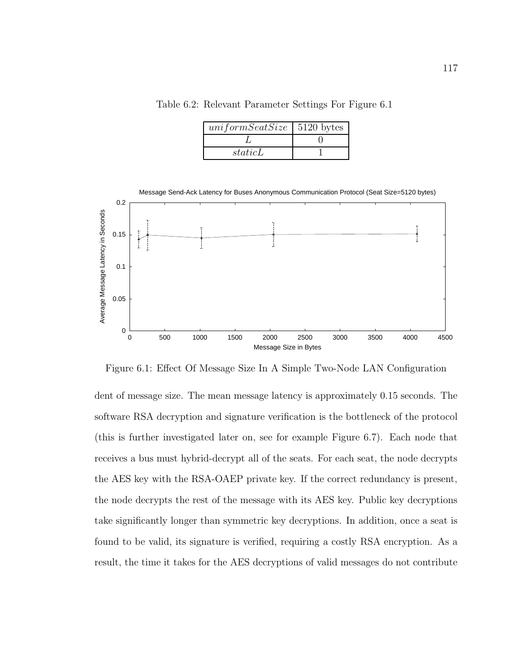Table 6.2: Relevant Parameter Settings For Figure 6.1

| $uniformSeatSize$   5120 bytes |  |
|--------------------------------|--|
|                                |  |
| staticL                        |  |



Figure 6.1: Effect Of Message Size In A Simple Two-Node LAN Configuration

dent of message size. The mean message latency is approximately 0.15 seconds. The software RSA decryption and signature verification is the bottleneck of the protocol (this is further investigated later on, see for example Figure 6.7). Each node that receives a bus must hybrid-decrypt all of the seats. For each seat, the node decrypts the AES key with the RSA-OAEP private key. If the correct redundancy is present, the node decrypts the rest of the message with its AES key. Public key decryptions take significantly longer than symmetric key decryptions. In addition, once a seat is found to be valid, its signature is verified, requiring a costly RSA encryption. As a result, the time it takes for the AES decryptions of valid messages do not contribute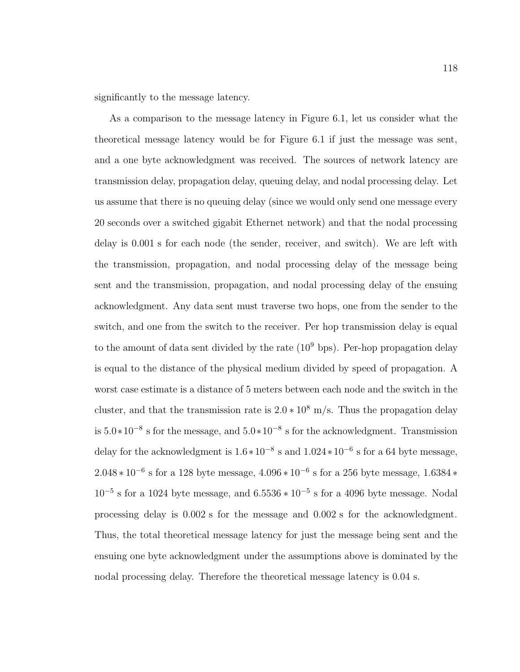significantly to the message latency.

As a comparison to the message latency in Figure 6.1, let us consider what the theoretical message latency would be for Figure 6.1 if just the message was sent, and a one byte acknowledgment was received. The sources of network latency are transmission delay, propagation delay, queuing delay, and nodal processing delay. Let us assume that there is no queuing delay (since we would only send one message every 20 seconds over a switched gigabit Ethernet network) and that the nodal processing delay is 0.001 s for each node (the sender, receiver, and switch). We are left with the transmission, propagation, and nodal processing delay of the message being sent and the transmission, propagation, and nodal processing delay of the ensuing acknowledgment. Any data sent must traverse two hops, one from the sender to the switch, and one from the switch to the receiver. Per hop transmission delay is equal to the amount of data sent divided by the rate  $(10^9 \text{ bps})$ . Per-hop propagation delay is equal to the distance of the physical medium divided by speed of propagation. A worst case estimate is a distance of 5 meters between each node and the switch in the cluster, and that the transmission rate is  $2.0 * 10^8$  m/s. Thus the propagation delay is <sup>5</sup>.0∗10<sup>−</sup><sup>8</sup> <sup>s</sup> for the message, and <sup>5</sup>.0∗10<sup>−</sup><sup>8</sup> s for the acknowledgment. Transmission delay for the acknowledgment is  $1.6 * 10^{-8}$  s and  $1.024 * 10^{-6}$  s for a 64 byte message,  $2.048 * 10^{-6}$  s for a 128 byte message,  $4.096 * 10^{-6}$  s for a 256 byte message,  $1.6384 *$  $10^{-5}$  s for a 1024 byte message, and  $6.5536 * 10^{-5}$  s for a 4096 byte message. Nodal processing delay is 0.002 s for the message and 0.002 s for the acknowledgment. Thus, the total theoretical message latency for just the message being sent and the ensuing one byte acknowledgment under the assumptions above is dominated by the nodal processing delay. Therefore the theoretical message latency is 0.04 s.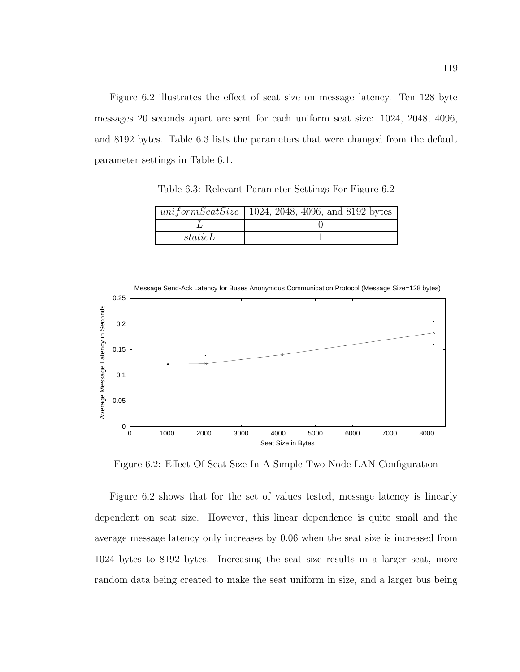Figure 6.2 illustrates the effect of seat size on message latency. Ten 128 byte messages 20 seconds apart are sent for each uniform seat size: 1024, 2048, 4096, and 8192 bytes. Table 6.3 lists the parameters that were changed from the default parameter settings in Table 6.1.

Table 6.3: Relevant Parameter Settings For Figure 6.2

|         | uniform Seat Size   1024, 2048, 4096, and 8192 bytes |
|---------|------------------------------------------------------|
|         |                                                      |
| staticL |                                                      |



Figure 6.2: Effect Of Seat Size In A Simple Two-Node LAN Configuration

Figure 6.2 shows that for the set of values tested, message latency is linearly dependent on seat size. However, this linear dependence is quite small and the average message latency only increases by 0.06 when the seat size is increased from 1024 bytes to 8192 bytes. Increasing the seat size results in a larger seat, more random data being created to make the seat uniform in size, and a larger bus being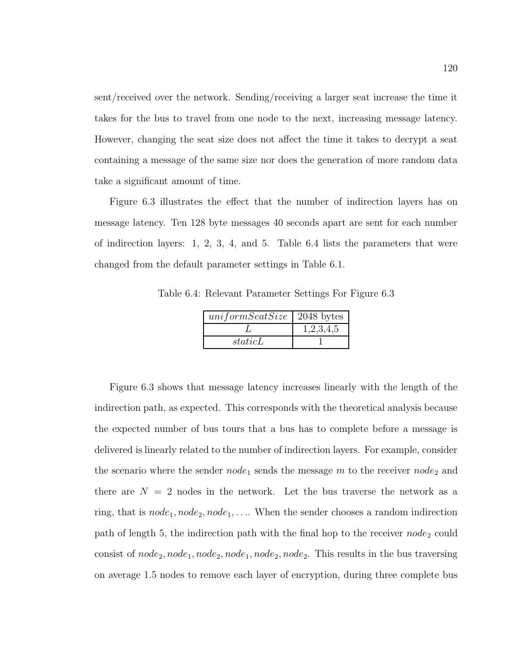sent/received over the network. Sending/receiving a larger seat increase the time it takes for the bus to travel from one node to the next, increasing message latency. However, changing the seat size does not affect the time it takes to decrypt a seat containing a message of the same size nor does the generation of more random data take a significant amount of time.

Figure 6.3 illustrates the effect that the number of indirection layers has on message latency. Ten 128 byte messages 40 seconds apart are sent for each number of indirection layers: 1, 2, 3, 4, and 5. Table 6.4 lists the parameters that were changed from the default parameter settings in Table 6.1.

Table 6.4: Relevant Parameter Settings For Figure 6.3

| $uniformSeatSize$   2048 bytes |           |
|--------------------------------|-----------|
|                                | 1,2,3,4,5 |
| staticL                        |           |

Figure 6.3 shows that message latency increases linearly with the length of the indirection path, as expected. This corresponds with the theoretical analysis because the expected number of bus tours that a bus has to complete before a message is delivered is linearly related to the number of indirection layers. For example, consider the scenario where the sender  $node_1$  sends the message m to the receiver  $node_2$  and there are  $N = 2$  nodes in the network. Let the bus traverse the network as a ring, that is  $node_1, node_2, node_1, \ldots$  When the sender chooses a random indirection path of length 5, the indirection path with the final hop to the receiver  $node_2$  could consist of  $node_2, node_1, node_2, node_1, node_2, node_2$ . This results in the bus traversing on average 1.5 nodes to remove each layer of encryption, during three complete bus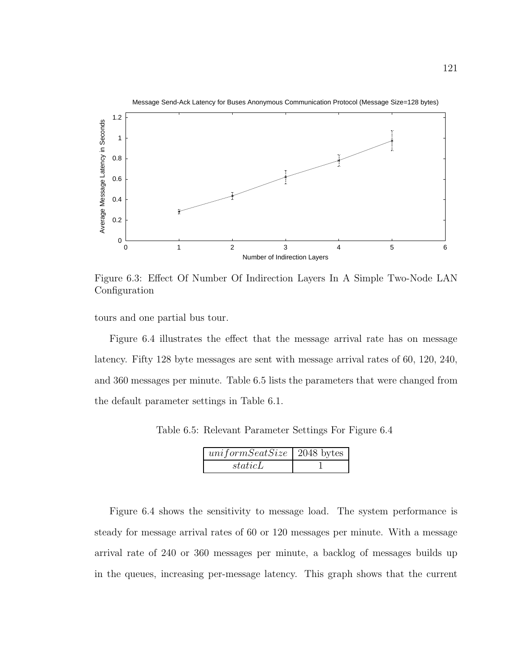

Figure 6.3: Effect Of Number Of Indirection Layers In A Simple Two-Node LAN Configuration

tours and one partial bus tour.

Figure 6.4 illustrates the effect that the message arrival rate has on message latency. Fifty 128 byte messages are sent with message arrival rates of 60, 120, 240, and 360 messages per minute. Table 6.5 lists the parameters that were changed from the default parameter settings in Table 6.1.

Table 6.5: Relevant Parameter Settings For Figure 6.4

| $uniformSeatSize$   2048 bytes |  |
|--------------------------------|--|
| staticL                        |  |

Figure 6.4 shows the sensitivity to message load. The system performance is steady for message arrival rates of 60 or 120 messages per minute. With a message arrival rate of 240 or 360 messages per minute, a backlog of messages builds up in the queues, increasing per-message latency. This graph shows that the current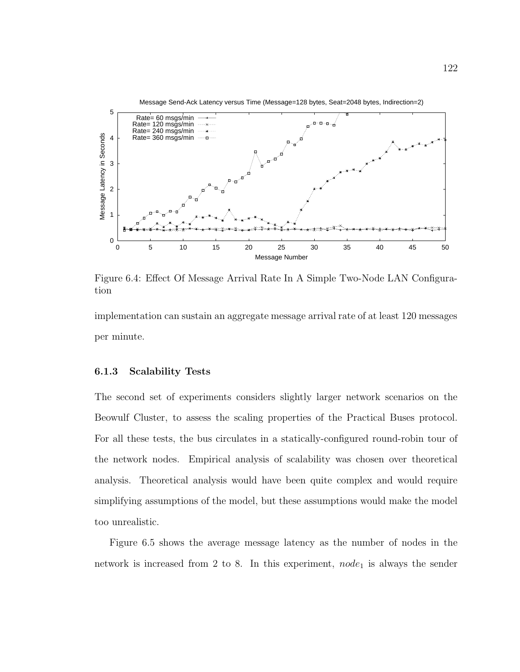

Figure 6.4: Effect Of Message Arrival Rate In A Simple Two-Node LAN Configuration

implementation can sustain an aggregate message arrival rate of at least 120 messages per minute.

#### 6.1.3 Scalability Tests

The second set of experiments considers slightly larger network scenarios on the Beowulf Cluster, to assess the scaling properties of the Practical Buses protocol. For all these tests, the bus circulates in a statically-configured round-robin tour of the network nodes. Empirical analysis of scalability was chosen over theoretical analysis. Theoretical analysis would have been quite complex and would require simplifying assumptions of the model, but these assumptions would make the model too unrealistic.

Figure 6.5 shows the average message latency as the number of nodes in the network is increased from 2 to 8. In this experiment,  $node_1$  is always the sender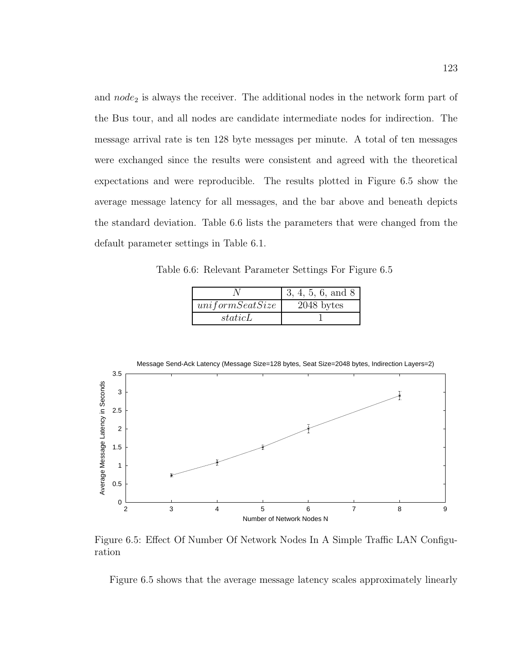and  $node_2$  is always the receiver. The additional nodes in the network form part of the Bus tour, and all nodes are candidate intermediate nodes for indirection. The message arrival rate is ten 128 byte messages per minute. A total of ten messages were exchanged since the results were consistent and agreed with the theoretical expectations and were reproducible. The results plotted in Figure 6.5 show the average message latency for all messages, and the bar above and beneath depicts the standard deviation. Table 6.6 lists the parameters that were changed from the default parameter settings in Table 6.1.

Table 6.6: Relevant Parameter Settings For Figure 6.5

|                 | 3, 4, 5, 6, and 8 |
|-----------------|-------------------|
| uniformSeatSize | $2048$ bytes      |
| staticL         |                   |



Figure 6.5: Effect Of Number Of Network Nodes In A Simple Traffic LAN Configuration

Figure 6.5 shows that the average message latency scales approximately linearly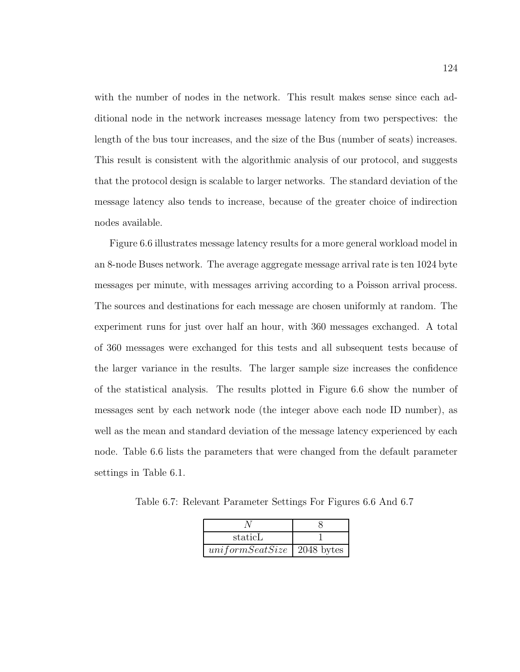with the number of nodes in the network. This result makes sense since each additional node in the network increases message latency from two perspectives: the length of the bus tour increases, and the size of the Bus (number of seats) increases. This result is consistent with the algorithmic analysis of our protocol, and suggests that the protocol design is scalable to larger networks. The standard deviation of the message latency also tends to increase, because of the greater choice of indirection nodes available.

Figure 6.6 illustrates message latency results for a more general workload model in an 8-node Buses network. The average aggregate message arrival rate is ten 1024 byte messages per minute, with messages arriving according to a Poisson arrival process. The sources and destinations for each message are chosen uniformly at random. The experiment runs for just over half an hour, with 360 messages exchanged. A total of 360 messages were exchanged for this tests and all subsequent tests because of the larger variance in the results. The larger sample size increases the confidence of the statistical analysis. The results plotted in Figure 6.6 show the number of messages sent by each network node (the integer above each node ID number), as well as the mean and standard deviation of the message latency experienced by each node. Table 6.6 lists the parameters that were changed from the default parameter settings in Table 6.1.

Table 6.7: Relevant Parameter Settings For Figures 6.6 And 6.7

| staticL         |              |
|-----------------|--------------|
| uniformSeatSize | $2048$ bytes |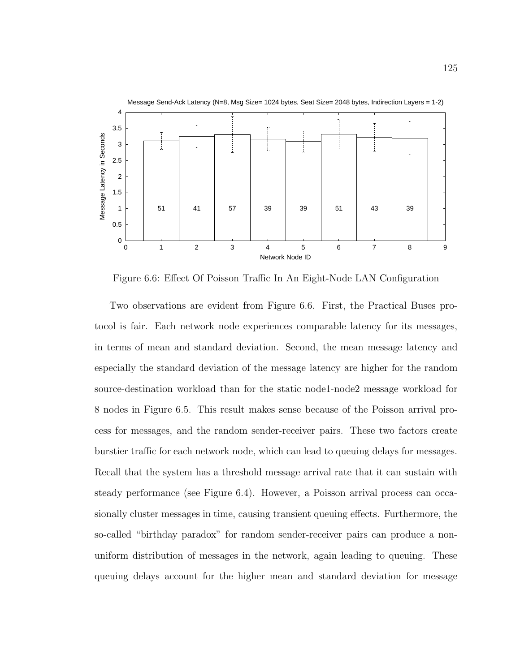

Figure 6.6: Effect Of Poisson Traffic In An Eight-Node LAN Configuration

Two observations are evident from Figure 6.6. First, the Practical Buses protocol is fair. Each network node experiences comparable latency for its messages, in terms of mean and standard deviation. Second, the mean message latency and especially the standard deviation of the message latency are higher for the random source-destination workload than for the static node1-node2 message workload for 8 nodes in Figure 6.5. This result makes sense because of the Poisson arrival process for messages, and the random sender-receiver pairs. These two factors create burstier traffic for each network node, which can lead to queuing delays for messages. Recall that the system has a threshold message arrival rate that it can sustain with steady performance (see Figure 6.4). However, a Poisson arrival process can occasionally cluster messages in time, causing transient queuing effects. Furthermore, the so-called "birthday paradox" for random sender-receiver pairs can produce a nonuniform distribution of messages in the network, again leading to queuing. These queuing delays account for the higher mean and standard deviation for message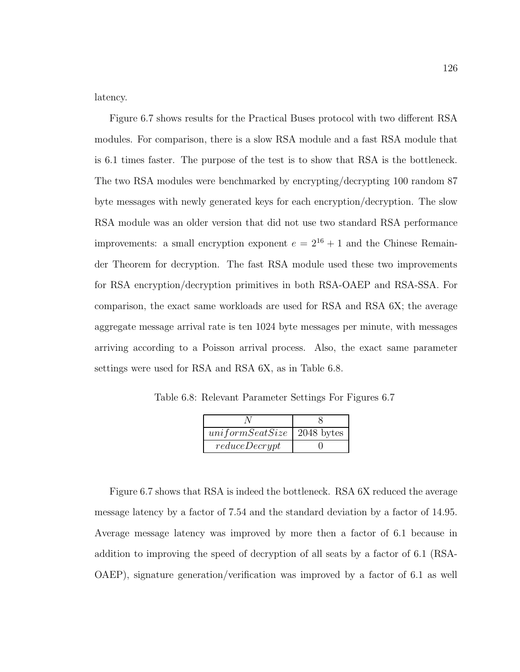latency.

Figure 6.7 shows results for the Practical Buses protocol with two different RSA modules. For comparison, there is a slow RSA module and a fast RSA module that is 6.1 times faster. The purpose of the test is to show that RSA is the bottleneck. The two RSA modules were benchmarked by encrypting/decrypting 100 random 87 byte messages with newly generated keys for each encryption/decryption. The slow RSA module was an older version that did not use two standard RSA performance improvements: a small encryption exponent  $e = 2^{16} + 1$  and the Chinese Remainder Theorem for decryption. The fast RSA module used these two improvements for RSA encryption/decryption primitives in both RSA-OAEP and RSA-SSA. For comparison, the exact same workloads are used for RSA and RSA 6X; the average aggregate message arrival rate is ten 1024 byte messages per minute, with messages arriving according to a Poisson arrival process. Also, the exact same parameter settings were used for RSA and RSA 6X, as in Table 6.8.

Table 6.8: Relevant Parameter Settings For Figures 6.7

| $uniformSeatSize$   2048 bytes |  |
|--------------------------------|--|
| reduceDerypt                   |  |

Figure 6.7 shows that RSA is indeed the bottleneck. RSA 6X reduced the average message latency by a factor of 7.54 and the standard deviation by a factor of 14.95. Average message latency was improved by more then a factor of 6.1 because in addition to improving the speed of decryption of all seats by a factor of 6.1 (RSA-OAEP), signature generation/verification was improved by a factor of 6.1 as well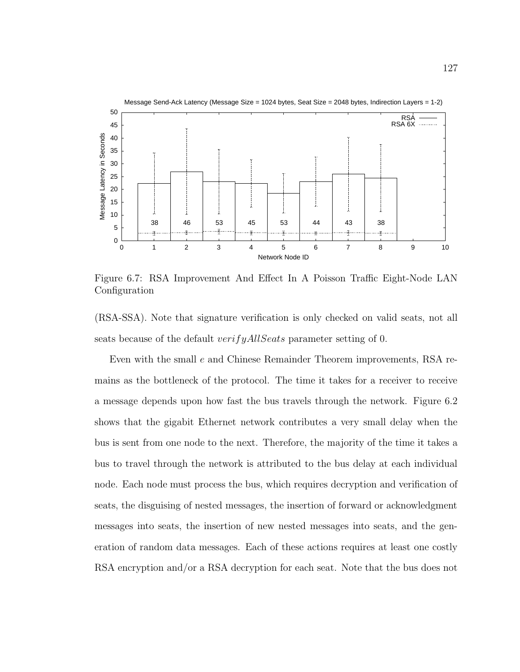

Figure 6.7: RSA Improvement And Effect In A Poisson Traffic Eight-Node LAN Configuration

(RSA-SSA). Note that signature verification is only checked on valid seats, not all seats because of the default *verifyAllSeats* parameter setting of 0.

Even with the small e and Chinese Remainder Theorem improvements, RSA remains as the bottleneck of the protocol. The time it takes for a receiver to receive a message depends upon how fast the bus travels through the network. Figure 6.2 shows that the gigabit Ethernet network contributes a very small delay when the bus is sent from one node to the next. Therefore, the majority of the time it takes a bus to travel through the network is attributed to the bus delay at each individual node. Each node must process the bus, which requires decryption and verification of seats, the disguising of nested messages, the insertion of forward or acknowledgment messages into seats, the insertion of new nested messages into seats, and the generation of random data messages. Each of these actions requires at least one costly RSA encryption and/or a RSA decryption for each seat. Note that the bus does not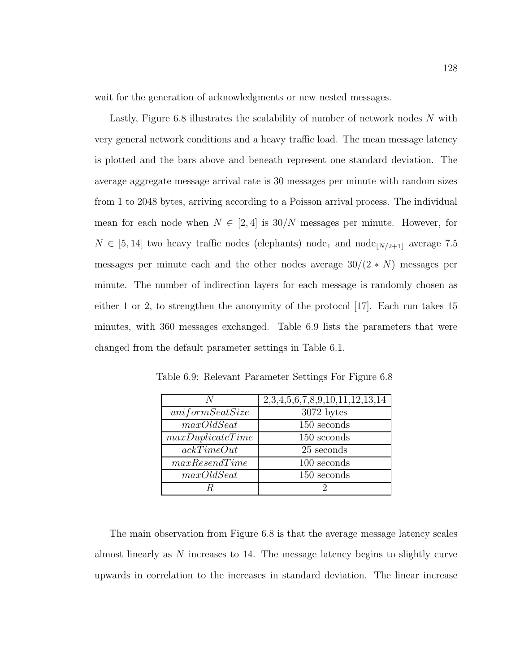wait for the generation of acknowledgments or new nested messages.

Lastly, Figure 6.8 illustrates the scalability of number of network nodes N with very general network conditions and a heavy traffic load. The mean message latency is plotted and the bars above and beneath represent one standard deviation. The average aggregate message arrival rate is 30 messages per minute with random sizes from 1 to 2048 bytes, arriving according to a Poisson arrival process. The individual mean for each node when  $N \in [2, 4]$  is  $30/N$  messages per minute. However, for  $N \in [5, 14]$  two heavy traffic nodes (elephants) node<sub>1</sub> and node<sub>[N/2+1]</sub> average 7.5 messages per minute each and the other nodes average  $30/(2*N)$  messages per minute. The number of indirection layers for each message is randomly chosen as either 1 or 2, to strengthen the anonymity of the protocol [17]. Each run takes 15 minutes, with 360 messages exchanged. Table 6.9 lists the parameters that were changed from the default parameter settings in Table 6.1.

|                  | 2, 3, 4, 5, 6, 7, 8, 9, 10, 11, 12, 13, 14 |
|------------------|--------------------------------------------|
| uniformSeatSize  | 3072 bytes                                 |
| maxOldSearch     | 150 seconds                                |
| maxDuplicateTime | 150 seconds                                |
| ackTimeOut       | 25 seconds                                 |
| maxResearchTime  | 100 seconds                                |
| maxOldSeat       | 150 seconds                                |
|                  |                                            |

Table 6.9: Relevant Parameter Settings For Figure 6.8

The main observation from Figure 6.8 is that the average message latency scales almost linearly as N increases to 14. The message latency begins to slightly curve upwards in correlation to the increases in standard deviation. The linear increase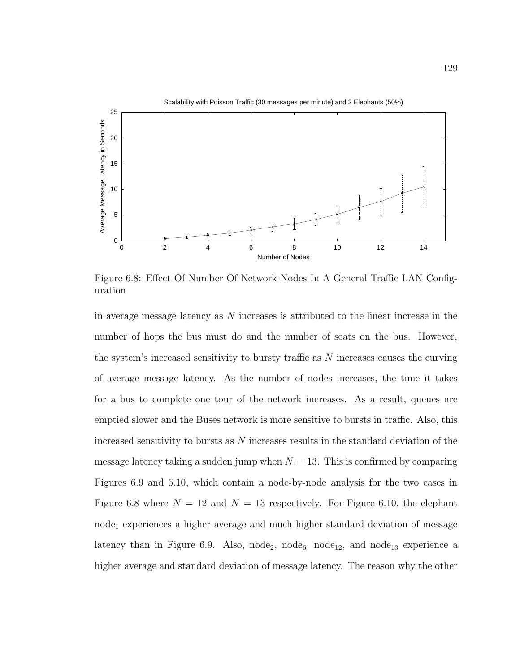

Figure 6.8: Effect Of Number Of Network Nodes In A General Traffic LAN Configuration

in average message latency as  $N$  increases is attributed to the linear increase in the number of hops the bus must do and the number of seats on the bus. However, the system's increased sensitivity to bursty traffic as  $N$  increases causes the curving of average message latency. As the number of nodes increases, the time it takes for a bus to complete one tour of the network increases. As a result, queues are emptied slower and the Buses network is more sensitive to bursts in traffic. Also, this increased sensitivity to bursts as N increases results in the standard deviation of the message latency taking a sudden jump when  $N = 13$ . This is confirmed by comparing Figures 6.9 and 6.10, which contain a node-by-node analysis for the two cases in Figure 6.8 where  $N = 12$  and  $N = 13$  respectively. For Figure 6.10, the elephant node<sup>1</sup> experiences a higher average and much higher standard deviation of message latency than in Figure 6.9. Also, node<sub>2</sub>, node<sub>6</sub>, node<sub>12</sub>, and node<sub>13</sub> experience a higher average and standard deviation of message latency. The reason why the other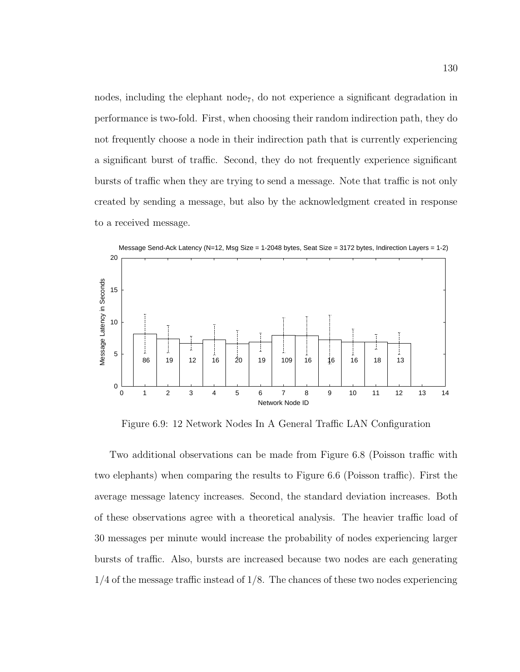nodes, including the elephant node<sub>7</sub>, do not experience a significant degradation in performance is two-fold. First, when choosing their random indirection path, they do not frequently choose a node in their indirection path that is currently experiencing a significant burst of traffic. Second, they do not frequently experience significant bursts of traffic when they are trying to send a message. Note that traffic is not only created by sending a message, but also by the acknowledgment created in response to a received message.



Figure 6.9: 12 Network Nodes In A General Traffic LAN Configuration

Two additional observations can be made from Figure 6.8 (Poisson traffic with two elephants) when comparing the results to Figure 6.6 (Poisson traffic). First the average message latency increases. Second, the standard deviation increases. Both of these observations agree with a theoretical analysis. The heavier traffic load of 30 messages per minute would increase the probability of nodes experiencing larger bursts of traffic. Also, bursts are increased because two nodes are each generating  $1/4$  of the message traffic instead of  $1/8$ . The chances of these two nodes experiencing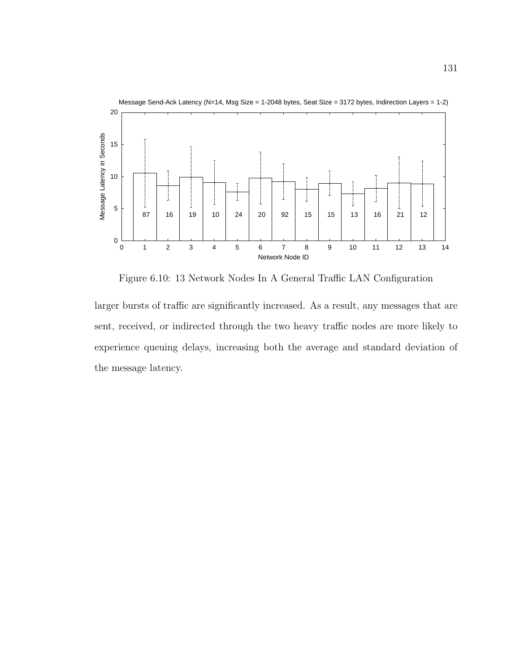

Figure 6.10: 13 Network Nodes In A General Traffic LAN Configuration

larger bursts of traffic are significantly increased. As a result, any messages that are sent, received, or indirected through the two heavy traffic nodes are more likely to experience queuing delays, increasing both the average and standard deviation of the message latency.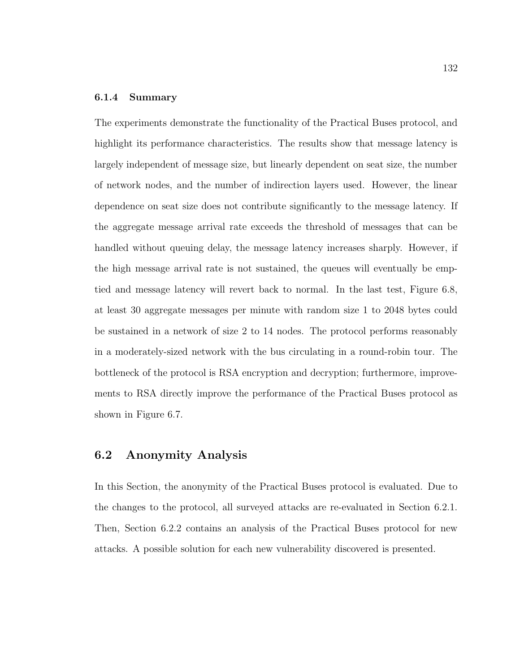### 6.1.4 Summary

The experiments demonstrate the functionality of the Practical Buses protocol, and highlight its performance characteristics. The results show that message latency is largely independent of message size, but linearly dependent on seat size, the number of network nodes, and the number of indirection layers used. However, the linear dependence on seat size does not contribute significantly to the message latency. If the aggregate message arrival rate exceeds the threshold of messages that can be handled without queuing delay, the message latency increases sharply. However, if the high message arrival rate is not sustained, the queues will eventually be emptied and message latency will revert back to normal. In the last test, Figure 6.8, at least 30 aggregate messages per minute with random size 1 to 2048 bytes could be sustained in a network of size 2 to 14 nodes. The protocol performs reasonably in a moderately-sized network with the bus circulating in a round-robin tour. The bottleneck of the protocol is RSA encryption and decryption; furthermore, improvements to RSA directly improve the performance of the Practical Buses protocol as shown in Figure 6.7.

## 6.2 Anonymity Analysis

In this Section, the anonymity of the Practical Buses protocol is evaluated. Due to the changes to the protocol, all surveyed attacks are re-evaluated in Section 6.2.1. Then, Section 6.2.2 contains an analysis of the Practical Buses protocol for new attacks. A possible solution for each new vulnerability discovered is presented.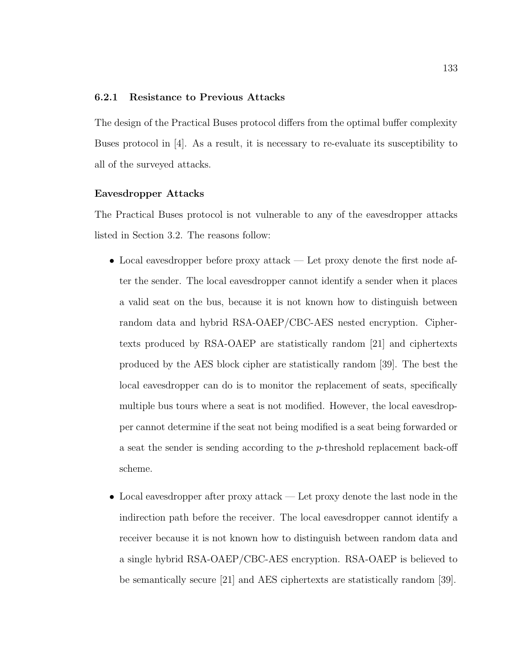### 6.2.1 Resistance to Previous Attacks

The design of the Practical Buses protocol differs from the optimal buffer complexity Buses protocol in [4]. As a result, it is necessary to re-evaluate its susceptibility to all of the surveyed attacks.

### Eavesdropper Attacks

The Practical Buses protocol is not vulnerable to any of the eavesdropper attacks listed in Section 3.2. The reasons follow:

- Local eavesdropper before proxy attack Let proxy denote the first node after the sender. The local eavesdropper cannot identify a sender when it places a valid seat on the bus, because it is not known how to distinguish between random data and hybrid RSA-OAEP/CBC-AES nested encryption. Ciphertexts produced by RSA-OAEP are statistically random [21] and ciphertexts produced by the AES block cipher are statistically random [39]. The best the local eavesdropper can do is to monitor the replacement of seats, specifically multiple bus tours where a seat is not modified. However, the local eavesdropper cannot determine if the seat not being modified is a seat being forwarded or a seat the sender is sending according to the p-threshold replacement back-off scheme.
- Local eavesdropper after proxy attack Let proxy denote the last node in the indirection path before the receiver. The local eavesdropper cannot identify a receiver because it is not known how to distinguish between random data and a single hybrid RSA-OAEP/CBC-AES encryption. RSA-OAEP is believed to be semantically secure [21] and AES ciphertexts are statistically random [39].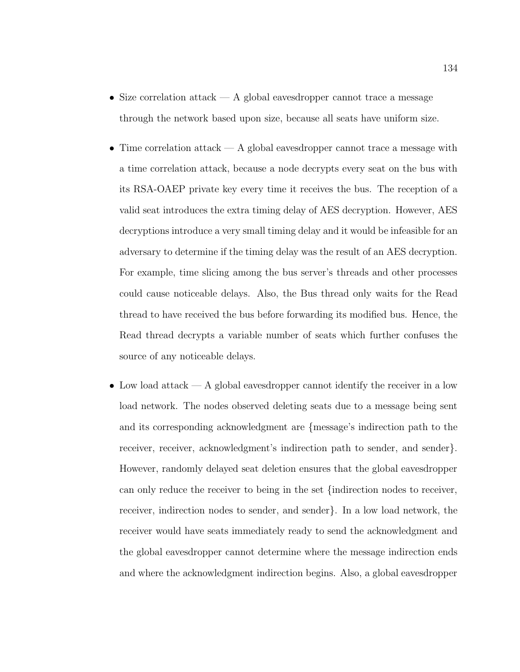- Size correlation attack  $-$  A global eavesdropper cannot trace a message through the network based upon size, because all seats have uniform size.
- $\bullet~$  Time correlation attack A global eavesdropper cannot trace a message with a time correlation attack, because a node decrypts every seat on the bus with its RSA-OAEP private key every time it receives the bus. The reception of a valid seat introduces the extra timing delay of AES decryption. However, AES decryptions introduce a very small timing delay and it would be infeasible for an adversary to determine if the timing delay was the result of an AES decryption. For example, time slicing among the bus server's threads and other processes could cause noticeable delays. Also, the Bus thread only waits for the Read thread to have received the bus before forwarding its modified bus. Hence, the Read thread decrypts a variable number of seats which further confuses the source of any noticeable delays.
- Low load attack A global eavesdropper cannot identify the receiver in a low load network. The nodes observed deleting seats due to a message being sent and its corresponding acknowledgment are {message's indirection path to the receiver, receiver, acknowledgment's indirection path to sender, and sender}. However, randomly delayed seat deletion ensures that the global eavesdropper can only reduce the receiver to being in the set {indirection nodes to receiver, receiver, indirection nodes to sender, and sender}. In a low load network, the receiver would have seats immediately ready to send the acknowledgment and the global eavesdropper cannot determine where the message indirection ends and where the acknowledgment indirection begins. Also, a global eavesdropper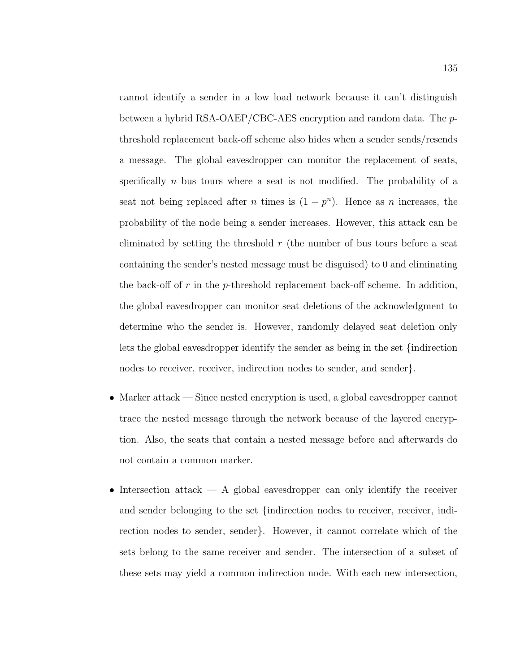cannot identify a sender in a low load network because it can't distinguish between a hybrid RSA-OAEP/CBC-AES encryption and random data. The pthreshold replacement back-off scheme also hides when a sender sends/resends a message. The global eavesdropper can monitor the replacement of seats, specifically n bus tours where a seat is not modified. The probability of a seat not being replaced after *n* times is  $(1 - p^n)$ . Hence as *n* increases, the probability of the node being a sender increases. However, this attack can be eliminated by setting the threshold  $r$  (the number of bus tours before a seat containing the sender's nested message must be disguised) to 0 and eliminating the back-off of r in the p-threshold replacement back-off scheme. In addition, the global eavesdropper can monitor seat deletions of the acknowledgment to determine who the sender is. However, randomly delayed seat deletion only lets the global eavesdropper identify the sender as being in the set {indirection nodes to receiver, receiver, indirection nodes to sender, and sender}.

- Marker attack Since nested encryption is used, a global eavesdropper cannot trace the nested message through the network because of the layered encryption. Also, the seats that contain a nested message before and afterwards do not contain a common marker.
- Intersection attack A global eavesdropper can only identify the receiver and sender belonging to the set {indirection nodes to receiver, receiver, indirection nodes to sender, sender}. However, it cannot correlate which of the sets belong to the same receiver and sender. The intersection of a subset of these sets may yield a common indirection node. With each new intersection,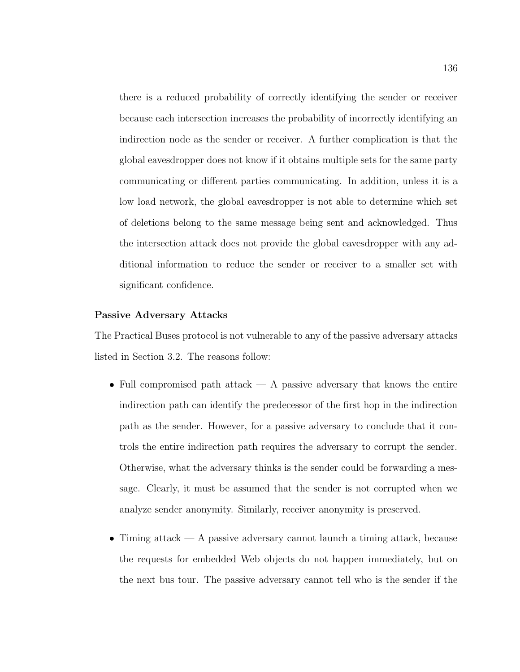there is a reduced probability of correctly identifying the sender or receiver because each intersection increases the probability of incorrectly identifying an indirection node as the sender or receiver. A further complication is that the global eavesdropper does not know if it obtains multiple sets for the same party communicating or different parties communicating. In addition, unless it is a low load network, the global eavesdropper is not able to determine which set of deletions belong to the same message being sent and acknowledged. Thus the intersection attack does not provide the global eavesdropper with any additional information to reduce the sender or receiver to a smaller set with significant confidence.

#### Passive Adversary Attacks

The Practical Buses protocol is not vulnerable to any of the passive adversary attacks listed in Section 3.2. The reasons follow:

- Full compromised path attack  $-$  A passive adversary that knows the entire indirection path can identify the predecessor of the first hop in the indirection path as the sender. However, for a passive adversary to conclude that it controls the entire indirection path requires the adversary to corrupt the sender. Otherwise, what the adversary thinks is the sender could be forwarding a message. Clearly, it must be assumed that the sender is not corrupted when we analyze sender anonymity. Similarly, receiver anonymity is preserved.
- $\bullet$  Timing attack A passive adversary cannot launch a timing attack, because the requests for embedded Web objects do not happen immediately, but on the next bus tour. The passive adversary cannot tell who is the sender if the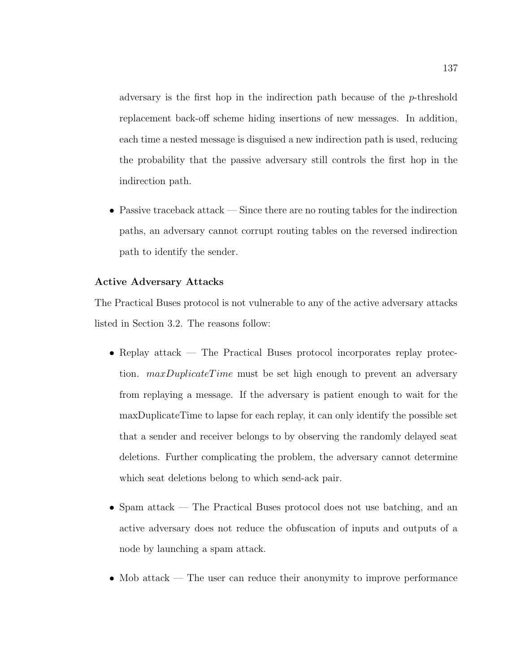adversary is the first hop in the indirection path because of the p-threshold replacement back-off scheme hiding insertions of new messages. In addition, each time a nested message is disguised a new indirection path is used, reducing the probability that the passive adversary still controls the first hop in the indirection path.

• Passive traceback attack — Since there are no routing tables for the indirection paths, an adversary cannot corrupt routing tables on the reversed indirection path to identify the sender.

#### Active Adversary Attacks

The Practical Buses protocol is not vulnerable to any of the active adversary attacks listed in Section 3.2. The reasons follow:

- Replay attack The Practical Buses protocol incorporates replay protection.  $maxDuplicateTime$  must be set high enough to prevent an adversary from replaying a message. If the adversary is patient enough to wait for the maxDuplicateTime to lapse for each replay, it can only identify the possible set that a sender and receiver belongs to by observing the randomly delayed seat deletions. Further complicating the problem, the adversary cannot determine which seat deletions belong to which send-ack pair.
- Spam attack The Practical Buses protocol does not use batching, and an active adversary does not reduce the obfuscation of inputs and outputs of a node by launching a spam attack.
- Mob attack The user can reduce their anonymity to improve performance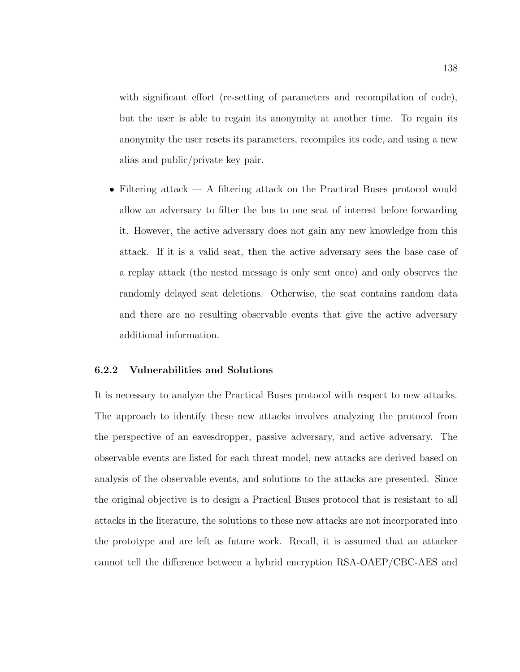with significant effort (re-setting of parameters and recompilation of code), but the user is able to regain its anonymity at another time. To regain its anonymity the user resets its parameters, recompiles its code, and using a new alias and public/private key pair.

• Filtering attack — A filtering attack on the Practical Buses protocol would allow an adversary to filter the bus to one seat of interest before forwarding it. However, the active adversary does not gain any new knowledge from this attack. If it is a valid seat, then the active adversary sees the base case of a replay attack (the nested message is only sent once) and only observes the randomly delayed seat deletions. Otherwise, the seat contains random data and there are no resulting observable events that give the active adversary additional information.

#### 6.2.2 Vulnerabilities and Solutions

It is necessary to analyze the Practical Buses protocol with respect to new attacks. The approach to identify these new attacks involves analyzing the protocol from the perspective of an eavesdropper, passive adversary, and active adversary. The observable events are listed for each threat model, new attacks are derived based on analysis of the observable events, and solutions to the attacks are presented. Since the original objective is to design a Practical Buses protocol that is resistant to all attacks in the literature, the solutions to these new attacks are not incorporated into the prototype and are left as future work. Recall, it is assumed that an attacker cannot tell the difference between a hybrid encryption RSA-OAEP/CBC-AES and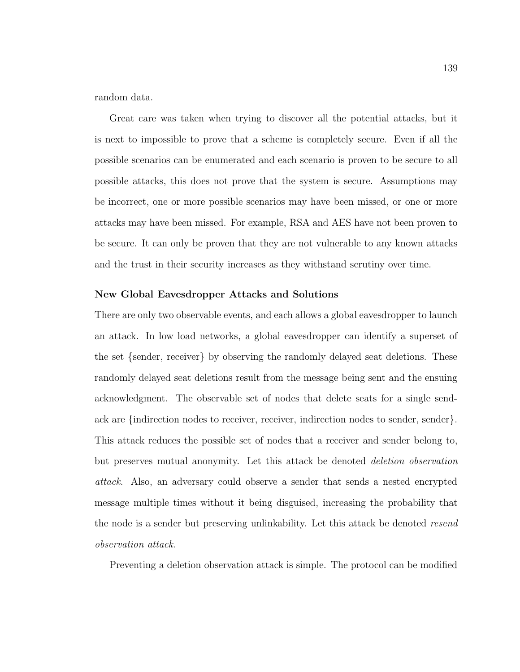random data.

Great care was taken when trying to discover all the potential attacks, but it is next to impossible to prove that a scheme is completely secure. Even if all the possible scenarios can be enumerated and each scenario is proven to be secure to all possible attacks, this does not prove that the system is secure. Assumptions may be incorrect, one or more possible scenarios may have been missed, or one or more attacks may have been missed. For example, RSA and AES have not been proven to be secure. It can only be proven that they are not vulnerable to any known attacks and the trust in their security increases as they withstand scrutiny over time.

#### New Global Eavesdropper Attacks and Solutions

There are only two observable events, and each allows a global eavesdropper to launch an attack. In low load networks, a global eavesdropper can identify a superset of the set {sender, receiver} by observing the randomly delayed seat deletions. These randomly delayed seat deletions result from the message being sent and the ensuing acknowledgment. The observable set of nodes that delete seats for a single sendack are {indirection nodes to receiver, receiver, indirection nodes to sender, sender}. This attack reduces the possible set of nodes that a receiver and sender belong to, but preserves mutual anonymity. Let this attack be denoted deletion observation attack. Also, an adversary could observe a sender that sends a nested encrypted message multiple times without it being disguised, increasing the probability that the node is a sender but preserving unlinkability. Let this attack be denoted resend observation attack.

Preventing a deletion observation attack is simple. The protocol can be modified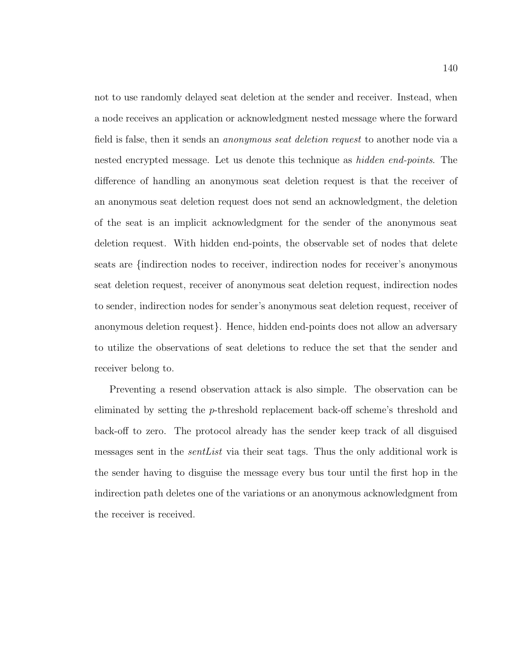not to use randomly delayed seat deletion at the sender and receiver. Instead, when a node receives an application or acknowledgment nested message where the forward field is false, then it sends an anonymous seat deletion request to another node via a nested encrypted message. Let us denote this technique as hidden end-points. The difference of handling an anonymous seat deletion request is that the receiver of an anonymous seat deletion request does not send an acknowledgment, the deletion of the seat is an implicit acknowledgment for the sender of the anonymous seat deletion request. With hidden end-points, the observable set of nodes that delete seats are {indirection nodes to receiver, indirection nodes for receiver's anonymous seat deletion request, receiver of anonymous seat deletion request, indirection nodes to sender, indirection nodes for sender's anonymous seat deletion request, receiver of anonymous deletion request}. Hence, hidden end-points does not allow an adversary to utilize the observations of seat deletions to reduce the set that the sender and receiver belong to.

Preventing a resend observation attack is also simple. The observation can be eliminated by setting the p-threshold replacement back-off scheme's threshold and back-off to zero. The protocol already has the sender keep track of all disguised messages sent in the *sent List* via their seat tags. Thus the only additional work is the sender having to disguise the message every bus tour until the first hop in the indirection path deletes one of the variations or an anonymous acknowledgment from the receiver is received.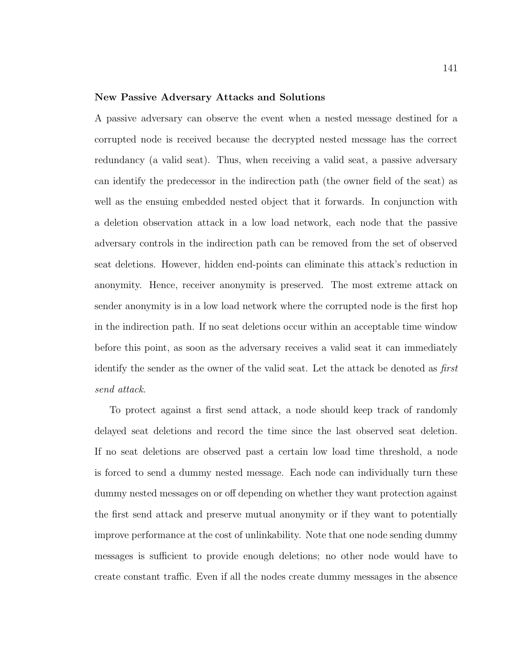#### New Passive Adversary Attacks and Solutions

A passive adversary can observe the event when a nested message destined for a corrupted node is received because the decrypted nested message has the correct redundancy (a valid seat). Thus, when receiving a valid seat, a passive adversary can identify the predecessor in the indirection path (the owner field of the seat) as well as the ensuing embedded nested object that it forwards. In conjunction with a deletion observation attack in a low load network, each node that the passive adversary controls in the indirection path can be removed from the set of observed seat deletions. However, hidden end-points can eliminate this attack's reduction in anonymity. Hence, receiver anonymity is preserved. The most extreme attack on sender anonymity is in a low load network where the corrupted node is the first hop in the indirection path. If no seat deletions occur within an acceptable time window before this point, as soon as the adversary receives a valid seat it can immediately identify the sender as the owner of the valid seat. Let the attack be denoted as first send attack.

To protect against a first send attack, a node should keep track of randomly delayed seat deletions and record the time since the last observed seat deletion. If no seat deletions are observed past a certain low load time threshold, a node is forced to send a dummy nested message. Each node can individually turn these dummy nested messages on or off depending on whether they want protection against the first send attack and preserve mutual anonymity or if they want to potentially improve performance at the cost of unlinkability. Note that one node sending dummy messages is sufficient to provide enough deletions; no other node would have to create constant traffic. Even if all the nodes create dummy messages in the absence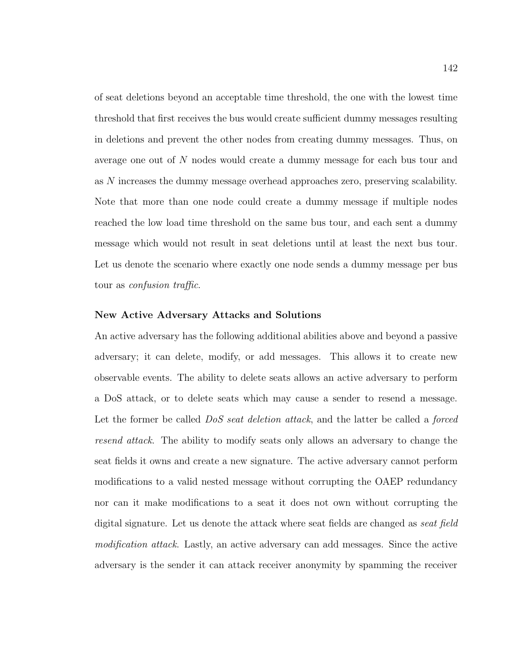of seat deletions beyond an acceptable time threshold, the one with the lowest time threshold that first receives the bus would create sufficient dummy messages resulting in deletions and prevent the other nodes from creating dummy messages. Thus, on average one out of N nodes would create a dummy message for each bus tour and as N increases the dummy message overhead approaches zero, preserving scalability. Note that more than one node could create a dummy message if multiple nodes reached the low load time threshold on the same bus tour, and each sent a dummy message which would not result in seat deletions until at least the next bus tour. Let us denote the scenario where exactly one node sends a dummy message per bus tour as confusion traffic.

#### New Active Adversary Attacks and Solutions

An active adversary has the following additional abilities above and beyond a passive adversary; it can delete, modify, or add messages. This allows it to create new observable events. The ability to delete seats allows an active adversary to perform a DoS attack, or to delete seats which may cause a sender to resend a message. Let the former be called *DoS seat deletion attack*, and the latter be called a *forced* resend attack. The ability to modify seats only allows an adversary to change the seat fields it owns and create a new signature. The active adversary cannot perform modifications to a valid nested message without corrupting the OAEP redundancy nor can it make modifications to a seat it does not own without corrupting the digital signature. Let us denote the attack where seat fields are changed as seat field modification attack. Lastly, an active adversary can add messages. Since the active adversary is the sender it can attack receiver anonymity by spamming the receiver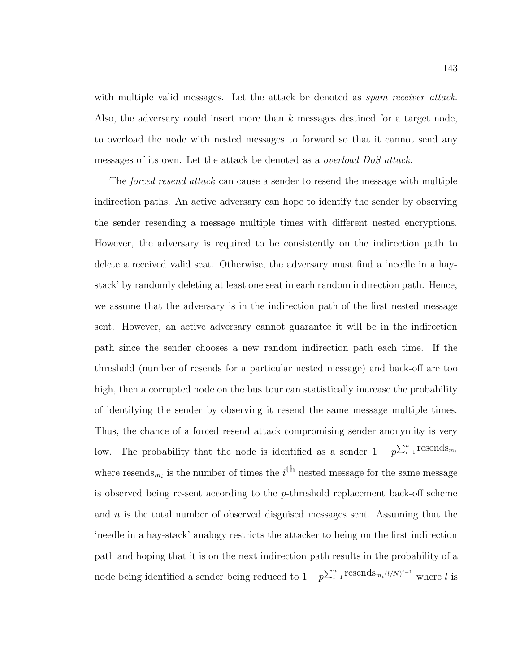with multiple valid messages. Let the attack be denoted as *spam receiver attack*. Also, the adversary could insert more than k messages destined for a target node, to overload the node with nested messages to forward so that it cannot send any messages of its own. Let the attack be denoted as a overload DoS attack.

The forced resend attack can cause a sender to resend the message with multiple indirection paths. An active adversary can hope to identify the sender by observing the sender resending a message multiple times with different nested encryptions. However, the adversary is required to be consistently on the indirection path to delete a received valid seat. Otherwise, the adversary must find a 'needle in a haystack' by randomly deleting at least one seat in each random indirection path. Hence, we assume that the adversary is in the indirection path of the first nested message sent. However, an active adversary cannot guarantee it will be in the indirection path since the sender chooses a new random indirection path each time. If the threshold (number of resends for a particular nested message) and back-off are too high, then a corrupted node on the bus tour can statistically increase the probability of identifying the sender by observing it resend the same message multiple times. Thus, the chance of a forced resend attack compromising sender anonymity is very low. The probability that the node is identified as a sender  $1 - p^{\sum_{i=1}^{n} {\text{resends}}_{m_i}}$ where resends<sub>m<sub>i</sub></sub> is the number of times the *i*<sup>th</sup> nested message for the same message is observed being re-sent according to the  $p$ -threshold replacement back-off scheme and  $n$  is the total number of observed disguised messages sent. Assuming that the 'needle in a hay-stack' analogy restricts the attacker to being on the first indirection path and hoping that it is on the next indirection path results in the probability of a node being identified a sender being reduced to  $1 - p^{\sum_{i=1}^{n} \text{resends}_{m_i}(l/N)^{i-1}}$  where l is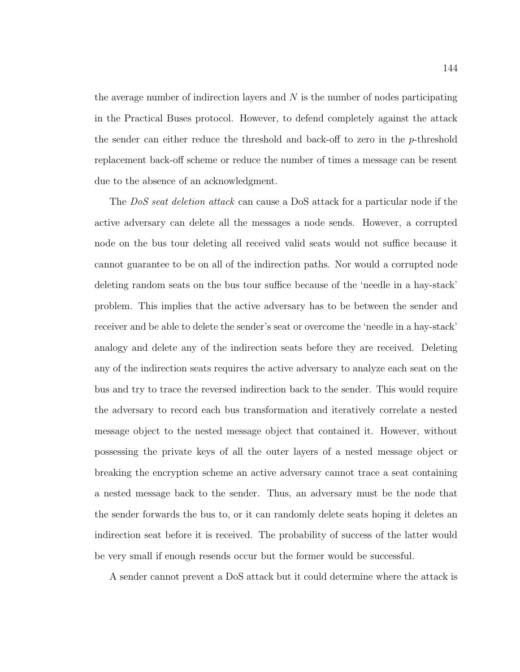the average number of indirection layers and  $N$  is the number of nodes participating in the Practical Buses protocol. However, to defend completely against the attack the sender can either reduce the threshold and back-off to zero in the p-threshold replacement back-off scheme or reduce the number of times a message can be resent due to the absence of an acknowledgment.

The DoS seat deletion attack can cause a DoS attack for a particular node if the active adversary can delete all the messages a node sends. However, a corrupted node on the bus tour deleting all received valid seats would not suffice because it cannot guarantee to be on all of the indirection paths. Nor would a corrupted node deleting random seats on the bus tour suffice because of the 'needle in a hay-stack' problem. This implies that the active adversary has to be between the sender and receiver and be able to delete the sender's seat or overcome the 'needle in a hay-stack' analogy and delete any of the indirection seats before they are received. Deleting any of the indirection seats requires the active adversary to analyze each seat on the bus and try to trace the reversed indirection back to the sender. This would require the adversary to record each bus transformation and iteratively correlate a nested message object to the nested message object that contained it. However, without possessing the private keys of all the outer layers of a nested message object or breaking the encryption scheme an active adversary cannot trace a seat containing a nested message back to the sender. Thus, an adversary must be the node that the sender forwards the bus to, or it can randomly delete seats hoping it deletes an indirection seat before it is received. The probability of success of the latter would be very small if enough resends occur but the former would be successful.

A sender cannot prevent a DoS attack but it could determine where the attack is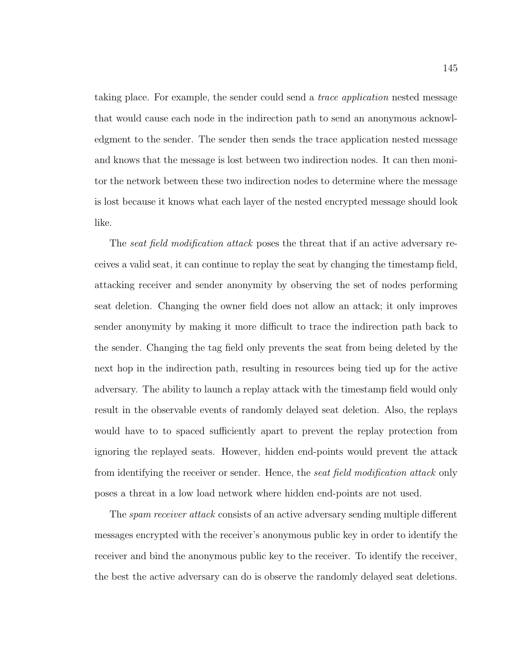taking place. For example, the sender could send a trace application nested message that would cause each node in the indirection path to send an anonymous acknowledgment to the sender. The sender then sends the trace application nested message and knows that the message is lost between two indirection nodes. It can then monitor the network between these two indirection nodes to determine where the message is lost because it knows what each layer of the nested encrypted message should look like.

The *seat field modification attack* poses the threat that if an active adversary receives a valid seat, it can continue to replay the seat by changing the timestamp field, attacking receiver and sender anonymity by observing the set of nodes performing seat deletion. Changing the owner field does not allow an attack; it only improves sender anonymity by making it more difficult to trace the indirection path back to the sender. Changing the tag field only prevents the seat from being deleted by the next hop in the indirection path, resulting in resources being tied up for the active adversary. The ability to launch a replay attack with the timestamp field would only result in the observable events of randomly delayed seat deletion. Also, the replays would have to to spaced sufficiently apart to prevent the replay protection from ignoring the replayed seats. However, hidden end-points would prevent the attack from identifying the receiver or sender. Hence, the seat field modification attack only poses a threat in a low load network where hidden end-points are not used.

The *spam receiver attack* consists of an active adversary sending multiple different messages encrypted with the receiver's anonymous public key in order to identify the receiver and bind the anonymous public key to the receiver. To identify the receiver, the best the active adversary can do is observe the randomly delayed seat deletions.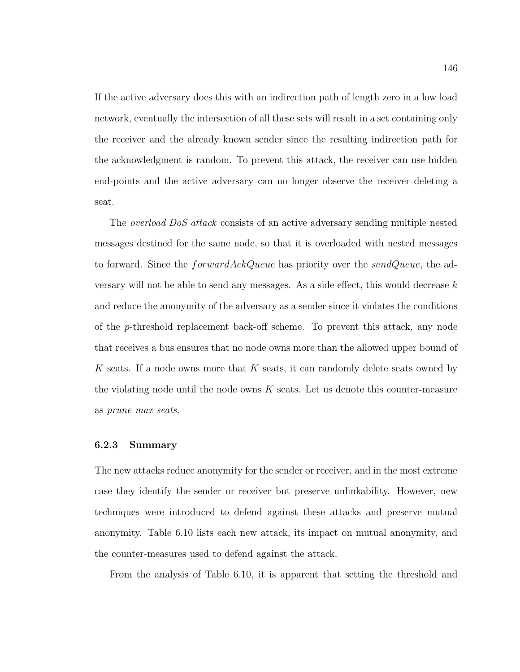If the active adversary does this with an indirection path of length zero in a low load network, eventually the intersection of all these sets will result in a set containing only the receiver and the already known sender since the resulting indirection path for the acknowledgment is random. To prevent this attack, the receiver can use hidden end-points and the active adversary can no longer observe the receiver deleting a seat.

The overload DoS attack consists of an active adversary sending multiple nested messages destined for the same node, so that it is overloaded with nested messages to forward. Since the *forwardAckQueue* has priority over the *sendQueue*, the adversary will not be able to send any messages. As a side effect, this would decrease  $k$ and reduce the anonymity of the adversary as a sender since it violates the conditions of the p-threshold replacement back-off scheme. To prevent this attack, any node that receives a bus ensures that no node owns more than the allowed upper bound of K seats. If a node owns more that K seats, it can randomly delete seats owned by the violating node until the node owns  $K$  seats. Let us denote this counter-measure as prune max seats.

#### 6.2.3 Summary

The new attacks reduce anonymity for the sender or receiver, and in the most extreme case they identify the sender or receiver but preserve unlinkability. However, new techniques were introduced to defend against these attacks and preserve mutual anonymity. Table 6.10 lists each new attack, its impact on mutual anonymity, and the counter-measures used to defend against the attack.

From the analysis of Table 6.10, it is apparent that setting the threshold and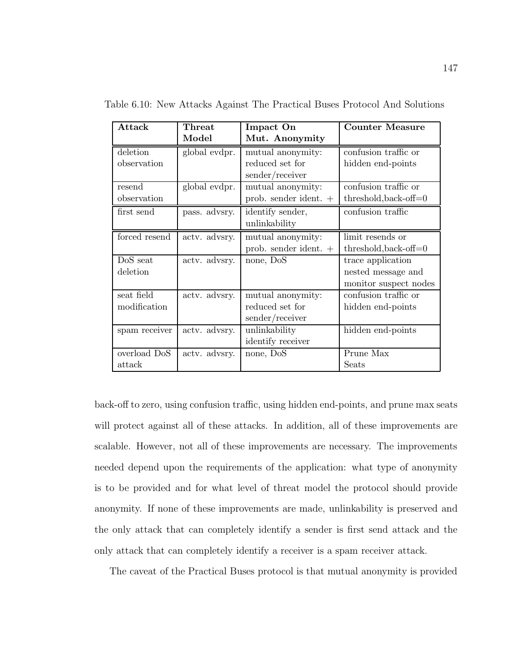| Attack        | <b>Threat</b> | Impact On               | <b>Counter Measure</b>  |
|---------------|---------------|-------------------------|-------------------------|
|               | Model         | Mut. Anonymity          |                         |
| deletion      | global evdpr. | mutual anonymity:       | confusion traffic or    |
| observation   |               | reduced set for         | hidden end-points       |
|               |               | sender/receiver         |                         |
| resend        | global evdpr. | mutual anonymity:       | confusion traffic or    |
| observation   |               | prob. sender ident. +   | $threshold, back-off=0$ |
| first send    | pass. advsry. | identify sender,        | confusion traffic       |
|               |               | unlinkability           |                         |
| forced resend | actv. advsry. | mutual anonymity:       | limit resends or        |
|               |               | prob. sender ident. $+$ | $threshold, back-off=0$ |
| DoS seat      | actv. advsry. | none, DoS               | trace application       |
| deletion      |               |                         | nested message and      |
|               |               |                         | monitor suspect nodes   |
| seat field    | actv. advsry. | mutual anonymity:       | confusion traffic or    |
| modification  |               | reduced set for         | hidden end-points       |
|               |               | sender/receiver         |                         |
| spam receiver | actv. advsry. | unlinkability           | hidden end-points       |
|               |               | identify receiver       |                         |
| overload DoS  | actv. advsry. | none, DoS               | Prune Max               |
| attack        |               |                         | Seats                   |

Table 6.10: New Attacks Against The Practical Buses Protocol And Solutions

back-off to zero, using confusion traffic, using hidden end-points, and prune max seats will protect against all of these attacks. In addition, all of these improvements are scalable. However, not all of these improvements are necessary. The improvements needed depend upon the requirements of the application: what type of anonymity is to be provided and for what level of threat model the protocol should provide anonymity. If none of these improvements are made, unlinkability is preserved and the only attack that can completely identify a sender is first send attack and the only attack that can completely identify a receiver is a spam receiver attack.

The caveat of the Practical Buses protocol is that mutual anonymity is provided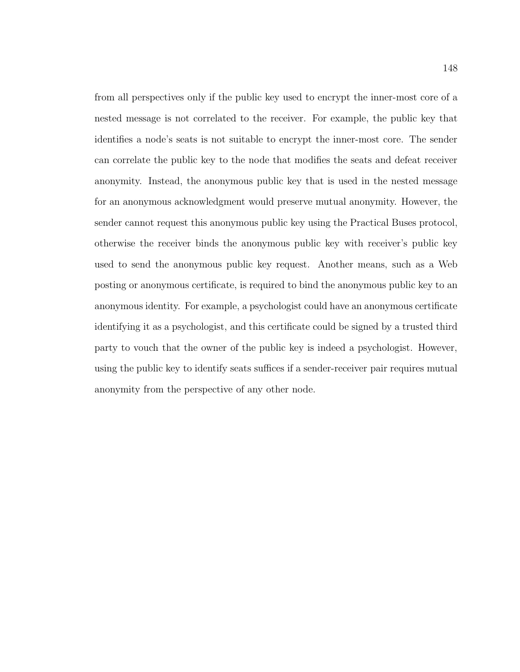from all perspectives only if the public key used to encrypt the inner-most core of a nested message is not correlated to the receiver. For example, the public key that identifies a node's seats is not suitable to encrypt the inner-most core. The sender can correlate the public key to the node that modifies the seats and defeat receiver anonymity. Instead, the anonymous public key that is used in the nested message for an anonymous acknowledgment would preserve mutual anonymity. However, the sender cannot request this anonymous public key using the Practical Buses protocol, otherwise the receiver binds the anonymous public key with receiver's public key used to send the anonymous public key request. Another means, such as a Web posting or anonymous certificate, is required to bind the anonymous public key to an anonymous identity. For example, a psychologist could have an anonymous certificate identifying it as a psychologist, and this certificate could be signed by a trusted third party to vouch that the owner of the public key is indeed a psychologist. However, using the public key to identify seats suffices if a sender-receiver pair requires mutual anonymity from the perspective of any other node.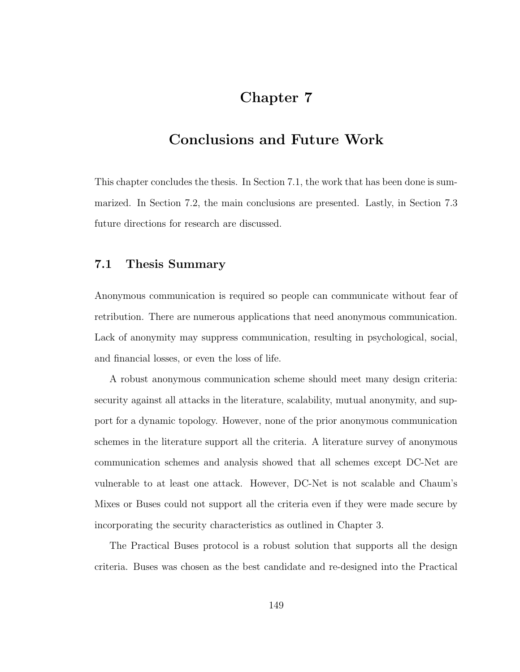## Chapter 7

## Conclusions and Future Work

This chapter concludes the thesis. In Section 7.1, the work that has been done is summarized. In Section 7.2, the main conclusions are presented. Lastly, in Section 7.3 future directions for research are discussed.

### 7.1 Thesis Summary

Anonymous communication is required so people can communicate without fear of retribution. There are numerous applications that need anonymous communication. Lack of anonymity may suppress communication, resulting in psychological, social, and financial losses, or even the loss of life.

A robust anonymous communication scheme should meet many design criteria: security against all attacks in the literature, scalability, mutual anonymity, and support for a dynamic topology. However, none of the prior anonymous communication schemes in the literature support all the criteria. A literature survey of anonymous communication schemes and analysis showed that all schemes except DC-Net are vulnerable to at least one attack. However, DC-Net is not scalable and Chaum's Mixes or Buses could not support all the criteria even if they were made secure by incorporating the security characteristics as outlined in Chapter 3.

The Practical Buses protocol is a robust solution that supports all the design criteria. Buses was chosen as the best candidate and re-designed into the Practical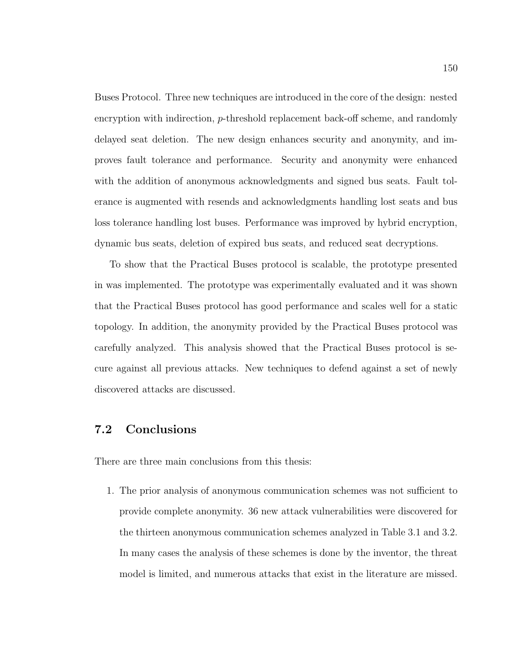Buses Protocol. Three new techniques are introduced in the core of the design: nested encryption with indirection, p-threshold replacement back-off scheme, and randomly delayed seat deletion. The new design enhances security and anonymity, and improves fault tolerance and performance. Security and anonymity were enhanced with the addition of anonymous acknowledgments and signed bus seats. Fault tolerance is augmented with resends and acknowledgments handling lost seats and bus loss tolerance handling lost buses. Performance was improved by hybrid encryption, dynamic bus seats, deletion of expired bus seats, and reduced seat decryptions.

To show that the Practical Buses protocol is scalable, the prototype presented in was implemented. The prototype was experimentally evaluated and it was shown that the Practical Buses protocol has good performance and scales well for a static topology. In addition, the anonymity provided by the Practical Buses protocol was carefully analyzed. This analysis showed that the Practical Buses protocol is secure against all previous attacks. New techniques to defend against a set of newly discovered attacks are discussed.

## 7.2 Conclusions

There are three main conclusions from this thesis:

1. The prior analysis of anonymous communication schemes was not sufficient to provide complete anonymity. 36 new attack vulnerabilities were discovered for the thirteen anonymous communication schemes analyzed in Table 3.1 and 3.2. In many cases the analysis of these schemes is done by the inventor, the threat model is limited, and numerous attacks that exist in the literature are missed.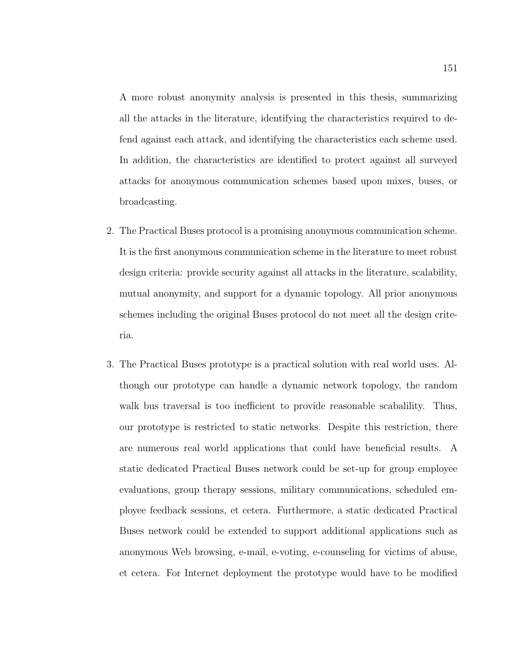A more robust anonymity analysis is presented in this thesis, summarizing all the attacks in the literature, identifying the characteristics required to defend against each attack, and identifying the characteristics each scheme used. In addition, the characteristics are identified to protect against all surveyed attacks for anonymous communication schemes based upon mixes, buses, or broadcasting.

- 2. The Practical Buses protocol is a promising anonymous communication scheme. It is the first anonymous communication scheme in the literature to meet robust design criteria: provide security against all attacks in the literature, scalability, mutual anonymity, and support for a dynamic topology. All prior anonymous schemes including the original Buses protocol do not meet all the design criteria.
- 3. The Practical Buses prototype is a practical solution with real world uses. Although our prototype can handle a dynamic network topology, the random walk bus traversal is too inefficient to provide reasonable scabalility. Thus, our prototype is restricted to static networks. Despite this restriction, there are numerous real world applications that could have beneficial results. A static dedicated Practical Buses network could be set-up for group employee evaluations, group therapy sessions, military communications, scheduled employee feedback sessions, et cetera. Furthermore, a static dedicated Practical Buses network could be extended to support additional applications such as anonymous Web browsing, e-mail, e-voting, e-counseling for victims of abuse, et cetera. For Internet deployment the prototype would have to be modified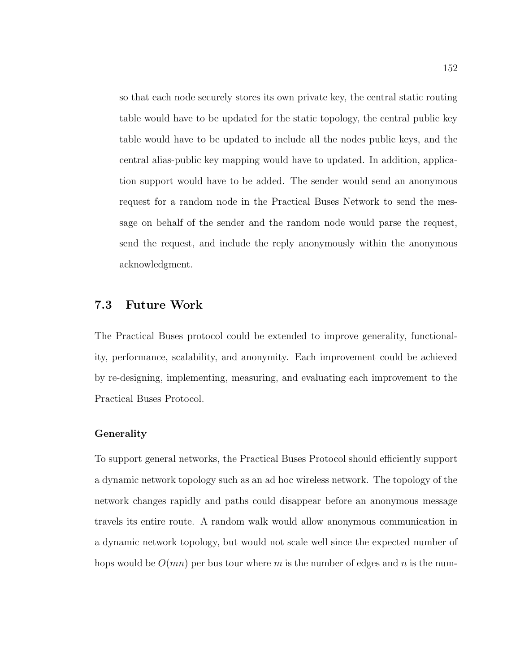so that each node securely stores its own private key, the central static routing table would have to be updated for the static topology, the central public key table would have to be updated to include all the nodes public keys, and the central alias-public key mapping would have to updated. In addition, application support would have to be added. The sender would send an anonymous request for a random node in the Practical Buses Network to send the message on behalf of the sender and the random node would parse the request, send the request, and include the reply anonymously within the anonymous acknowledgment.

## 7.3 Future Work

The Practical Buses protocol could be extended to improve generality, functionality, performance, scalability, and anonymity. Each improvement could be achieved by re-designing, implementing, measuring, and evaluating each improvement to the Practical Buses Protocol.

#### Generality

To support general networks, the Practical Buses Protocol should efficiently support a dynamic network topology such as an ad hoc wireless network. The topology of the network changes rapidly and paths could disappear before an anonymous message travels its entire route. A random walk would allow anonymous communication in a dynamic network topology, but would not scale well since the expected number of hops would be  $O(mn)$  per bus tour where m is the number of edges and n is the num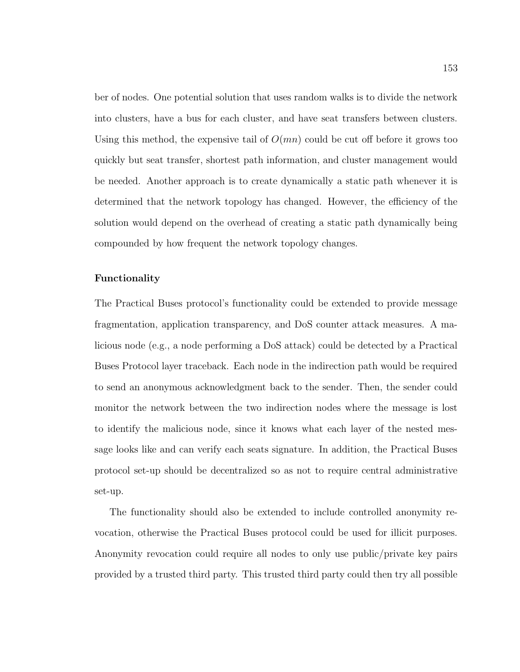ber of nodes. One potential solution that uses random walks is to divide the network into clusters, have a bus for each cluster, and have seat transfers between clusters. Using this method, the expensive tail of  $O(mn)$  could be cut off before it grows too quickly but seat transfer, shortest path information, and cluster management would be needed. Another approach is to create dynamically a static path whenever it is determined that the network topology has changed. However, the efficiency of the solution would depend on the overhead of creating a static path dynamically being compounded by how frequent the network topology changes.

#### Functionality

The Practical Buses protocol's functionality could be extended to provide message fragmentation, application transparency, and DoS counter attack measures. A malicious node (e.g., a node performing a DoS attack) could be detected by a Practical Buses Protocol layer traceback. Each node in the indirection path would be required to send an anonymous acknowledgment back to the sender. Then, the sender could monitor the network between the two indirection nodes where the message is lost to identify the malicious node, since it knows what each layer of the nested message looks like and can verify each seats signature. In addition, the Practical Buses protocol set-up should be decentralized so as not to require central administrative set-up.

The functionality should also be extended to include controlled anonymity revocation, otherwise the Practical Buses protocol could be used for illicit purposes. Anonymity revocation could require all nodes to only use public/private key pairs provided by a trusted third party. This trusted third party could then try all possible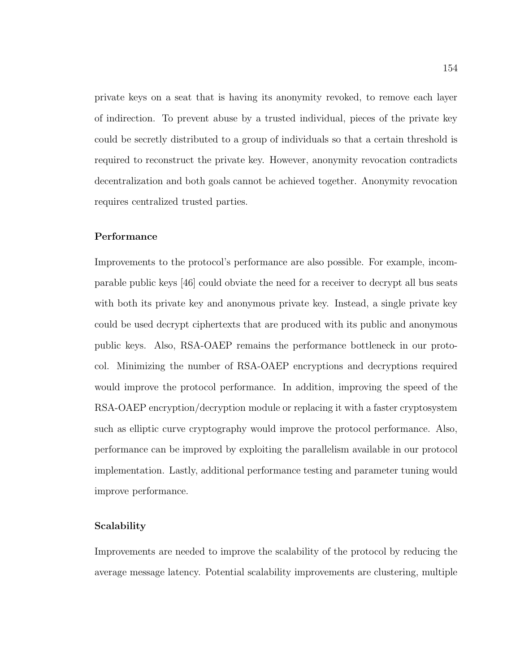private keys on a seat that is having its anonymity revoked, to remove each layer of indirection. To prevent abuse by a trusted individual, pieces of the private key could be secretly distributed to a group of individuals so that a certain threshold is required to reconstruct the private key. However, anonymity revocation contradicts decentralization and both goals cannot be achieved together. Anonymity revocation requires centralized trusted parties.

#### Performance

Improvements to the protocol's performance are also possible. For example, incomparable public keys [46] could obviate the need for a receiver to decrypt all bus seats with both its private key and anonymous private key. Instead, a single private key could be used decrypt ciphertexts that are produced with its public and anonymous public keys. Also, RSA-OAEP remains the performance bottleneck in our protocol. Minimizing the number of RSA-OAEP encryptions and decryptions required would improve the protocol performance. In addition, improving the speed of the RSA-OAEP encryption/decryption module or replacing it with a faster cryptosystem such as elliptic curve cryptography would improve the protocol performance. Also, performance can be improved by exploiting the parallelism available in our protocol implementation. Lastly, additional performance testing and parameter tuning would improve performance.

#### Scalability

Improvements are needed to improve the scalability of the protocol by reducing the average message latency. Potential scalability improvements are clustering, multiple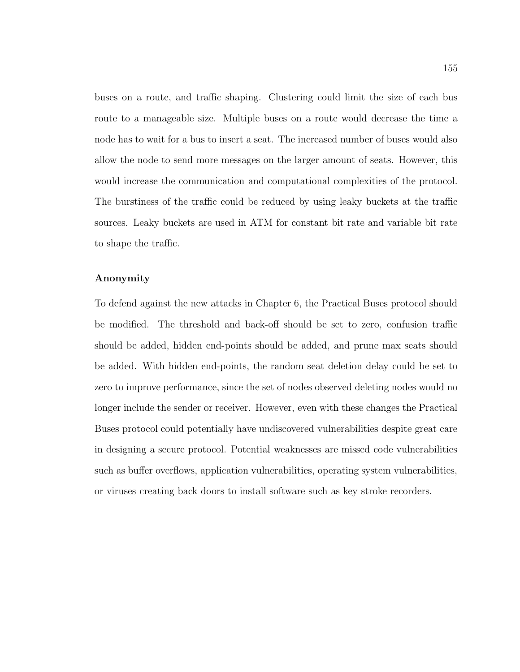buses on a route, and traffic shaping. Clustering could limit the size of each bus route to a manageable size. Multiple buses on a route would decrease the time a node has to wait for a bus to insert a seat. The increased number of buses would also allow the node to send more messages on the larger amount of seats. However, this would increase the communication and computational complexities of the protocol. The burstiness of the traffic could be reduced by using leaky buckets at the traffic sources. Leaky buckets are used in ATM for constant bit rate and variable bit rate to shape the traffic.

#### Anonymity

To defend against the new attacks in Chapter 6, the Practical Buses protocol should be modified. The threshold and back-off should be set to zero, confusion traffic should be added, hidden end-points should be added, and prune max seats should be added. With hidden end-points, the random seat deletion delay could be set to zero to improve performance, since the set of nodes observed deleting nodes would no longer include the sender or receiver. However, even with these changes the Practical Buses protocol could potentially have undiscovered vulnerabilities despite great care in designing a secure protocol. Potential weaknesses are missed code vulnerabilities such as buffer overflows, application vulnerabilities, operating system vulnerabilities, or viruses creating back doors to install software such as key stroke recorders.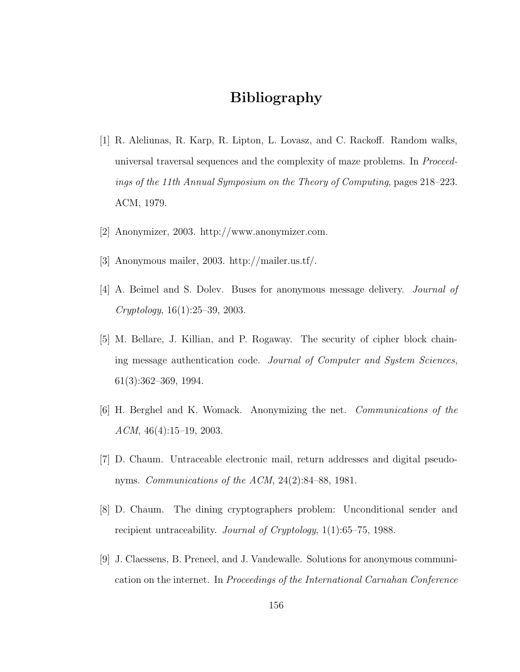## Bibliography

- [1] R. Aleliunas, R. Karp, R. Lipton, L. Lovasz, and C. Rackoff. Random walks, universal traversal sequences and the complexity of maze problems. In Proceedings of the 11th Annual Symposium on the Theory of Computing, pages 218–223. ACM, 1979.
- [2] Anonymizer, 2003. http://www.anonymizer.com.
- [3] Anonymous mailer, 2003. http://mailer.us.tf/.
- [4] A. Beimel and S. Dolev. Buses for anonymous message delivery. Journal of Cryptology, 16(1):25–39, 2003.
- [5] M. Bellare, J. Killian, and P. Rogaway. The security of cipher block chaining message authentication code. Journal of Computer and System Sciences, 61(3):362–369, 1994.
- [6] H. Berghel and K. Womack. Anonymizing the net. Communications of the ACM,  $46(4):15-19$ , 2003.
- [7] D. Chaum. Untraceable electronic mail, return addresses and digital pseudonyms. Communications of the ACM, 24(2):84–88, 1981.
- [8] D. Chaum. The dining cryptographers problem: Unconditional sender and recipient untraceability. Journal of Cryptology, 1(1):65–75, 1988.
- [9] J. Claessens, B. Preneel, and J. Vandewalle. Solutions for anonymous communication on the internet. In Proceedings of the International Carnahan Conference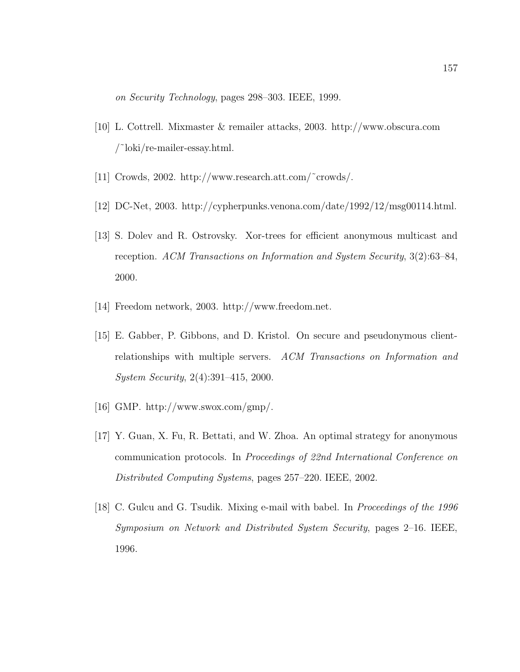on Security Technology, pages 298–303. IEEE, 1999.

- [10] L. Cottrell. Mixmaster & remailer attacks, 2003. http://www.obscura.com /˜loki/re-mailer-essay.html.
- [11] Crowds, 2002. http://www.research.att.com/˜crowds/.
- [12] DC-Net, 2003. http://cypherpunks.venona.com/date/1992/12/msg00114.html.
- [13] S. Dolev and R. Ostrovsky. Xor-trees for efficient anonymous multicast and reception. ACM Transactions on Information and System Security, 3(2):63–84, 2000.
- [14] Freedom network, 2003. http://www.freedom.net.
- [15] E. Gabber, P. Gibbons, and D. Kristol. On secure and pseudonymous clientrelationships with multiple servers. ACM Transactions on Information and System Security, 2(4):391–415, 2000.
- [16] GMP. http://www.swox.com/gmp/.
- [17] Y. Guan, X. Fu, R. Bettati, and W. Zhoa. An optimal strategy for anonymous communication protocols. In Proceedings of 22nd International Conference on Distributed Computing Systems, pages 257–220. IEEE, 2002.
- [18] C. Gulcu and G. Tsudik. Mixing e-mail with babel. In Proceedings of the 1996 Symposium on Network and Distributed System Security, pages 2–16. IEEE, 1996.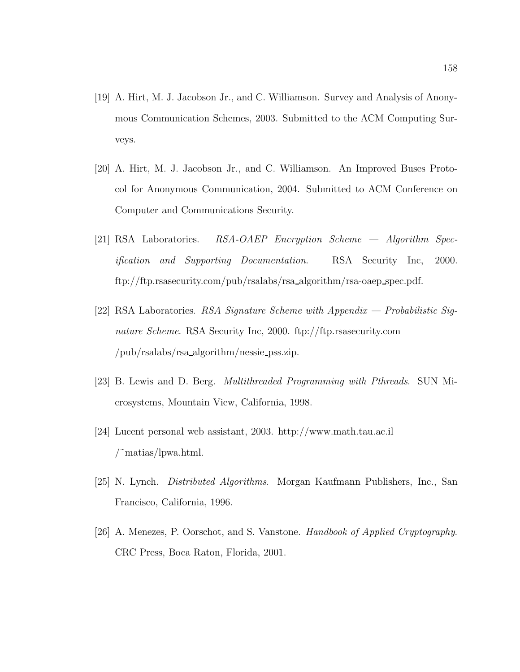- [19] A. Hirt, M. J. Jacobson Jr., and C. Williamson. Survey and Analysis of Anonymous Communication Schemes, 2003. Submitted to the ACM Computing Surveys.
- [20] A. Hirt, M. J. Jacobson Jr., and C. Williamson. An Improved Buses Protocol for Anonymous Communication, 2004. Submitted to ACM Conference on Computer and Communications Security.
- [21] RSA Laboratories. RSA-OAEP Encryption Scheme Algorithm Specification and Supporting Documentation. RSA Security Inc, 2000. ftp://ftp.rsasecurity.com/pub/rsalabs/rsa algorithm/rsa-oaep spec.pdf.
- [22] RSA Laboratories. RSA Signature Scheme with Appendix Probabilistic Signature Scheme. RSA Security Inc, 2000. ftp://ftp.rsasecurity.com /pub/rsalabs/rsa algorithm/nessie pss.zip.
- [23] B. Lewis and D. Berg. Multithreaded Programming with Pthreads. SUN Microsystems, Mountain View, California, 1998.
- [24] Lucent personal web assistant, 2003. http://www.math.tau.ac.il /˜matias/lpwa.html.
- [25] N. Lynch. Distributed Algorithms. Morgan Kaufmann Publishers, Inc., San Francisco, California, 1996.
- [26] A. Menezes, P. Oorschot, and S. Vanstone. Handbook of Applied Cryptography. CRC Press, Boca Raton, Florida, 2001.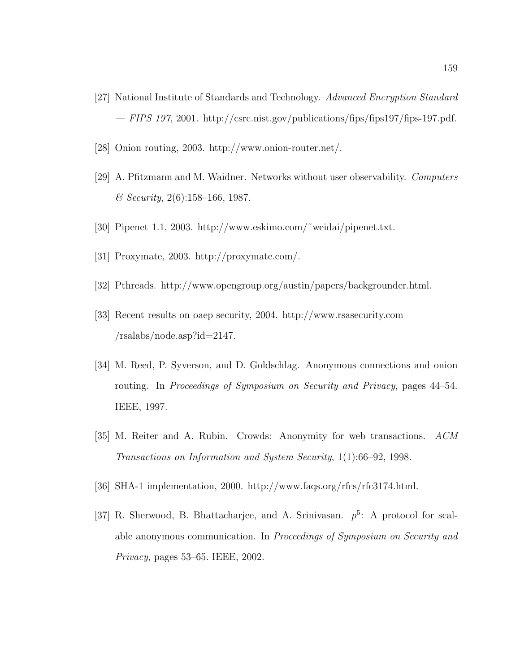- [27] National Institute of Standards and Technology. Advanced Encryption Standard  $-$  FIPS 197, 2001. http://csrc.nist.gov/publications/fips/fips197/fips-197.pdf.
- [28] Onion routing, 2003. http://www.onion-router.net/.
- [29] A. Pfitzmann and M. Waidner. Networks without user observability. Computers  $&$  Security, 2(6):158-166, 1987.
- [30] Pipenet 1.1, 2003. http://www.eskimo.com/˜weidai/pipenet.txt.
- [31] Proxymate, 2003. http://proxymate.com/.
- [32] Pthreads. http://www.opengroup.org/austin/papers/backgrounder.html.
- [33] Recent results on oaep security, 2004. http://www.rsasecurity.com /rsalabs/node.asp?id=2147.
- [34] M. Reed, P. Syverson, and D. Goldschlag. Anonymous connections and onion routing. In Proceedings of Symposium on Security and Privacy, pages 44–54. IEEE, 1997.
- [35] M. Reiter and A. Rubin. Crowds: Anonymity for web transactions. ACM Transactions on Information and System Security, 1(1):66–92, 1998.
- [36] SHA-1 implementation, 2000. http://www.faqs.org/rfcs/rfc3174.html.
- [37] R. Sherwood, B. Bhattacharjee, and A. Srinivasan.  $p^5$ : A protocol for scalable anonymous communication. In Proceedings of Symposium on Security and Privacy, pages 53–65. IEEE, 2002.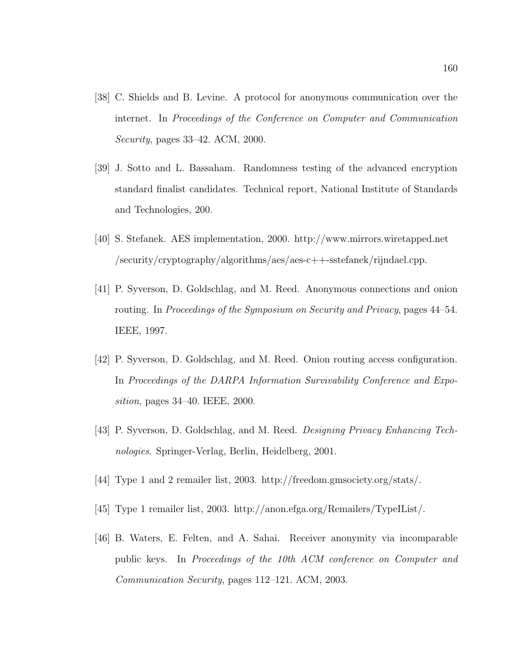- [38] C. Shields and B. Levine. A protocol for anonymous communication over the internet. In Proceedings of the Conference on Computer and Communication Security, pages 33–42. ACM, 2000.
- [39] J. Sotto and L. Bassaham. Randomness testing of the advanced encryption standard finalist candidates. Technical report, National Institute of Standards and Technologies, 200.
- [40] S. Stefanek. AES implementation, 2000. http://www.mirrors.wiretapped.net /security/cryptography/algorithms/aes/aes-c++-sstefanek/rijndael.cpp.
- [41] P. Syverson, D. Goldschlag, and M. Reed. Anonymous connections and onion routing. In Proceedings of the Symposium on Security and Privacy, pages 44–54. IEEE, 1997.
- [42] P. Syverson, D. Goldschlag, and M. Reed. Onion routing access configuration. In Proceedings of the DARPA Information Survivability Conference and Exposition, pages 34–40. IEEE, 2000.
- [43] P. Syverson, D. Goldschlag, and M. Reed. Designing Privacy Enhancing Technologies. Springer-Verlag, Berlin, Heidelberg, 2001.
- [44] Type 1 and 2 remailer list, 2003. http://freedom.gmsociety.org/stats/.
- [45] Type 1 remailer list, 2003. http://anon.efga.org/Remailers/TypeIList/.
- [46] B. Waters, E. Felten, and A. Sahai. Receiver anonymity via incomparable public keys. In Proceedings of the 10th ACM conference on Computer and Communication Security, pages 112–121. ACM, 2003.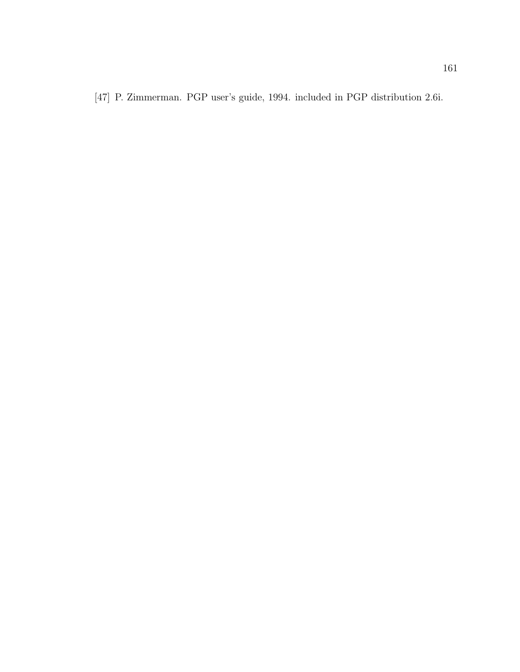[47] P. Zimmerman. PGP user's guide, 1994. included in PGP distribution 2.6i.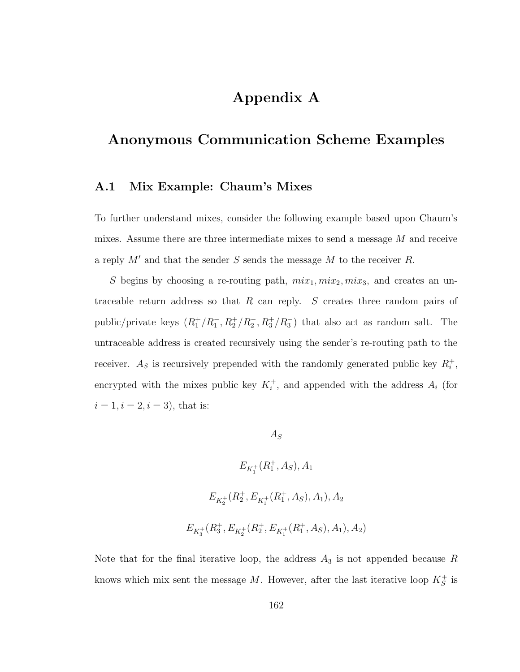# Appendix A

# Anonymous Communication Scheme Examples

## A.1 Mix Example: Chaum's Mixes

To further understand mixes, consider the following example based upon Chaum's mixes. Assume there are three intermediate mixes to send a message M and receive a reply  $M'$  and that the sender S sends the message M to the receiver R.

S begins by choosing a re-routing path,  $mix_1, mix_2, mix_3$ , and creates an untraceable return address so that R can reply. S creates three random pairs of public/private keys  $(R_1^+/R_1^-, R_2^+/R_2^-, R_3^+/R_3^-)$  that also act as random salt. The untraceable address is created recursively using the sender's re-routing path to the receiver.  $A_s$  is recursively prepended with the randomly generated public key  $R_i^+$ , encrypted with the mixes public key  $K_i^+$ , and appended with the address  $A_i$  (for  $i = 1, i = 2, i = 3$ , that is:

 $A_S$ 

$$
E_{K_1^+}(R_1^+, A_S), A_1
$$
  

$$
E_{K_2^+}(R_2^+, E_{K_1^+}(R_1^+, A_S), A_1), A_2
$$
  

$$
E_{K_3^+}(R_3^+, E_{K_2^+}(R_2^+, E_{K_1^+}(R_1^+, A_S), A_1), A_2)
$$

Note that for the final iterative loop, the address  $A_3$  is not appended because R knows which mix sent the message M. However, after the last iterative loop  $K_S^+$  is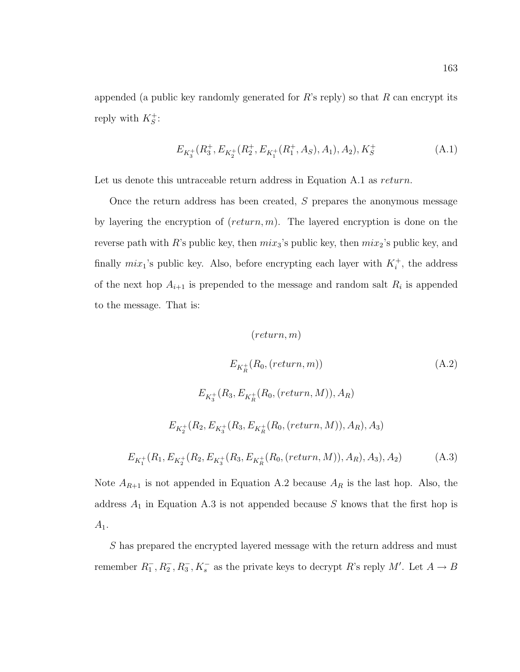appended (a public key randomly generated for  $R$ 's reply) so that  $R$  can encrypt its reply with  $K_S^+$ :

$$
E_{K_3^+}(R_3^+, E_{K_2^+}(R_2^+, E_{K_1^+}(R_1^+, A_S), A_1), A_2), K_S^+
$$
 (A.1)

Let us denote this untraceable return address in Equation A.1 as *return*.

Once the return address has been created, S prepares the anonymous message by layering the encryption of  $(return, m)$ . The layered encryption is done on the reverse path with R's public key, then  $mix_3$ 's public key, then  $mix_2$ 's public key, and finally  $mix_1$ 's public key. Also, before encrypting each layer with  $K_i^+$ , the address of the next hop  $A_{i+1}$  is prepended to the message and random salt  $R_i$  is appended to the message. That is:

$$
(return, m)
$$
\n
$$
E_{K_R^+}(R_0, (return, m))
$$
\n(A.2)\n
$$
E_{K_3^+}(R_3, E_{K_R^+}(R_0, (return, M)), A_R)
$$
\n
$$
E_{K_2^+}(R_2, E_{K_3^+}(R_3, E_{K_R^+}(R_0, (return, M)), A_R), A_3)
$$
\n
$$
E_{K_1^+}(R_1, E_{K_2^+}(R_2, E_{K_3^+}(R_3, E_{K_R^+}(R_0, (return, M)), A_R), A_3), A_2)
$$
\n(A.3)

Note  $A_{R+1}$  is not appended in Equation A.2 because  $A_R$  is the last hop. Also, the address  $A_1$  in Equation A.3 is not appended because S knows that the first hop is  $A_1.$ 

S has prepared the encrypted layered message with the return address and must remember  $R_1^-, R_2^-, R_3^-, K_s^-$  as the private keys to decrypt R's reply M'. Let  $A \to B$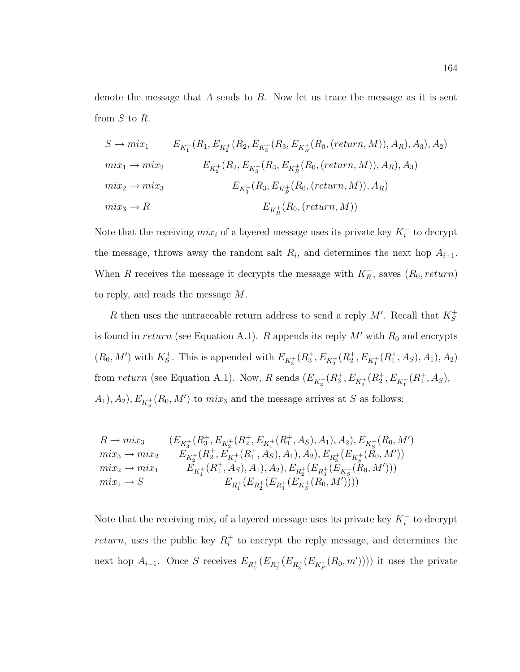denote the message that  $A$  sends to  $B$ . Now let us trace the message as it is sent from  $S$  to  $R$ .

$$
S \to mix_1 \qquad E_{K_1^+}(R_1, E_{K_2^+}(R_2, E_{K_3^+}(R_3, E_{K_6^+}(R_0, (return, M)), A_R), A_3), A_2)
$$
  
\n
$$
mix_1 \to mix_2 \qquad E_{K_2^+}(R_2, E_{K_3^+}(R_3, E_{K_6^+}(R_0, (return, M)), A_R), A_3)
$$
  
\n
$$
mix_2 \to mix_3 \qquad E_{K_3^+}(R_3, E_{K_6^+}(R_0, (return, M)), A_R)
$$
  
\n
$$
mix_3 \to R \qquad E_{K_6^+}(R_0, (return, M))
$$

Note that the receiving  $mix_i$  of a layered message uses its private key  $K_i^-$  to decrypt the message, throws away the random salt  $R_i$ , and determines the next hop  $A_{i+1}$ . When R receives the message it decrypts the message with  $K_R^-$ , saves  $(R_0, return)$ to reply, and reads the message M.

R then uses the untraceable return address to send a reply  $M'$ . Recall that  $K_S^+$ is found in return (see Equation A.1). R appends its reply  $M'$  with  $R_0$  and encrypts  $(R_0, M')$  with  $K_S^+$ . This is appended with  $E_{K_3^+}(R_3^+, E_{K_2^+}(R_2^+, E_{K_1^+}(R_1^+, A_S), A_1), A_2)$ from return (see Equation A.1). Now, R sends  $(E_{K_3^+}(R_3^+, E_{K_2^+}(R_2^+, E_{K_1^+}(R_1^+, A_S),$  $(A_1), A_2$ ,  $E_{K_S^+}(R_0, M')$  to  $mix_3$  and the message arrives at S as follows:

$$
R \to mix_3 \qquad (E_{K_3^+}(R_3^+, E_{K_2^+}(R_2^+, E_{K_1^+}(R_1^+, A_S), A_1), A_2), E_{K_3^+}(R_0, M')
$$
  
\n
$$
mix_3 \to mix_2 \qquad E_{K_2^+}(R_2^+, E_{K_1^+}(R_1^+, A_S), A_1), A_2), E_{R_3^+}(E_{K_3^+}(R_0, M'))
$$
  
\n
$$
mix_2 \to mix_1 \qquad E_{K_1^+}(R_1^+, A_S), A_1), A_2), E_{R_2^+}(E_{R_3^+}(E_{K_3^+}(R_0, M')))
$$
  
\n
$$
mix_1 \to S \qquad E_{R_1^+}(E_{R_2^+}(E_{R_3^+}(E_{K_3^+}(R_0, M'))))
$$

Note that the receiving  $\min_i$  of a layered message uses its private key  $K_i^-$  to decrypt return, uses the public key  $R_i^+$  to encrypt the reply message, and determines the next hop  $A_{i-1}$ . Once S receives  $E_{R_1^+}(E_{R_2^+}(E_{R_3^+}(E_{K_5^+}(R_0,m'))))$  it uses the private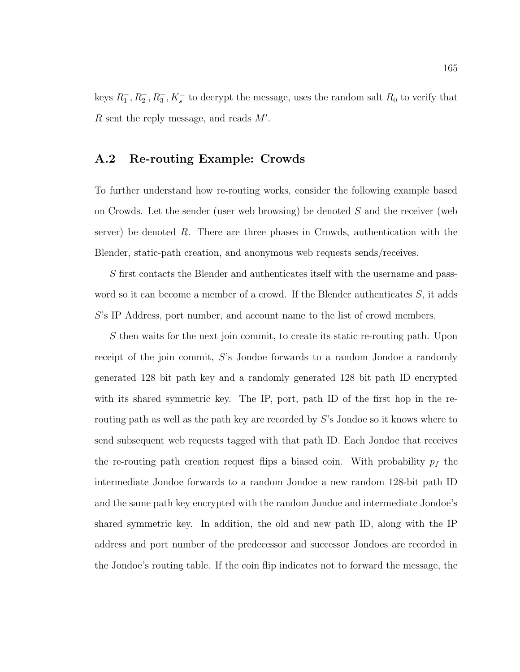keys  $R_1^-, R_2^-, R_3^-, K_s^-$  to decrypt the message, uses the random salt  $R_0$  to verify that  $R$  sent the reply message, and reads  $M'$ .

## A.2 Re-routing Example: Crowds

To further understand how re-routing works, consider the following example based on Crowds. Let the sender (user web browsing) be denoted S and the receiver (web server) be denoted  $R$ . There are three phases in Crowds, authentication with the Blender, static-path creation, and anonymous web requests sends/receives.

S first contacts the Blender and authenticates itself with the username and password so it can become a member of a crowd. If the Blender authenticates S, it adds S's IP Address, port number, and account name to the list of crowd members.

S then waits for the next join commit, to create its static re-routing path. Upon receipt of the join commit, S's Jondoe forwards to a random Jondoe a randomly generated 128 bit path key and a randomly generated 128 bit path ID encrypted with its shared symmetric key. The IP, port, path ID of the first hop in the rerouting path as well as the path key are recorded by S's Jondoe so it knows where to send subsequent web requests tagged with that path ID. Each Jondoe that receives the re-routing path creation request flips a biased coin. With probability  $p_f$  the intermediate Jondoe forwards to a random Jondoe a new random 128-bit path ID and the same path key encrypted with the random Jondoe and intermediate Jondoe's shared symmetric key. In addition, the old and new path ID, along with the IP address and port number of the predecessor and successor Jondoes are recorded in the Jondoe's routing table. If the coin flip indicates not to forward the message, the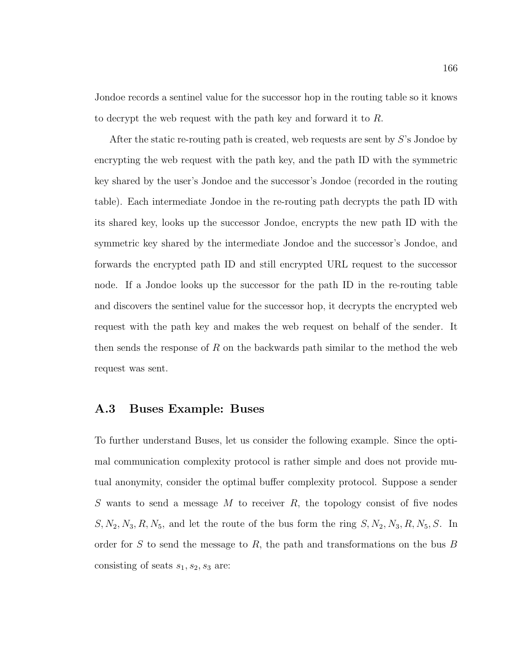Jondoe records a sentinel value for the successor hop in the routing table so it knows to decrypt the web request with the path key and forward it to R.

After the static re-routing path is created, web requests are sent by S's Jondoe by encrypting the web request with the path key, and the path ID with the symmetric key shared by the user's Jondoe and the successor's Jondoe (recorded in the routing table). Each intermediate Jondoe in the re-routing path decrypts the path ID with its shared key, looks up the successor Jondoe, encrypts the new path ID with the symmetric key shared by the intermediate Jondoe and the successor's Jondoe, and forwards the encrypted path ID and still encrypted URL request to the successor node. If a Jondoe looks up the successor for the path ID in the re-routing table and discovers the sentinel value for the successor hop, it decrypts the encrypted web request with the path key and makes the web request on behalf of the sender. It then sends the response of R on the backwards path similar to the method the web request was sent.

#### A.3 Buses Example: Buses

To further understand Buses, let us consider the following example. Since the optimal communication complexity protocol is rather simple and does not provide mutual anonymity, consider the optimal buffer complexity protocol. Suppose a sender S wants to send a message M to receiver  $R$ , the topology consist of five nodes  $S, N_2, N_3, R, N_5$ , and let the route of the bus form the ring  $S, N_2, N_3, R, N_5, S$ . In order for S to send the message to R, the path and transformations on the bus B consisting of seats  $s_1, s_2, s_3$  are: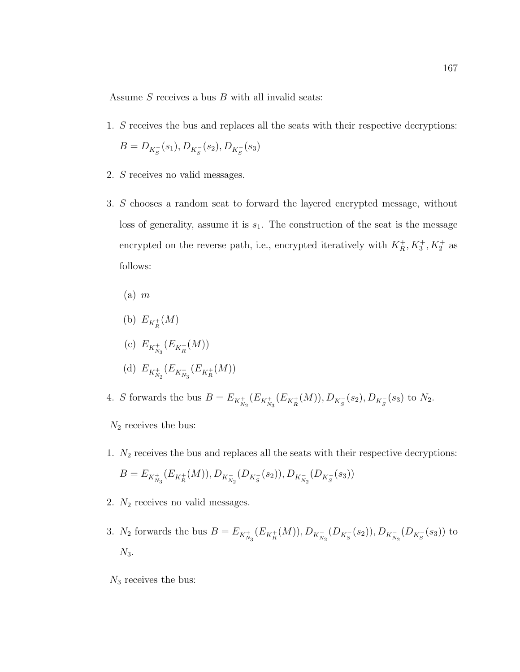Assume  $S$  receives a bus  $B$  with all invalid seats:

- 1. S receives the bus and replaces all the seats with their respective decryptions:  $B = D_{K_S^-}(s_1), D_{K_S^-}(s_2), D_{K_S^-}(s_3)$
- 2. S receives no valid messages.
- 3. S chooses a random seat to forward the layered encrypted message, without loss of generality, assume it is  $s_1$ . The construction of the seat is the message encrypted on the reverse path, i.e., encrypted iteratively with  $K_R^+, K_3^+, K_2^+$  as follows:
	- $(a)$  m
	- (b)  $E_{K_R^+}(M)$
	- (c)  $E_{K_{N_3}^+}(E_{K_R^+}(M))$
	- (d)  $E_{K_{N_2}^+}(E_{K_{N_3}^+}(E_{K_R^+}(M)))$
- 4. S forwards the bus  $B = E_{K_{N_2}^+}(E_{K_{N_3}^+}(E_{K_R^+}(M)), D_{K_S^-}(s_2), D_{K_S^-}(s_3)$  to  $N_2$ .
- $N_2$  receives the bus:
- 1.  $N_2$  receives the bus and replaces all the seats with their respective decryptions:  $B = E_{K_{N_3}^+}(E_{K_R^+}(M)), D_{K_{N_2}^-}(D_{K_S^-}(s_2)), D_{K_{N_2}^-}(D_{K_S^-}(s_3))$
- 2.  $N_2$  receives no valid messages.
- 3.  $N_2$  forwards the bus  $B = E_{K_{N_3}^+}(E_{K_R^+}(M)), D_{K_{N_2}^-}(D_{K_S^-}(s_2)), D_{K_{N_2}^-}(D_{K_S^-}(s_3))$  to  $N_3$ .
- $\mathcal{N}_3$  receives the bus: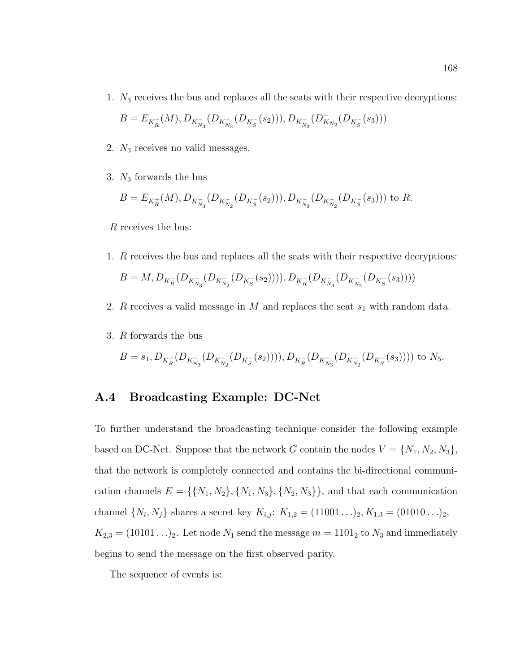1.  $N_3$  receives the bus and replaces all the seats with their respective decryptions:

$$
B = E_{K_R^+}(M), D_{K_{N_3}^-}(D_{K_{N_2}^-}(D_{K_S^-}(s_2))), D_{K_{N_3}^-}(D_{K_{N_2}^-}(D_{K_S^-}(s_3)))
$$

- 2. N<sup>3</sup> receives no valid messages.
- 3.  $N_3$  forwards the bus

$$
B=E_{K_{R}^+}(M), D_{K_{N_3}^-}(D_{K_{N_2}^-}(D_{K_S^-}(s_2))), D_{K_{N_3}^-}(D_{K_{N_2}^-}(D_{K_S^-}(s_3)))
$$
 to R.

R receives the bus:

- 1. R receives the bus and replaces all the seats with their respective decryptions:  $B=M,D_{K_{R}^{-}}(D_{K_{N_{3}}^{-}}(D_{K_{N_{2}}^{-}}(D_{K_{S}^{-}}(s_{2}))))),D_{K_{R}^{-}}(D_{K_{N_{3}}^{-}}(D_{K_{N_{2}}^{-}}(D_{K_{S}^{-}}(s_{3}))))$
- 2. R receives a valid message in  $M$  and replaces the seat  $s_1$  with random data.
- 3. R forwards the bus

$$
B = s_1, D_{K_R^-}(D_{K_{N_3}^-}(D_{K_{N_2}^-}(D_{K_S^-}(s_2))))
$$
,  $D_{K_R^-}(D_{K_{N_3}^-}(D_{K_{N_2}^-}(D_{K_S^-}(s_3))))$  to  $N_5$ .

### A.4 Broadcasting Example: DC-Net

To further understand the broadcasting technique consider the following example based on DC-Net. Suppose that the network G contain the nodes  $V = \{N_1, N_2, N_3\}$ , that the network is completely connected and contains the bi-directional communication channels  $E = \{\{N_1, N_2\}, \{N_1, N_3\}, \{N_2, N_3\}\}\$ , and that each communication channel  $\{N_i, N_j\}$  shares a secret key  $K_{i,j}: K_{1,2} = (11001...)_2, K_{1,3} = (01010...)_2,$  $K_{2,3} = (10101 \ldots)_2$ . Let node  $N_1$  send the message  $m = 1101_2$  to  $N_3$  and immediately begins to send the message on the first observed parity.

The sequence of events is: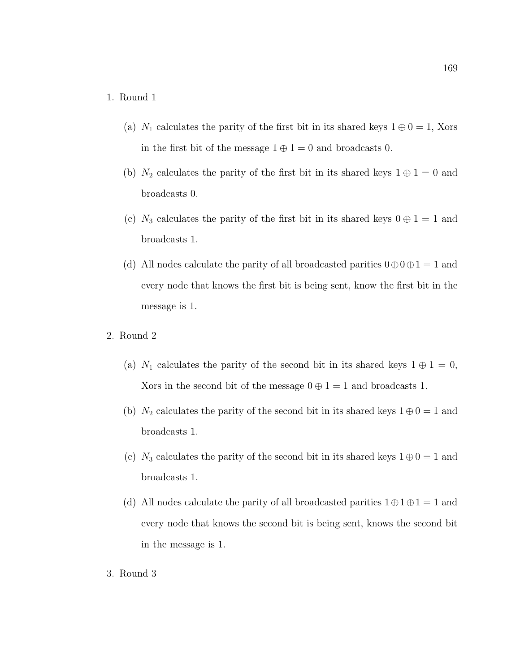### 1. Round 1

- (a)  $N_1$  calculates the parity of the first bit in its shared keys  $1 \oplus 0 = 1$ , Xors in the first bit of the message  $1 \oplus 1 = 0$  and broadcasts 0.
- (b)  $N_2$  calculates the parity of the first bit in its shared keys  $1 \oplus 1 = 0$  and broadcasts 0.
- (c)  $N_3$  calculates the parity of the first bit in its shared keys  $0 \oplus 1 = 1$  and broadcasts 1.
- (d) All nodes calculate the parity of all broadcasted parities  $0 \oplus 0 \oplus 1 = 1$  and every node that knows the first bit is being sent, know the first bit in the message is 1.
- 2. Round 2
	- (a)  $N_1$  calculates the parity of the second bit in its shared keys  $1 \oplus 1 = 0$ , Xors in the second bit of the message  $0 \oplus 1 = 1$  and broadcasts 1.
	- (b)  $N_2$  calculates the parity of the second bit in its shared keys  $1 \oplus 0 = 1$  and broadcasts 1.
	- (c)  $N_3$  calculates the parity of the second bit in its shared keys  $1 \oplus 0 = 1$  and broadcasts 1.
	- (d) All nodes calculate the parity of all broadcasted parities  $1 \oplus 1 \oplus 1 = 1$  and every node that knows the second bit is being sent, knows the second bit in the message is 1.
- 3. Round 3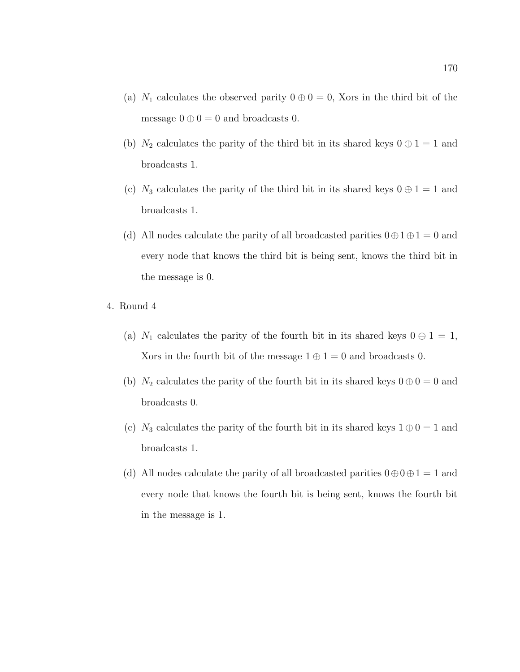- (a)  $N_1$  calculates the observed parity  $0 \oplus 0 = 0$ , Xors in the third bit of the message  $0 \oplus 0 = 0$  and broadcasts 0.
- (b)  $N_2$  calculates the parity of the third bit in its shared keys  $0 \oplus 1 = 1$  and broadcasts 1.
- (c)  $N_3$  calculates the parity of the third bit in its shared keys  $0 \oplus 1 = 1$  and broadcasts 1.
- (d) All nodes calculate the parity of all broadcasted parities  $0 \oplus 1 \oplus 1 = 0$  and every node that knows the third bit is being sent, knows the third bit in the message is 0.
- 4. Round 4
	- (a)  $N_1$  calculates the parity of the fourth bit in its shared keys  $0 \oplus 1 = 1$ , Xors in the fourth bit of the message  $1 \oplus 1 = 0$  and broadcasts 0.
	- (b)  $N_2$  calculates the parity of the fourth bit in its shared keys  $0 \oplus 0 = 0$  and broadcasts 0.
	- (c)  $N_3$  calculates the parity of the fourth bit in its shared keys  $1 \oplus 0 = 1$  and broadcasts 1.
	- (d) All nodes calculate the parity of all broadcasted parities  $0 \oplus 0 \oplus 1 = 1$  and every node that knows the fourth bit is being sent, knows the fourth bit in the message is 1.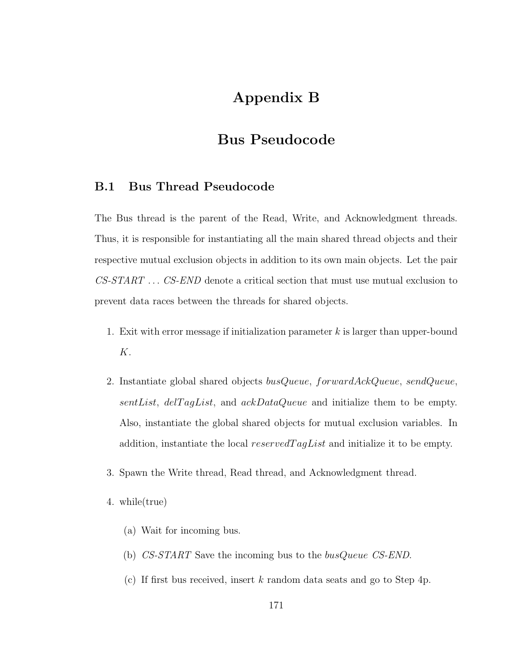# Appendix B

# Bus Pseudocode

### B.1 Bus Thread Pseudocode

The Bus thread is the parent of the Read, Write, and Acknowledgment threads. Thus, it is responsible for instantiating all the main shared thread objects and their respective mutual exclusion objects in addition to its own main objects. Let the pair CS-START . . . CS-END denote a critical section that must use mutual exclusion to prevent data races between the threads for shared objects.

- 1. Exit with error message if initialization parameter  $k$  is larger than upper-bound K.
- 2. Instantiate global shared objects busQueue, forwardAckQueue, sendQueue, sentList, delTagList, and  $ackDataQueue$  and initialize them to be empty. Also, instantiate the global shared objects for mutual exclusion variables. In addition, instantiate the local reserved TagList and initialize it to be empty.
- 3. Spawn the Write thread, Read thread, and Acknowledgment thread.
- 4. while(true)
	- (a) Wait for incoming bus.
	- (b) CS-START Save the incoming bus to the busQueue CS-END.
	- (c) If first bus received, insert k random data seats and go to Step 4p.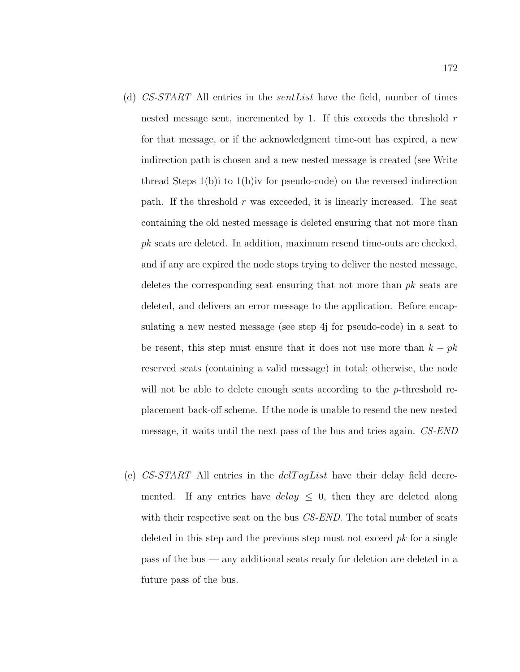- (d) CS-START All entries in the sentList have the field, number of times nested message sent, incremented by 1. If this exceeds the threshold  $r$ for that message, or if the acknowledgment time-out has expired, a new indirection path is chosen and a new nested message is created (see Write thread Steps 1(b)i to 1(b)iv for pseudo-code) on the reversed indirection path. If the threshold  $r$  was exceeded, it is linearly increased. The seat containing the old nested message is deleted ensuring that not more than pk seats are deleted. In addition, maximum resend time-outs are checked, and if any are expired the node stops trying to deliver the nested message, deletes the corresponding seat ensuring that not more than pk seats are deleted, and delivers an error message to the application. Before encapsulating a new nested message (see step 4j for pseudo-code) in a seat to be resent, this step must ensure that it does not use more than  $k - pk$ reserved seats (containing a valid message) in total; otherwise, the node will not be able to delete enough seats according to the *p*-threshold replacement back-off scheme. If the node is unable to resend the new nested message, it waits until the next pass of the bus and tries again. CS-END
- (e)  $CS-START$  All entries in the  $delTagList$  have their delay field decremented. If any entries have  $delay \le 0$ , then they are deleted along with their respective seat on the bus CS-END. The total number of seats deleted in this step and the previous step must not exceed  $pk$  for a single pass of the bus — any additional seats ready for deletion are deleted in a future pass of the bus.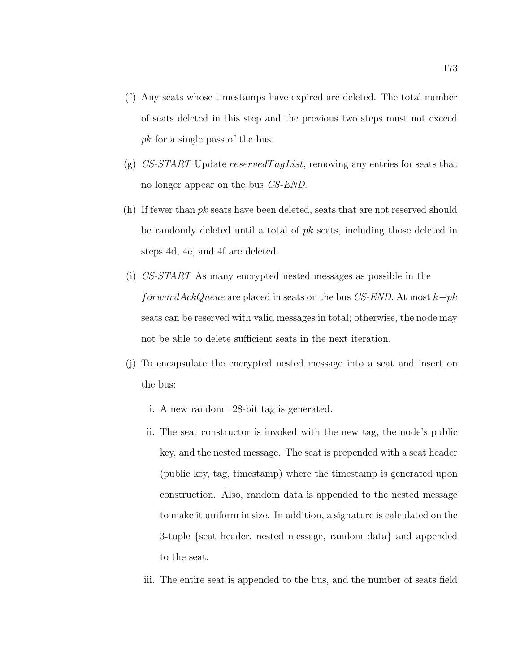- (f) Any seats whose timestamps have expired are deleted. The total number of seats deleted in this step and the previous two steps must not exceed pk for a single pass of the bus.
- (g)  $CS-START$  Update reserved TagList, removing any entries for seats that no longer appear on the bus CS-END.
- (h) If fewer than pk seats have been deleted, seats that are not reserved should be randomly deleted until a total of pk seats, including those deleted in steps 4d, 4e, and 4f are deleted.
- (i) CS-START As many encrypted nested messages as possible in the forward $AckQueue$  are placed in seats on the bus CS-END. At most  $k-pk$ seats can be reserved with valid messages in total; otherwise, the node may not be able to delete sufficient seats in the next iteration.
- (j) To encapsulate the encrypted nested message into a seat and insert on the bus:
	- i. A new random 128-bit tag is generated.
	- ii. The seat constructor is invoked with the new tag, the node's public key, and the nested message. The seat is prepended with a seat header (public key, tag, timestamp) where the timestamp is generated upon construction. Also, random data is appended to the nested message to make it uniform in size. In addition, a signature is calculated on the 3-tuple {seat header, nested message, random data} and appended to the seat.
	- iii. The entire seat is appended to the bus, and the number of seats field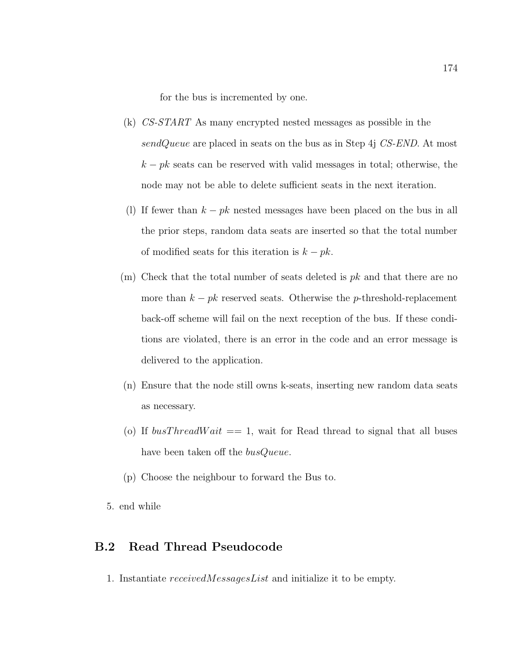for the bus is incremented by one.

- (k) CS-START As many encrypted nested messages as possible in the sendQueue are placed in seats on the bus as in Step 4j  $CS\text{-}END$ . At most  $k - pk$  seats can be reserved with valid messages in total; otherwise, the node may not be able to delete sufficient seats in the next iteration.
- (l) If fewer than  $k pk$  nested messages have been placed on the bus in all the prior steps, random data seats are inserted so that the total number of modified seats for this iteration is  $k - pk$ .
- $(m)$  Check that the total number of seats deleted is  $pk$  and that there are no more than  $k - pk$  reserved seats. Otherwise the p-threshold-replacement back-off scheme will fail on the next reception of the bus. If these conditions are violated, there is an error in the code and an error message is delivered to the application.
- (n) Ensure that the node still owns k-seats, inserting new random data seats as necessary.
- (o) If  $busThreadWait == 1$ , wait for Read thread to signal that all buses have been taken off the *busQueue*.
- (p) Choose the neighbour to forward the Bus to.
- 5. end while

#### B.2 Read Thread Pseudocode

1. Instantiate receivedMessagesList and initialize it to be empty.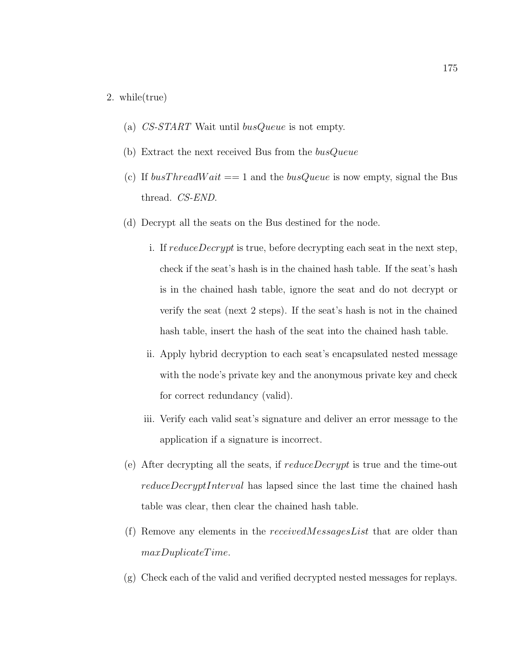#### 2. while(true)

- (a) CS-START Wait until busQueue is not empty.
- (b) Extract the next received Bus from the  $busQueue$
- (c) If  $busThreadWait == 1$  and the  $busQueue$  is now empty, signal the Bus thread. CS-END.
- (d) Decrypt all the seats on the Bus destined for the node.
	- i. If reduceDecrypt is true, before decrypting each seat in the next step, check if the seat's hash is in the chained hash table. If the seat's hash is in the chained hash table, ignore the seat and do not decrypt or verify the seat (next 2 steps). If the seat's hash is not in the chained hash table, insert the hash of the seat into the chained hash table.
	- ii. Apply hybrid decryption to each seat's encapsulated nested message with the node's private key and the anonymous private key and check for correct redundancy (valid).
	- iii. Verify each valid seat's signature and deliver an error message to the application if a signature is incorrect.
- (e) After decrypting all the seats, if  $reduceDecrypt$  is true and the time-out reduceDecryptInterval has lapsed since the last time the chained hash table was clear, then clear the chained hash table.
- (f) Remove any elements in the receivedMessagesList that are older than maxDuplicateTime.
- (g) Check each of the valid and verified decrypted nested messages for replays.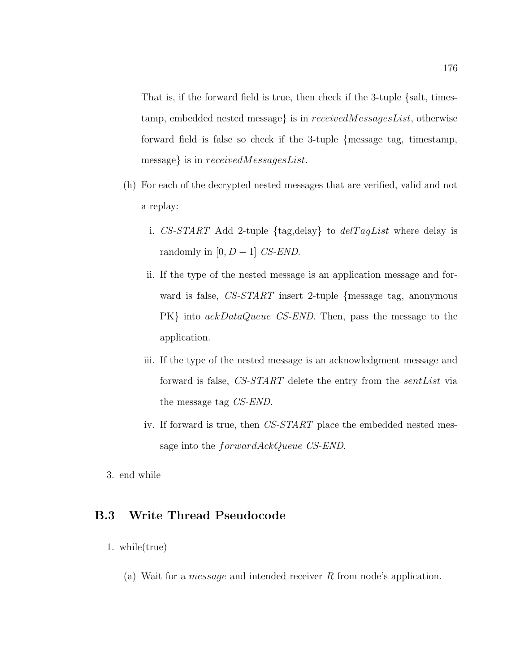That is, if the forward field is true, then check if the 3-tuple {salt, timestamp, embedded nested message} is in receivedMessagesList, otherwise forward field is false so check if the 3-tuple {message tag, timestamp, message} is in receivedMessagesList.

- (h) For each of the decrypted nested messages that are verified, valid and not a replay:
	- i. CS-START Add 2-tuple  $\{tag, delay\}$  to  $delTagList$  where delay is randomly in  $[0, D - 1]$  CS-END.
	- ii. If the type of the nested message is an application message and forward is false, CS-START insert 2-tuple {message tag, anonymous PK} into ackDataQueue CS-END. Then, pass the message to the application.
	- iii. If the type of the nested message is an acknowledgment message and forward is false, CS-START delete the entry from the sentList via the message tag CS-END.
	- iv. If forward is true, then CS-START place the embedded nested message into the *forwardAckQueue CS-END*.
- 3. end while

### B.3 Write Thread Pseudocode

- 1. while(true)
	- (a) Wait for a message and intended receiver R from node's application.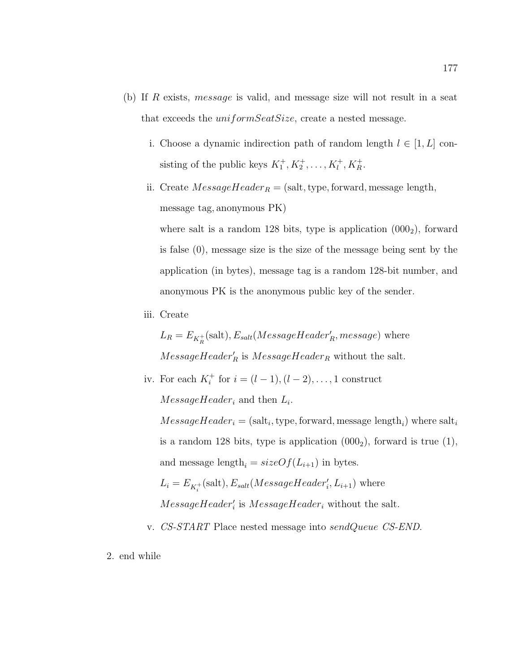- (b) If R exists, message is valid, and message size will not result in a seat that exceeds the *uniformSeatSize*, create a nested message.
	- i. Choose a dynamic indirection path of random length  $l \in [1, L]$  consisting of the public keys  $K_1^+, K_2^+, \ldots, K_l^+$  $l^+, K_R^+$ .
	- ii. Create  $MessageHeader_R = (salt, type, forward, message length,$ message tag, anonymous PK)

where salt is a random 128 bits, type is application  $(0.000<sub>2</sub>)$ , forward is false (0), message size is the size of the message being sent by the application (in bytes), message tag is a random 128-bit number, and anonymous PK is the anonymous public key of the sender.

iii. Create

 $L_R = E_{K_R^+}$ (salt),  $E_{salt}(MessageHeader_R', message)$  where  $MessageHeader_R$  is  $MessageHeader_R$  without the salt.

iv. For each  $K_i^+$  for  $i = (l - 1), (l - 2), \ldots, 1$  construct

 $MessageHeader_i$  and then  $L_i$ .

 $MessageHeader_i = (salt_i, type, forward, message length_i)$  where salt<sub>i</sub> is a random 128 bits, type is application  $(000<sub>2</sub>)$ , forward is true  $(1)$ , and message length,  $= sizeOf(L_{i+1})$  in bytes.  $L_i = E_{K_i^+}(\text{salt}), E_{salt}(MessageHeader'_i, L_{i+1})$  where

- $MessageHeader_i'$  is  $MessageHeader_i$  without the salt.
- v. CS-START Place nested message into sendQueue CS-END.
- 2. end while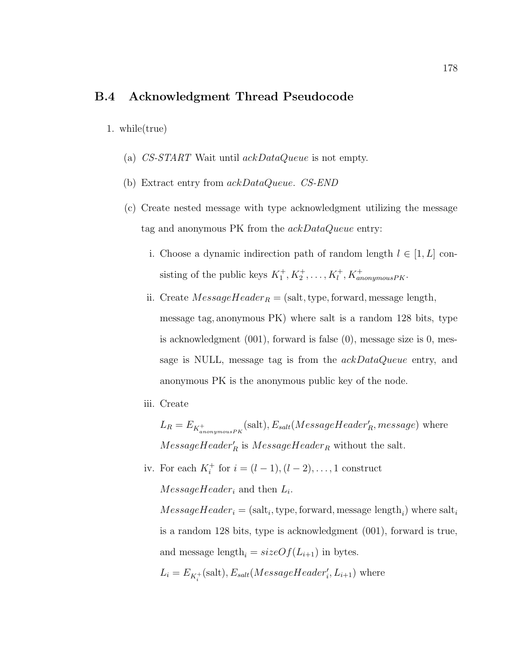#### B.4 Acknowledgment Thread Pseudocode

1. while(true)

- (a) CS-START Wait until ackDataQueue is not empty.
- (b) Extract entry from ackDataQueue. CS-END
- (c) Create nested message with type acknowledgment utilizing the message tag and anonymous PK from the ackDataQueue entry:
	- i. Choose a dynamic indirection path of random length  $l \in [1, L]$  consisting of the public keys  $K_1^+, K_2^+, \ldots, K_l^+, K_{anonymousPK}^+$ .
	- ii. Create  $MessageHeader_R = (salt, type, forward, message length,$ message tag, anonymous PK) where salt is a random 128 bits, type is acknowledgment (001), forward is false (0), message size is 0, message is NULL, message tag is from the  $ackDataQueue$  entry, and anonymous PK is the anonymous public key of the node.
	- iii. Create

 $L_R = E_{K_{anonymousPK}^+}$ (salt),  $E_{salt}(MessageHeader_R', message)$  where  $MessageHeader_R$  is  $MessageHeader_R$  without the salt.

iv. For each  $K_i^+$  for  $i = (l - 1), (l - 2), ..., 1$  construct  $MessageHeader_i$  and then  $L_i$ .

 $MessageHeader_i = (salt_i, type, forward, message length_i)$  where salt<sub>i</sub> is a random 128 bits, type is acknowledgment (001), forward is true, and message length<sub>i</sub> =  $sizeOf(L_{i+1})$  in bytes.

 $L_i = E_{K_i^+}(\text{salt}), E_{salt}(MessageHeader'_i, L_{i+1})$  where